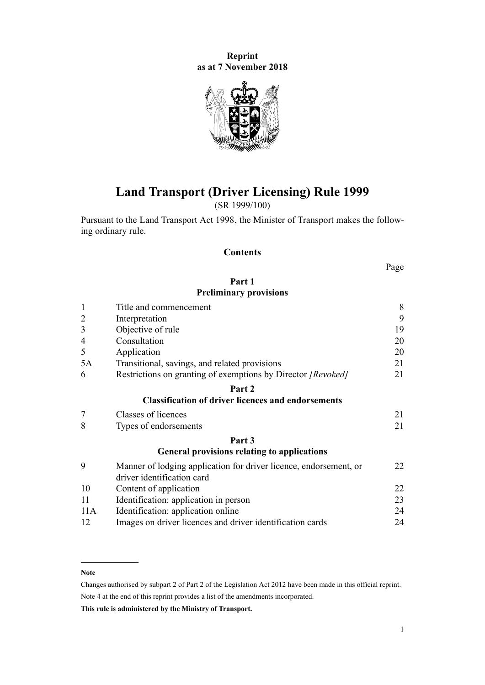**Reprint as at 7 November 2018**



# **Land Transport (Driver Licensing) Rule 1999**

(SR 1999/100)

Pursuant to the [Land Transport Act 1998,](http://legislation.govt.nz/pdflink.aspx?id=DLM433612) the Minister of Transport makes the following ordinary rule.

#### **Contents**

Page

#### **[Part 1](#page-7-0) [Preliminary provisions](#page-7-0)**

| $\mathbf{1}$   | Title and commencement                                                                          |    |  |  |
|----------------|-------------------------------------------------------------------------------------------------|----|--|--|
| $\overline{2}$ | Interpretation                                                                                  |    |  |  |
| 3              | Objective of rule                                                                               |    |  |  |
| 4              | Consultation                                                                                    | 20 |  |  |
| 5              | Application                                                                                     | 20 |  |  |
| 5A             | Transitional, savings, and related provisions                                                   |    |  |  |
| 6              | Restrictions on granting of exemptions by Director [Revoked]                                    | 21 |  |  |
|                | Part 2                                                                                          |    |  |  |
|                | <b>Classification of driver licences and endorsements</b>                                       |    |  |  |
| $\overline{7}$ | Classes of licences                                                                             | 21 |  |  |
| 8              | Types of endorsements                                                                           | 21 |  |  |
|                | Part 3                                                                                          |    |  |  |
|                | <b>General provisions relating to applications</b>                                              |    |  |  |
| 9              | Manner of lodging application for driver licence, endorsement, or<br>driver identification card | 22 |  |  |
| 10             | Content of application                                                                          | 22 |  |  |
| 11             | Identification: application in person                                                           | 23 |  |  |
| 11A            | Identification: application online                                                              | 24 |  |  |
| 12             | Images on driver licences and driver identification cards                                       | 24 |  |  |

#### **Note**

Changes authorised by [subpart 2](http://legislation.govt.nz/pdflink.aspx?id=DLM2998524) of Part 2 of the Legislation Act 2012 have been made in this official reprint. Note 4 at the end of this reprint provides a list of the amendments incorporated.

**This rule is administered by the Ministry of Transport.**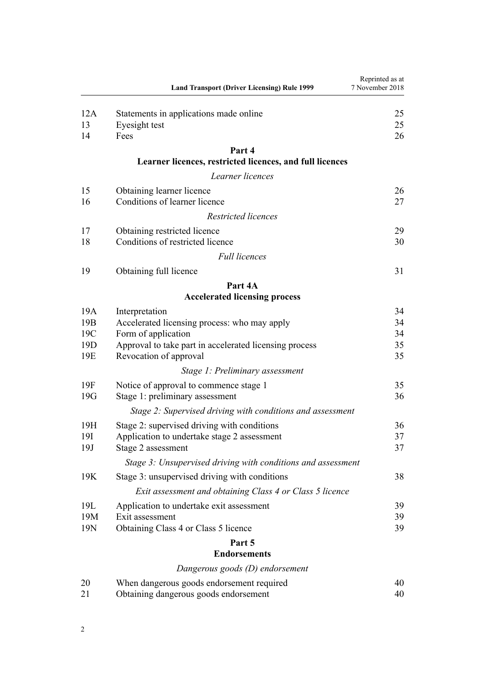|                 | <b>Land Transport (Driver Licensing) Rule 1999</b>                                 | Reprinted as at<br>7 November 2018 |
|-----------------|------------------------------------------------------------------------------------|------------------------------------|
| 12A<br>13<br>14 | Statements in applications made online<br>Eyesight test<br>Fees                    | 25<br>25<br>26                     |
|                 | Part 4                                                                             |                                    |
|                 | Learner licences, restricted licences, and full licences                           |                                    |
|                 | Learner licences                                                                   |                                    |
| 15              | Obtaining learner licence                                                          | 26                                 |
| 16              | Conditions of learner licence                                                      | 27                                 |
|                 | Restricted licences                                                                |                                    |
| 17              | Obtaining restricted licence                                                       | 29                                 |
| 18              | Conditions of restricted licence                                                   | 30                                 |
|                 | <b>Full licences</b>                                                               |                                    |
| 19              | Obtaining full licence                                                             | 31                                 |
|                 | Part 4A                                                                            |                                    |
|                 | <b>Accelerated licensing process</b>                                               |                                    |
| 19A             | Interpretation                                                                     | 34                                 |
| 19B<br>19C      | Accelerated licensing process: who may apply<br>Form of application                | 34<br>34                           |
| 19D             | Approval to take part in accelerated licensing process                             | 35                                 |
| 19E             | Revocation of approval                                                             | 35                                 |
|                 | Stage 1: Preliminary assessment                                                    |                                    |
| 19F<br>19G      | Notice of approval to commence stage 1<br>Stage 1: preliminary assessment          | 35<br>36                           |
|                 | Stage 2: Supervised driving with conditions and assessment                         |                                    |
| 19H             | Stage 2: supervised driving with conditions                                        | 36                                 |
| 19I             | Application to undertake stage 2 assessment                                        | 37                                 |
| 19J             | Stage 2 assessment                                                                 | 37                                 |
|                 | Stage 3: Unsupervised driving with conditions and assessment                       |                                    |
| 19K             | Stage 3: unsupervised driving with conditions                                      | 38                                 |
|                 | Exit assessment and obtaining Class 4 or Class 5 licence                           |                                    |
| 19L             | Application to undertake exit assessment                                           | 39                                 |
| 19M             | Exit assessment                                                                    | 39                                 |
| 19N             | Obtaining Class 4 or Class 5 licence                                               | 39                                 |
|                 | Part 5<br><b>Endorsements</b>                                                      |                                    |
|                 | Dangerous goods (D) endorsement                                                    |                                    |
| 20              |                                                                                    | 40                                 |
| 21              | When dangerous goods endorsement required<br>Obtaining dangerous goods endorsement | 40                                 |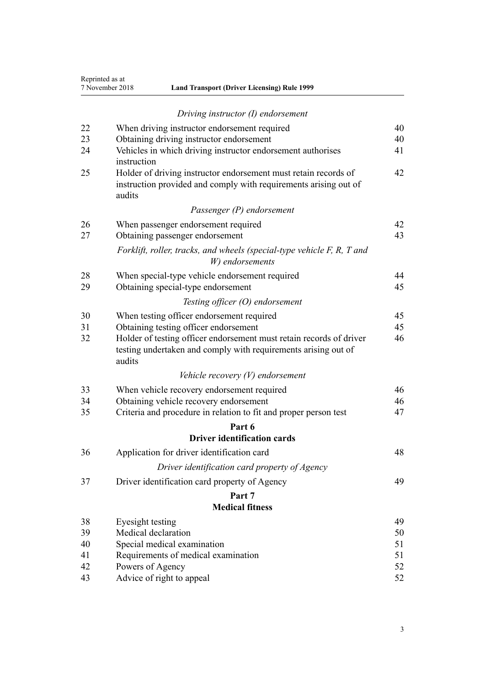| Reprinted as at |
|-----------------|
| 7 November 2018 |

| 7 November 2018 | <b>Land Transport (Driver Licensing) Rule 1999</b> |  |
|-----------------|----------------------------------------------------|--|
|-----------------|----------------------------------------------------|--|

|    | Driving instructor (I) endorsement                                                                                                              |    |  |  |  |
|----|-------------------------------------------------------------------------------------------------------------------------------------------------|----|--|--|--|
| 22 | When driving instructor endorsement required                                                                                                    | 40 |  |  |  |
| 23 | Obtaining driving instructor endorsement<br>40                                                                                                  |    |  |  |  |
| 24 | Vehicles in which driving instructor endorsement authorises<br>instruction                                                                      | 41 |  |  |  |
| 25 | Holder of driving instructor endorsement must retain records of<br>instruction provided and comply with requirements arising out of<br>audits   | 42 |  |  |  |
|    | Passenger (P) endorsement                                                                                                                       |    |  |  |  |
| 26 | When passenger endorsement required                                                                                                             | 42 |  |  |  |
| 27 | Obtaining passenger endorsement                                                                                                                 | 43 |  |  |  |
|    | Forklift, roller, tracks, and wheels (special-type vehicle F, R, T and<br>W) endorsements                                                       |    |  |  |  |
| 28 | When special-type vehicle endorsement required                                                                                                  | 44 |  |  |  |
| 29 | Obtaining special-type endorsement                                                                                                              | 45 |  |  |  |
|    | Testing officer (O) endorsement                                                                                                                 |    |  |  |  |
| 30 | When testing officer endorsement required                                                                                                       | 45 |  |  |  |
| 31 | Obtaining testing officer endorsement                                                                                                           | 45 |  |  |  |
| 32 | Holder of testing officer endorsement must retain records of driver<br>testing undertaken and comply with requirements arising out of<br>audits | 46 |  |  |  |
|    | Vehicle recovery $(V)$ endorsement                                                                                                              |    |  |  |  |
| 33 | When vehicle recovery endorsement required                                                                                                      | 46 |  |  |  |
| 34 | Obtaining vehicle recovery endorsement                                                                                                          | 46 |  |  |  |
| 35 | Criteria and procedure in relation to fit and proper person test                                                                                | 47 |  |  |  |
|    | Part 6                                                                                                                                          |    |  |  |  |
|    | <b>Driver identification cards</b>                                                                                                              |    |  |  |  |
| 36 | Application for driver identification card                                                                                                      | 48 |  |  |  |
|    | Driver identification card property of Agency                                                                                                   |    |  |  |  |
| 37 | Driver identification card property of Agency                                                                                                   | 49 |  |  |  |
|    | Part 7                                                                                                                                          |    |  |  |  |
|    | <b>Medical fitness</b>                                                                                                                          |    |  |  |  |
| 38 | Eyesight testing                                                                                                                                | 49 |  |  |  |
| 39 | Medical declaration                                                                                                                             | 50 |  |  |  |
| 40 | Special medical examination                                                                                                                     | 51 |  |  |  |
| 41 | Requirements of medical examination                                                                                                             | 51 |  |  |  |
| 42 | Powers of Agency                                                                                                                                | 52 |  |  |  |

[43](#page-51-0) [Advice of right to appeal](#page-51-0) [52](#page-51-0)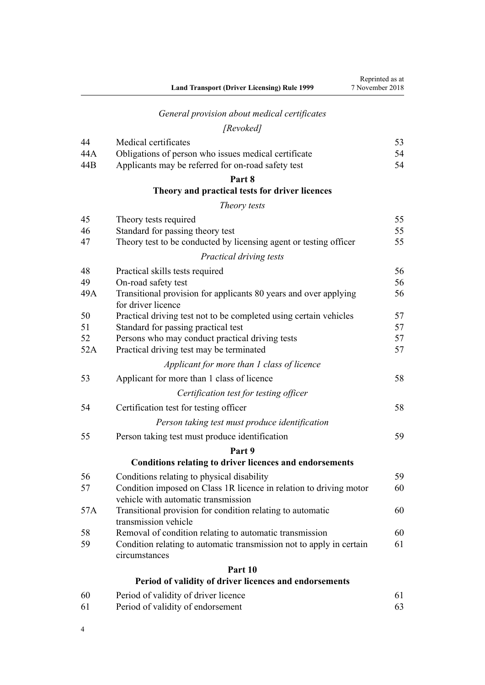# *[General provision about medical certificates](#page-52-0)*

# *[Revoked]*

| 44  | Medical certificates                                                                                      | 53 |  |  |
|-----|-----------------------------------------------------------------------------------------------------------|----|--|--|
| 44A | Obligations of person who issues medical certificate                                                      |    |  |  |
| 44B | Applicants may be referred for on-road safety test                                                        | 54 |  |  |
|     | Part 8                                                                                                    |    |  |  |
|     | Theory and practical tests for driver licences                                                            |    |  |  |
|     | Theory tests                                                                                              |    |  |  |
| 45  | Theory tests required                                                                                     | 55 |  |  |
| 46  | Standard for passing theory test                                                                          | 55 |  |  |
| 47  | Theory test to be conducted by licensing agent or testing officer                                         | 55 |  |  |
|     | Practical driving tests                                                                                   |    |  |  |
| 48  | Practical skills tests required                                                                           | 56 |  |  |
| 49  | On-road safety test                                                                                       | 56 |  |  |
| 49A | Transitional provision for applicants 80 years and over applying<br>for driver licence                    | 56 |  |  |
| 50  | Practical driving test not to be completed using certain vehicles                                         | 57 |  |  |
| 51  | Standard for passing practical test                                                                       | 57 |  |  |
| 52  | Persons who may conduct practical driving tests                                                           | 57 |  |  |
| 52A | Practical driving test may be terminated                                                                  | 57 |  |  |
|     | Applicant for more than 1 class of licence                                                                |    |  |  |
| 53  | Applicant for more than 1 class of licence                                                                | 58 |  |  |
|     | Certification test for testing officer                                                                    |    |  |  |
| 54  | Certification test for testing officer                                                                    | 58 |  |  |
|     | Person taking test must produce identification                                                            |    |  |  |
| 55  | Person taking test must produce identification                                                            | 59 |  |  |
|     | Part 9                                                                                                    |    |  |  |
|     | <b>Conditions relating to driver licences and endorsements</b>                                            |    |  |  |
| 56  | Conditions relating to physical disability                                                                | 59 |  |  |
| 57  | Condition imposed on Class 1R licence in relation to driving motor<br>vehicle with automatic transmission | 60 |  |  |
| 57A | Transitional provision for condition relating to automatic<br>transmission vehicle                        | 60 |  |  |
| 58  | Removal of condition relating to automatic transmission                                                   | 60 |  |  |
| 59  | Condition relating to automatic transmission not to apply in certain<br>circumstances                     | 61 |  |  |
|     | Part 10                                                                                                   |    |  |  |
|     | Period of validity of driver licences and endorsements                                                    |    |  |  |
| 60  | Period of validity of driver licence                                                                      | 61 |  |  |

- [61](#page-62-0) [Period of validity of endorsement](#page-62-0) [63](#page-62-0)
- 4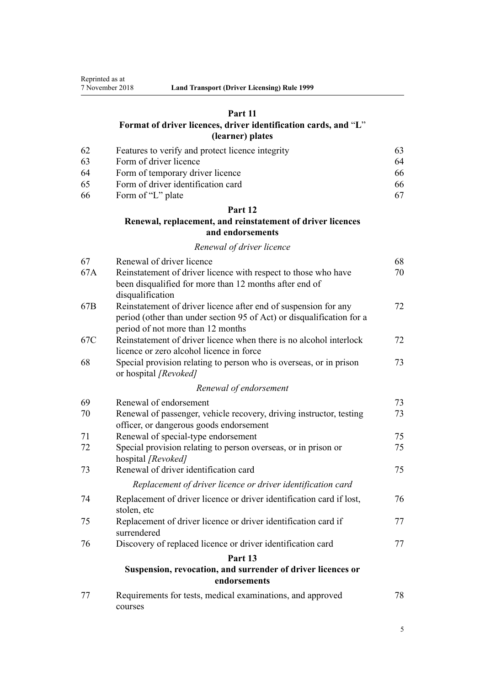#### **[Part 11](#page-62-0)**

### **[Format of driver licences, driver identification cards, and](#page-62-0)** "**[L](#page-62-0)**" **[\(learner\) plates](#page-62-0)**

| -62 | Features to verify and protect licence integrity | 63. |
|-----|--------------------------------------------------|-----|
| -63 | Form of driver licence                           | 64  |
| -64 | Form of temporary driver licence                 | 66  |
| -65 | Form of driver identification card               | 66  |
| -66 | Form of "L" plate                                |     |

#### **[Part 12](#page-67-0)**

### **[Renewal, replacement, and reinstatement of driver licences](#page-67-0) [and endorsements](#page-67-0)**

#### *[Renewal of driver licence](#page-67-0)*

| 67  | Renewal of driver licence                                                                                                                                                     | 68 |
|-----|-------------------------------------------------------------------------------------------------------------------------------------------------------------------------------|----|
| 67A | Reinstatement of driver licence with respect to those who have<br>been disqualified for more than 12 months after end of                                                      | 70 |
|     | disqualification                                                                                                                                                              |    |
| 67B | Reinstatement of driver licence after end of suspension for any<br>period (other than under section 95 of Act) or disqualification for a<br>period of not more than 12 months | 72 |
| 67C | Reinstatement of driver licence when there is no alcohol interlock<br>licence or zero alcohol licence in force                                                                | 72 |
| 68  | Special provision relating to person who is overseas, or in prison<br>or hospital [Revoked]                                                                                   | 73 |
|     | Renewal of endorsement                                                                                                                                                        |    |
| 69  | Renewal of endorsement                                                                                                                                                        | 73 |
| 70  | Renewal of passenger, vehicle recovery, driving instructor, testing<br>officer, or dangerous goods endorsement                                                                | 73 |
| 71  | Renewal of special-type endorsement                                                                                                                                           | 75 |
| 72  | Special provision relating to person overseas, or in prison or<br>hospital [Revoked]                                                                                          | 75 |
| 73  | Renewal of driver identification card                                                                                                                                         | 75 |
|     | Replacement of driver licence or driver identification card                                                                                                                   |    |
| 74  | Replacement of driver licence or driver identification card if lost,<br>stolen, etc                                                                                           | 76 |
| 75  | Replacement of driver licence or driver identification card if<br>surrendered                                                                                                 | 77 |
| 76  | Discovery of replaced licence or driver identification card                                                                                                                   | 77 |
|     | Part 13                                                                                                                                                                       |    |
|     | Suspension, revocation, and surrender of driver licences or<br>endorsements                                                                                                   |    |
| 77  | Requirements for tests, medical examinations, and approved<br>courses                                                                                                         | 78 |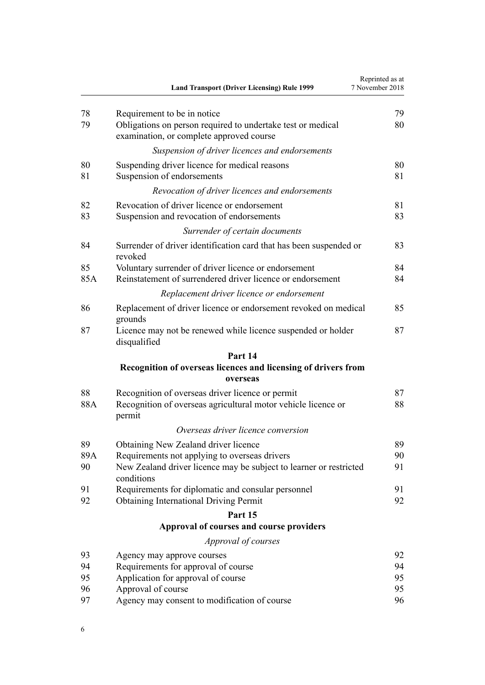|           | <b>Land Transport (Driver Licensing) Rule 1999</b>                                                                                | Reprinted as at<br>7 November 2018 |
|-----------|-----------------------------------------------------------------------------------------------------------------------------------|------------------------------------|
| 78        | Requirement to be in notice                                                                                                       | 79                                 |
| 79        | Obligations on person required to undertake test or medical<br>examination, or complete approved course                           | 80                                 |
|           | Suspension of driver licences and endorsements                                                                                    |                                    |
| 80<br>81  | Suspending driver licence for medical reasons<br>Suspension of endorsements                                                       | 80<br>81                           |
|           | Revocation of driver licences and endorsements                                                                                    |                                    |
| 82<br>83  | Revocation of driver licence or endorsement<br>Suspension and revocation of endorsements                                          | 81<br>83                           |
|           | Surrender of certain documents                                                                                                    |                                    |
| 84        | Surrender of driver identification card that has been suspended or<br>revoked                                                     | 83                                 |
| 85<br>85A | Voluntary surrender of driver licence or endorsement<br>Reinstatement of surrendered driver licence or endorsement                | 84<br>84                           |
|           | Replacement driver licence or endorsement                                                                                         |                                    |
| 86        | Replacement of driver licence or endorsement revoked on medical<br>grounds                                                        | 85                                 |
| 87        | Licence may not be renewed while licence suspended or holder<br>disqualified                                                      | 87                                 |
|           | Part 14                                                                                                                           |                                    |
|           | Recognition of overseas licences and licensing of drivers from                                                                    |                                    |
|           | overseas                                                                                                                          |                                    |
| 88        | Recognition of overseas driver licence or permit                                                                                  | 87                                 |
| 88A       | Recognition of overseas agricultural motor vehicle licence or<br>permit                                                           | 88                                 |
|           | Overseas driver licence conversion                                                                                                |                                    |
| 89        | Obtaining New Zealand driver licence                                                                                              | 89                                 |
| 89A<br>90 | Requirements not applying to overseas drivers<br>New Zealand driver licence may be subject to learner or restricted<br>conditions | 90<br>91                           |
| 91        | Requirements for diplomatic and consular personnel                                                                                | 91                                 |
| 92        | <b>Obtaining International Driving Permit</b>                                                                                     | 92                                 |
|           | Part 15                                                                                                                           |                                    |
|           | Approval of courses and course providers                                                                                          |                                    |
|           | Approval of courses                                                                                                               |                                    |
| 93        | Agency may approve courses                                                                                                        | 92                                 |
| 94        | Requirements for approval of course                                                                                               | 94                                 |
| 95        | Application for approval of course                                                                                                | 95                                 |
| 96        | Approval of course                                                                                                                | 95                                 |
| 97        | Agency may consent to modification of course                                                                                      | 96                                 |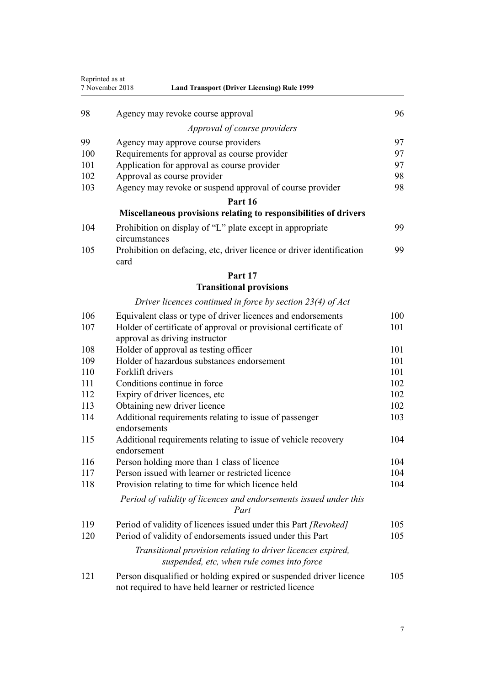| Reprinted as at | 7 November 2018<br><b>Land Transport (Driver Licensing) Rule 1999</b>                                                         |     |
|-----------------|-------------------------------------------------------------------------------------------------------------------------------|-----|
| 98              | Agency may revoke course approval                                                                                             | 96  |
|                 | Approval of course providers                                                                                                  |     |
| 99              | Agency may approve course providers                                                                                           | 97  |
| 100             | Requirements for approval as course provider                                                                                  | 97  |
| 101             | Application for approval as course provider                                                                                   | 97  |
| 102             | Approval as course provider                                                                                                   | 98  |
| 103             | Agency may revoke or suspend approval of course provider                                                                      | 98  |
|                 | Part 16                                                                                                                       |     |
|                 | Miscellaneous provisions relating to responsibilities of drivers                                                              |     |
| 104             | Prohibition on display of "L" plate except in appropriate<br>circumstances                                                    | 99  |
| 105             | Prohibition on defacing, etc, driver licence or driver identification<br>card                                                 | 99  |
|                 | Part 17                                                                                                                       |     |
|                 | <b>Transitional provisions</b>                                                                                                |     |
|                 | Driver licences continued in force by section $23(4)$ of Act                                                                  |     |
| 106             | Equivalent class or type of driver licences and endorsements                                                                  | 100 |
| 107             | Holder of certificate of approval or provisional certificate of<br>approval as driving instructor                             | 101 |
| 108             | Holder of approval as testing officer                                                                                         | 101 |
| 109             | Holder of hazardous substances endorsement                                                                                    | 101 |
| 110             | Forklift drivers                                                                                                              | 101 |
| 111             | Conditions continue in force                                                                                                  | 102 |
| 112             | Expiry of driver licences, etc                                                                                                | 102 |
| 113             | Obtaining new driver licence                                                                                                  | 102 |
| 114             | Additional requirements relating to issue of passenger<br>endorsements                                                        | 103 |
| 115             | Additional requirements relating to issue of vehicle recovery<br>endorsement                                                  | 104 |
| 116             | Person holding more than 1 class of licence                                                                                   | 104 |
| 117             | Person issued with learner or restricted licence                                                                              | 104 |
| 118             | Provision relating to time for which licence held                                                                             | 104 |
|                 | Period of validity of licences and endorsements issued under this<br>Part                                                     |     |
| 119             | Period of validity of licences issued under this Part [Revoked]                                                               | 105 |
| 120             | Period of validity of endorsements issued under this Part                                                                     | 105 |
|                 | Transitional provision relating to driver licences expired,<br>suspended, etc, when rule comes into force                     |     |
| 121             | Person disqualified or holding expired or suspended driver licence<br>not required to have held learner or restricted licence | 105 |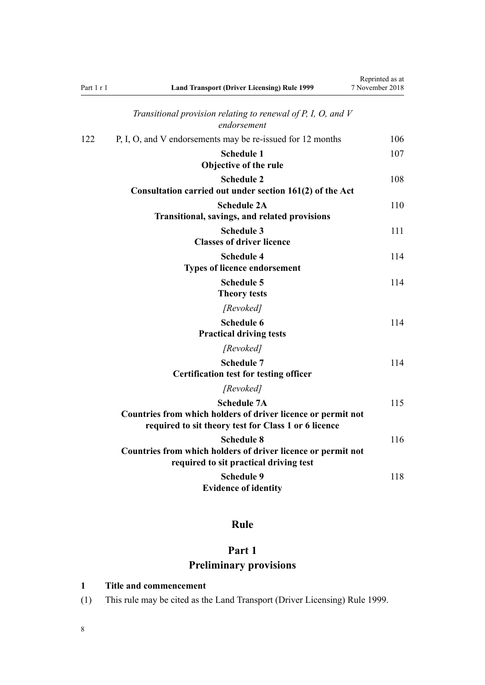<span id="page-7-0"></span>

| Part 1 r 1 | <b>Land Transport (Driver Licensing) Rule 1999</b>                                                                                         | Reprinted as at<br>7 November 2018 |
|------------|--------------------------------------------------------------------------------------------------------------------------------------------|------------------------------------|
|            | Transitional provision relating to renewal of $P$ , $I$ , $O$ , and $V$<br>endorsement                                                     |                                    |
| 122        | P, I, O, and V endorsements may be re-issued for 12 months                                                                                 | 106                                |
|            | <b>Schedule 1</b><br>Objective of the rule                                                                                                 | 107                                |
|            | <b>Schedule 2</b><br>Consultation carried out under section 161(2) of the Act                                                              | 108                                |
|            | <b>Schedule 2A</b><br><b>Transitional, savings, and related provisions</b>                                                                 | 110                                |
|            | <b>Schedule 3</b><br><b>Classes of driver licence</b>                                                                                      | 111                                |
|            | <b>Schedule 4</b><br><b>Types of licence endorsement</b>                                                                                   | 114                                |
|            | <b>Schedule 5</b><br><b>Theory tests</b>                                                                                                   | 114                                |
|            | [Revoked]                                                                                                                                  |                                    |
|            | <b>Schedule 6</b><br><b>Practical driving tests</b>                                                                                        | 114                                |
|            | [Revoked]                                                                                                                                  |                                    |
|            | <b>Schedule 7</b><br><b>Certification test for testing officer</b>                                                                         | 114                                |
|            | [Revoked]                                                                                                                                  |                                    |
|            | <b>Schedule 7A</b><br>Countries from which holders of driver licence or permit not<br>required to sit theory test for Class 1 or 6 licence | 115                                |
|            | <b>Schedule 8</b><br>Countries from which holders of driver licence or permit not<br>required to sit practical driving test                | 116                                |
|            | <b>Schedule 9</b><br><b>Evidence of identity</b>                                                                                           | 118                                |

# **Rule**

# **Part 1 Preliminary provisions**

### **1 Title and commencement**

(1) This rule may be cited as the Land Transport (Driver Licensing) Rule 1999.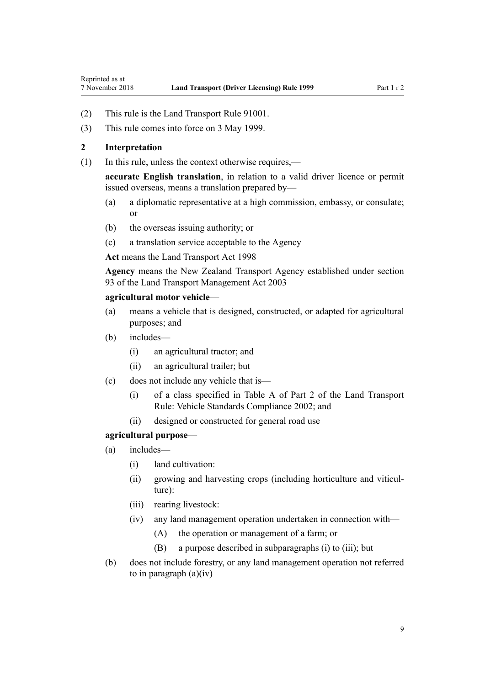- <span id="page-8-0"></span>(2) This rule is the Land Transport Rule 91001.
- (3) This rule comes into force on 3 May 1999.

#### **2 Interpretation**

(1) In this rule, unless the context otherwise requires,—

**accurate English translation**, in relation to a valid driver licence or permit issued overseas, means a translation prepared by—

- (a) a diplomatic representative at a high commission, embassy, or consulate; or
- (b) the overseas issuing authority; or
- (c) a translation service acceptable to the Agency

**Act** means the [Land Transport Act 1998](http://legislation.govt.nz/pdflink.aspx?id=DLM433612)

**Agency** means the New Zealand Transport Agency established under [section](http://legislation.govt.nz/pdflink.aspx?id=DLM228044) [93](http://legislation.govt.nz/pdflink.aspx?id=DLM228044) of the Land Transport Management Act 2003

#### **agricultural motor vehicle**—

- (a) means a vehicle that is designed, constructed, or adapted for agricultural purposes; and
- (b) includes—
	- (i) an agricultural tractor; and
	- (ii) an agricultural trailer; but
- (c) does not include any vehicle that is—
	- (i) of a class specified in Table A of Part 2 of the Land Transport Rule: Vehicle Standards Compliance 2002; and
	- (ii) designed or constructed for general road use

#### **agricultural purpose**—

- (a) includes—
	- (i) land cultivation:
	- (ii) growing and harvesting crops (including horticulture and viticulture):
	- (iii) rearing livestock:
	- (iv) any land management operation undertaken in connection with—
		- (A) the operation or management of a farm; or
		- (B) a purpose described in subparagraphs (i) to (iii); but
- (b) does not include forestry, or any land management operation not referred to in paragraph  $(a)(iv)$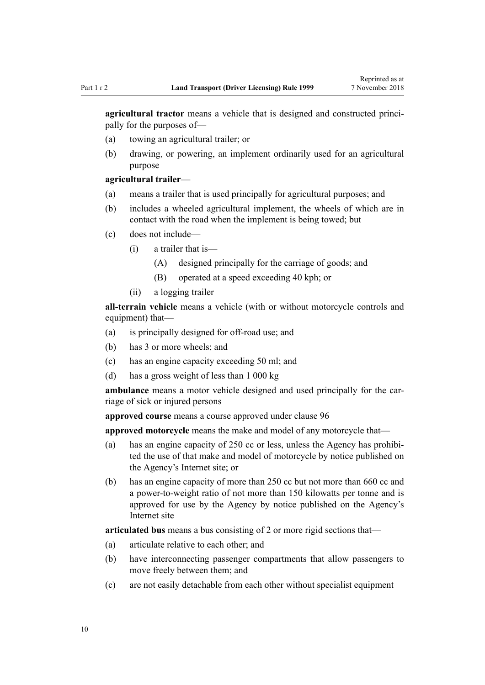**agricultural tractor** means a vehicle that is designed and constructed principally for the purposes of—

- (a) towing an agricultural trailer; or
- (b) drawing, or powering, an implement ordinarily used for an agricultural purpose

#### **agricultural trailer**—

- (a) means a trailer that is used principally for agricultural purposes; and
- (b) includes a wheeled agricultural implement, the wheels of which are in contact with the road when the implement is being towed; but
- (c) does not include—
	- (i) a trailer that is—
		- (A) designed principally for the carriage of goods; and
		- (B) operated at a speed exceeding 40 kph; or
	- (ii) a logging trailer

**all-terrain vehicle** means a vehicle (with or without motorcycle controls and equipment) that—

- (a) is principally designed for off-road use; and
- (b) has 3 or more wheels; and
- (c) has an engine capacity exceeding 50 ml; and
- (d) has a gross weight of less than 1 000 kg

**ambulance** means a motor vehicle designed and used principally for the carriage of sick or injured persons

**approved course** means a course approved under [clause 96](#page-94-0)

**approved motorcycle** means the make and model of any motorcycle that—

- (a) has an engine capacity of 250 cc or less, unless the Agency has prohibited the use of that make and model of motorcycle by notice published on the Agency's Internet site; or
- (b) has an engine capacity of more than 250 cc but not more than 660 cc and a power-to-weight ratio of not more than 150 kilowatts per tonne and is approved for use by the Agency by notice published on the Agency's Internet site

**articulated bus** means a bus consisting of 2 or more rigid sections that—

- (a) articulate relative to each other; and
- (b) have interconnecting passenger compartments that allow passengers to move freely between them; and
- (c) are not easily detachable from each other without specialist equipment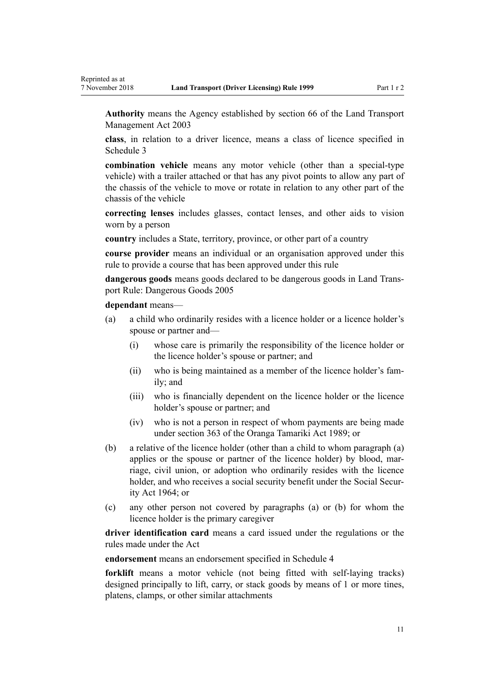**Authority** means the Agency established by [section 66](http://legislation.govt.nz/pdflink.aspx?id=DLM227581) of the Land Transport Management Act 2003

**class**, in relation to a driver licence, means a class of licence specified in [Schedule 3](#page-110-0)

**combination vehicle** means any motor vehicle (other than a special-type vehicle) with a trailer attached or that has any pivot points to allow any part of the chassis of the vehicle to move or rotate in relation to any other part of the chassis of the vehicle

**correcting lenses** includes glasses, contact lenses, and other aids to vision worn by a person

**country** includes a State, territory, province, or other part of a country

**course provider** means an individual or an organisation approved under this rule to provide a course that has been approved under this rule

**dangerous goods** means goods declared to be dangerous goods in Land Transport Rule: Dangerous Goods 2005

#### **dependant** means—

- (a) a child who ordinarily resides with a licence holder or a licence holder's spouse or partner and—
	- (i) whose care is primarily the responsibility of the licence holder or the licence holder's spouse or partner; and
	- (ii) who is being maintained as a member of the licence holder's family; and
	- (iii) who is financially dependent on the licence holder or the licence holder's spouse or partner; and
	- (iv) who is not a person in respect of whom payments are being made under [section 363](http://legislation.govt.nz/pdflink.aspx?id=DLM154316) of the Oranga Tamariki Act 1989; or
- (b) a relative of the licence holder (other than a child to whom paragraph (a) applies or the spouse or partner of the licence holder) by blood, marriage, civil union, or adoption who ordinarily resides with the licence holder, and who receives a social security benefit under the [Social Secur](http://legislation.govt.nz/pdflink.aspx?id=DLM359106)[ity Act 1964;](http://legislation.govt.nz/pdflink.aspx?id=DLM359106) or
- (c) any other person not covered by paragraphs (a) or (b) for whom the licence holder is the primary caregiver

**driver identification card** means a card issued under the regulations or the rules made under the Act

**endorsement** means an endorsement specified in [Schedule 4](#page-113-0)

**forklift** means a motor vehicle (not being fitted with self-laying tracks) designed principally to lift, carry, or stack goods by means of 1 or more tines, platens, clamps, or other similar attachments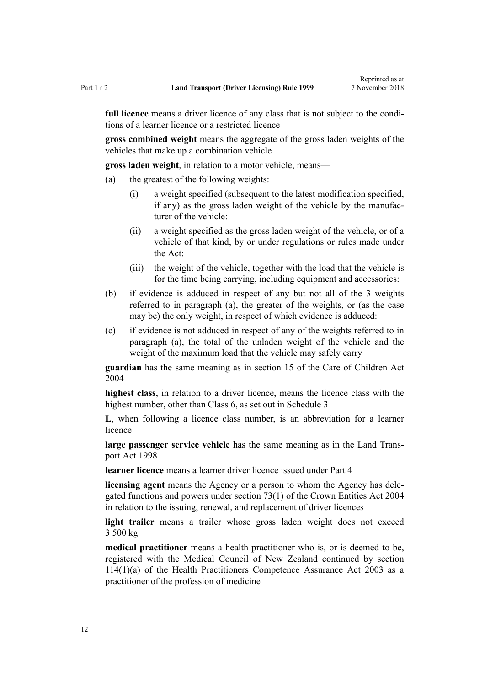**full licence** means a driver licence of any class that is not subject to the conditions of a learner licence or a restricted licence

**gross combined weight** means the aggregate of the gross laden weights of the vehicles that make up a combination vehicle

**gross laden weight**, in relation to a motor vehicle, means—

- (a) the greatest of the following weights:
	- (i) a weight specified (subsequent to the latest modification specified, if any) as the gross laden weight of the vehicle by the manufacturer of the vehicle:
	- (ii) a weight specified as the gross laden weight of the vehicle, or of a vehicle of that kind, by or under regulations or rules made under the Act:
	- (iii) the weight of the vehicle, together with the load that the vehicle is for the time being carrying, including equipment and accessories:
- (b) if evidence is adduced in respect of any but not all of the 3 weights referred to in paragraph (a), the greater of the weights, or (as the case may be) the only weight, in respect of which evidence is adduced:
- (c) if evidence is not adduced in respect of any of the weights referred to in paragraph (a), the total of the unladen weight of the vehicle and the weight of the maximum load that the vehicle may safely carry

**guardian** has the same meaning as in [section 15](http://legislation.govt.nz/pdflink.aspx?id=DLM317411) of the Care of Children Act 2004

**highest class**, in relation to a driver licence, means the licence class with the highest number, other than Class 6, as set out in [Schedule 3](#page-110-0)

**L**, when following a licence class number, is an abbreviation for a learner licence

**large passenger service vehicle** has the same meaning as in the [Land Trans](http://legislation.govt.nz/pdflink.aspx?id=DLM433612)[port Act 1998](http://legislation.govt.nz/pdflink.aspx?id=DLM433612)

**learner licence** means a learner driver licence issued under [Part 4](#page-25-0)

**licensing agent** means the Agency or a person to whom the Agency has delegated functions and powers under [section 73\(1\)](http://legislation.govt.nz/pdflink.aspx?id=DLM330308) of the Crown Entities Act 2004 in relation to the issuing, renewal, and replacement of driver licences

**light trailer** means a trailer whose gross laden weight does not exceed 3 500 kg

**medical practitioner** means a health practitioner who is, or is deemed to be, registered with the Medical Council of New Zealand continued by [section](http://legislation.govt.nz/pdflink.aspx?id=DLM204329) [114\(1\)\(a\)](http://legislation.govt.nz/pdflink.aspx?id=DLM204329) of the Health Practitioners Competence Assurance Act 2003 as a practitioner of the profession of medicine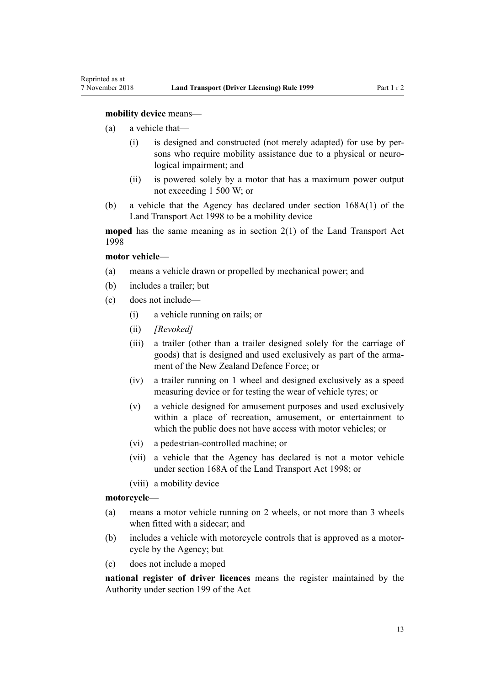#### **mobility device** means—

- (a) a vehicle that—
	- (i) is designed and constructed (not merely adapted) for use by persons who require mobility assistance due to a physical or neurological impairment; and
	- (ii) is powered solely by a motor that has a maximum power output not exceeding 1 500 W; or
- (b) a vehicle that the Agency has declared under [section 168A\(1\)](http://legislation.govt.nz/pdflink.aspx?id=DLM435415) of the Land Transport Act 1998 to be a mobility device

**moped** has the same meaning as in [section 2\(1\)](http://legislation.govt.nz/pdflink.aspx?id=DLM433619) of the Land Transport Act 1998

#### **motor vehicle**—

- (a) means a vehicle drawn or propelled by mechanical power; and
- (b) includes a trailer; but
- (c) does not include—
	- (i) a vehicle running on rails; or
	- (ii) *[Revoked]*
	- (iii) a trailer (other than a trailer designed solely for the carriage of goods) that is designed and used exclusively as part of the armament of the New Zealand Defence Force; or
	- (iv) a trailer running on 1 wheel and designed exclusively as a speed measuring device or for testing the wear of vehicle tyres; or
	- (v) a vehicle designed for amusement purposes and used exclusively within a place of recreation, amusement, or entertainment to which the public does not have access with motor vehicles; or
	- (vi) a pedestrian-controlled machine; or
	- (vii) a vehicle that the Agency has declared is not a motor vehicle under [section 168A](http://legislation.govt.nz/pdflink.aspx?id=DLM435415) of the Land Transport Act 1998; or
	- (viii) a mobility device

#### **motorcycle**—

- (a) means a motor vehicle running on 2 wheels, or not more than 3 wheels when fitted with a sidecar; and
- (b) includes a vehicle with motorcycle controls that is approved as a motorcycle by the Agency; but
- (c) does not include a moped

**national register of driver licences** means the register maintained by the Authority under [section 199](http://legislation.govt.nz/pdflink.aspx?id=DLM435603) of the Act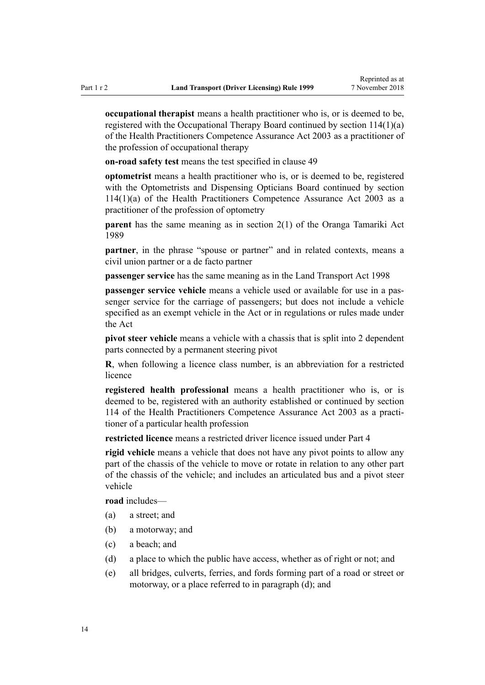**occupational therapist** means a health practitioner who is, or is deemed to be, registered with the Occupational Therapy Board continued by [section 114\(1\)\(a\)](http://legislation.govt.nz/pdflink.aspx?id=DLM204329) of the Health Practitioners Competence Assurance Act 2003 as a practitioner of the profession of occupational therapy

**on-road safety test** means the test specified in [clause 49](#page-55-0)

**optometrist** means a health practitioner who is, or is deemed to be, registered with the Optometrists and Dispensing Opticians Board continued by [section](http://legislation.govt.nz/pdflink.aspx?id=DLM204329) [114\(1\)\(a\)](http://legislation.govt.nz/pdflink.aspx?id=DLM204329) of the Health Practitioners Competence Assurance Act 2003 as a practitioner of the profession of optometry

**parent** has the same meaning as in [section 2\(1\)](http://legislation.govt.nz/pdflink.aspx?id=DLM147094) of the Oranga Tamariki Act 1989

**partner**, in the phrase "spouse or partner" and in related contexts, means a civil union partner or a de facto partner

**passenger service** has the same meaning as in the [Land Transport Act 1998](http://legislation.govt.nz/pdflink.aspx?id=DLM433612)

**passenger service vehicle** means a vehicle used or available for use in a passenger service for the carriage of passengers; but does not include a vehicle specified as an exempt vehicle in the Act or in regulations or rules made under the Act

**pivot steer vehicle** means a vehicle with a chassis that is split into 2 dependent parts connected by a permanent steering pivot

**R**, when following a licence class number, is an abbreviation for a restricted licence

**registered health professional** means a health practitioner who is, or is deemed to be, registered with an authority established or continued by [section](http://legislation.govt.nz/pdflink.aspx?id=DLM204329) [114](http://legislation.govt.nz/pdflink.aspx?id=DLM204329) of the Health Practitioners Competence Assurance Act 2003 as a practitioner of a particular health profession

**restricted licence** means a restricted driver licence issued under [Part 4](#page-25-0)

**rigid vehicle** means a vehicle that does not have any pivot points to allow any part of the chassis of the vehicle to move or rotate in relation to any other part of the chassis of the vehicle; and includes an articulated bus and a pivot steer vehicle

**road** includes—

- (a) a street; and
- (b) a motorway; and
- (c) a beach; and
- (d) a place to which the public have access, whether as of right or not; and
- (e) all bridges, culverts, ferries, and fords forming part of a road or street or motorway, or a place referred to in paragraph (d); and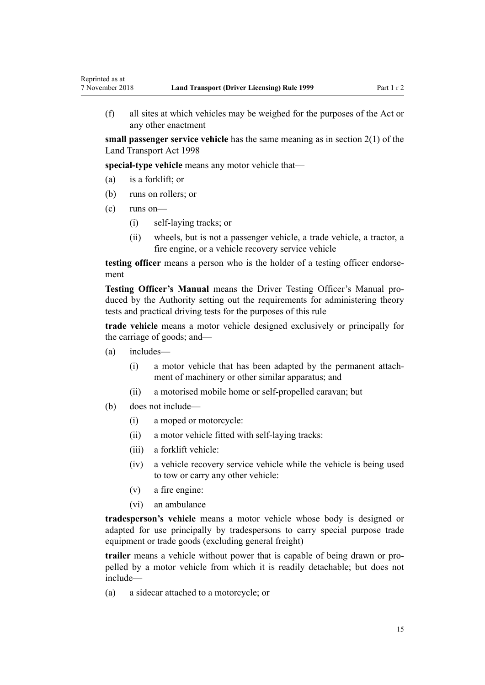(f) all sites at which vehicles may be weighed for the purposes of the Act or any other enactment

**small passenger service vehicle** has the same meaning as in [section 2\(1\)](http://legislation.govt.nz/pdflink.aspx?id=DLM433619) of the Land Transport Act 1998

**special-type vehicle** means any motor vehicle that—

- (a) is a forklift; or
- (b) runs on rollers; or
- (c) runs on—

Reprinted as at

- (i) self-laying tracks; or
- (ii) wheels, but is not a passenger vehicle, a trade vehicle, a tractor, a fire engine, or a vehicle recovery service vehicle

**testing officer** means a person who is the holder of a testing officer endorsement

**Testing Officer's Manual** means the Driver Testing Officer's Manual produced by the Authority setting out the requirements for administering theory tests and practical driving tests for the purposes of this rule

**trade vehicle** means a motor vehicle designed exclusively or principally for the carriage of goods; and—

- (a) includes—
	- (i) a motor vehicle that has been adapted by the permanent attachment of machinery or other similar apparatus; and
	- (ii) a motorised mobile home or self-propelled caravan; but
- (b) does not include—
	- (i) a moped or motorcycle:
	- (ii) a motor vehicle fitted with self-laying tracks:
	- (iii) a forklift vehicle:
	- (iv) a vehicle recovery service vehicle while the vehicle is being used to tow or carry any other vehicle:
	- (v) a fire engine:
	- (vi) an ambulance

**tradesperson's vehicle** means a motor vehicle whose body is designed or adapted for use principally by tradespersons to carry special purpose trade equipment or trade goods (excluding general freight)

**trailer** means a vehicle without power that is capable of being drawn or propelled by a motor vehicle from which it is readily detachable; but does not include—

(a) a sidecar attached to a motorcycle; or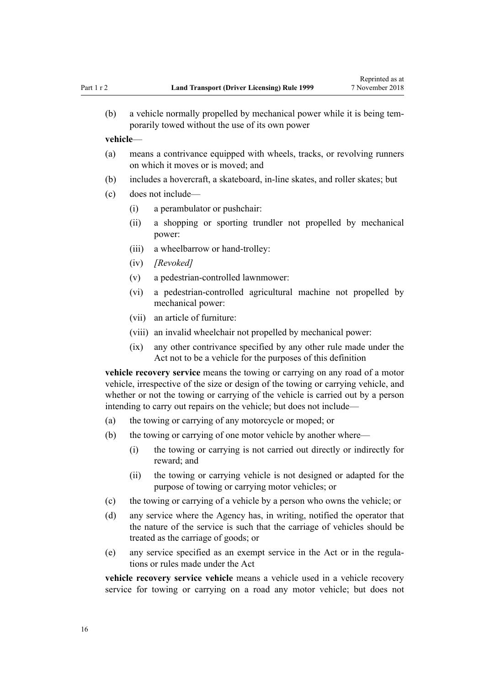(b) a vehicle normally propelled by mechanical power while it is being temporarily towed without the use of its own power

#### **vehicle**—

- (a) means a contrivance equipped with wheels, tracks, or revolving runners on which it moves or is moved; and
- (b) includes a hovercraft, a skateboard, in-line skates, and roller skates; but
- (c) does not include—
	- (i) a perambulator or pushchair:
	- (ii) a shopping or sporting trundler not propelled by mechanical power:
	- (iii) a wheelbarrow or hand-trolley:
	- (iv) *[Revoked]*
	- (v) a pedestrian-controlled lawnmower:
	- (vi) a pedestrian-controlled agricultural machine not propelled by mechanical power:
	- (vii) an article of furniture:
	- (viii) an invalid wheelchair not propelled by mechanical power:
	- (ix) any other contrivance specified by any other rule made under the Act not to be a vehicle for the purposes of this definition

**vehicle recovery service** means the towing or carrying on any road of a motor vehicle, irrespective of the size or design of the towing or carrying vehicle, and whether or not the towing or carrying of the vehicle is carried out by a person intending to carry out repairs on the vehicle; but does not include—

- (a) the towing or carrying of any motorcycle or moped; or
- (b) the towing or carrying of one motor vehicle by another where—
	- (i) the towing or carrying is not carried out directly or indirectly for reward; and
	- (ii) the towing or carrying vehicle is not designed or adapted for the purpose of towing or carrying motor vehicles; or
- (c) the towing or carrying of a vehicle by a person who owns the vehicle; or
- (d) any service where the Agency has, in writing, notified the operator that the nature of the service is such that the carriage of vehicles should be treated as the carriage of goods; or
- (e) any service specified as an exempt service in the Act or in the regulations or rules made under the Act

**vehicle recovery service vehicle** means a vehicle used in a vehicle recovery service for towing or carrying on a road any motor vehicle; but does not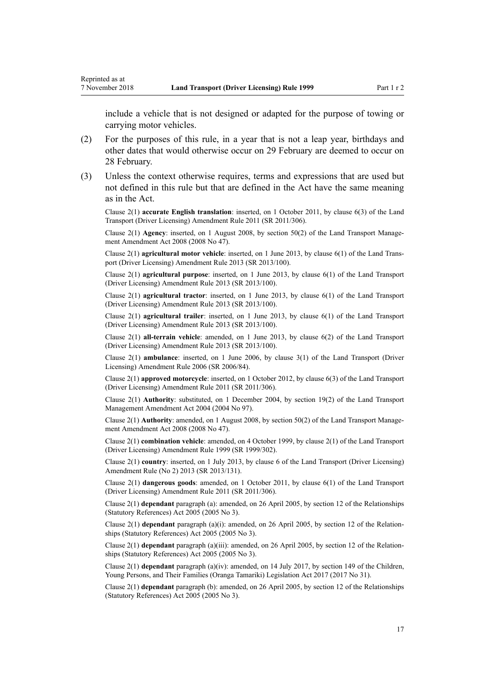Reprinted as at

include a vehicle that is not designed or adapted for the purpose of towing or carrying motor vehicles.

- (2) For the purposes of this rule, in a year that is not a leap year, birthdays and other dates that would otherwise occur on 29 February are deemed to occur on 28 February.
- (3) Unless the context otherwise requires, terms and expressions that are used but not defined in this rule but that are defined in the Act have the same meaning as in the Act.

Clause 2(1) **accurate English translation**: inserted, on 1 October 2011, by [clause 6\(3\)](http://legislation.govt.nz/pdflink.aspx?id=DLM3956501) of the Land Transport (Driver Licensing) Amendment Rule 2011 (SR 2011/306).

Clause 2(1) **Agency**: inserted, on 1 August 2008, by [section 50\(2\)](http://legislation.govt.nz/pdflink.aspx?id=DLM1313622) of the Land Transport Management Amendment Act 2008 (2008 No 47).

Clause 2(1) **agricultural motor vehicle**: inserted, on 1 June 2013, by [clause 6\(1\)](http://legislation.govt.nz/pdflink.aspx?id=DLM5102233) of the Land Transport (Driver Licensing) Amendment Rule 2013 (SR 2013/100).

Clause 2(1) **agricultural purpose**: inserted, on 1 June 2013, by [clause 6\(1\)](http://legislation.govt.nz/pdflink.aspx?id=DLM5102233) of the Land Transport (Driver Licensing) Amendment Rule 2013 (SR 2013/100).

Clause 2(1) **agricultural tractor**: inserted, on 1 June 2013, by [clause 6\(1\)](http://legislation.govt.nz/pdflink.aspx?id=DLM5102233) of the Land Transport (Driver Licensing) Amendment Rule 2013 (SR 2013/100).

Clause 2(1) **agricultural trailer**: inserted, on 1 June 2013, by [clause 6\(1\)](http://legislation.govt.nz/pdflink.aspx?id=DLM5102233) of the Land Transport (Driver Licensing) Amendment Rule 2013 (SR 2013/100).

Clause 2(1) **all-terrain vehicle**: amended, on 1 June 2013, by [clause 6\(2\)](http://legislation.govt.nz/pdflink.aspx?id=DLM5102233) of the Land Transport (Driver Licensing) Amendment Rule 2013 (SR 2013/100).

Clause 2(1) **ambulance**: inserted, on 1 June 2006, by [clause 3\(1\)](http://legislation.govt.nz/pdflink.aspx?id=DLM375678) of the Land Transport (Driver Licensing) Amendment Rule 2006 (SR 2006/84).

Clause 2(1) **approved motorcycle**: inserted, on 1 October 2012, by [clause 6\(3\)](http://legislation.govt.nz/pdflink.aspx?id=DLM3956501) of the Land Transport (Driver Licensing) Amendment Rule 2011 (SR 2011/306).

Clause 2(1) **Authority**: substituted, on 1 December 2004, by [section 19\(2\)](http://legislation.govt.nz/pdflink.aspx?id=DLM321838) of the Land Transport Management Amendment Act 2004 (2004 No 97).

Clause 2(1) **Authority**: amended, on 1 August 2008, by [section 50\(2\)](http://legislation.govt.nz/pdflink.aspx?id=DLM1313622) of the Land Transport Management Amendment Act 2008 (2008 No 47).

Clause 2(1) **combination vehicle**: amended, on 4 October 1999, by [clause 2\(1\)](http://legislation.govt.nz/pdflink.aspx?id=DLM293670) of the Land Transport (Driver Licensing) Amendment Rule 1999 (SR 1999/302).

Clause 2(1) **country**: inserted, on 1 July 2013, by [clause 6](http://legislation.govt.nz/pdflink.aspx?id=DLM5159809) of the Land Transport (Driver Licensing) Amendment Rule (No 2) 2013 (SR 2013/131).

Clause 2(1) **dangerous goods**: amended, on 1 October 2011, by [clause 6\(1\)](http://legislation.govt.nz/pdflink.aspx?id=DLM3956501) of the Land Transport (Driver Licensing) Amendment Rule 2011 (SR 2011/306).

Clause 2(1) **dependant** paragraph (a): amended, on 26 April 2005, by [section 12](http://legislation.govt.nz/pdflink.aspx?id=DLM334004) of the Relationships (Statutory References) Act 2005 (2005 No 3).

Clause 2(1) **dependant** paragraph (a)(i): amended, on 26 April 2005, by [section 12](http://legislation.govt.nz/pdflink.aspx?id=DLM334004) of the Relationships (Statutory References) Act 2005 (2005 No 3).

Clause 2(1) **dependant** paragraph (a)(iii): amended, on 26 April 2005, by [section 12](http://legislation.govt.nz/pdflink.aspx?id=DLM334004) of the Relationships (Statutory References) Act 2005 (2005 No 3).

Clause 2(1) **dependant** paragraph (a)(iv): amended, on 14 July 2017, by [section 149](http://legislation.govt.nz/pdflink.aspx?id=DLM7287401) of the Children, Young Persons, and Their Families (Oranga Tamariki) Legislation Act 2017 (2017 No 31).

Clause 2(1) **dependant** paragraph (b): amended, on 26 April 2005, by [section 12](http://legislation.govt.nz/pdflink.aspx?id=DLM334004) of the Relationships (Statutory References) Act 2005 (2005 No 3).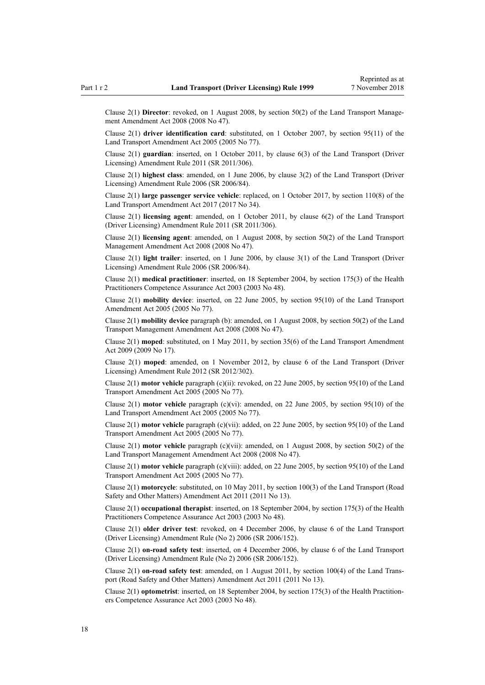Clause 2(1) **Director**: revoked, on 1 August 2008, by [section 50\(2\)](http://legislation.govt.nz/pdflink.aspx?id=DLM1313622) of the Land Transport Management Amendment Act 2008 (2008 No 47).

Clause 2(1) **driver identification card**: substituted, on 1 October 2007, by [section 95\(11\)](http://legislation.govt.nz/pdflink.aspx?id=DLM353501) of the Land Transport Amendment Act 2005 (2005 No 77).

Clause 2(1) **guardian**: inserted, on 1 October 2011, by [clause 6\(3\)](http://legislation.govt.nz/pdflink.aspx?id=DLM3956501) of the Land Transport (Driver Licensing) Amendment Rule 2011 (SR 2011/306).

Clause 2(1) **highest class**: amended, on 1 June 2006, by [clause 3\(2\)](http://legislation.govt.nz/pdflink.aspx?id=DLM375678) of the Land Transport (Driver Licensing) Amendment Rule 2006 (SR 2006/84).

Clause 2(1) **large passenger service vehicle**: replaced, on 1 October 2017, by [section 110\(8\)](http://legislation.govt.nz/pdflink.aspx?id=DLM6960929) of the Land Transport Amendment Act 2017 (2017 No 34).

Clause 2(1) **licensing agent**: amended, on 1 October 2011, by [clause 6\(2\)](http://legislation.govt.nz/pdflink.aspx?id=DLM3956501) of the Land Transport (Driver Licensing) Amendment Rule 2011 (SR 2011/306).

Clause 2(1) **licensing agent**: amended, on 1 August 2008, by [section 50\(2\)](http://legislation.govt.nz/pdflink.aspx?id=DLM1313622) of the Land Transport Management Amendment Act 2008 (2008 No 47).

Clause 2(1) **light trailer**: inserted, on 1 June 2006, by [clause 3\(1\)](http://legislation.govt.nz/pdflink.aspx?id=DLM375678) of the Land Transport (Driver Licensing) Amendment Rule 2006 (SR 2006/84).

Clause 2(1) **medical practitioner**: inserted, on 18 September 2004, by [section 175\(3\)](http://legislation.govt.nz/pdflink.aspx?id=DLM205009) of the Health Practitioners Competence Assurance Act 2003 (2003 No 48).

Clause 2(1) **mobility device**: inserted, on 22 June 2005, by [section 95\(10\)](http://legislation.govt.nz/pdflink.aspx?id=DLM353501) of the Land Transport Amendment Act 2005 (2005 No 77).

Clause 2(1) **mobility device** paragraph (b): amended, on 1 August 2008, by [section 50\(2\)](http://legislation.govt.nz/pdflink.aspx?id=DLM1313622) of the Land Transport Management Amendment Act 2008 (2008 No 47).

Clause 2(1) **moped**: substituted, on 1 May 2011, by [section 35\(6\)](http://legislation.govt.nz/pdflink.aspx?id=DLM2015063) of the Land Transport Amendment Act 2009 (2009 No 17).

Clause 2(1) **moped**: amended, on 1 November 2012, by [clause 6](http://legislation.govt.nz/pdflink.aspx?id=DLM4773435) of the Land Transport (Driver Licensing) Amendment Rule 2012 (SR 2012/302).

Clause 2(1) **motor vehicle** paragraph (c)(ii): revoked, on 22 June 2005, by [section 95\(10\)](http://legislation.govt.nz/pdflink.aspx?id=DLM353501) of the Land Transport Amendment Act 2005 (2005 No 77).

Clause 2(1) **motor vehicle** paragraph (c)(vi): amended, on 22 June 2005, by [section 95\(10\)](http://legislation.govt.nz/pdflink.aspx?id=DLM353501) of the Land Transport Amendment Act 2005 (2005 No 77).

Clause 2(1) **motor vehicle** paragraph (c)(vii): added, on 22 June 2005, by [section 95\(10\)](http://legislation.govt.nz/pdflink.aspx?id=DLM353501) of the Land Transport Amendment Act 2005 (2005 No 77).

Clause 2(1) **motor vehicle** paragraph (c)(vii): amended, on 1 August 2008, by [section 50\(2\)](http://legislation.govt.nz/pdflink.aspx?id=DLM1313622) of the Land Transport Management Amendment Act 2008 (2008 No 47).

Clause 2(1) **motor vehicle** paragraph (c)(viii): added, on 22 June 2005, by [section 95\(10\)](http://legislation.govt.nz/pdflink.aspx?id=DLM353501) of the Land Transport Amendment Act 2005 (2005 No 77).

Clause 2(1) **motorcycle**: substituted, on 10 May 2011, by [section 100\(3\)](http://legislation.govt.nz/pdflink.aspx?id=DLM3231293) of the Land Transport (Road Safety and Other Matters) Amendment Act 2011 (2011 No 13).

Clause 2(1) **occupational therapist**: inserted, on 18 September 2004, by [section 175\(3\)](http://legislation.govt.nz/pdflink.aspx?id=DLM205009) of the Health Practitioners Competence Assurance Act 2003 (2003 No 48).

Clause 2(1) **older driver test**: revoked, on 4 December 2006, by [clause 6](http://legislation.govt.nz/pdflink.aspx?id=DLM386141) of the Land Transport (Driver Licensing) Amendment Rule (No 2) 2006 (SR 2006/152).

Clause 2(1) **on-road safety test**: inserted, on 4 December 2006, by [clause 6](http://legislation.govt.nz/pdflink.aspx?id=DLM386141) of the Land Transport (Driver Licensing) Amendment Rule (No 2) 2006 (SR 2006/152).

Clause 2(1) **on-road safety test**: amended, on 1 August 2011, by [section 100\(4\)](http://legislation.govt.nz/pdflink.aspx?id=DLM3231293) of the Land Transport (Road Safety and Other Matters) Amendment Act 2011 (2011 No 13).

Clause 2(1) **optometrist**: inserted, on 18 September 2004, by [section 175\(3\)](http://legislation.govt.nz/pdflink.aspx?id=DLM205009) of the Health Practitioners Competence Assurance Act 2003 (2003 No 48).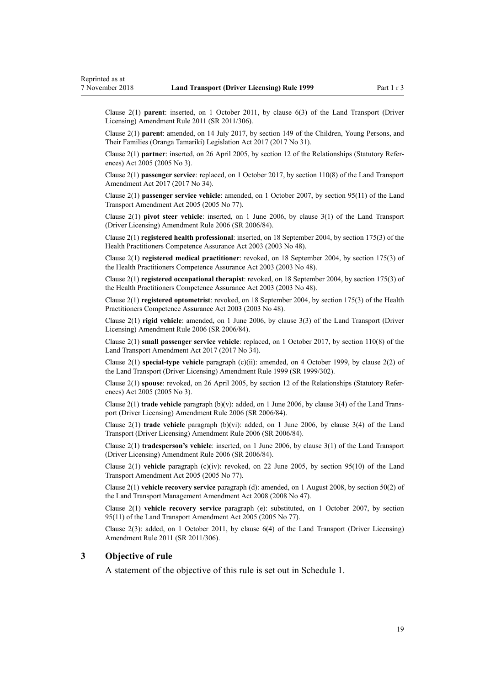<span id="page-18-0"></span>Clause 2(1) **parent**: inserted, on 1 October 2011, by [clause 6\(3\)](http://legislation.govt.nz/pdflink.aspx?id=DLM3956501) of the Land Transport (Driver Licensing) Amendment Rule 2011 (SR 2011/306).

Clause 2(1) **parent**: amended, on 14 July 2017, by [section 149](http://legislation.govt.nz/pdflink.aspx?id=DLM7287401) of the Children, Young Persons, and Their Families (Oranga Tamariki) Legislation Act 2017 (2017 No 31).

Clause 2(1) **partner**: inserted, on 26 April 2005, by [section 12](http://legislation.govt.nz/pdflink.aspx?id=DLM334004) of the Relationships (Statutory References) Act 2005 (2005 No 3).

Clause 2(1) **passenger service**: replaced, on 1 October 2017, by [section 110\(8\)](http://legislation.govt.nz/pdflink.aspx?id=DLM6960929) of the Land Transport Amendment Act 2017 (2017 No 34).

Clause 2(1) **passenger service vehicle**: amended, on 1 October 2007, by [section 95\(11\)](http://legislation.govt.nz/pdflink.aspx?id=DLM353501) of the Land Transport Amendment Act 2005 (2005 No 77).

Clause 2(1) **pivot steer vehicle**: inserted, on 1 June 2006, by [clause 3\(1\)](http://legislation.govt.nz/pdflink.aspx?id=DLM375678) of the Land Transport (Driver Licensing) Amendment Rule 2006 (SR 2006/84).

Clause 2(1) **registered health professional**: inserted, on 18 September 2004, by [section 175\(3\)](http://legislation.govt.nz/pdflink.aspx?id=DLM205009) of the Health Practitioners Competence Assurance Act 2003 (2003 No 48).

Clause 2(1) **registered medical practitioner**: revoked, on 18 September 2004, by [section 175\(3\)](http://legislation.govt.nz/pdflink.aspx?id=DLM205009) of the Health Practitioners Competence Assurance Act 2003 (2003 No 48).

Clause 2(1) **registered occupational therapist**: revoked, on 18 September 2004, by [section 175\(3\)](http://legislation.govt.nz/pdflink.aspx?id=DLM205009) of the Health Practitioners Competence Assurance Act 2003 (2003 No 48).

Clause 2(1) **registered optometrist**: revoked, on 18 September 2004, by [section 175\(3\)](http://legislation.govt.nz/pdflink.aspx?id=DLM205009) of the Health Practitioners Competence Assurance Act 2003 (2003 No 48).

Clause 2(1) **rigid vehicle**: amended, on 1 June 2006, by [clause 3\(3\)](http://legislation.govt.nz/pdflink.aspx?id=DLM375678) of the Land Transport (Driver Licensing) Amendment Rule 2006 (SR 2006/84).

Clause 2(1) **small passenger service vehicle**: replaced, on 1 October 2017, by [section 110\(8\)](http://legislation.govt.nz/pdflink.aspx?id=DLM6960929) of the Land Transport Amendment Act 2017 (2017 No 34).

Clause 2(1) **special-type vehicle** paragraph (c)(ii): amended, on 4 October 1999, by [clause 2\(2\)](http://legislation.govt.nz/pdflink.aspx?id=DLM293670) of the Land Transport (Driver Licensing) Amendment Rule 1999 (SR 1999/302).

Clause 2(1) **spouse**: revoked, on 26 April 2005, by [section 12](http://legislation.govt.nz/pdflink.aspx?id=DLM334004) of the Relationships (Statutory References) Act 2005 (2005 No 3).

Clause 2(1) **trade vehicle** paragraph (b)(v): added, on 1 June 2006, by [clause 3\(4\)](http://legislation.govt.nz/pdflink.aspx?id=DLM375678) of the Land Transport (Driver Licensing) Amendment Rule 2006 (SR 2006/84).

Clause 2(1) **trade vehicle** paragraph (b)(vi): added, on 1 June 2006, by [clause 3\(4\)](http://legislation.govt.nz/pdflink.aspx?id=DLM375678) of the Land Transport (Driver Licensing) Amendment Rule 2006 (SR 2006/84).

Clause 2(1) **tradesperson's vehicle**: inserted, on 1 June 2006, by [clause 3\(1\)](http://legislation.govt.nz/pdflink.aspx?id=DLM375678) of the Land Transport (Driver Licensing) Amendment Rule 2006 (SR 2006/84).

Clause 2(1) **vehicle** paragraph (c)(iv): revoked, on 22 June 2005, by [section 95\(10\)](http://legislation.govt.nz/pdflink.aspx?id=DLM353501) of the Land Transport Amendment Act 2005 (2005 No 77).

Clause 2(1) **vehicle recovery service** paragraph (d): amended, on 1 August 2008, by [section 50\(2\)](http://legislation.govt.nz/pdflink.aspx?id=DLM1313622) of the Land Transport Management Amendment Act 2008 (2008 No 47).

Clause 2(1) **vehicle recovery service** paragraph (e): substituted, on 1 October 2007, by [section](http://legislation.govt.nz/pdflink.aspx?id=DLM353501) [95\(11\)](http://legislation.govt.nz/pdflink.aspx?id=DLM353501) of the Land Transport Amendment Act 2005 (2005 No 77).

Clause 2(3): added, on 1 October 2011, by [clause 6\(4\)](http://legislation.govt.nz/pdflink.aspx?id=DLM3956501) of the Land Transport (Driver Licensing) Amendment Rule 2011 (SR 2011/306).

#### **3 Objective of rule**

A statement of the objective of this rule is set out in [Schedule 1.](#page-106-0)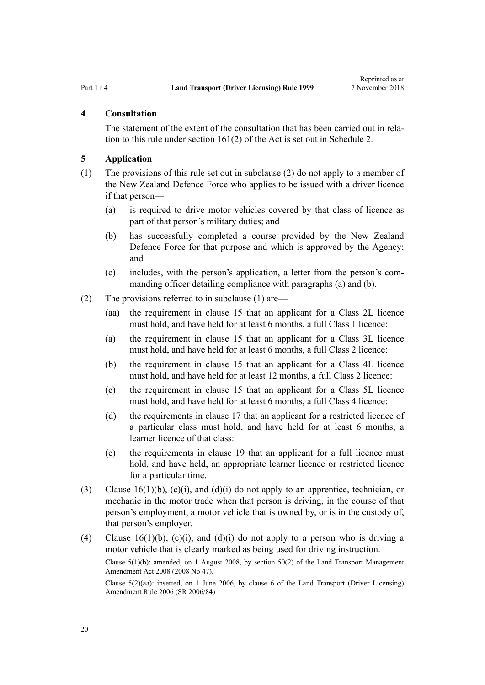#### <span id="page-19-0"></span>**4 Consultation**

The statement of the extent of the consultation that has been carried out in relation to this rule under [section 161\(2\)](http://legislation.govt.nz/pdflink.aspx?id=DLM435195) of the Act is set out in [Schedule 2](#page-107-0).

#### **5 Application**

- (1) The provisions of this rule set out in subclause (2) do not apply to a member of the New Zealand Defence Force who applies to be issued with a driver licence if that person—
	- (a) is required to drive motor vehicles covered by that class of licence as part of that person's military duties; and
	- (b) has successfully completed a course provided by the New Zealand Defence Force for that purpose and which is approved by the Agency; and
	- (c) includes, with the person's application, a letter from the person's commanding officer detailing compliance with paragraphs (a) and (b).
- (2) The provisions referred to in subclause (1) are—
	- (aa) the requirement in [clause 15](#page-25-0) that an applicant for a Class 2L licence must hold, and have held for at least 6 months, a full Class 1 licence:
	- (a) the requirement in [clause 15](#page-25-0) that an applicant for a Class 3L licence must hold, and have held for at least 6 months, a full Class 2 licence:
	- (b) the requirement in [clause 15](#page-25-0) that an applicant for a Class 4L licence must hold, and have held for at least 12 months, a full Class 2 licence:
	- (c) the requirement in [clause 15](#page-25-0) that an applicant for a Class 5L licence must hold, and have held for at least 6 months, a full Class 4 licence:
	- (d) the requirements in [clause 17](#page-28-0) that an applicant for a restricted licence of a particular class must hold, and have held for at least 6 months, a learner licence of that class:
	- (e) the requirements in [clause 19](#page-30-0) that an applicant for a full licence must hold, and have held, an appropriate learner licence or restricted licence for a particular time.
- (3) Clause  $16(1)(b)$ , (c)(i), and (d)(i) do not apply to an apprentice, technician, or mechanic in the motor trade when that person is driving, in the course of that person's employment, a motor vehicle that is owned by, or is in the custody of, that person's employer.
- (4) [Clause 16\(1\)\(b\), \(c\)\(i\), and \(d\)\(i\)](#page-26-0) do not apply to a person who is driving a motor vehicle that is clearly marked as being used for driving instruction.

Clause 5(1)(b): amended, on 1 August 2008, by [section 50\(2\)](http://legislation.govt.nz/pdflink.aspx?id=DLM1313622) of the Land Transport Management Amendment Act 2008 (2008 No 47).

Clause 5(2)(aa): inserted, on 1 June 2006, by [clause 6](http://legislation.govt.nz/pdflink.aspx?id=DLM375691) of the Land Transport (Driver Licensing) Amendment Rule 2006 (SR 2006/84).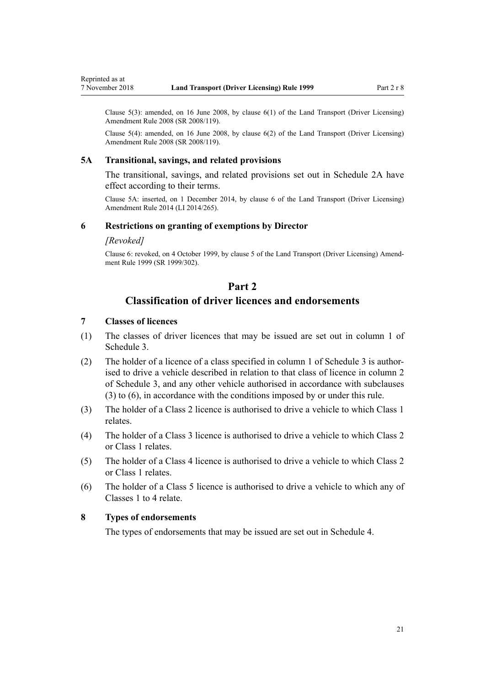<span id="page-20-0"></span>Clause  $5(3)$ : amended, on 16 June 2008, by clause  $6(1)$  of the Land Transport (Driver Licensing) Amendment Rule 2008 (SR 2008/119).

Clause 5(4): amended, on 16 June 2008, by [clause 6\(2\)](http://legislation.govt.nz/pdflink.aspx?id=DLM1317909) of the Land Transport (Driver Licensing) Amendment Rule 2008 (SR 2008/119).

#### **5A Transitional, savings, and related provisions**

The transitional, savings, and related provisions set out in [Schedule 2A](#page-109-0) have effect according to their terms.

Clause 5A: inserted, on 1 December 2014, by [clause 6](http://legislation.govt.nz/pdflink.aspx?id=DLM6216910) of the Land Transport (Driver Licensing) Amendment Rule 2014 (LI 2014/265).

#### **6 Restrictions on granting of exemptions by Director**

#### *[Revoked]*

Clause 6: revoked, on 4 October 1999, by [clause 5](http://legislation.govt.nz/pdflink.aspx?id=DLM293673) of the Land Transport (Driver Licensing) Amendment Rule 1999 (SR 1999/302).

#### **Part 2**

### **Classification of driver licences and endorsements**

#### **7 Classes of licences**

- (1) The classes of driver licences that may be issued are set out in column 1 of [Schedule 3.](#page-110-0)
- (2) The holder of a licence of a class specified in column 1 of [Schedule 3](#page-110-0) is authorised to drive a vehicle described in relation to that class of licence in column 2 of Schedule 3, and any other vehicle authorised in accordance with subclauses (3) to (6), in accordance with the conditions imposed by or under this rule.
- (3) The holder of a Class 2 licence is authorised to drive a vehicle to which Class 1 relates.
- (4) The holder of a Class 3 licence is authorised to drive a vehicle to which Class 2 or Class 1 relates.
- (5) The holder of a Class 4 licence is authorised to drive a vehicle to which Class 2 or Class 1 relates.
- (6) The holder of a Class 5 licence is authorised to drive a vehicle to which any of Classes 1 to 4 relate.

#### **8 Types of endorsements**

The types of endorsements that may be issued are set out in [Schedule 4.](#page-113-0)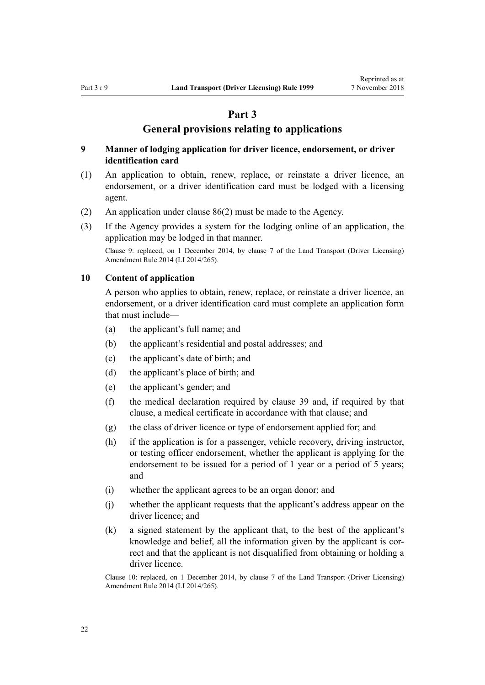#### **Part 3**

#### **General provisions relating to applications**

#### <span id="page-21-0"></span>**9 Manner of lodging application for driver licence, endorsement, or driver identification card**

- (1) An application to obtain, renew, replace, or reinstate a driver licence, an endorsement, or a driver identification card must be lodged with a licensing agent.
- (2) An application under [clause 86\(2\)](#page-84-0) must be made to the Agency.
- (3) If the Agency provides a system for the lodging online of an application, the application may be lodged in that manner.

Clause 9: replaced, on 1 December 2014, by [clause 7](http://legislation.govt.nz/pdflink.aspx?id=DLM6216912) of the Land Transport (Driver Licensing) Amendment Rule 2014 (LI 2014/265).

#### **10 Content of application**

A person who applies to obtain, renew, replace, or reinstate a driver licence, an endorsement, or a driver identification card must complete an application form that must include—

- (a) the applicant's full name; and
- (b) the applicant's residential and postal addresses; and
- (c) the applicant's date of birth; and
- (d) the applicant's place of birth; and
- (e) the applicant's gender; and
- (f) the medical declaration required by [clause 39](#page-49-0) and, if required by that clause, a medical certificate in accordance with that clause; and
- (g) the class of driver licence or type of endorsement applied for; and
- (h) if the application is for a passenger, vehicle recovery, driving instructor, or testing officer endorsement, whether the applicant is applying for the endorsement to be issued for a period of 1 year or a period of 5 years; and
- (i) whether the applicant agrees to be an organ donor; and
- (j) whether the applicant requests that the applicant's address appear on the driver licence; and
- (k) a signed statement by the applicant that, to the best of the applicant's knowledge and belief, all the information given by the applicant is correct and that the applicant is not disqualified from obtaining or holding a driver licence.

Clause 10: replaced, on 1 December 2014, by [clause 7](http://legislation.govt.nz/pdflink.aspx?id=DLM6216912) of the Land Transport (Driver Licensing) Amendment Rule 2014 (LI 2014/265).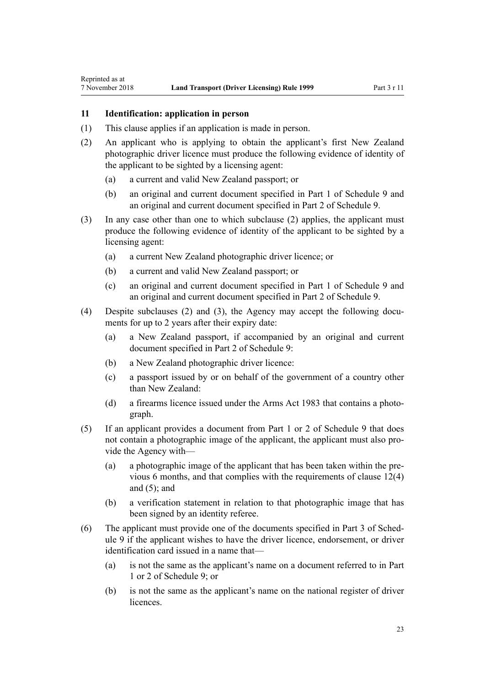#### <span id="page-22-0"></span>**11 Identification: application in person**

- (1) This clause applies if an application is made in person.
- (2) An applicant who is applying to obtain the applicant's first New Zealand photographic driver licence must produce the following evidence of identity of the applicant to be sighted by a licensing agent:
	- (a) a current and valid New Zealand passport; or
	- (b) an original and current document specified in [Part 1](#page-117-0) of Schedule 9 and an original and current document specified in [Part 2](#page-117-0) of Schedule 9.
- (3) In any case other than one to which subclause (2) applies, the applicant must produce the following evidence of identity of the applicant to be sighted by a licensing agent:
	- (a) a current New Zealand photographic driver licence; or
	- (b) a current and valid New Zealand passport; or
	- (c) an original and current document specified in [Part 1](#page-117-0) of Schedule 9 and an original and current document specified in [Part 2](#page-117-0) of Schedule 9.
- (4) Despite subclauses (2) and (3), the Agency may accept the following documents for up to 2 years after their expiry date:
	- (a) a New Zealand passport, if accompanied by an original and current document specified in [Part 2](#page-117-0) of Schedule 9:
	- (b) a New Zealand photographic driver licence:
	- (c) a passport issued by or on behalf of the government of a country other than New Zealand:
	- (d) a firearms licence issued under the [Arms Act 1983](http://legislation.govt.nz/pdflink.aspx?id=DLM72621) that contains a photograph.
- (5) If an applicant provides a document from [Part 1](#page-117-0) or [2](#page-117-0) of Schedule 9 that does not contain a photographic image of the applicant, the applicant must also provide the Agency with—
	- (a) a photographic image of the applicant that has been taken within the previous 6 months, and that complies with the requirements of [clause 12\(4\)](#page-23-0) and  $(5)$ ; and
	- (b) a verification statement in relation to that photographic image that has been signed by an identity referee.
- (6) The applicant must provide one of the documents specified in [Part 3](#page-118-0) of Schedule 9 if the applicant wishes to have the driver licence, endorsement, or driver identification card issued in a name that—
	- (a) is not the same as the applicant's name on a document referred to in [Part](#page-117-0) [1](#page-117-0) or [2](#page-117-0) of Schedule 9; or
	- (b) is not the same as the applicant's name on the national register of driver licences.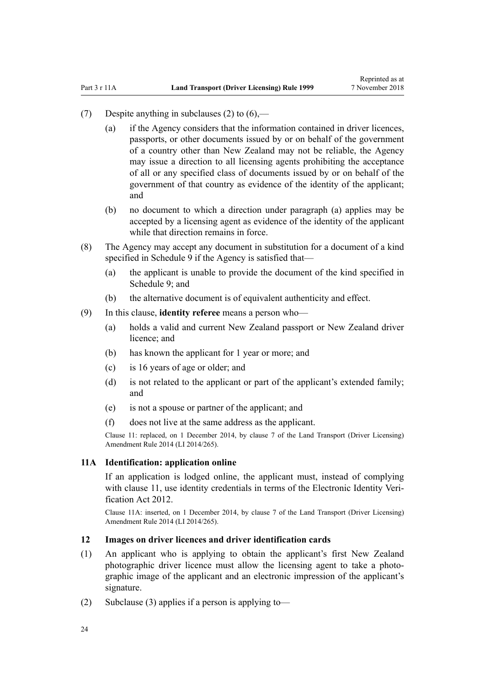- <span id="page-23-0"></span>(7) Despite anything in subclauses (2) to  $(6)$ —
	- (a) if the Agency considers that the information contained in driver licences, passports, or other documents issued by or on behalf of the government of a country other than New Zealand may not be reliable, the Agency may issue a direction to all licensing agents prohibiting the acceptance of all or any specified class of documents issued by or on behalf of the government of that country as evidence of the identity of the applicant; and
	- (b) no document to which a direction under paragraph (a) applies may be accepted by a licensing agent as evidence of the identity of the applicant while that direction remains in force.
- (8) The Agency may accept any document in substitution for a document of a kind specified in [Schedule 9](#page-117-0) if the Agency is satisfied that—
	- (a) the applicant is unable to provide the document of the kind specified in Schedule 9: and
	- (b) the alternative document is of equivalent authenticity and effect.
- (9) In this clause, **identity referee** means a person who—
	- (a) holds a valid and current New Zealand passport or New Zealand driver licence; and
	- (b) has known the applicant for 1 year or more; and
	- (c) is 16 years of age or older; and
	- (d) is not related to the applicant or part of the applicant's extended family; and
	- (e) is not a spouse or partner of the applicant; and
	- (f) does not live at the same address as the applicant.

Clause 11: replaced, on 1 December 2014, by [clause 7](http://legislation.govt.nz/pdflink.aspx?id=DLM6216912) of the Land Transport (Driver Licensing) Amendment Rule 2014 (LI 2014/265).

#### **11A Identification: application online**

If an application is lodged online, the applicant must, instead of complying with [clause 11](#page-22-0), use identity credentials in terms of the [Electronic Identity Veri](http://legislation.govt.nz/pdflink.aspx?id=DLM1777800)[fication Act 2012.](http://legislation.govt.nz/pdflink.aspx?id=DLM1777800)

Clause 11A: inserted, on 1 December 2014, by [clause 7](http://legislation.govt.nz/pdflink.aspx?id=DLM6216912) of the Land Transport (Driver Licensing) Amendment Rule 2014 (LI 2014/265).

#### **12 Images on driver licences and driver identification cards**

- (1) An applicant who is applying to obtain the applicant's first New Zealand photographic driver licence must allow the licensing agent to take a photographic image of the applicant and an electronic impression of the applicant's signature.
- (2) Subclause (3) applies if a person is applying to-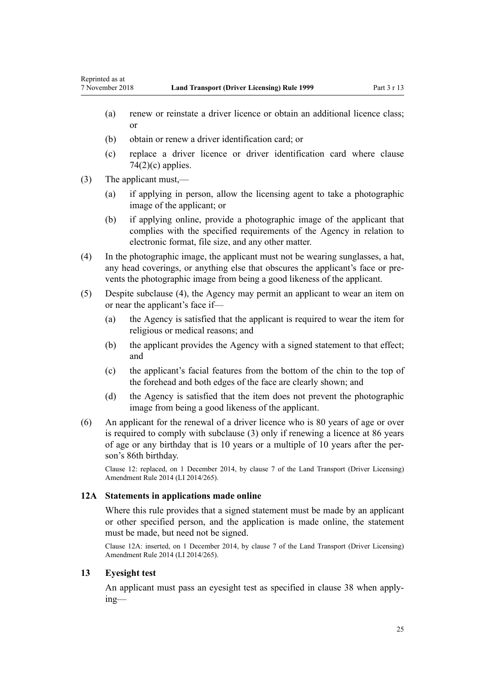- <span id="page-24-0"></span>(a) renew or reinstate a driver licence or obtain an additional licence class; or
- (b) obtain or renew a driver identification card; or
- (c) replace a driver licence or driver identification card where [clause](#page-75-0)  $74(2)(c)$  applies.
- (3) The applicant must,—
	- (a) if applying in person, allow the licensing agent to take a photographic image of the applicant; or
	- (b) if applying online, provide a photographic image of the applicant that complies with the specified requirements of the Agency in relation to electronic format, file size, and any other matter.
- (4) In the photographic image, the applicant must not be wearing sunglasses, a hat, any head coverings, or anything else that obscures the applicant's face or prevents the photographic image from being a good likeness of the applicant.
- (5) Despite subclause (4), the Agency may permit an applicant to wear an item on or near the applicant's face if—
	- (a) the Agency is satisfied that the applicant is required to wear the item for religious or medical reasons; and
	- (b) the applicant provides the Agency with a signed statement to that effect; and
	- (c) the applicant's facial features from the bottom of the chin to the top of the forehead and both edges of the face are clearly shown; and
	- (d) the Agency is satisfied that the item does not prevent the photographic image from being a good likeness of the applicant.
- (6) An applicant for the renewal of a driver licence who is 80 years of age or over is required to comply with subclause (3) only if renewing a licence at 86 years of age or any birthday that is 10 years or a multiple of 10 years after the person's 86th birthday.

Clause 12: replaced, on 1 December 2014, by [clause 7](http://legislation.govt.nz/pdflink.aspx?id=DLM6216912) of the Land Transport (Driver Licensing) Amendment Rule 2014 (LI 2014/265).

#### **12A Statements in applications made online**

Where this rule provides that a signed statement must be made by an applicant or other specified person, and the application is made online, the statement must be made, but need not be signed.

Clause 12A: inserted, on 1 December 2014, by [clause 7](http://legislation.govt.nz/pdflink.aspx?id=DLM6216912) of the Land Transport (Driver Licensing) Amendment Rule 2014 (LI 2014/265).

#### **13 Eyesight test**

An applicant must pass an eyesight test as specified in [clause 38](#page-48-0) when applying—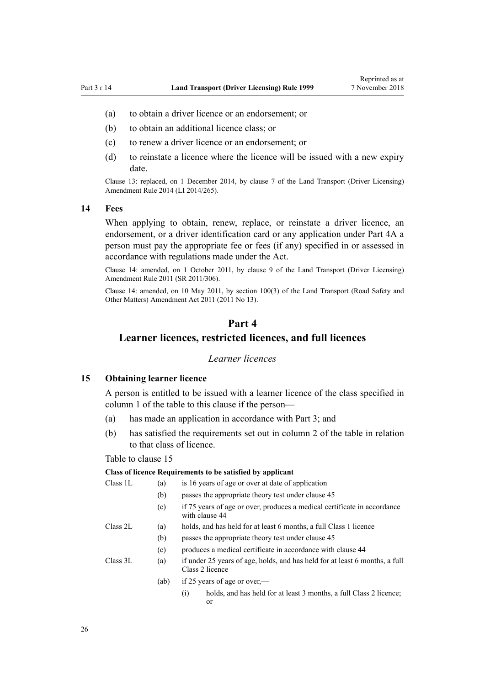- <span id="page-25-0"></span>(a) to obtain a driver licence or an endorsement; or
- (b) to obtain an additional licence class; or
- (c) to renew a driver licence or an endorsement; or
- (d) to reinstate a licence where the licence will be issued with a new expiry date.

Clause 13: replaced, on 1 December 2014, by [clause 7](http://legislation.govt.nz/pdflink.aspx?id=DLM6216912) of the Land Transport (Driver Licensing) Amendment Rule 2014 (LI 2014/265).

#### **14 Fees**

When applying to obtain, renew, replace, or reinstate a driver licence, an endorsement, or a driver identification card or any application under [Part 4A](#page-33-0) a person must pay the appropriate fee or fees (if any) specified in or assessed in accordance with regulations made under the Act.

Clause 14: amended, on 1 October 2011, by [clause 9](http://legislation.govt.nz/pdflink.aspx?id=DLM3956593) of the Land Transport (Driver Licensing) Amendment Rule 2011 (SR 2011/306).

Clause 14: amended, on 10 May 2011, by [section 100\(3\)](http://legislation.govt.nz/pdflink.aspx?id=DLM3231293) of the Land Transport (Road Safety and Other Matters) Amendment Act 2011 (2011 No 13).

#### **Part 4**

#### **Learner licences, restricted licences, and full licences**

#### *Learner licences*

#### **15 Obtaining learner licence**

A person is entitled to be issued with a learner licence of the class specified in column 1 of the table to this clause if the person—

- (a) has made an application in accordance with [Part 3;](#page-21-0) and
- (b) has satisfied the requirements set out in column 2 of the table in relation to that class of licence.

#### Table to clause 15

#### **Class of licence Requirements to be satisfied by applicant**

| Class 1L | (a)  | is 16 years of age or over at date of application                                              |
|----------|------|------------------------------------------------------------------------------------------------|
|          | (b)  | passes the appropriate theory test under clause 45                                             |
|          | (c)  | if 75 years of age or over, produces a medical certificate in accordance<br>with clause 44     |
| Class 2L | (a)  | holds, and has held for at least 6 months, a full Class 1 licence                              |
|          | (b)  | passes the appropriate theory test under clause 45                                             |
|          | (c)  | produces a medical certificate in accordance with clause 44                                    |
| Class 3L | (a)  | if under 25 years of age, holds, and has held for at least 6 months, a full<br>Class 2 licence |
|          | (ab) | if 25 years of age or over,—                                                                   |
|          |      | holds, and has held for at least 3 months, a full Class 2 licence;<br>$\left( 1\right)$<br>or  |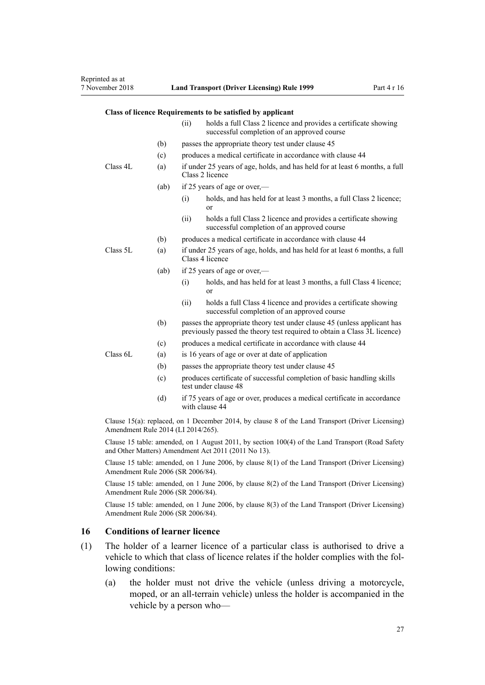#### <span id="page-26-0"></span>**Class of licence Requirements to be satisfied by applicant**

|                                                                                                                                             |      | (ii)                                                                                                                                                 | holds a full Class 2 licence and provides a certificate showing<br>successful completion of an approved course |  |  |  |
|---------------------------------------------------------------------------------------------------------------------------------------------|------|------------------------------------------------------------------------------------------------------------------------------------------------------|----------------------------------------------------------------------------------------------------------------|--|--|--|
|                                                                                                                                             | (b)  | passes the appropriate theory test under clause 45                                                                                                   |                                                                                                                |  |  |  |
|                                                                                                                                             | (c)  | produces a medical certificate in accordance with clause 44                                                                                          |                                                                                                                |  |  |  |
| Class 4L                                                                                                                                    | (a)  | if under 25 years of age, holds, and has held for at least 6 months, a full<br>Class 2 licence                                                       |                                                                                                                |  |  |  |
|                                                                                                                                             | (ab) | if 25 years of age or over,—                                                                                                                         |                                                                                                                |  |  |  |
|                                                                                                                                             |      | (i)                                                                                                                                                  | holds, and has held for at least 3 months, a full Class 2 licence;<br>or                                       |  |  |  |
|                                                                                                                                             |      | (ii)                                                                                                                                                 | holds a full Class 2 licence and provides a certificate showing<br>successful completion of an approved course |  |  |  |
|                                                                                                                                             | (b)  | produces a medical certificate in accordance with clause 44                                                                                          |                                                                                                                |  |  |  |
| Class 5L                                                                                                                                    | (a)  | if under 25 years of age, holds, and has held for at least 6 months, a full<br>Class 4 licence                                                       |                                                                                                                |  |  |  |
|                                                                                                                                             | (ab) | if 25 years of age or over,—                                                                                                                         |                                                                                                                |  |  |  |
|                                                                                                                                             |      | (i)                                                                                                                                                  | holds, and has held for at least 3 months, a full Class 4 licence;<br>or                                       |  |  |  |
|                                                                                                                                             |      | (ii)                                                                                                                                                 | holds a full Class 4 licence and provides a certificate showing<br>successful completion of an approved course |  |  |  |
|                                                                                                                                             | (b)  | passes the appropriate theory test under clause 45 (unless applicant has<br>previously passed the theory test required to obtain a Class 3L licence) |                                                                                                                |  |  |  |
| Class 6L                                                                                                                                    | (c)  | produces a medical certificate in accordance with clause 44                                                                                          |                                                                                                                |  |  |  |
|                                                                                                                                             | (a)  | is 16 years of age or over at date of application                                                                                                    |                                                                                                                |  |  |  |
|                                                                                                                                             | (b)  | passes the appropriate theory test under clause 45                                                                                                   |                                                                                                                |  |  |  |
|                                                                                                                                             | (c)  | produces certificate of successful completion of basic handling skills<br>test under clause 48                                                       |                                                                                                                |  |  |  |
|                                                                                                                                             | (d)  | if 75 years of age or over, produces a medical certificate in accordance<br>with clause 44                                                           |                                                                                                                |  |  |  |
| $O(\omega)$ and $I(\omega)$ and $I(\omega)$ and $I(\omega)$ and $I(\omega)$ and $I(\omega)$ and $I(\omega)$ and $I(\omega)$ and $I(\omega)$ |      |                                                                                                                                                      |                                                                                                                |  |  |  |

Clause 15(a): replaced, on 1 December 2014, by [clause 8](http://legislation.govt.nz/pdflink.aspx?id=DLM6216921) of the Land Transport (Driver Licensing) Amendment Rule 2014 (LI 2014/265).

Clause 15 table: amended, on 1 August 2011, by [section 100\(4\)](http://legislation.govt.nz/pdflink.aspx?id=DLM3231293) of the Land Transport (Road Safety and Other Matters) Amendment Act 2011 (2011 No 13).

Clause 15 table: amended, on 1 June 2006, by [clause 8\(1\)](http://legislation.govt.nz/pdflink.aspx?id=DLM375693) of the Land Transport (Driver Licensing) Amendment Rule 2006 (SR 2006/84).

Clause 15 table: amended, on 1 June 2006, by [clause 8\(2\)](http://legislation.govt.nz/pdflink.aspx?id=DLM375693) of the Land Transport (Driver Licensing) Amendment Rule 2006 (SR 2006/84).

Clause 15 table: amended, on 1 June 2006, by [clause 8\(3\)](http://legislation.govt.nz/pdflink.aspx?id=DLM375693) of the Land Transport (Driver Licensing) Amendment Rule 2006 (SR 2006/84).

#### **16 Conditions of learner licence**

- (1) The holder of a learner licence of a particular class is authorised to drive a vehicle to which that class of licence relates if the holder complies with the following conditions:
	- (a) the holder must not drive the vehicle (unless driving a motorcycle, moped, or an all-terrain vehicle) unless the holder is accompanied in the vehicle by a person who—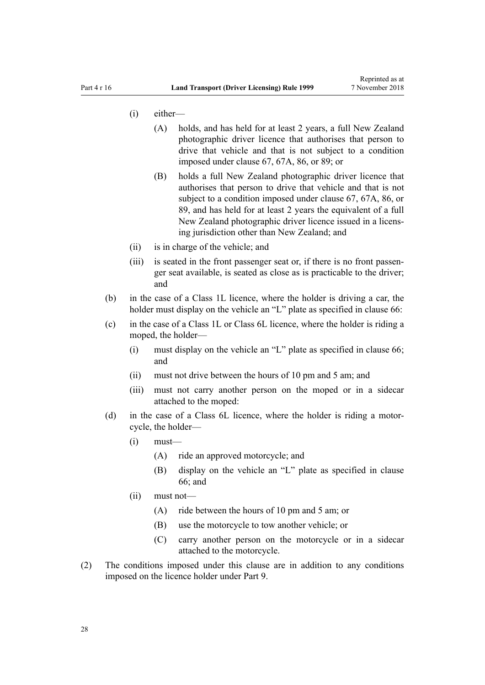- (i) either—
	- (A) holds, and has held for at least 2 years, a full New Zealand photographic driver licence that authorises that person to drive that vehicle and that is not subject to a condition imposed under [clause 67](#page-67-0), [67A,](#page-69-0) [86](#page-84-0), or [89;](#page-88-0) or
	- (B) holds a full New Zealand photographic driver licence that authorises that person to drive that vehicle and that is not subject to a condition imposed under [clause 67,](#page-67-0) [67A,](#page-69-0) [86](#page-84-0), or [89,](#page-88-0) and has held for at least 2 years the equivalent of a full New Zealand photographic driver licence issued in a licensing jurisdiction other than New Zealand; and
- (ii) is in charge of the vehicle; and
- (iii) is seated in the front passenger seat or, if there is no front passenger seat available, is seated as close as is practicable to the driver; and
- (b) in the case of a Class 1L licence, where the holder is driving a car, the holder must display on the vehicle an "L" plate as specified in [clause 66](#page-66-0):
- (c) in the case of a Class 1L or Class 6L licence, where the holder is riding a moped, the holder—
	- (i) must display on the vehicle an "L" plate as specified in [clause 66;](#page-66-0) and
	- (ii) must not drive between the hours of 10 pm and 5 am; and
	- (iii) must not carry another person on the moped or in a sidecar attached to the moped:
- (d) in the case of a Class 6L licence, where the holder is riding a motorcycle, the holder—
	- $(i)$  must—
		- (A) ride an approved motorcycle; and
		- (B) display on the vehicle an "L" plate as specified in [clause](#page-66-0) [66;](#page-66-0) and
	- (ii) must not—
		- (A) ride between the hours of 10 pm and 5 am; or
		- (B) use the motorcycle to tow another vehicle; or
		- (C) carry another person on the motorcycle or in a sidecar attached to the motorcycle.
- (2) The conditions imposed under this clause are in addition to any conditions imposed on the licence holder under [Part 9](#page-58-0).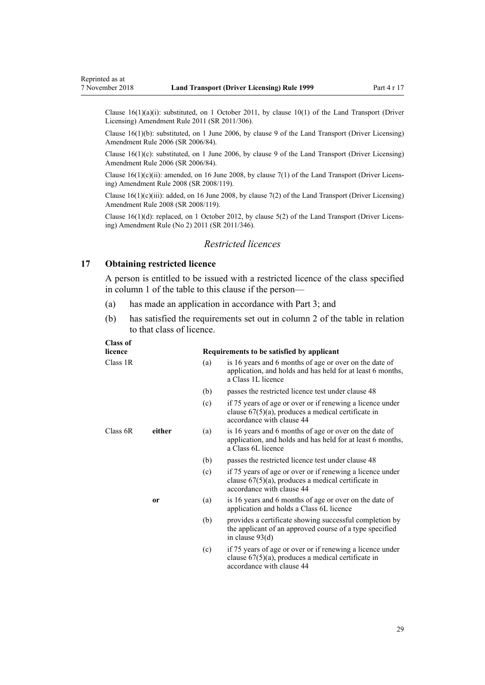<span id="page-28-0"></span>Clause 16(1)(a)(i): substituted, on 1 October 2011, by [clause 10\(1\)](http://legislation.govt.nz/pdflink.aspx?id=DLM3956503) of the Land Transport (Driver Licensing) Amendment Rule 2011 (SR 2011/306).

Clause 16(1)(b): substituted, on 1 June 2006, by [clause 9](http://legislation.govt.nz/pdflink.aspx?id=DLM375694) of the Land Transport (Driver Licensing) Amendment Rule 2006 (SR 2006/84).

Clause 16(1)(c): substituted, on 1 June 2006, by [clause 9](http://legislation.govt.nz/pdflink.aspx?id=DLM375694) of the Land Transport (Driver Licensing) Amendment Rule 2006 (SR 2006/84).

Clause  $16(1)(c)(ii)$ : amended, on 16 June 2008, by [clause 7\(1\)](http://legislation.govt.nz/pdflink.aspx?id=DLM1317910) of the Land Transport (Driver Licensing) Amendment Rule 2008 (SR 2008/119).

Clause  $16(1)(c)(iii)$ : added, on 16 June 2008, by [clause 7\(2\)](http://legislation.govt.nz/pdflink.aspx?id=DLM1317910) of the Land Transport (Driver Licensing) Amendment Rule 2008 (SR 2008/119).

Clause 16(1)(d): replaced, on 1 October 2012, by [clause 5\(2\)](http://legislation.govt.nz/pdflink.aspx?id=DLM4064302) of the Land Transport (Driver Licensing) Amendment Rule (No 2) 2011 (SR 2011/346).

#### *Restricted licences*

#### **17 Obtaining restricted licence**

A person is entitled to be issued with a restricted licence of the class specified in column 1 of the table to this clause if the person—

- (a) has made an application in accordance with [Part 3;](#page-21-0) and
- (b) has satisfied the requirements set out in column 2 of the table in relation to that class of licence.

#### **Class of**

| licence  |               |     | Requirements to be satisfied by applicant                                                                                                       |
|----------|---------------|-----|-------------------------------------------------------------------------------------------------------------------------------------------------|
| Class 1R |               | (a) | is 16 years and 6 months of age or over on the date of<br>application, and holds and has held for at least 6 months,<br>a Class 1L licence      |
|          |               | (b) | passes the restricted licence test under clause 48                                                                                              |
|          |               | (c) | if 75 years of age or over or if renewing a licence under<br>clause $67(5)(a)$ , produces a medical certificate in<br>accordance with clause 44 |
| Class 6R | either        | (a) | is 16 years and 6 months of age or over on the date of<br>application, and holds and has held for at least 6 months,<br>a Class 6L licence      |
|          |               | (b) | passes the restricted licence test under clause 48                                                                                              |
|          |               | (c) | if 75 years of age or over or if renewing a licence under<br>clause $67(5)(a)$ , produces a medical certificate in<br>accordance with clause 44 |
|          | <sub>or</sub> | (a) | is 16 years and 6 months of age or over on the date of<br>application and holds a Class 6L licence                                              |
|          |               | (b) | provides a certificate showing successful completion by<br>the applicant of an approved course of a type specified<br>in clause $93(d)$         |
|          |               | (c) | if 75 years of age or over or if renewing a licence under<br>clause $67(5)(a)$ , produces a medical certificate in<br>accordance with clause 44 |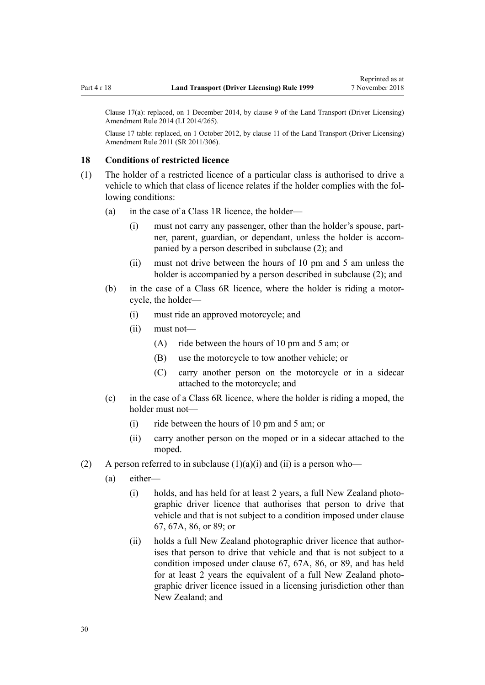<span id="page-29-0"></span>Clause 17(a): replaced, on 1 December 2014, by [clause 9](http://legislation.govt.nz/pdflink.aspx?id=DLM6216922) of the Land Transport (Driver Licensing) Amendment Rule 2014 (LI 2014/265).

Clause 17 table: replaced, on 1 October 2012, by [clause 11](http://legislation.govt.nz/pdflink.aspx?id=DLM3956505) of the Land Transport (Driver Licensing) Amendment Rule 2011 (SR 2011/306).

#### **18 Conditions of restricted licence**

- (1) The holder of a restricted licence of a particular class is authorised to drive a vehicle to which that class of licence relates if the holder complies with the following conditions:
	- (a) in the case of a Class 1R licence, the holder—
		- (i) must not carry any passenger, other than the holder's spouse, partner, parent, guardian, or dependant, unless the holder is accompanied by a person described in subclause (2); and
		- (ii) must not drive between the hours of 10 pm and 5 am unless the holder is accompanied by a person described in subclause (2); and
	- (b) in the case of a Class 6R licence, where the holder is riding a motorcycle, the holder—
		- (i) must ride an approved motorcycle; and
		- (ii) must not—
			- (A) ride between the hours of 10 pm and 5 am; or
			- (B) use the motorcycle to tow another vehicle; or
			- (C) carry another person on the motorcycle or in a sidecar attached to the motorcycle; and
	- (c) in the case of a Class 6R licence, where the holder is riding a moped, the holder must not—
		- (i) ride between the hours of 10 pm and 5 am; or
		- (ii) carry another person on the moped or in a sidecar attached to the moped.
- (2) A person referred to in subclause  $(1)(a)(i)$  and  $(ii)$  is a person who—
	- (a) either—
		- (i) holds, and has held for at least 2 years, a full New Zealand photographic driver licence that authorises that person to drive that vehicle and that is not subject to a condition imposed under [clause](#page-67-0) [67,](#page-67-0) [67A](#page-69-0), [86,](#page-84-0) or [89](#page-88-0); or
		- (ii) holds a full New Zealand photographic driver licence that authorises that person to drive that vehicle and that is not subject to a condition imposed under [clause 67](#page-67-0), [67A,](#page-69-0) [86](#page-84-0), or [89,](#page-88-0) and has held for at least 2 years the equivalent of a full New Zealand photographic driver licence issued in a licensing jurisdiction other than New Zealand; and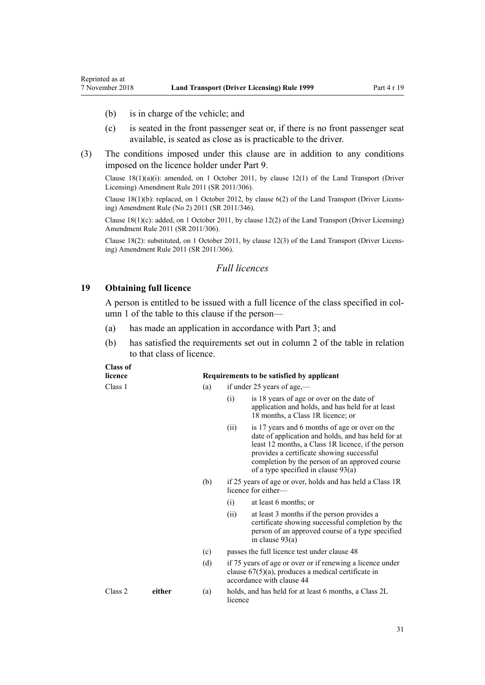- (b) is in charge of the vehicle; and
- (c) is seated in the front passenger seat or, if there is no front passenger seat available, is seated as close as is practicable to the driver.
- (3) The conditions imposed under this clause are in addition to any conditions imposed on the licence holder under [Part 9](#page-58-0).

Clause  $18(1)(a)(i)$ : amended, on 1 October 2011, by [clause 12\(1\)](http://legislation.govt.nz/pdflink.aspx?id=DLM3956507) of the Land Transport (Driver Licensing) Amendment Rule 2011 (SR 2011/306).

Clause 18(1)(b): replaced, on 1 October 2012, by [clause 6\(2\)](http://legislation.govt.nz/pdflink.aspx?id=DLM4064304) of the Land Transport (Driver Licensing) Amendment Rule (No 2) 2011 (SR 2011/346).

Clause 18(1)(c): added, on 1 October 2011, by [clause 12\(2\)](http://legislation.govt.nz/pdflink.aspx?id=DLM3956507) of the Land Transport (Driver Licensing) Amendment Rule 2011 (SR 2011/306).

Clause 18(2): substituted, on 1 October 2011, by [clause 12\(3\)](http://legislation.govt.nz/pdflink.aspx?id=DLM3956507) of the Land Transport (Driver Licensing) Amendment Rule 2011 (SR 2011/306).

#### *Full licences*

#### **19 Obtaining full licence**

**Class of**

<span id="page-30-0"></span>Reprinted as at

A person is entitled to be issued with a full licence of the class specified in column 1 of the table to this clause if the person—

- (a) has made an application in accordance with [Part 3;](#page-21-0) and
- (b) has satisfied the requirements set out in column 2 of the table in relation to that class of licence.

| Сказэ От<br>licence |        |     | Requirements to be satisfied by applicant                                        |                                                                                                                                                                                                                                                                                                    |  |
|---------------------|--------|-----|----------------------------------------------------------------------------------|----------------------------------------------------------------------------------------------------------------------------------------------------------------------------------------------------------------------------------------------------------------------------------------------------|--|
| Class 1             |        | (a) |                                                                                  | if under 25 years of age,—                                                                                                                                                                                                                                                                         |  |
|                     |        |     | (i)                                                                              | is 18 years of age or over on the date of<br>application and holds, and has held for at least<br>18 months, a Class 1R licence; or                                                                                                                                                                 |  |
|                     |        |     | (ii)                                                                             | is 17 years and 6 months of age or over on the<br>date of application and holds, and has held for at<br>least 12 months, a Class 1R licence, if the person<br>provides a certificate showing successful<br>completion by the person of an approved course<br>of a type specified in clause $93(a)$ |  |
|                     |        | (b) | if 25 years of age or over, holds and has held a Class 1R<br>licence for either- |                                                                                                                                                                                                                                                                                                    |  |
|                     |        |     | (i)                                                                              | at least 6 months; or                                                                                                                                                                                                                                                                              |  |
|                     |        |     | (i)                                                                              | at least 3 months if the person provides a<br>certificate showing successful completion by the<br>person of an approved course of a type specified<br>in clause $93(a)$                                                                                                                            |  |
|                     |        | (c) | passes the full licence test under clause 48                                     |                                                                                                                                                                                                                                                                                                    |  |
|                     |        | (d) |                                                                                  | if 75 years of age or over or if renewing a licence under<br>clause $67(5)(a)$ , produces a medical certificate in<br>accordance with clause 44                                                                                                                                                    |  |
| Class 2             | either | (a) | licence                                                                          | holds, and has held for at least 6 months, a Class 2L                                                                                                                                                                                                                                              |  |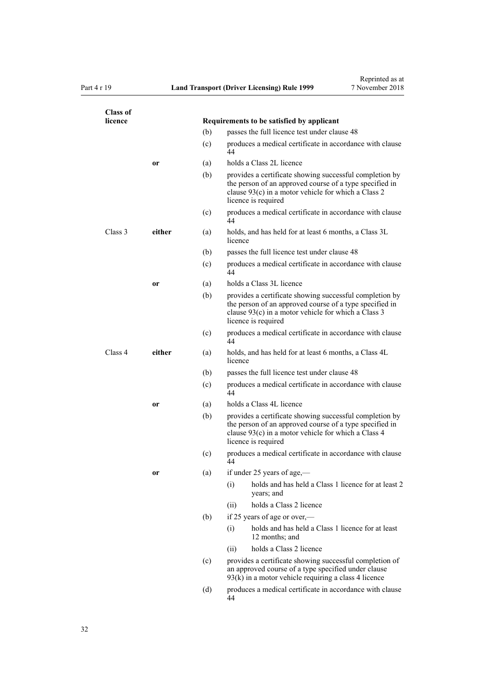| <b>Class of</b><br>licence |               |     | Requirements to be satisfied by applicant                                                                                                                                                          |  |  |  |
|----------------------------|---------------|-----|----------------------------------------------------------------------------------------------------------------------------------------------------------------------------------------------------|--|--|--|
|                            |               | (b) | passes the full licence test under clause 48                                                                                                                                                       |  |  |  |
|                            |               | (c) | produces a medical certificate in accordance with clause<br>44                                                                                                                                     |  |  |  |
|                            | or            | (a) | holds a Class 2L licence                                                                                                                                                                           |  |  |  |
|                            |               | (b) | provides a certificate showing successful completion by<br>the person of an approved course of a type specified in<br>clause 93(c) in a motor vehicle for which a Class 2<br>licence is required   |  |  |  |
|                            |               | (c) | produces a medical certificate in accordance with clause<br>44                                                                                                                                     |  |  |  |
| Class 3                    | either        | (a) | holds, and has held for at least 6 months, a Class 3L<br>licence                                                                                                                                   |  |  |  |
|                            |               | (b) | passes the full licence test under clause 48                                                                                                                                                       |  |  |  |
|                            |               | (c) | produces a medical certificate in accordance with clause<br>44                                                                                                                                     |  |  |  |
|                            | <sub>or</sub> | (a) | holds a Class 3L licence                                                                                                                                                                           |  |  |  |
|                            |               | (b) | provides a certificate showing successful completion by<br>the person of an approved course of a type specified in<br>clause $93(c)$ in a motor vehicle for which a Class 3<br>licence is required |  |  |  |
|                            |               | (c) | produces a medical certificate in accordance with clause<br>44                                                                                                                                     |  |  |  |
| Class 4                    | either        | (a) | holds, and has held for at least 6 months, a Class 4L<br>licence                                                                                                                                   |  |  |  |
|                            |               | (b) | passes the full licence test under clause 48                                                                                                                                                       |  |  |  |
|                            |               | (c) | produces a medical certificate in accordance with clause<br>44                                                                                                                                     |  |  |  |
|                            | or            | (a) | holds a Class 4L licence                                                                                                                                                                           |  |  |  |
|                            |               | (b) | provides a certificate showing successful completion by<br>the person of an approved course of a type specified in<br>clause 93(c) in a motor vehicle for which a Class 4<br>licence is required   |  |  |  |
|                            |               | (c) | produces a medical certificate in accordance with clause<br>44                                                                                                                                     |  |  |  |
|                            | or            | (a) | if under 25 years of age,-                                                                                                                                                                         |  |  |  |
|                            |               |     | holds and has held a Class 1 licence for at least 2<br>(i)<br>years; and                                                                                                                           |  |  |  |
|                            |               |     | holds a Class 2 licence<br>(ii)                                                                                                                                                                    |  |  |  |
|                            |               | (b) | if 25 years of age or over,—                                                                                                                                                                       |  |  |  |
|                            |               |     | holds and has held a Class 1 licence for at least<br>(i)<br>12 months; and                                                                                                                         |  |  |  |
|                            |               |     | holds a Class 2 licence<br>(ii)                                                                                                                                                                    |  |  |  |
|                            |               | (c) | provides a certificate showing successful completion of<br>an approved course of a type specified under clause<br>$93(k)$ in a motor vehicle requiring a class 4 licence                           |  |  |  |
|                            |               | (d) | produces a medical certificate in accordance with clause<br>44                                                                                                                                     |  |  |  |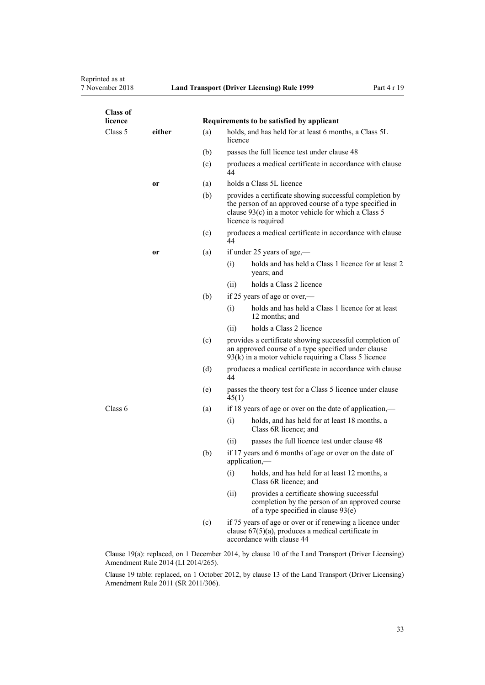# Reprinted as at<br>7 November 2018

| <b>Class of</b><br>licence |        |           |                                                                                                                                                                                                  | Requirements to be satisfied by applicant                                                                                                                                |  |
|----------------------------|--------|-----------|--------------------------------------------------------------------------------------------------------------------------------------------------------------------------------------------------|--------------------------------------------------------------------------------------------------------------------------------------------------------------------------|--|
| Class 5                    | either | (a)       | holds, and has held for at least 6 months, a Class 5L<br>licence                                                                                                                                 |                                                                                                                                                                          |  |
|                            |        | (b)       |                                                                                                                                                                                                  | passes the full licence test under clause 48                                                                                                                             |  |
|                            |        | (c)       | 44                                                                                                                                                                                               | produces a medical certificate in accordance with clause                                                                                                                 |  |
|                            | or     | (a)       | holds a Class 5L licence                                                                                                                                                                         |                                                                                                                                                                          |  |
|                            |        | (b)       | provides a certificate showing successful completion by<br>the person of an approved course of a type specified in<br>clause 93(c) in a motor vehicle for which a Class 5<br>licence is required |                                                                                                                                                                          |  |
|                            |        | (c)<br>44 |                                                                                                                                                                                                  | produces a medical certificate in accordance with clause                                                                                                                 |  |
|                            | or     | (a)       |                                                                                                                                                                                                  | if under 25 years of age,—                                                                                                                                               |  |
|                            |        |           | (i)                                                                                                                                                                                              | holds and has held a Class 1 licence for at least 2<br>years; and                                                                                                        |  |
|                            |        |           | (ii)                                                                                                                                                                                             | holds a Class 2 licence                                                                                                                                                  |  |
|                            |        | (b)       |                                                                                                                                                                                                  | if 25 years of age or over,—                                                                                                                                             |  |
|                            |        |           | (i)                                                                                                                                                                                              | holds and has held a Class 1 licence for at least<br>12 months; and                                                                                                      |  |
|                            |        |           | (ii)                                                                                                                                                                                             | holds a Class 2 licence                                                                                                                                                  |  |
|                            |        | (c)       |                                                                                                                                                                                                  | provides a certificate showing successful completion of<br>an approved course of a type specified under clause<br>$93(k)$ in a motor vehicle requiring a Class 5 licence |  |
|                            |        | (d)       | 44                                                                                                                                                                                               | produces a medical certificate in accordance with clause                                                                                                                 |  |
|                            |        | (e)       | 45(1)                                                                                                                                                                                            | passes the theory test for a Class 5 licence under clause                                                                                                                |  |
| Class 6                    |        | (a)       | if 18 years of age or over on the date of application,—                                                                                                                                          |                                                                                                                                                                          |  |
|                            |        |           | (i)                                                                                                                                                                                              | holds, and has held for at least 18 months, a<br>Class 6R licence; and                                                                                                   |  |
|                            |        |           | (ii)                                                                                                                                                                                             | passes the full licence test under clause 48                                                                                                                             |  |
|                            |        | (b)       |                                                                                                                                                                                                  | if 17 years and 6 months of age or over on the date of<br>application,—                                                                                                  |  |
|                            |        |           | (i)                                                                                                                                                                                              | holds, and has held for at least 12 months, a<br>Class 6R licence; and                                                                                                   |  |
|                            |        |           | (ii)                                                                                                                                                                                             | provides a certificate showing successful<br>completion by the person of an approved course<br>of a type specified in clause $93(e)$                                     |  |
|                            |        | (c)       |                                                                                                                                                                                                  | if 75 years of age or over or if renewing a licence under<br>clause $67(5)(a)$ , produces a medical certificate in<br>accordance with clause 44                          |  |
|                            |        |           |                                                                                                                                                                                                  | Clause 19(a): replaced, on 1 December 2014, by clause 10 of the Land Transport (Driver Licensing)                                                                        |  |

Amendment Rule 2014 (LI 2014/265).

Clause 19 table: replaced, on 1 October 2012, by [clause 13](http://legislation.govt.nz/pdflink.aspx?id=DLM3956509) of the Land Transport (Driver Licensing) Amendment Rule 2011 (SR 2011/306).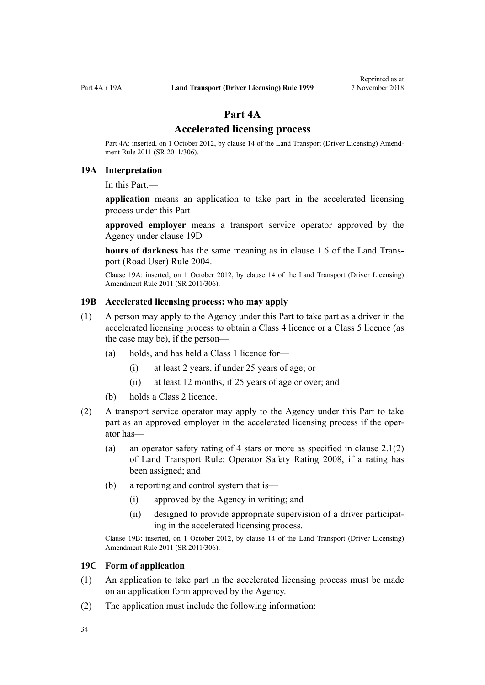## **Part 4A**

#### **Accelerated licensing process**

<span id="page-33-0"></span>Part 4A: inserted, on 1 October 2012, by [clause 14](http://legislation.govt.nz/pdflink.aspx?id=DLM3956511) of the Land Transport (Driver Licensing) Amendment Rule 2011 (SR 2011/306).

#### **19A Interpretation**

In this Part,—

**application** means an application to take part in the accelerated licensing process under this Part

**approved employer** means a transport service operator approved by the Agency under [clause 19D](#page-34-0)

**hours of darkness** has the same meaning as in [clause 1.6](http://legislation.govt.nz/pdflink.aspx?id=DLM302197) of the Land Transport (Road User) Rule 2004.

Clause 19A: inserted, on 1 October 2012, by [clause 14](http://legislation.govt.nz/pdflink.aspx?id=DLM3956511) of the Land Transport (Driver Licensing) Amendment Rule 2011 (SR 2011/306).

#### **19B Accelerated licensing process: who may apply**

- (1) A person may apply to the Agency under this Part to take part as a driver in the accelerated licensing process to obtain a Class 4 licence or a Class 5 licence (as the case may be), if the person—
	- (a) holds, and has held a Class 1 licence for—
		- (i) at least 2 years, if under 25 years of age; or
		- (ii) at least 12 months, if 25 years of age or over; and
	- (b) holds a Class 2 licence.
- (2) A transport service operator may apply to the Agency under this Part to take part as an approved employer in the accelerated licensing process if the operator has—
	- (a) an operator safety rating of 4 stars or more as specified in clause 2.1(2) of Land Transport Rule: Operator Safety Rating 2008, if a rating has been assigned; and
	- (b) a reporting and control system that is—
		- (i) approved by the Agency in writing; and
		- (ii) designed to provide appropriate supervision of a driver participating in the accelerated licensing process.

Clause 19B: inserted, on 1 October 2012, by [clause 14](http://legislation.govt.nz/pdflink.aspx?id=DLM3956511) of the Land Transport (Driver Licensing) Amendment Rule 2011 (SR 2011/306).

#### **19C Form of application**

- (1) An application to take part in the accelerated licensing process must be made on an application form approved by the Agency.
- (2) The application must include the following information: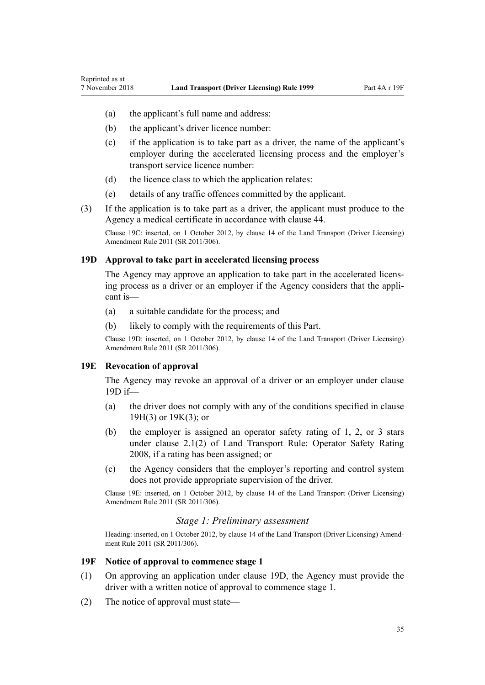- <span id="page-34-0"></span>(a) the applicant's full name and address:
- (b) the applicant's driver licence number:
- (c) if the application is to take part as a driver, the name of the applicant's employer during the accelerated licensing process and the employer's transport service licence number:
- (d) the licence class to which the application relates:
- (e) details of any traffic offences committed by the applicant.
- (3) If the application is to take part as a driver, the applicant must produce to the Agency a medical certificate in accordance with [clause 44.](#page-52-0)

Clause 19C: inserted, on 1 October 2012, by [clause 14](http://legislation.govt.nz/pdflink.aspx?id=DLM3956511) of the Land Transport (Driver Licensing) Amendment Rule 2011 (SR 2011/306).

#### **19D Approval to take part in accelerated licensing process**

The Agency may approve an application to take part in the accelerated licensing process as a driver or an employer if the Agency considers that the applicant is—

- (a) a suitable candidate for the process; and
- (b) likely to comply with the requirements of this Part.

Clause 19D: inserted, on 1 October 2012, by [clause 14](http://legislation.govt.nz/pdflink.aspx?id=DLM3956511) of the Land Transport (Driver Licensing) Amendment Rule 2011 (SR 2011/306).

#### **19E Revocation of approval**

The Agency may revoke an approval of a driver or an employer under clause 19D if—

- (a) the driver does not comply with any of the conditions specified in [clause](#page-35-0) [19H\(3\)](#page-35-0) or [19K\(3\);](#page-37-0) or
- (b) the employer is assigned an operator safety rating of 1, 2, or 3 stars under clause 2.1(2) of Land Transport Rule: Operator Safety Rating 2008, if a rating has been assigned; or
- (c) the Agency considers that the employer's reporting and control system does not provide appropriate supervision of the driver.

Clause 19E: inserted, on 1 October 2012, by [clause 14](http://legislation.govt.nz/pdflink.aspx?id=DLM3956511) of the Land Transport (Driver Licensing) Amendment Rule 2011 (SR 2011/306).

#### *Stage 1: Preliminary assessment*

Heading: inserted, on 1 October 2012, by [clause 14](http://legislation.govt.nz/pdflink.aspx?id=DLM3956511) of the Land Transport (Driver Licensing) Amendment Rule 2011 (SR 2011/306).

#### **19F Notice of approval to commence stage 1**

- (1) On approving an application under clause 19D, the Agency must provide the driver with a written notice of approval to commence stage 1.
- (2) The notice of approval must state—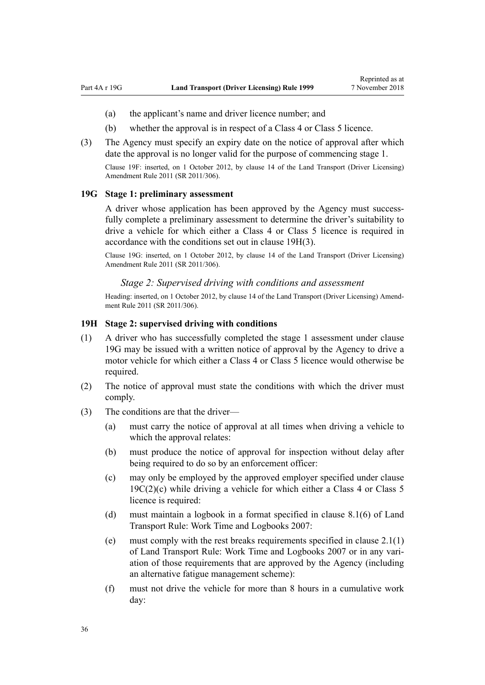- <span id="page-35-0"></span>(a) the applicant's name and driver licence number; and
- (b) whether the approval is in respect of a Class 4 or Class 5 licence.
- (3) The Agency must specify an expiry date on the notice of approval after which date the approval is no longer valid for the purpose of commencing stage 1. Clause 19F: inserted, on 1 October 2012, by [clause 14](http://legislation.govt.nz/pdflink.aspx?id=DLM3956511) of the Land Transport (Driver Licensing)

**19G Stage 1: preliminary assessment**

Amendment Rule 2011 (SR 2011/306).

A driver whose application has been approved by the Agency must successfully complete a preliminary assessment to determine the driver's suitability to drive a vehicle for which either a Class 4 or Class 5 licence is required in accordance with the conditions set out in clause 19H(3).

Clause 19G: inserted, on 1 October 2012, by [clause 14](http://legislation.govt.nz/pdflink.aspx?id=DLM3956511) of the Land Transport (Driver Licensing) Amendment Rule 2011 (SR 2011/306).

#### *Stage 2: Supervised driving with conditions and assessment*

Heading: inserted, on 1 October 2012, by [clause 14](http://legislation.govt.nz/pdflink.aspx?id=DLM3956511) of the Land Transport (Driver Licensing) Amendment Rule 2011 (SR 2011/306).

#### **19H Stage 2: supervised driving with conditions**

- (1) A driver who has successfully completed the stage 1 assessment under clause 19G may be issued with a written notice of approval by the Agency to drive a motor vehicle for which either a Class 4 or Class 5 licence would otherwise be required.
- (2) The notice of approval must state the conditions with which the driver must comply.
- (3) The conditions are that the driver—
	- (a) must carry the notice of approval at all times when driving a vehicle to which the approval relates:
	- (b) must produce the notice of approval for inspection without delay after being required to do so by an enforcement officer:
	- (c) may only be employed by the approved employer specified under [clause](#page-33-0)  $19C(2)(c)$  while driving a vehicle for which either a Class 4 or Class 5 licence is required:
	- (d) must maintain a logbook in a format specified in clause 8.1(6) of Land Transport Rule: Work Time and Logbooks 2007:
	- (e) must comply with the rest breaks requirements specified in clause 2.1(1) of Land Transport Rule: Work Time and Logbooks 2007 or in any variation of those requirements that are approved by the Agency (including an alternative fatigue management scheme):
	- (f) must not drive the vehicle for more than 8 hours in a cumulative work day: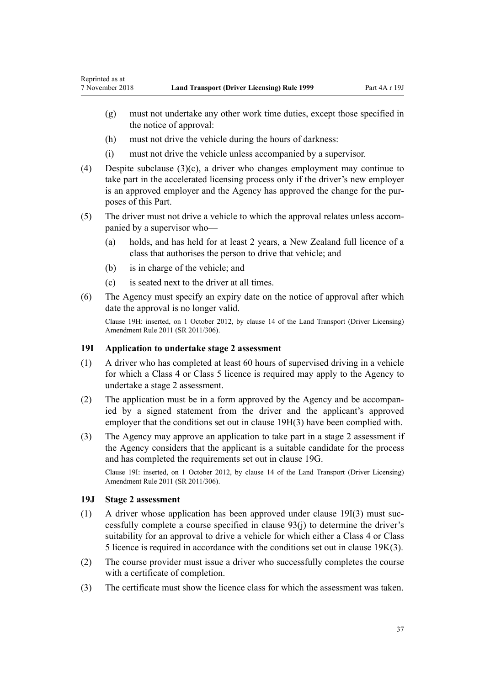- <span id="page-36-0"></span>(g) must not undertake any other work time duties, except those specified in the notice of approval:
- (h) must not drive the vehicle during the hours of darkness:
- (i) must not drive the vehicle unless accompanied by a supervisor.
- (4) Despite subclause  $(3)(c)$ , a driver who changes employment may continue to take part in the accelerated licensing process only if the driver's new employer is an approved employer and the Agency has approved the change for the purposes of this Part.
- (5) The driver must not drive a vehicle to which the approval relates unless accompanied by a supervisor who—
	- (a) holds, and has held for at least 2 years, a New Zealand full licence of a class that authorises the person to drive that vehicle; and
	- (b) is in charge of the vehicle; and
	- (c) is seated next to the driver at all times.
- (6) The Agency must specify an expiry date on the notice of approval after which date the approval is no longer valid.

Clause 19H: inserted, on 1 October 2012, by [clause 14](http://legislation.govt.nz/pdflink.aspx?id=DLM3956511) of the Land Transport (Driver Licensing) Amendment Rule 2011 (SR 2011/306).

## **19I Application to undertake stage 2 assessment**

- (1) A driver who has completed at least 60 hours of supervised driving in a vehicle for which a Class 4 or Class 5 licence is required may apply to the Agency to undertake a stage 2 assessment.
- (2) The application must be in a form approved by the Agency and be accompanied by a signed statement from the driver and the applicant's approved employer that the conditions set out in [clause 19H\(3\)](#page-35-0) have been complied with.
- (3) The Agency may approve an application to take part in a stage 2 assessment if the Agency considers that the applicant is a suitable candidate for the process and has completed the requirements set out in [clause 19G.](#page-35-0)

Clause 19I: inserted, on 1 October 2012, by [clause 14](http://legislation.govt.nz/pdflink.aspx?id=DLM3956511) of the Land Transport (Driver Licensing) Amendment Rule 2011 (SR 2011/306).

#### **19J Stage 2 assessment**

- (1) A driver whose application has been approved under clause 19I(3) must successfully complete a course specified in [clause 93\(j\)](#page-91-0) to determine the driver's suitability for an approval to drive a vehicle for which either a Class 4 or Class 5 licence is required in accordance with the conditions set out in [clause 19K\(3\)](#page-37-0).
- (2) The course provider must issue a driver who successfully completes the course with a certificate of completion.
- (3) The certificate must show the licence class for which the assessment was taken.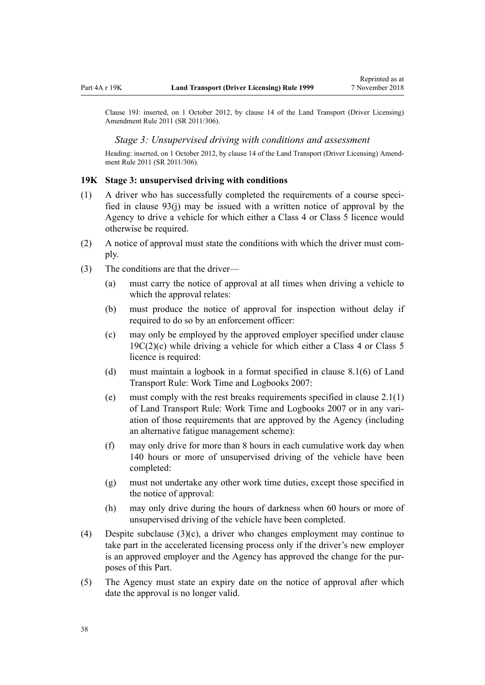<span id="page-37-0"></span>Clause 19J: inserted, on 1 October 2012, by [clause 14](http://legislation.govt.nz/pdflink.aspx?id=DLM3956511) of the Land Transport (Driver Licensing) Amendment Rule 2011 (SR 2011/306).

#### *Stage 3: Unsupervised driving with conditions and assessment*

Heading: inserted, on 1 October 2012, by [clause 14](http://legislation.govt.nz/pdflink.aspx?id=DLM3956511) of the Land Transport (Driver Licensing) Amendment Rule 2011 (SR 2011/306).

#### **19K Stage 3: unsupervised driving with conditions**

- (1) A driver who has successfully completed the requirements of a course specified in [clause 93\(j\)](#page-91-0) may be issued with a written notice of approval by the Agency to drive a vehicle for which either a Class 4 or Class 5 licence would otherwise be required.
- (2) A notice of approval must state the conditions with which the driver must comply.
- (3) The conditions are that the driver—
	- (a) must carry the notice of approval at all times when driving a vehicle to which the approval relates:
	- (b) must produce the notice of approval for inspection without delay if required to do so by an enforcement officer:
	- (c) may only be employed by the approved employer specified under [clause](#page-33-0)  $19C(2)(c)$  while driving a vehicle for which either a Class 4 or Class 5 licence is required:
	- (d) must maintain a logbook in a format specified in clause 8.1(6) of Land Transport Rule: Work Time and Logbooks 2007:
	- (e) must comply with the rest breaks requirements specified in clause 2.1(1) of Land Transport Rule: Work Time and Logbooks 2007 or in any variation of those requirements that are approved by the Agency (including an alternative fatigue management scheme):
	- (f) may only drive for more than 8 hours in each cumulative work day when 140 hours or more of unsupervised driving of the vehicle have been completed:
	- (g) must not undertake any other work time duties, except those specified in the notice of approval:
	- (h) may only drive during the hours of darkness when 60 hours or more of unsupervised driving of the vehicle have been completed.
- (4) Despite subclause (3)(c), a driver who changes employment may continue to take part in the accelerated licensing process only if the driver's new employer is an approved employer and the Agency has approved the change for the purposes of this Part.
- (5) The Agency must state an expiry date on the notice of approval after which date the approval is no longer valid.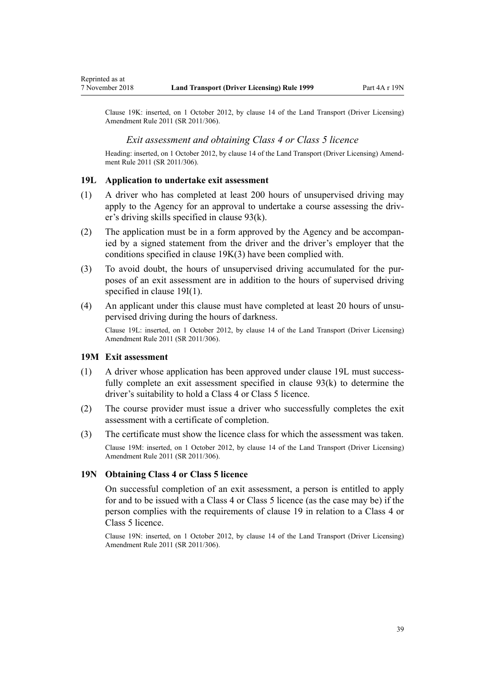Clause 19K: inserted, on 1 October 2012, by [clause 14](http://legislation.govt.nz/pdflink.aspx?id=DLM3956511) of the Land Transport (Driver Licensing) Amendment Rule 2011 (SR 2011/306).

### *Exit assessment and obtaining Class 4 or Class 5 licence*

Heading: inserted, on 1 October 2012, by [clause 14](http://legislation.govt.nz/pdflink.aspx?id=DLM3956511) of the Land Transport (Driver Licensing) Amendment Rule 2011 (SR 2011/306).

### **19L Application to undertake exit assessment**

- (1) A driver who has completed at least 200 hours of unsupervised driving may apply to the Agency for an approval to undertake a course assessing the driver's driving skills specified in [clause 93\(k\)](#page-91-0).
- (2) The application must be in a form approved by the Agency and be accompanied by a signed statement from the driver and the driver's employer that the conditions specified in [clause 19K\(3\)](#page-37-0) have been complied with.
- (3) To avoid doubt, the hours of unsupervised driving accumulated for the purposes of an exit assessment are in addition to the hours of supervised driving specified in [clause 19I\(1\).](#page-36-0)
- (4) An applicant under this clause must have completed at least 20 hours of unsupervised driving during the hours of darkness.

Clause 19L: inserted, on 1 October 2012, by [clause 14](http://legislation.govt.nz/pdflink.aspx?id=DLM3956511) of the Land Transport (Driver Licensing) Amendment Rule 2011 (SR 2011/306).

#### **19M Exit assessment**

- (1) A driver whose application has been approved under clause 19L must successfully complete an exit assessment specified in [clause 93\(k\)](#page-91-0) to determine the driver's suitability to hold a Class 4 or Class 5 licence.
- (2) The course provider must issue a driver who successfully completes the exit assessment with a certificate of completion.
- (3) The certificate must show the licence class for which the assessment was taken. Clause 19M: inserted, on 1 October 2012, by [clause 14](http://legislation.govt.nz/pdflink.aspx?id=DLM3956511) of the Land Transport (Driver Licensing) Amendment Rule 2011 (SR 2011/306).

#### **19N Obtaining Class 4 or Class 5 licence**

On successful completion of an exit assessment, a person is entitled to apply for and to be issued with a Class 4 or Class 5 licence (as the case may be) if the person complies with the requirements of [clause 19](#page-30-0) in relation to a Class 4 or Class 5 licence.

Clause 19N: inserted, on 1 October 2012, by [clause 14](http://legislation.govt.nz/pdflink.aspx?id=DLM3956511) of the Land Transport (Driver Licensing) Amendment Rule 2011 (SR 2011/306).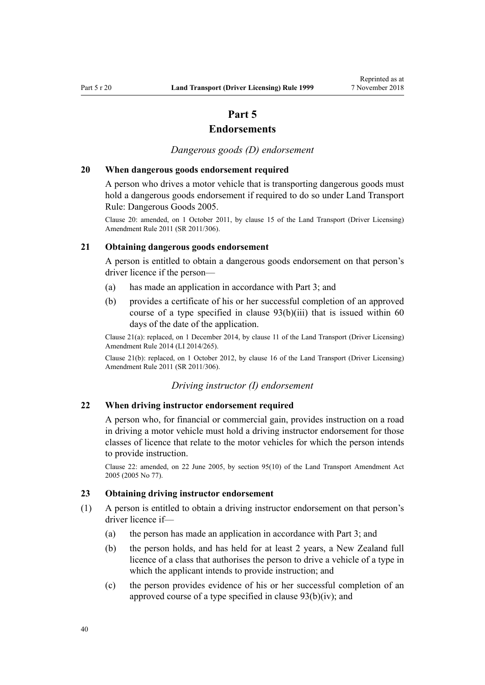# **Part 5**

# **Endorsements**

*Dangerous goods (D) endorsement*

## **20 When dangerous goods endorsement required**

A person who drives a motor vehicle that is transporting dangerous goods must hold a dangerous goods endorsement if required to do so under Land Transport Rule: Dangerous Goods 2005.

Clause 20: amended, on 1 October 2011, by [clause 15](http://legislation.govt.nz/pdflink.aspx?id=DLM3956721) of the Land Transport (Driver Licensing) Amendment Rule 2011 (SR 2011/306).

## **21 Obtaining dangerous goods endorsement**

A person is entitled to obtain a dangerous goods endorsement on that person's driver licence if the person—

- (a) has made an application in accordance with [Part 3;](#page-21-0) and
- (b) provides a certificate of his or her successful completion of an approved course of a type specified in [clause 93\(b\)\(iii\)](#page-91-0) that is issued within 60 days of the date of the application.

Clause 21(a): replaced, on 1 December 2014, by [clause 11](http://legislation.govt.nz/pdflink.aspx?id=DLM6216924) of the Land Transport (Driver Licensing) Amendment Rule 2014 (LI 2014/265).

Clause 21(b): replaced, on 1 October 2012, by [clause 16](http://legislation.govt.nz/pdflink.aspx?id=DLM3956513) of the Land Transport (Driver Licensing) Amendment Rule 2011 (SR 2011/306).

#### *Driving instructor (I) endorsement*

## **22 When driving instructor endorsement required**

A person who, for financial or commercial gain, provides instruction on a road in driving a motor vehicle must hold a driving instructor endorsement for those classes of licence that relate to the motor vehicles for which the person intends to provide instruction.

Clause 22: amended, on 22 June 2005, by [section 95\(10\)](http://legislation.govt.nz/pdflink.aspx?id=DLM353501) of the Land Transport Amendment Act 2005 (2005 No 77).

## **23 Obtaining driving instructor endorsement**

- (1) A person is entitled to obtain a driving instructor endorsement on that person's driver licence if—
	- (a) the person has made an application in accordance with [Part 3](#page-21-0); and
	- (b) the person holds, and has held for at least 2 years, a New Zealand full licence of a class that authorises the person to drive a vehicle of a type in which the applicant intends to provide instruction; and
	- (c) the person provides evidence of his or her successful completion of an approved course of a type specified in [clause 93\(b\)\(iv\)](#page-91-0); and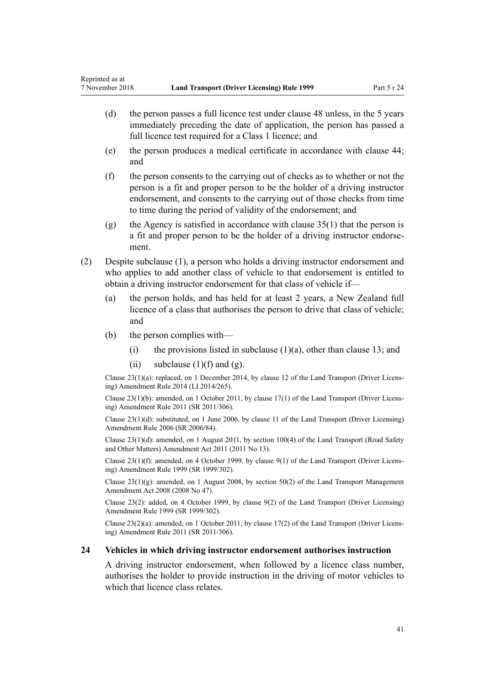- (d) the person passes a full licence test under [clause 48](#page-55-0) unless, in the 5 years immediately preceding the date of application, the person has passed a full licence test required for a Class 1 licence; and
- (e) the person produces a medical certificate in accordance with [clause 44;](#page-52-0) and
- (f) the person consents to the carrying out of checks as to whether or not the person is a fit and proper person to be the holder of a driving instructor endorsement, and consents to the carrying out of those checks from time to time during the period of validity of the endorsement; and
- (g) the Agency is satisfied in accordance with clause  $35(1)$  that the person is a fit and proper person to be the holder of a driving instructor endorsement.
- (2) Despite subclause (1), a person who holds a driving instructor endorsement and who applies to add another class of vehicle to that endorsement is entitled to obtain a driving instructor endorsement for that class of vehicle if—
	- (a) the person holds, and has held for at least 2 years, a New Zealand full licence of a class that authorises the person to drive that class of vehicle; and
	- (b) the person complies with—
		- (i) the provisions listed in subclause  $(1)(a)$ , other than [clause 13](#page-24-0); and
		- (ii) subclause  $(1)(f)$  and  $(g)$ .

Clause 23(1)(a): replaced, on 1 December 2014, by [clause 12](http://legislation.govt.nz/pdflink.aspx?id=DLM6216925) of the Land Transport (Driver Licensing) Amendment Rule 2014 (LI 2014/265).

Clause 23(1)(b): amended, on 1 October 2011, by [clause 17\(1\)](http://legislation.govt.nz/pdflink.aspx?id=DLM3956722) of the Land Transport (Driver Licensing) Amendment Rule 2011 (SR 2011/306).

Clause 23(1)(d): substituted, on 1 June 2006, by [clause 11](http://legislation.govt.nz/pdflink.aspx?id=DLM375696) of the Land Transport (Driver Licensing) Amendment Rule 2006 (SR 2006/84).

Clause 23(1)(d): amended, on 1 August 2011, by [section 100\(4\)](http://legislation.govt.nz/pdflink.aspx?id=DLM3231293) of the Land Transport (Road Safety and Other Matters) Amendment Act 2011 (2011 No 13).

Clause 23(1)(f): amended, on 4 October 1999, by [clause 9\(1\)](http://legislation.govt.nz/pdflink.aspx?id=DLM293677) of the Land Transport (Driver Licensing) Amendment Rule 1999 (SR 1999/302).

Clause 23(1)(g): amended, on 1 August 2008, by [section 50\(2\)](http://legislation.govt.nz/pdflink.aspx?id=DLM1313622) of the Land Transport Management Amendment Act 2008 (2008 No 47).

Clause 23(2): added, on 4 October 1999, by [clause 9\(2\)](http://legislation.govt.nz/pdflink.aspx?id=DLM293677) of the Land Transport (Driver Licensing) Amendment Rule 1999 (SR 1999/302).

Clause 23(2)(a): amended, on 1 October 2011, by [clause 17\(2\)](http://legislation.govt.nz/pdflink.aspx?id=DLM3956722) of the Land Transport (Driver Licensing) Amendment Rule 2011 (SR 2011/306).

#### **24 Vehicles in which driving instructor endorsement authorises instruction**

A driving instructor endorsement, when followed by a licence class number, authorises the holder to provide instruction in the driving of motor vehicles to which that licence class relates.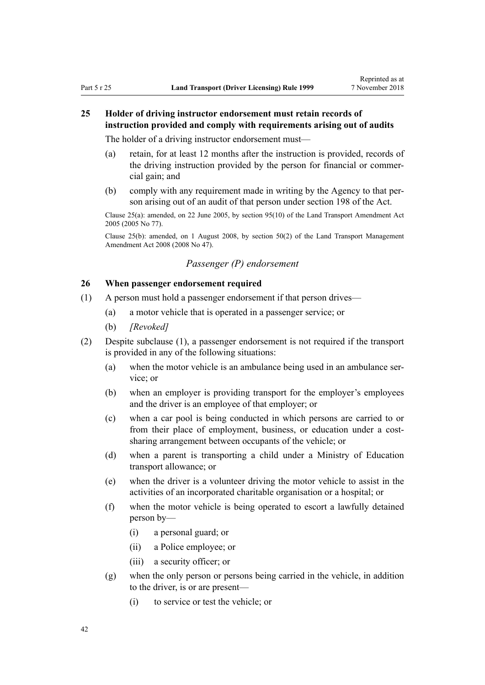# **25 Holder of driving instructor endorsement must retain records of instruction provided and comply with requirements arising out of audits**

The holder of a driving instructor endorsement must—

- (a) retain, for at least 12 months after the instruction is provided, records of the driving instruction provided by the person for financial or commercial gain; and
- (b) comply with any requirement made in writing by the Agency to that person arising out of an audit of that person under [section 198](http://legislation.govt.nz/pdflink.aspx?id=DLM435602) of the Act.

Clause 25(a): amended, on 22 June 2005, by [section 95\(10\)](http://legislation.govt.nz/pdflink.aspx?id=DLM353501) of the Land Transport Amendment Act 2005 (2005 No 77).

Clause 25(b): amended, on 1 August 2008, by [section 50\(2\)](http://legislation.govt.nz/pdflink.aspx?id=DLM1313622) of the Land Transport Management Amendment Act 2008 (2008 No 47).

# *Passenger (P) endorsement*

# **26 When passenger endorsement required**

- (1) A person must hold a passenger endorsement if that person drives—
	- (a) a motor vehicle that is operated in a passenger service; or
	- (b) *[Revoked]*
- (2) Despite subclause (1), a passenger endorsement is not required if the transport is provided in any of the following situations:
	- (a) when the motor vehicle is an ambulance being used in an ambulance service; or
	- (b) when an employer is providing transport for the employer's employees and the driver is an employee of that employer; or
	- (c) when a car pool is being conducted in which persons are carried to or from their place of employment, business, or education under a costsharing arrangement between occupants of the vehicle; or
	- (d) when a parent is transporting a child under a Ministry of Education transport allowance; or
	- (e) when the driver is a volunteer driving the motor vehicle to assist in the activities of an incorporated charitable organisation or a hospital; or
	- (f) when the motor vehicle is being operated to escort a lawfully detained person by—
		- (i) a personal guard; or
		- (ii) a Police employee; or
		- (iii) a security officer; or
	- (g) when the only person or persons being carried in the vehicle, in addition to the driver, is or are present—
		- (i) to service or test the vehicle; or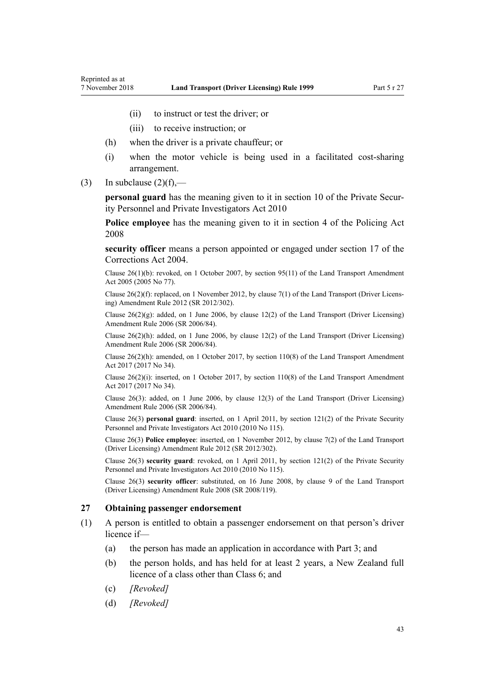- (ii) to instruct or test the driver; or
- (iii) to receive instruction; or
- (h) when the driver is a private chauffeur; or
- (i) when the motor vehicle is being used in a facilitated cost-sharing arrangement.
- (3) In subclause  $(2)(f)$ ,—

**personal guard** has the meaning given to it in [section 10](http://legislation.govt.nz/pdflink.aspx?id=DLM1594507) of the Private Security Personnel and Private Investigators Act 2010

**Police employee** has the meaning given to it in [section 4](http://legislation.govt.nz/pdflink.aspx?id=DLM1102132) of the Policing Act 2008

**security officer** means a person appointed or engaged under [section 17](http://legislation.govt.nz/pdflink.aspx?id=DLM295415) of the Corrections Act 2004.

Clause 26(1)(b): revoked, on 1 October 2007, by [section 95\(11\)](http://legislation.govt.nz/pdflink.aspx?id=DLM353501) of the Land Transport Amendment Act 2005 (2005 No 77).

Clause 26(2)(f): replaced, on 1 November 2012, by [clause 7\(1\)](http://legislation.govt.nz/pdflink.aspx?id=DLM4773437) of the Land Transport (Driver Licensing) Amendment Rule 2012 (SR 2012/302).

Clause 26(2)(g): added, on 1 June 2006, by [clause 12\(2\)](http://legislation.govt.nz/pdflink.aspx?id=DLM375697) of the Land Transport (Driver Licensing) Amendment Rule 2006 (SR 2006/84).

Clause  $26(2)(h)$ : added, on 1 June 2006, by [clause 12\(2\)](http://legislation.govt.nz/pdflink.aspx?id=DLM375697) of the Land Transport (Driver Licensing) Amendment Rule 2006 (SR 2006/84).

Clause 26(2)(h): amended, on 1 October 2017, by [section 110\(8\)](http://legislation.govt.nz/pdflink.aspx?id=DLM6960929) of the Land Transport Amendment Act 2017 (2017 No 34).

Clause 26(2)(i): inserted, on 1 October 2017, by [section 110\(8\)](http://legislation.govt.nz/pdflink.aspx?id=DLM6960929) of the Land Transport Amendment Act 2017 (2017 No 34).

Clause 26(3): added, on 1 June 2006, by [clause 12\(3\)](http://legislation.govt.nz/pdflink.aspx?id=DLM375697) of the Land Transport (Driver Licensing) Amendment Rule 2006 (SR 2006/84).

Clause 26(3) **personal guard**: inserted, on 1 April 2011, by [section 121\(2\)](http://legislation.govt.nz/pdflink.aspx?id=DLM1594656) of the Private Security Personnel and Private Investigators Act 2010 (2010 No 115).

Clause 26(3) **Police employee**: inserted, on 1 November 2012, by [clause 7\(2\)](http://legislation.govt.nz/pdflink.aspx?id=DLM4773437) of the Land Transport (Driver Licensing) Amendment Rule 2012 (SR 2012/302).

Clause 26(3) **security guard**: revoked, on 1 April 2011, by [section 121\(2\)](http://legislation.govt.nz/pdflink.aspx?id=DLM1594656) of the Private Security Personnel and Private Investigators Act 2010 (2010 No 115).

Clause 26(3) **security officer**: substituted, on 16 June 2008, by [clause 9](http://legislation.govt.nz/pdflink.aspx?id=DLM1317912) of the Land Transport (Driver Licensing) Amendment Rule 2008 (SR 2008/119).

## **27 Obtaining passenger endorsement**

- (1) A person is entitled to obtain a passenger endorsement on that person's driver licence if—
	- (a) the person has made an application in accordance with [Part 3](#page-21-0); and
	- (b) the person holds, and has held for at least 2 years, a New Zealand full licence of a class other than Class 6; and
	- (c) *[Revoked]*
	- (d) *[Revoked]*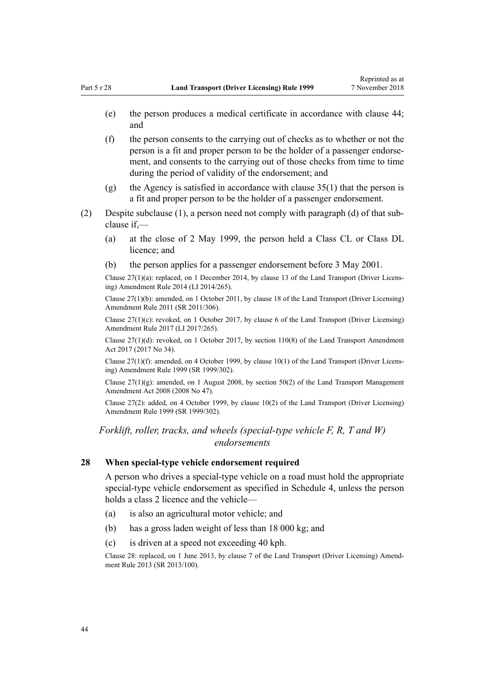- (e) the person produces a medical certificate in accordance with [clause 44;](#page-52-0) and
- (f) the person consents to the carrying out of checks as to whether or not the person is a fit and proper person to be the holder of a passenger endorsement, and consents to the carrying out of those checks from time to time during the period of validity of the endorsement; and
- (g) the Agency is satisfied in accordance with [clause 35\(1\)](#page-46-0) that the person is a fit and proper person to be the holder of a passenger endorsement.
- (2) Despite subclause (1), a person need not comply with paragraph (d) of that subclause if,—
	- (a) at the close of 2 May 1999, the person held a Class CL or Class DL licence; and
	- (b) the person applies for a passenger endorsement before 3 May 2001.

Clause 27(1)(a): replaced, on 1 December 2014, by [clause 13](http://legislation.govt.nz/pdflink.aspx?id=DLM6216926) of the Land Transport (Driver Licensing) Amendment Rule 2014 (LI 2014/265).

Clause 27(1)(b): amended, on 1 October 2011, by [clause 18](http://legislation.govt.nz/pdflink.aspx?id=DLM3956723) of the Land Transport (Driver Licensing) Amendment Rule 2011 (SR 2011/306).

Clause  $27(1)(c)$ : revoked, on 1 October 2017, by [clause 6](http://legislation.govt.nz/pdflink.aspx?id=DLM7420930) of the Land Transport (Driver Licensing) Amendment Rule 2017 (LI 2017/265).

Clause  $27(1)(d)$ : revoked, on 1 October 2017, by [section 110\(8\)](http://legislation.govt.nz/pdflink.aspx?id=DLM6960929) of the Land Transport Amendment Act 2017 (2017 No 34).

Clause 27(1)(f): amended, on 4 October 1999, by [clause 10\(1\)](http://legislation.govt.nz/pdflink.aspx?id=DLM293678) of the Land Transport (Driver Licensing) Amendment Rule 1999 (SR 1999/302).

Clause  $27(1)(g)$ : amended, on 1 August 2008, by [section 50\(2\)](http://legislation.govt.nz/pdflink.aspx?id=DLM1313622) of the Land Transport Management Amendment Act 2008 (2008 No 47).

Clause 27(2): added, on 4 October 1999, by [clause 10\(2\)](http://legislation.govt.nz/pdflink.aspx?id=DLM293678) of the Land Transport (Driver Licensing) Amendment Rule 1999 (SR 1999/302).

*Forklift, roller, tracks, and wheels (special-type vehicle F, R, T and W) endorsements*

## **28 When special-type vehicle endorsement required**

A person who drives a special-type vehicle on a road must hold the appropriate special-type vehicle endorsement as specified in [Schedule 4](#page-113-0), unless the person holds a class 2 licence and the vehicle—

- (a) is also an agricultural motor vehicle; and
- (b) has a gross laden weight of less than 18 000 kg; and
- (c) is driven at a speed not exceeding 40 kph.

Clause 28: replaced, on 1 June 2013, by [clause 7](http://legislation.govt.nz/pdflink.aspx?id=DLM5102242) of the Land Transport (Driver Licensing) Amendment Rule 2013 (SR 2013/100).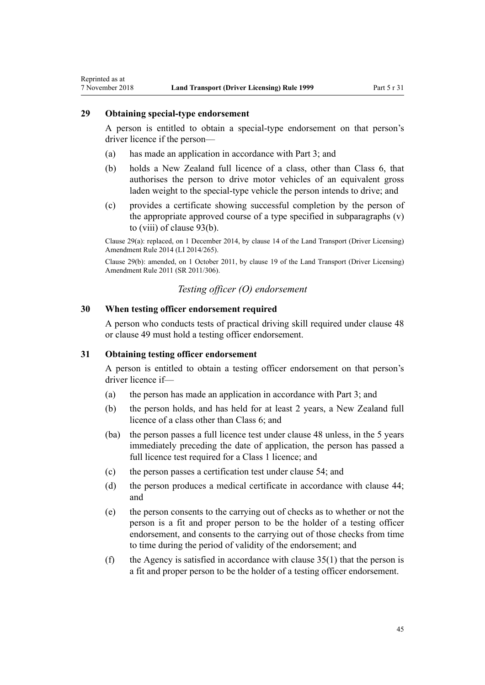## **29 Obtaining special-type endorsement**

Reprinted as at

A person is entitled to obtain a special-type endorsement on that person's driver licence if the person—

- (a) has made an application in accordance with [Part 3;](#page-21-0) and
- (b) holds a New Zealand full licence of a class, other than Class 6, that authorises the person to drive motor vehicles of an equivalent gross laden weight to the special-type vehicle the person intends to drive; and
- (c) provides a certificate showing successful completion by the person of the appropriate approved course of a type specified in subparagraphs (v) to (viii) of [clause 93\(b\).](#page-91-0)

Clause 29(a): replaced, on 1 December 2014, by [clause 14](http://legislation.govt.nz/pdflink.aspx?id=DLM6216927) of the Land Transport (Driver Licensing) Amendment Rule 2014 (LI 2014/265).

Clause 29(b): amended, on 1 October 2011, by [clause 19](http://legislation.govt.nz/pdflink.aspx?id=DLM3956724) of the Land Transport (Driver Licensing) Amendment Rule 2011 (SR 2011/306).

# *Testing officer (O) endorsement*

## **30 When testing officer endorsement required**

A person who conducts tests of practical driving skill required under [clause 48](#page-55-0) or [clause 49](#page-55-0) must hold a testing officer endorsement.

## **31 Obtaining testing officer endorsement**

A person is entitled to obtain a testing officer endorsement on that person's driver licence if—

- (a) the person has made an application in accordance with [Part 3](#page-21-0); and
- (b) the person holds, and has held for at least 2 years, a New Zealand full licence of a class other than Class 6; and
- (ba) the person passes a full licence test under [clause 48](#page-55-0) unless, in the 5 years immediately preceding the date of application, the person has passed a full licence test required for a Class 1 licence; and
- (c) the person passes a certification test under [clause 54](#page-57-0); and
- (d) the person produces a medical certificate in accordance with [clause 44;](#page-52-0) and
- (e) the person consents to the carrying out of checks as to whether or not the person is a fit and proper person to be the holder of a testing officer endorsement, and consents to the carrying out of those checks from time to time during the period of validity of the endorsement; and
- (f) the Agency is satisfied in accordance with clause  $35(1)$  that the person is a fit and proper person to be the holder of a testing officer endorsement.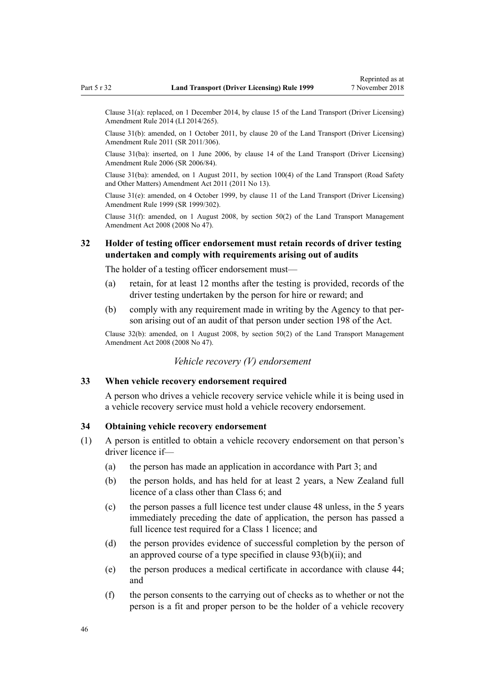Clause 31(a): replaced, on 1 December 2014, by [clause 15](http://legislation.govt.nz/pdflink.aspx?id=DLM6216928) of the Land Transport (Driver Licensing) Amendment Rule 2014 (LI 2014/265).

Clause 31(b): amended, on 1 October 2011, by [clause 20](http://legislation.govt.nz/pdflink.aspx?id=DLM3956725) of the Land Transport (Driver Licensing) Amendment Rule 2011 (SR 2011/306).

Clause 31(ba): inserted, on 1 June 2006, by [clause 14](http://legislation.govt.nz/pdflink.aspx?id=DLM376103) of the Land Transport (Driver Licensing) Amendment Rule 2006 (SR 2006/84).

Clause 31(ba): amended, on 1 August 2011, by [section 100\(4\)](http://legislation.govt.nz/pdflink.aspx?id=DLM3231293) of the Land Transport (Road Safety and Other Matters) Amendment Act 2011 (2011 No 13).

Clause 31(e): amended, on 4 October 1999, by [clause 11](http://legislation.govt.nz/pdflink.aspx?id=DLM293679) of the Land Transport (Driver Licensing) Amendment Rule 1999 (SR 1999/302).

Clause 31(f): amended, on 1 August 2008, by [section 50\(2\)](http://legislation.govt.nz/pdflink.aspx?id=DLM1313622) of the Land Transport Management Amendment Act 2008 (2008 No 47).

# **32 Holder of testing officer endorsement must retain records of driver testing undertaken and comply with requirements arising out of audits**

The holder of a testing officer endorsement must—

- (a) retain, for at least 12 months after the testing is provided, records of the driver testing undertaken by the person for hire or reward; and
- (b) comply with any requirement made in writing by the Agency to that person arising out of an audit of that person under [section 198](http://legislation.govt.nz/pdflink.aspx?id=DLM435602) of the Act.

Clause 32(b): amended, on 1 August 2008, by [section 50\(2\)](http://legislation.govt.nz/pdflink.aspx?id=DLM1313622) of the Land Transport Management Amendment Act 2008 (2008 No 47).

# *Vehicle recovery (V) endorsement*

## **33 When vehicle recovery endorsement required**

A person who drives a vehicle recovery service vehicle while it is being used in a vehicle recovery service must hold a vehicle recovery endorsement.

## **34 Obtaining vehicle recovery endorsement**

- (1) A person is entitled to obtain a vehicle recovery endorsement on that person's driver licence if—
	- (a) the person has made an application in accordance with [Part 3](#page-21-0); and
	- (b) the person holds, and has held for at least 2 years, a New Zealand full licence of a class other than Class 6; and
	- (c) the person passes a full licence test under [clause 48](#page-55-0) unless, in the 5 years immediately preceding the date of application, the person has passed a full licence test required for a Class 1 licence; and
	- (d) the person provides evidence of successful completion by the person of an approved course of a type specified in [clause 93\(b\)\(ii\)](#page-91-0); and
	- (e) the person produces a medical certificate in accordance with [clause 44;](#page-52-0) and
	- (f) the person consents to the carrying out of checks as to whether or not the person is a fit and proper person to be the holder of a vehicle recovery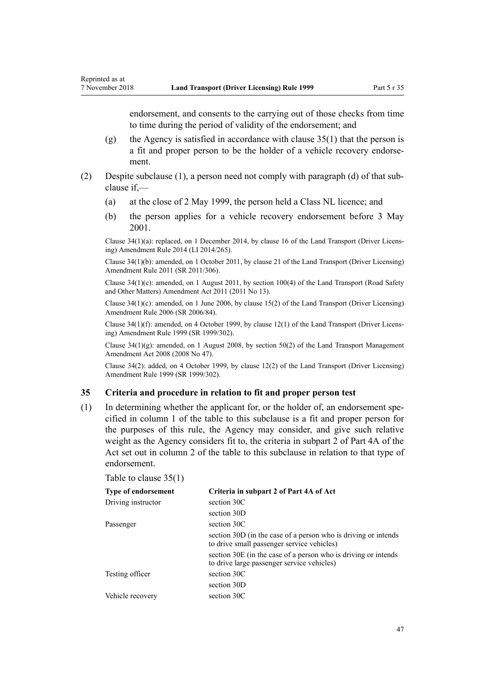<span id="page-46-0"></span>endorsement, and consents to the carrying out of those checks from time to time during the period of validity of the endorsement; and

- (g) the Agency is satisfied in accordance with clause  $35(1)$  that the person is a fit and proper person to be the holder of a vehicle recovery endorsement.
- (2) Despite subclause (1), a person need not comply with paragraph (d) of that subclause if,—
	- (a) at the close of 2 May 1999, the person held a Class NL licence; and
	- (b) the person applies for a vehicle recovery endorsement before 3 May 2001.

Clause 34(1)(a): replaced, on 1 December 2014, by [clause 16](http://legislation.govt.nz/pdflink.aspx?id=DLM6216929) of the Land Transport (Driver Licensing) Amendment Rule 2014 (LI 2014/265).

Clause 34(1)(b): amended, on 1 October 2011, by [clause 21](http://legislation.govt.nz/pdflink.aspx?id=DLM3956726) of the Land Transport (Driver Licensing) Amendment Rule 2011 (SR 2011/306).

Clause 34(1)(c): amended, on 1 August 2011, by [section 100\(4\)](http://legislation.govt.nz/pdflink.aspx?id=DLM3231293) of the Land Transport (Road Safety and Other Matters) Amendment Act 2011 (2011 No 13).

Clause 34(1)(c): amended, on 1 June 2006, by [clause 15\(2\)](http://legislation.govt.nz/pdflink.aspx?id=DLM376104) of the Land Transport (Driver Licensing) Amendment Rule 2006 (SR 2006/84).

Clause 34(1)(f): amended, on 4 October 1999, by [clause 12\(1\)](http://legislation.govt.nz/pdflink.aspx?id=DLM293680) of the Land Transport (Driver Licensing) Amendment Rule 1999 (SR 1999/302).

Clause 34(1)(g): amended, on 1 August 2008, by [section 50\(2\)](http://legislation.govt.nz/pdflink.aspx?id=DLM1313622) of the Land Transport Management Amendment Act 2008 (2008 No 47).

Clause 34(2): added, on 4 October 1999, by [clause 12\(2\)](http://legislation.govt.nz/pdflink.aspx?id=DLM293680) of the Land Transport (Driver Licensing) Amendment Rule 1999 (SR 1999/302).

#### **35 Criteria and procedure in relation to fit and proper person test**

(1) In determining whether the applicant for, or the holder of, an endorsement specified in column 1 of the table to this subclause is a fit and proper person for the purposes of this rule, the Agency may consider, and give such relative weight as the Agency considers fit to, the criteria in subpart 2 of [Part 4A](http://legislation.govt.nz/pdflink.aspx?id=DLM434587) of the Act set out in column 2 of the table to this subclause in relation to that type of endorsement.

| Table to clause $35(1)$ |  |  |  |  |  |
|-------------------------|--|--|--|--|--|
|-------------------------|--|--|--|--|--|

| <b>Type of endorsement</b> | Criteria in subpart 2 of Part 4A of Act                                                                      |
|----------------------------|--------------------------------------------------------------------------------------------------------------|
| Driving instructor         | section 30C                                                                                                  |
|                            | section 30D                                                                                                  |
| Passenger                  | section 30C                                                                                                  |
|                            | section 30D (in the case of a person who is driving or intends<br>to drive small passenger service vehicles) |
|                            | section 30E (in the case of a person who is driving or intends<br>to drive large passenger service vehicles) |
| Testing officer            | section 30C                                                                                                  |
|                            | section 30D                                                                                                  |
| Vehicle recovery           | section 30C                                                                                                  |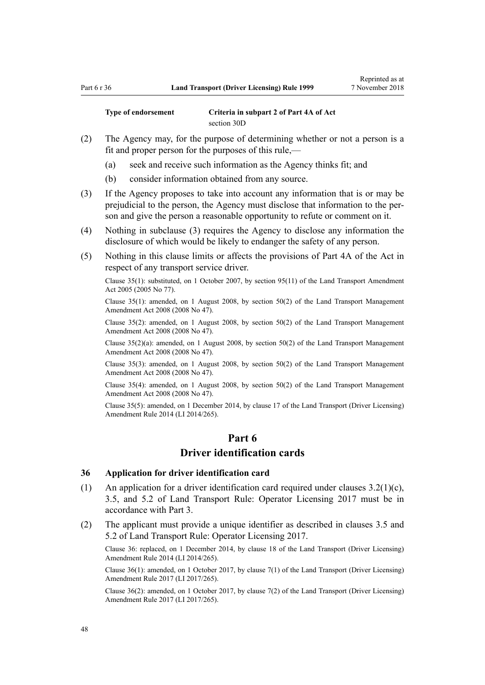**Type of endorsement Criteria in subpart 2 of [Part 4A](http://legislation.govt.nz/pdflink.aspx?id=DLM434587) of Act** [section 30D](http://legislation.govt.nz/pdflink.aspx?id=DLM434594)

- (2) The Agency may, for the purpose of determining whether or not a person is a fit and proper person for the purposes of this rule,—
	- (a) seek and receive such information as the Agency thinks fit; and
	- (b) consider information obtained from any source.
- (3) If the Agency proposes to take into account any information that is or may be prejudicial to the person, the Agency must disclose that information to the person and give the person a reasonable opportunity to refute or comment on it.
- (4) Nothing in subclause (3) requires the Agency to disclose any information the disclosure of which would be likely to endanger the safety of any person.
- (5) Nothing in this clause limits or affects the provisions of [Part 4A](http://legislation.govt.nz/pdflink.aspx?id=DLM434587) of the Act in respect of any transport service driver.

Clause 35(1): substituted, on 1 October 2007, by [section 95\(11\)](http://legislation.govt.nz/pdflink.aspx?id=DLM353501) of the Land Transport Amendment Act 2005 (2005 No 77).

Clause 35(1): amended, on 1 August 2008, by [section 50\(2\)](http://legislation.govt.nz/pdflink.aspx?id=DLM1313622) of the Land Transport Management Amendment Act 2008 (2008 No 47).

Clause 35(2): amended, on 1 August 2008, by [section 50\(2\)](http://legislation.govt.nz/pdflink.aspx?id=DLM1313622) of the Land Transport Management Amendment Act 2008 (2008 No 47).

Clause 35(2)(a): amended, on 1 August 2008, by [section 50\(2\)](http://legislation.govt.nz/pdflink.aspx?id=DLM1313622) of the Land Transport Management Amendment Act 2008 (2008 No 47).

Clause 35(3): amended, on 1 August 2008, by [section 50\(2\)](http://legislation.govt.nz/pdflink.aspx?id=DLM1313622) of the Land Transport Management Amendment Act 2008 (2008 No 47).

Clause 35(4): amended, on 1 August 2008, by [section 50\(2\)](http://legislation.govt.nz/pdflink.aspx?id=DLM1313622) of the Land Transport Management Amendment Act 2008 (2008 No 47).

Clause 35(5): amended, on 1 December 2014, by [clause 17](http://legislation.govt.nz/pdflink.aspx?id=DLM6216930) of the Land Transport (Driver Licensing) Amendment Rule 2014 (LI 2014/265).

# **Part 6 Driver identification cards**

### **36 Application for driver identification card**

- (1) An application for a driver identification card required under clauses 3.2(1)(c), 3.5, and 5.2 of Land Transport Rule: Operator Licensing 2017 must be in accordance with [Part 3](#page-21-0).
- (2) The applicant must provide a unique identifier as described in clauses 3.5 and 5.2 of Land Transport Rule: Operator Licensing 2017.

Clause 36: replaced, on 1 December 2014, by [clause 18](http://legislation.govt.nz/pdflink.aspx?id=DLM6216931) of the Land Transport (Driver Licensing) Amendment Rule 2014 (LI 2014/265).

Clause 36(1): amended, on 1 October 2017, by [clause 7\(1\)](http://legislation.govt.nz/pdflink.aspx?id=DLM7420931) of the Land Transport (Driver Licensing) Amendment Rule 2017 (LI 2017/265).

Clause 36(2): amended, on 1 October 2017, by [clause 7\(2\)](http://legislation.govt.nz/pdflink.aspx?id=DLM7420931) of the Land Transport (Driver Licensing) Amendment Rule 2017 (LI 2017/265).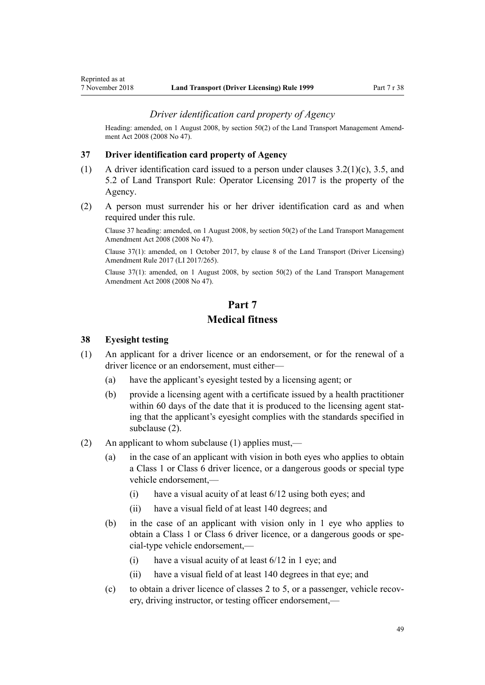### *Driver identification card property of Agency*

<span id="page-48-0"></span>Heading: amended, on 1 August 2008, by [section 50\(2\)](http://legislation.govt.nz/pdflink.aspx?id=DLM1313622) of the Land Transport Management Amendment Act 2008 (2008 No 47).

### **37 Driver identification card property of Agency**

- (1) A driver identification card issued to a person under clauses 3.2(1)(c), 3.5, and 5.2 of Land Transport Rule: Operator Licensing 2017 is the property of the Agency.
- (2) A person must surrender his or her driver identification card as and when required under this rule.

Clause 37 heading: amended, on 1 August 2008, by [section 50\(2\)](http://legislation.govt.nz/pdflink.aspx?id=DLM1313622) of the Land Transport Management Amendment Act 2008 (2008 No 47).

Clause 37(1): amended, on 1 October 2017, by [clause 8](http://legislation.govt.nz/pdflink.aspx?id=DLM7420932) of the Land Transport (Driver Licensing) Amendment Rule 2017 (LI 2017/265).

Clause 37(1): amended, on 1 August 2008, by [section 50\(2\)](http://legislation.govt.nz/pdflink.aspx?id=DLM1313622) of the Land Transport Management Amendment Act 2008 (2008 No 47).

# **Part 7 Medical fitness**

#### **38 Eyesight testing**

- (1) An applicant for a driver licence or an endorsement, or for the renewal of a driver licence or an endorsement, must either—
	- (a) have the applicant's eyesight tested by a licensing agent; or
	- (b) provide a licensing agent with a certificate issued by a health practitioner within 60 days of the date that it is produced to the licensing agent stating that the applicant's eyesight complies with the standards specified in subclause (2).
- (2) An applicant to whom subclause (1) applies must,—
	- (a) in the case of an applicant with vision in both eyes who applies to obtain a Class 1 or Class 6 driver licence, or a dangerous goods or special type vehicle endorsement,—
		- (i) have a visual acuity of at least 6/12 using both eyes; and
		- (ii) have a visual field of at least 140 degrees; and
	- (b) in the case of an applicant with vision only in 1 eye who applies to obtain a Class 1 or Class 6 driver licence, or a dangerous goods or special-type vehicle endorsement,—
		- (i) have a visual acuity of at least  $6/12$  in 1 eye; and
		- (ii) have a visual field of at least 140 degrees in that eye; and
	- (c) to obtain a driver licence of classes 2 to 5, or a passenger, vehicle recovery, driving instructor, or testing officer endorsement,—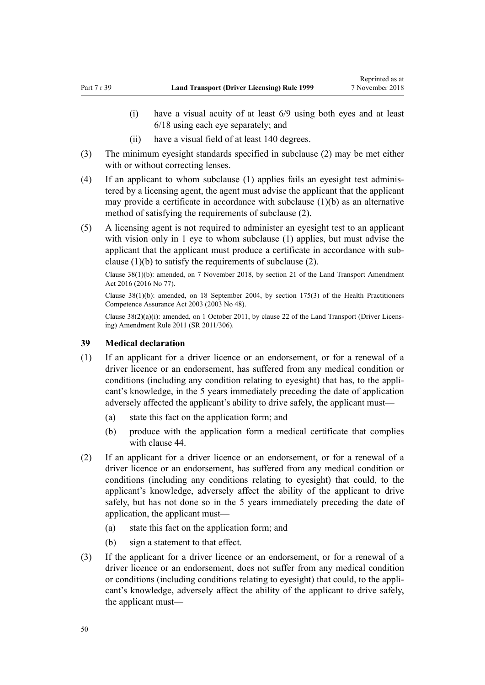- (i) have a visual acuity of at least 6/9 using both eyes and at least 6/18 using each eye separately; and
- (ii) have a visual field of at least 140 degrees.
- (3) The minimum eyesight standards specified in subclause (2) may be met either with or without correcting lenses.
- (4) If an applicant to whom subclause (1) applies fails an eyesight test administered by a licensing agent, the agent must advise the applicant that the applicant may provide a certificate in accordance with subclause (1)(b) as an alternative method of satisfying the requirements of subclause (2).
- (5) A licensing agent is not required to administer an eyesight test to an applicant with vision only in 1 eye to whom subclause (1) applies, but must advise the applicant that the applicant must produce a certificate in accordance with subclause (1)(b) to satisfy the requirements of subclause (2).

Clause 38(1)(b): amended, on 7 November 2018, by [section 21](http://legislation.govt.nz/pdflink.aspx?id=DLM6984133) of the Land Transport Amendment Act 2016 (2016 No 77).

Clause 38(1)(b): amended, on 18 September 2004, by [section 175\(3\)](http://legislation.govt.nz/pdflink.aspx?id=DLM205009) of the Health Practitioners Competence Assurance Act 2003 (2003 No 48).

Clause 38(2)(a)(i): amended, on 1 October 2011, by [clause 22](http://legislation.govt.nz/pdflink.aspx?id=DLM3956727) of the Land Transport (Driver Licensing) Amendment Rule 2011 (SR 2011/306).

## **39 Medical declaration**

- (1) If an applicant for a driver licence or an endorsement, or for a renewal of a driver licence or an endorsement, has suffered from any medical condition or conditions (including any condition relating to eyesight) that has, to the applicant's knowledge, in the 5 years immediately preceding the date of application adversely affected the applicant's ability to drive safely, the applicant must—
	- (a) state this fact on the application form; and
	- (b) produce with the application form a medical certificate that complies with [clause 44.](#page-52-0)
- (2) If an applicant for a driver licence or an endorsement, or for a renewal of a driver licence or an endorsement, has suffered from any medical condition or conditions (including any conditions relating to eyesight) that could, to the applicant's knowledge, adversely affect the ability of the applicant to drive safely, but has not done so in the 5 years immediately preceding the date of application, the applicant must—
	- (a) state this fact on the application form; and
	- (b) sign a statement to that effect.
- (3) If the applicant for a driver licence or an endorsement, or for a renewal of a driver licence or an endorsement, does not suffer from any medical condition or conditions (including conditions relating to eyesight) that could, to the applicant's knowledge, adversely affect the ability of the applicant to drive safely, the applicant must—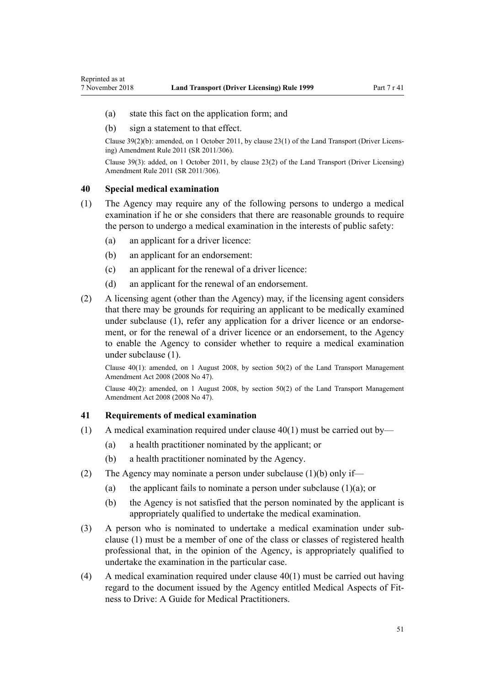- <span id="page-50-0"></span>(a) state this fact on the application form; and
- (b) sign a statement to that effect.

Clause 39(2)(b): amended, on 1 October 2011, by [clause 23\(1\)](http://legislation.govt.nz/pdflink.aspx?id=DLM3956728) of the Land Transport (Driver Licensing) Amendment Rule 2011 (SR 2011/306).

Clause 39(3): added, on 1 October 2011, by [clause 23\(2\)](http://legislation.govt.nz/pdflink.aspx?id=DLM3956728) of the Land Transport (Driver Licensing) Amendment Rule 2011 (SR 2011/306).

## **40 Special medical examination**

- (1) The Agency may require any of the following persons to undergo a medical examination if he or she considers that there are reasonable grounds to require the person to undergo a medical examination in the interests of public safety:
	- (a) an applicant for a driver licence:
	- (b) an applicant for an endorsement:
	- (c) an applicant for the renewal of a driver licence:
	- (d) an applicant for the renewal of an endorsement.
- (2) A licensing agent (other than the Agency) may, if the licensing agent considers that there may be grounds for requiring an applicant to be medically examined under subclause (1), refer any application for a driver licence or an endorsement, or for the renewal of a driver licence or an endorsement, to the Agency to enable the Agency to consider whether to require a medical examination under subclause (1).

Clause 40(1): amended, on 1 August 2008, by [section 50\(2\)](http://legislation.govt.nz/pdflink.aspx?id=DLM1313622) of the Land Transport Management Amendment Act 2008 (2008 No 47).

Clause 40(2): amended, on 1 August 2008, by [section 50\(2\)](http://legislation.govt.nz/pdflink.aspx?id=DLM1313622) of the Land Transport Management Amendment Act 2008 (2008 No 47).

### **41 Requirements of medical examination**

- (1) A medical examination required under clause  $40(1)$  must be carried out by—
	- (a) a health practitioner nominated by the applicant; or
	- (b) a health practitioner nominated by the Agency.
- (2) The Agency may nominate a person under subclause (1)(b) only if—
	- (a) the applicant fails to nominate a person under subclause  $(1)(a)$ ; or
	- (b) the Agency is not satisfied that the person nominated by the applicant is appropriately qualified to undertake the medical examination.
- (3) A person who is nominated to undertake a medical examination under subclause (1) must be a member of one of the class or classes of registered health professional that, in the opinion of the Agency, is appropriately qualified to undertake the examination in the particular case.
- (4) A medical examination required under clause 40(1) must be carried out having regard to the document issued by the Agency entitled Medical Aspects of Fitness to Drive: A Guide for Medical Practitioners.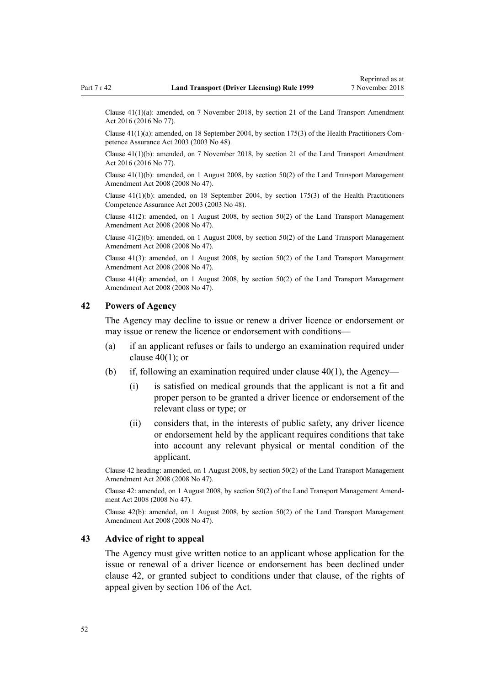Clause 41(1)(a): amended, on 7 November 2018, by [section 21](http://legislation.govt.nz/pdflink.aspx?id=DLM6984133) of the Land Transport Amendment Act 2016 (2016 No 77).

Clause 41(1)(a): amended, on 18 September 2004, by [section 175\(3\)](http://legislation.govt.nz/pdflink.aspx?id=DLM205009) of the Health Practitioners Competence Assurance Act 2003 (2003 No 48).

Clause 41(1)(b): amended, on 7 November 2018, by [section 21](http://legislation.govt.nz/pdflink.aspx?id=DLM6984133) of the Land Transport Amendment Act 2016 (2016 No 77).

Clause  $41(1)(b)$ : amended, on 1 August 2008, by [section 50\(2\)](http://legislation.govt.nz/pdflink.aspx?id=DLM1313622) of the Land Transport Management Amendment Act 2008 (2008 No 47).

Clause  $41(1)(b)$ : amended, on 18 September 2004, by [section 175\(3\)](http://legislation.govt.nz/pdflink.aspx?id=DLM205009) of the Health Practitioners Competence Assurance Act 2003 (2003 No 48).

Clause 41(2): amended, on 1 August 2008, by [section 50\(2\)](http://legislation.govt.nz/pdflink.aspx?id=DLM1313622) of the Land Transport Management Amendment Act 2008 (2008 No 47).

Clause 41(2)(b): amended, on 1 August 2008, by [section 50\(2\)](http://legislation.govt.nz/pdflink.aspx?id=DLM1313622) of the Land Transport Management Amendment Act 2008 (2008 No 47).

Clause  $41(3)$ : amended, on 1 August 2008, by [section 50\(2\)](http://legislation.govt.nz/pdflink.aspx?id=DLM1313622) of the Land Transport Management Amendment Act 2008 (2008 No 47).

Clause 41(4): amended, on 1 August 2008, by [section 50\(2\)](http://legislation.govt.nz/pdflink.aspx?id=DLM1313622) of the Land Transport Management Amendment Act 2008 (2008 No 47).

## **42 Powers of Agency**

The Agency may decline to issue or renew a driver licence or endorsement or may issue or renew the licence or endorsement with conditions—

- (a) if an applicant refuses or fails to undergo an examination required under clause  $40(1)$ ; or
- (b) if, following an examination required under clause  $40(1)$ , the Agency—
	- (i) is satisfied on medical grounds that the applicant is not a fit and proper person to be granted a driver licence or endorsement of the relevant class or type; or
	- (ii) considers that, in the interests of public safety, any driver licence or endorsement held by the applicant requires conditions that take into account any relevant physical or mental condition of the applicant.

Clause 42 heading: amended, on 1 August 2008, by [section 50\(2\)](http://legislation.govt.nz/pdflink.aspx?id=DLM1313622) of the Land Transport Management Amendment Act 2008 (2008 No 47).

Clause 42: amended, on 1 August 2008, by [section 50\(2\)](http://legislation.govt.nz/pdflink.aspx?id=DLM1313622) of the Land Transport Management Amendment Act 2008 (2008 No 47).

Clause 42(b): amended, on 1 August 2008, by [section 50\(2\)](http://legislation.govt.nz/pdflink.aspx?id=DLM1313622) of the Land Transport Management Amendment Act 2008 (2008 No 47).

#### **43 Advice of right to appeal**

The Agency must give written notice to an applicant whose application for the issue or renewal of a driver licence or endorsement has been declined under clause 42, or granted subject to conditions under that clause, of the rights of appeal given by [section 106](http://legislation.govt.nz/pdflink.aspx?id=DLM435083) of the Act.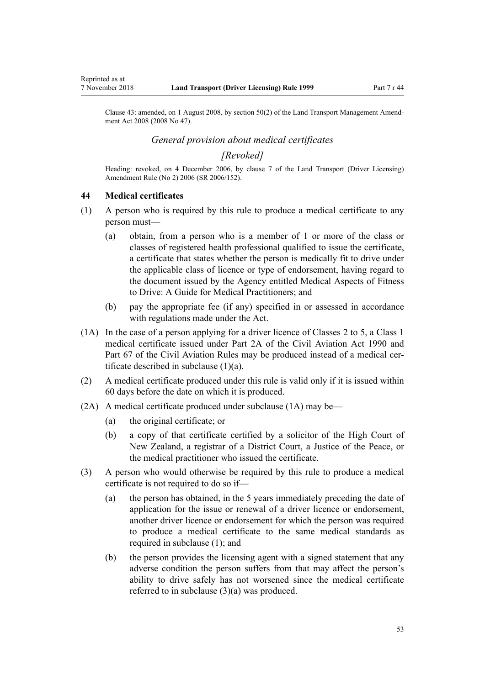<span id="page-52-0"></span>Reprinted as at

Clause 43: amended, on 1 August 2008, by [section 50\(2\)](http://legislation.govt.nz/pdflink.aspx?id=DLM1313622) of the Land Transport Management Amendment Act 2008 (2008 No 47).

# *General provision about medical certificates*

## *[Revoked]*

Heading: revoked, on 4 December 2006, by [clause 7](http://legislation.govt.nz/pdflink.aspx?id=DLM386144) of the Land Transport (Driver Licensing) Amendment Rule (No 2) 2006 (SR 2006/152).

## **44 Medical certificates**

- (1) A person who is required by this rule to produce a medical certificate to any person must—
	- (a) obtain, from a person who is a member of 1 or more of the class or classes of registered health professional qualified to issue the certificate, a certificate that states whether the person is medically fit to drive under the applicable class of licence or type of endorsement, having regard to the document issued by the Agency entitled Medical Aspects of Fitness to Drive: A Guide for Medical Practitioners; and
	- (b) pay the appropriate fee (if any) specified in or assessed in accordance with regulations made under the Act.
- (1A) In the case of a person applying for a driver licence of Classes 2 to 5, a Class 1 medical certificate issued under [Part 2A](http://legislation.govt.nz/pdflink.aspx?id=DLM216176) of the Civil Aviation Act 1990 and Part 67 of the Civil Aviation Rules may be produced instead of a medical certificate described in subclause  $(1)(a)$ .
- (2) A medical certificate produced under this rule is valid only if it is issued within 60 days before the date on which it is produced.
- (2A) A medical certificate produced under subclause (1A) may be—
	- (a) the original certificate; or
	- (b) a copy of that certificate certified by a solicitor of the High Court of New Zealand, a registrar of a District Court, a Justice of the Peace, or the medical practitioner who issued the certificate.
- (3) A person who would otherwise be required by this rule to produce a medical certificate is not required to do so if—
	- (a) the person has obtained, in the 5 years immediately preceding the date of application for the issue or renewal of a driver licence or endorsement, another driver licence or endorsement for which the person was required to produce a medical certificate to the same medical standards as required in subclause (1); and
	- (b) the person provides the licensing agent with a signed statement that any adverse condition the person suffers from that may affect the person's ability to drive safely has not worsened since the medical certificate referred to in subclause (3)(a) was produced.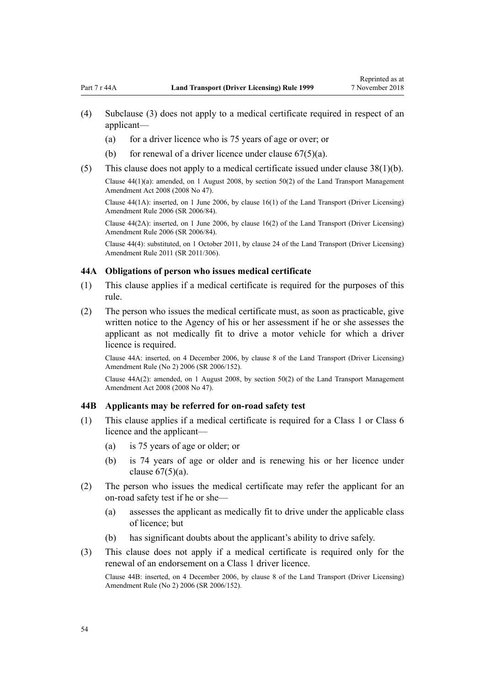- <span id="page-53-0"></span>(4) Subclause (3) does not apply to a medical certificate required in respect of an applicant—
	- (a) for a driver licence who is 75 years of age or over; or
	- (b) for renewal of a driver licence under clause  $67(5)(a)$ .
- (5) This clause does not apply to a medical certificate issued under [clause 38\(1\)\(b\).](#page-48-0)

Clause 44(1)(a): amended, on 1 August 2008, by [section 50\(2\)](http://legislation.govt.nz/pdflink.aspx?id=DLM1313622) of the Land Transport Management Amendment Act 2008 (2008 No 47).

Clause 44(1A): inserted, on 1 June 2006, by [clause 16\(1\)](http://legislation.govt.nz/pdflink.aspx?id=DLM376105) of the Land Transport (Driver Licensing) Amendment Rule 2006 (SR 2006/84).

Clause 44(2A): inserted, on 1 June 2006, by [clause 16\(2\)](http://legislation.govt.nz/pdflink.aspx?id=DLM376105) of the Land Transport (Driver Licensing) Amendment Rule 2006 (SR 2006/84).

Clause 44(4): substituted, on 1 October 2011, by [clause 24](http://legislation.govt.nz/pdflink.aspx?id=DLM3956729) of the Land Transport (Driver Licensing) Amendment Rule 2011 (SR 2011/306).

### **44A Obligations of person who issues medical certificate**

- (1) This clause applies if a medical certificate is required for the purposes of this rule.
- (2) The person who issues the medical certificate must, as soon as practicable, give written notice to the Agency of his or her assessment if he or she assesses the applicant as not medically fit to drive a motor vehicle for which a driver licence is required.

Clause 44A: inserted, on 4 December 2006, by [clause 8](http://legislation.govt.nz/pdflink.aspx?id=DLM386145) of the Land Transport (Driver Licensing) Amendment Rule (No 2) 2006 (SR 2006/152).

Clause 44A(2): amended, on 1 August 2008, by [section 50\(2\)](http://legislation.govt.nz/pdflink.aspx?id=DLM1313622) of the Land Transport Management Amendment Act 2008 (2008 No 47).

### **44B Applicants may be referred for on-road safety test**

- (1) This clause applies if a medical certificate is required for a Class 1 or Class 6 licence and the applicant—
	- (a) is 75 years of age or older; or
	- (b) is 74 years of age or older and is renewing his or her licence under clause  $67(5)(a)$ .
- (2) The person who issues the medical certificate may refer the applicant for an on-road safety test if he or she—
	- (a) assesses the applicant as medically fit to drive under the applicable class of licence; but
	- (b) has significant doubts about the applicant's ability to drive safely.
- (3) This clause does not apply if a medical certificate is required only for the renewal of an endorsement on a Class 1 driver licence.

Clause 44B: inserted, on 4 December 2006, by [clause 8](http://legislation.govt.nz/pdflink.aspx?id=DLM386145) of the Land Transport (Driver Licensing) Amendment Rule (No 2) 2006 (SR 2006/152).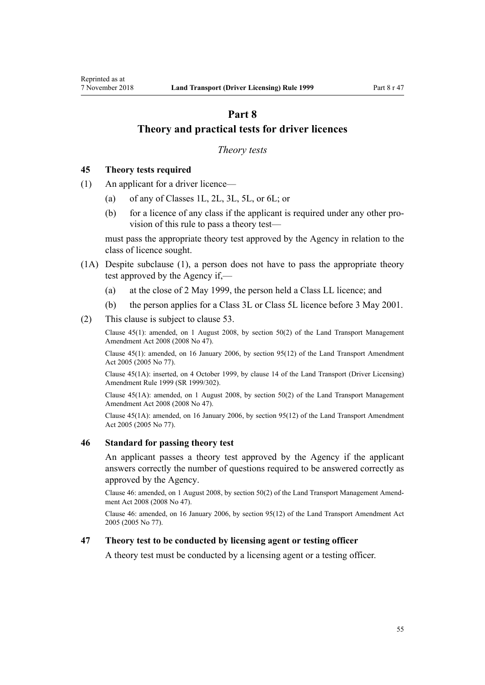# <span id="page-54-0"></span>**Part 8 Theory and practical tests for driver licences**

## *Theory tests*

## **45 Theory tests required**

- (1) An applicant for a driver licence—
	- (a) of any of Classes 1L, 2L, 3L, 5L, or 6L; or
	- (b) for a licence of any class if the applicant is required under any other provision of this rule to pass a theory test—

must pass the appropriate theory test approved by the Agency in relation to the class of licence sought.

- (1A) Despite subclause (1), a person does not have to pass the appropriate theory test approved by the Agency if,—
	- (a) at the close of 2 May 1999, the person held a Class LL licence; and
	- (b) the person applies for a Class 3L or Class 5L licence before 3 May 2001.
- (2) This clause is subject to [clause 53](#page-57-0).

Clause 45(1): amended, on 1 August 2008, by [section 50\(2\)](http://legislation.govt.nz/pdflink.aspx?id=DLM1313622) of the Land Transport Management Amendment Act 2008 (2008 No 47).

Clause 45(1): amended, on 16 January 2006, by [section 95\(12\)](http://legislation.govt.nz/pdflink.aspx?id=DLM353501) of the Land Transport Amendment Act 2005 (2005 No 77).

Clause 45(1A): inserted, on 4 October 1999, by [clause 14](http://legislation.govt.nz/pdflink.aspx?id=DLM293682) of the Land Transport (Driver Licensing) Amendment Rule 1999 (SR 1999/302).

Clause 45(1A): amended, on 1 August 2008, by [section 50\(2\)](http://legislation.govt.nz/pdflink.aspx?id=DLM1313622) of the Land Transport Management Amendment Act 2008 (2008 No 47).

Clause 45(1A): amended, on 16 January 2006, by [section 95\(12\)](http://legislation.govt.nz/pdflink.aspx?id=DLM353501) of the Land Transport Amendment Act 2005 (2005 No 77).

## **46 Standard for passing theory test**

An applicant passes a theory test approved by the Agency if the applicant answers correctly the number of questions required to be answered correctly as approved by the Agency.

Clause 46: amended, on 1 August 2008, by [section 50\(2\)](http://legislation.govt.nz/pdflink.aspx?id=DLM1313622) of the Land Transport Management Amendment Act 2008 (2008 No 47).

Clause 46: amended, on 16 January 2006, by [section 95\(12\)](http://legislation.govt.nz/pdflink.aspx?id=DLM353501) of the Land Transport Amendment Act 2005 (2005 No 77).

## **47 Theory test to be conducted by licensing agent or testing officer**

A theory test must be conducted by a licensing agent or a testing officer.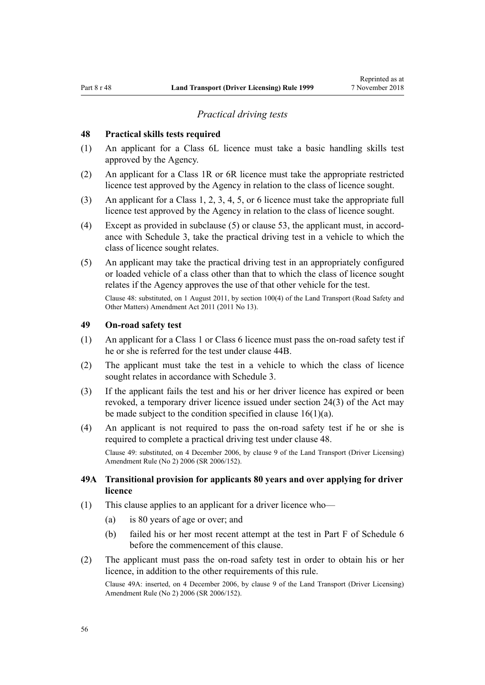#### *Practical driving tests*

### <span id="page-55-0"></span>**48 Practical skills tests required**

- (1) An applicant for a Class 6L licence must take a basic handling skills test approved by the Agency.
- (2) An applicant for a Class 1R or 6R licence must take the appropriate restricted licence test approved by the Agency in relation to the class of licence sought.
- (3) An applicant for a Class 1, 2, 3, 4, 5, or 6 licence must take the appropriate full licence test approved by the Agency in relation to the class of licence sought.
- (4) Except as provided in subclause (5) or [clause 53](#page-57-0), the applicant must, in accordance with [Schedule 3](#page-110-0), take the practical driving test in a vehicle to which the class of licence sought relates.
- (5) An applicant may take the practical driving test in an appropriately configured or loaded vehicle of a class other than that to which the class of licence sought relates if the Agency approves the use of that other vehicle for the test.

Clause 48: substituted, on 1 August 2011, by [section 100\(4\)](http://legislation.govt.nz/pdflink.aspx?id=DLM3231293) of the Land Transport (Road Safety and Other Matters) Amendment Act 2011 (2011 No 13).

# **49 On-road safety test**

- (1) An applicant for a Class 1 or Class 6 licence must pass the on-road safety test if he or she is referred for the test under [clause 44B](#page-53-0).
- (2) The applicant must take the test in a vehicle to which the class of licence sought relates in accordance with [Schedule 3](#page-110-0).
- (3) If the applicant fails the test and his or her driver licence has expired or been revoked, a temporary driver licence issued under [section 24\(3\)](http://legislation.govt.nz/pdflink.aspx?id=DLM434553) of the Act may be made subject to the condition specified in clause  $16(1)(a)$ .
- (4) An applicant is not required to pass the on-road safety test if he or she is required to complete a practical driving test under clause 48.

Clause 49: substituted, on 4 December 2006, by [clause 9](http://legislation.govt.nz/pdflink.aspx?id=DLM386148) of the Land Transport (Driver Licensing) Amendment Rule (No 2) 2006 (SR 2006/152).

## **49A Transitional provision for applicants 80 years and over applying for driver licence**

- (1) This clause applies to an applicant for a driver licence who—
	- (a) is 80 years of age or over; and
	- (b) failed his or her most recent attempt at the test in [Part F](http://legislation.govt.nz/pdflink.aspx?id=DLM282294) of Schedule 6 before the commencement of this clause.
- (2) The applicant must pass the on-road safety test in order to obtain his or her licence, in addition to the other requirements of this rule.

Clause 49A: inserted, on 4 December 2006, by [clause 9](http://legislation.govt.nz/pdflink.aspx?id=DLM386148) of the Land Transport (Driver Licensing) Amendment Rule (No 2) 2006 (SR 2006/152).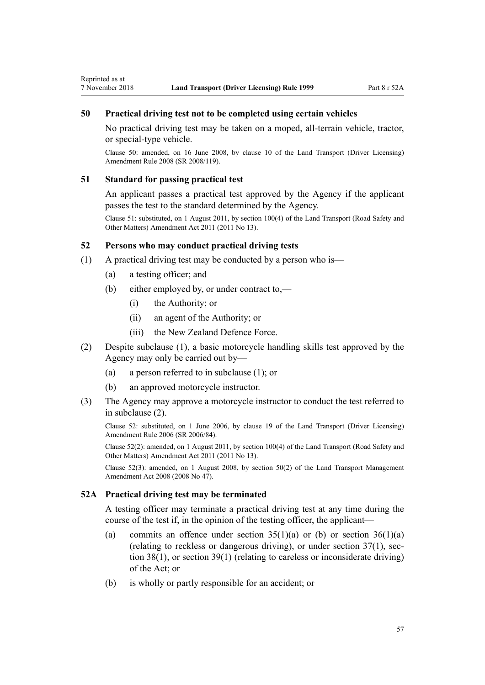## <span id="page-56-0"></span>**50 Practical driving test not to be completed using certain vehicles**

No practical driving test may be taken on a moped, all-terrain vehicle, tractor, or special-type vehicle.

Clause 50: amended, on 16 June 2008, by [clause 10](http://legislation.govt.nz/pdflink.aspx?id=DLM1317916) of the Land Transport (Driver Licensing) Amendment Rule 2008 (SR 2008/119).

### **51 Standard for passing practical test**

An applicant passes a practical test approved by the Agency if the applicant passes the test to the standard determined by the Agency.

Clause 51: substituted, on 1 August 2011, by [section 100\(4\)](http://legislation.govt.nz/pdflink.aspx?id=DLM3231293) of the Land Transport (Road Safety and Other Matters) Amendment Act 2011 (2011 No 13).

## **52 Persons who may conduct practical driving tests**

- (1) A practical driving test may be conducted by a person who is—
	- (a) a testing officer; and
	- (b) either employed by, or under contract to,—
		- (i) the Authority; or
		- (ii) an agent of the Authority; or
		- (iii) the New Zealand Defence Force.
- (2) Despite subclause (1), a basic motorcycle handling skills test approved by the Agency may only be carried out by—
	- (a) a person referred to in subclause (1); or
	- (b) an approved motorcycle instructor.
- (3) The Agency may approve a motorcycle instructor to conduct the test referred to in subclause (2).

Clause 52: substituted, on 1 June 2006, by [clause 19](http://legislation.govt.nz/pdflink.aspx?id=DLM376108) of the Land Transport (Driver Licensing) Amendment Rule 2006 (SR 2006/84).

Clause 52(2): amended, on 1 August 2011, by [section 100\(4\)](http://legislation.govt.nz/pdflink.aspx?id=DLM3231293) of the Land Transport (Road Safety and Other Matters) Amendment Act 2011 (2011 No 13).

Clause 52(3): amended, on 1 August 2008, by [section 50\(2\)](http://legislation.govt.nz/pdflink.aspx?id=DLM1313622) of the Land Transport Management Amendment Act 2008 (2008 No 47).

## **52A Practical driving test may be terminated**

A testing officer may terminate a practical driving test at any time during the course of the test if, in the opinion of the testing officer, the applicant—

- (a) commits an offence under section  $35(1)(a)$  or (b) or section  $36(1)(a)$ (relating to reckless or dangerous driving), or under [section 37\(1\),](http://legislation.govt.nz/pdflink.aspx?id=DLM434658) [sec](http://legislation.govt.nz/pdflink.aspx?id=DLM434659)[tion 38\(1\)](http://legislation.govt.nz/pdflink.aspx?id=DLM434659), or [section 39\(1\)](http://legislation.govt.nz/pdflink.aspx?id=DLM434662) (relating to careless or inconsiderate driving) of the Act; or
- (b) is wholly or partly responsible for an accident; or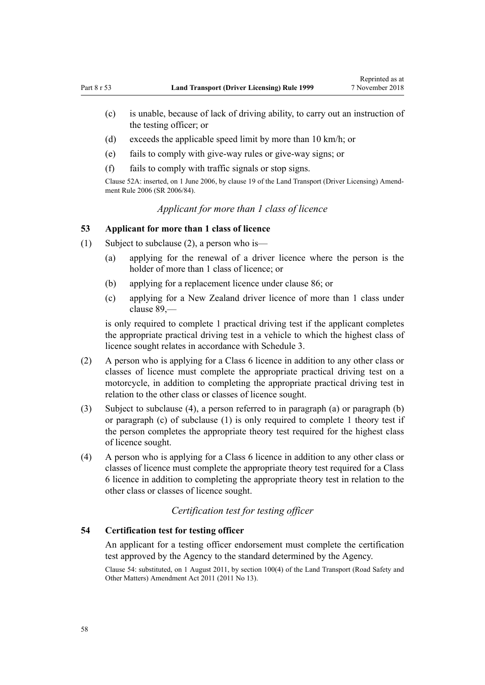- <span id="page-57-0"></span>(c) is unable, because of lack of driving ability, to carry out an instruction of the testing officer; or
- (d) exceeds the applicable speed limit by more than 10 km/h; or
- (e) fails to comply with give-way rules or give-way signs; or
- (f) fails to comply with traffic signals or stop signs.

Clause 52A: inserted, on 1 June 2006, by [clause 19](http://legislation.govt.nz/pdflink.aspx?id=DLM376108) of the Land Transport (Driver Licensing) Amendment Rule 2006 (SR 2006/84).

# *Applicant for more than 1 class of licence*

### **53 Applicant for more than 1 class of licence**

- (1) Subject to subclause (2), a person who is—
	- (a) applying for the renewal of a driver licence where the person is the holder of more than 1 class of licence; or
	- (b) applying for a replacement licence under [clause 86](#page-84-0); or
	- (c) applying for a New Zealand driver licence of more than 1 class under [clause 89](#page-88-0),—

is only required to complete 1 practical driving test if the applicant completes the appropriate practical driving test in a vehicle to which the highest class of licence sought relates in accordance with [Schedule 3.](#page-110-0)

- (2) A person who is applying for a Class 6 licence in addition to any other class or classes of licence must complete the appropriate practical driving test on a motorcycle, in addition to completing the appropriate practical driving test in relation to the other class or classes of licence sought.
- (3) Subject to subclause (4), a person referred to in paragraph (a) or paragraph (b) or paragraph (c) of subclause (1) is only required to complete 1 theory test if the person completes the appropriate theory test required for the highest class of licence sought.
- (4) A person who is applying for a Class 6 licence in addition to any other class or classes of licence must complete the appropriate theory test required for a Class 6 licence in addition to completing the appropriate theory test in relation to the other class or classes of licence sought.

# *Certification test for testing officer*

## **54 Certification test for testing officer**

An applicant for a testing officer endorsement must complete the certification test approved by the Agency to the standard determined by the Agency.

Clause 54: substituted, on 1 August 2011, by [section 100\(4\)](http://legislation.govt.nz/pdflink.aspx?id=DLM3231293) of the Land Transport (Road Safety and Other Matters) Amendment Act 2011 (2011 No 13).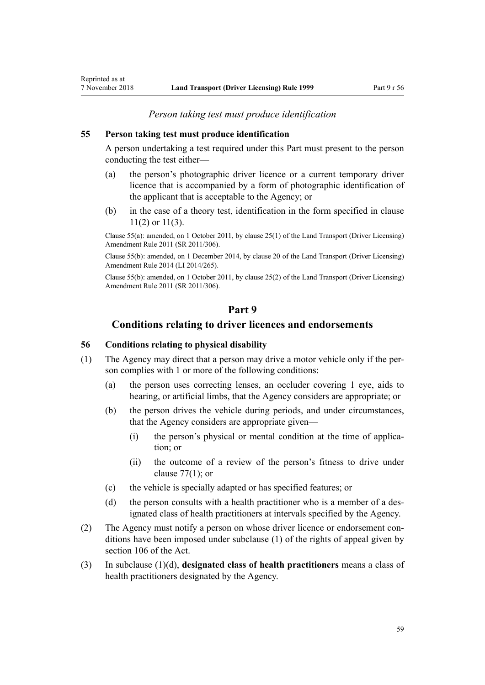*Person taking test must produce identification*

## **55 Person taking test must produce identification**

A person undertaking a test required under this Part must present to the person conducting the test either—

- (a) the person's photographic driver licence or a current temporary driver licence that is accompanied by a form of photographic identification of the applicant that is acceptable to the Agency; or
- (b) in the case of a theory test, identification in the form specified in [clause](#page-22-0) [11\(2\) or 11\(3\).](#page-22-0)

Clause 55(a): amended, on 1 October 2011, by [clause 25\(1\)](http://legislation.govt.nz/pdflink.aspx?id=DLM3956730) of the Land Transport (Driver Licensing) Amendment Rule 2011 (SR 2011/306).

Clause 55(b): amended, on 1 December 2014, by [clause 20](http://legislation.govt.nz/pdflink.aspx?id=DLM6216934) of the Land Transport (Driver Licensing) Amendment Rule 2014 (LI 2014/265).

Clause 55(b): amended, on 1 October 2011, by [clause 25\(2\)](http://legislation.govt.nz/pdflink.aspx?id=DLM3956730) of the Land Transport (Driver Licensing) Amendment Rule 2011 (SR 2011/306).

# **Part 9**

## **Conditions relating to driver licences and endorsements**

# **56 Conditions relating to physical disability**

- (1) The Agency may direct that a person may drive a motor vehicle only if the person complies with 1 or more of the following conditions:
	- (a) the person uses correcting lenses, an occluder covering 1 eye, aids to hearing, or artificial limbs, that the Agency considers are appropriate; or
	- (b) the person drives the vehicle during periods, and under circumstances, that the Agency considers are appropriate given—
		- (i) the person's physical or mental condition at the time of application; or
		- (ii) the outcome of a review of the person's fitness to drive under clause  $77(1)$ ; or
	- (c) the vehicle is specially adapted or has specified features; or
	- (d) the person consults with a health practitioner who is a member of a designated class of health practitioners at intervals specified by the Agency.
- (2) The Agency must notify a person on whose driver licence or endorsement conditions have been imposed under subclause (1) of the rights of appeal given by [section 106](http://legislation.govt.nz/pdflink.aspx?id=DLM435083) of the Act.
- (3) In subclause (1)(d), **designated class of health practitioners** means a class of health practitioners designated by the Agency.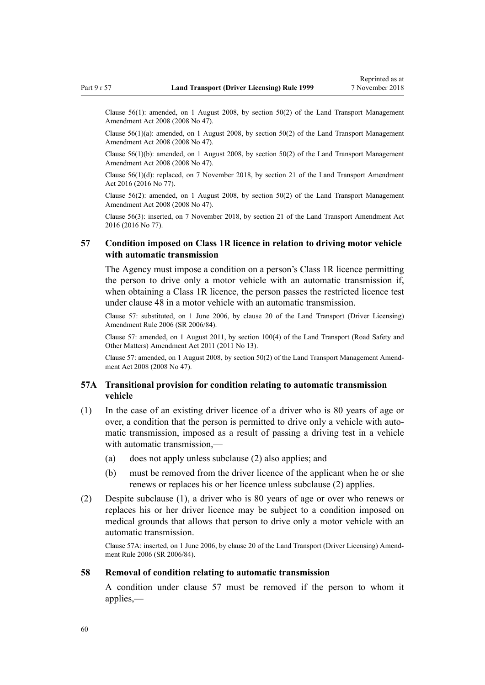<span id="page-59-0"></span>Clause 56(1): amended, on 1 August 2008, by [section 50\(2\)](http://legislation.govt.nz/pdflink.aspx?id=DLM1313622) of the Land Transport Management Amendment Act 2008 (2008 No 47).

Clause  $56(1)(a)$ : amended, on 1 August 2008, by section  $50(2)$  of the Land Transport Management Amendment Act 2008 (2008 No 47).

Clause 56(1)(b): amended, on 1 August 2008, by [section 50\(2\)](http://legislation.govt.nz/pdflink.aspx?id=DLM1313622) of the Land Transport Management Amendment Act 2008 (2008 No 47).

Clause 56(1)(d): replaced, on 7 November 2018, by [section 21](http://legislation.govt.nz/pdflink.aspx?id=DLM6984133) of the Land Transport Amendment Act 2016 (2016 No 77).

Clause 56(2): amended, on 1 August 2008, by [section 50\(2\)](http://legislation.govt.nz/pdflink.aspx?id=DLM1313622) of the Land Transport Management Amendment Act 2008 (2008 No 47).

Clause 56(3): inserted, on 7 November 2018, by [section 21](http://legislation.govt.nz/pdflink.aspx?id=DLM6984133) of the Land Transport Amendment Act 2016 (2016 No 77).

## **57 Condition imposed on Class 1R licence in relation to driving motor vehicle with automatic transmission**

The Agency must impose a condition on a person's Class 1R licence permitting the person to drive only a motor vehicle with an automatic transmission if, when obtaining a Class 1R licence, the person passes the restricted licence test under [clause 48](#page-55-0) in a motor vehicle with an automatic transmission.

Clause 57: substituted, on 1 June 2006, by [clause 20](http://legislation.govt.nz/pdflink.aspx?id=DLM376111) of the Land Transport (Driver Licensing) Amendment Rule 2006 (SR 2006/84).

Clause 57: amended, on 1 August 2011, by [section 100\(4\)](http://legislation.govt.nz/pdflink.aspx?id=DLM3231293) of the Land Transport (Road Safety and Other Matters) Amendment Act 2011 (2011 No 13).

Clause 57: amended, on 1 August 2008, by [section 50\(2\)](http://legislation.govt.nz/pdflink.aspx?id=DLM1313622) of the Land Transport Management Amendment Act 2008 (2008 No 47).

## **57A Transitional provision for condition relating to automatic transmission vehicle**

- (1) In the case of an existing driver licence of a driver who is 80 years of age or over, a condition that the person is permitted to drive only a vehicle with automatic transmission, imposed as a result of passing a driving test in a vehicle with automatic transmission,—
	- (a) does not apply unless subclause (2) also applies; and
	- (b) must be removed from the driver licence of the applicant when he or she renews or replaces his or her licence unless subclause (2) applies.
- (2) Despite subclause (1), a driver who is 80 years of age or over who renews or replaces his or her driver licence may be subject to a condition imposed on medical grounds that allows that person to drive only a motor vehicle with an automatic transmission.

Clause 57A: inserted, on 1 June 2006, by [clause 20](http://legislation.govt.nz/pdflink.aspx?id=DLM376111) of the Land Transport (Driver Licensing) Amendment Rule 2006 (SR 2006/84).

#### **58 Removal of condition relating to automatic transmission**

A condition under clause 57 must be removed if the person to whom it applies,—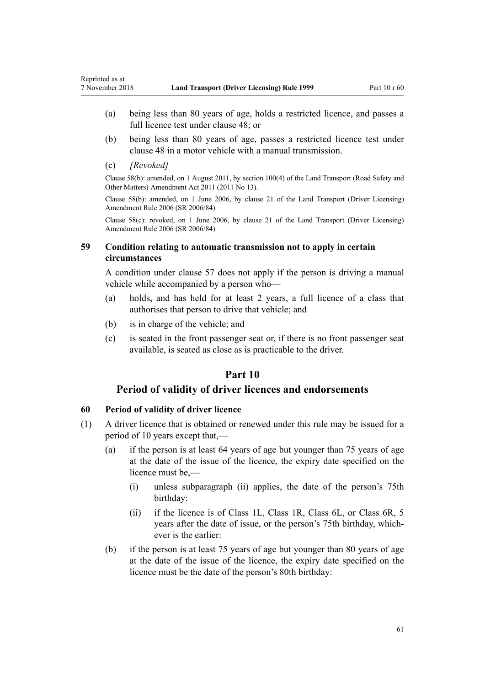- (a) being less than 80 years of age, holds a restricted licence, and passes a full licence test under [clause 48;](#page-55-0) or
- (b) being less than 80 years of age, passes a restricted licence test under [clause 48](#page-55-0) in a motor vehicle with a manual transmission.
- (c) *[Revoked]*

Clause 58(b): amended, on 1 August 2011, by [section 100\(4\)](http://legislation.govt.nz/pdflink.aspx?id=DLM3231293) of the Land Transport (Road Safety and Other Matters) Amendment Act 2011 (2011 No 13).

Clause 58(b): amended, on 1 June 2006, by [clause 21](http://legislation.govt.nz/pdflink.aspx?id=DLM376114) of the Land Transport (Driver Licensing) Amendment Rule 2006 (SR 2006/84).

Clause 58(c): revoked, on 1 June 2006, by [clause 21](http://legislation.govt.nz/pdflink.aspx?id=DLM376114) of the Land Transport (Driver Licensing) Amendment Rule 2006 (SR 2006/84).

## **59 Condition relating to automatic transmission not to apply in certain circumstances**

A condition under [clause 57](#page-59-0) does not apply if the person is driving a manual vehicle while accompanied by a person who—

- (a) holds, and has held for at least 2 years, a full licence of a class that authorises that person to drive that vehicle; and
- (b) is in charge of the vehicle; and
- (c) is seated in the front passenger seat or, if there is no front passenger seat available, is seated as close as is practicable to the driver.

# **Part 10**

# **Period of validity of driver licences and endorsements**

# **60 Period of validity of driver licence**

- (1) A driver licence that is obtained or renewed under this rule may be issued for a period of 10 years except that,—
	- (a) if the person is at least 64 years of age but younger than 75 years of age at the date of the issue of the licence, the expiry date specified on the licence must be,—
		- (i) unless subparagraph (ii) applies, the date of the person's 75th birthday:
		- (ii) if the licence is of Class 1L, Class 1R, Class 6L, or Class 6R, 5 years after the date of issue, or the person's 75th birthday, whichever is the earlier:
	- (b) if the person is at least 75 years of age but younger than 80 years of age at the date of the issue of the licence, the expiry date specified on the licence must be the date of the person's 80th birthday: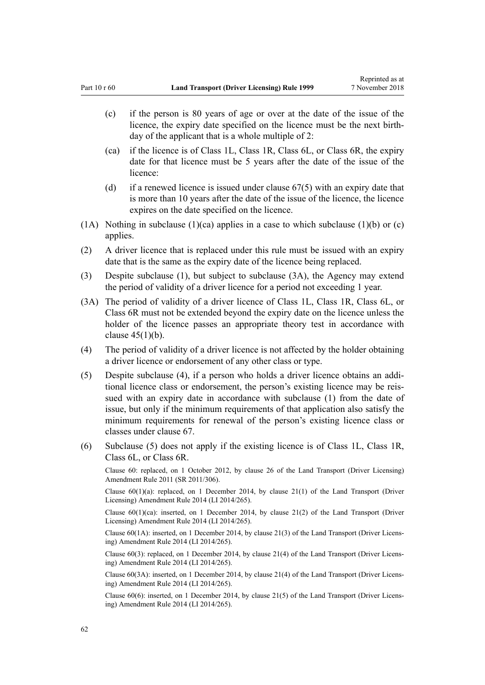- (c) if the person is 80 years of age or over at the date of the issue of the licence, the expiry date specified on the licence must be the next birthday of the applicant that is a whole multiple of 2:
- (ca) if the licence is of Class 1L, Class 1R, Class 6L, or Class 6R, the expiry date for that licence must be 5 years after the date of the issue of the licence:
- (d) if a renewed licence is issued under [clause 67\(5\)](#page-67-0) with an expiry date that is more than 10 years after the date of the issue of the licence, the licence expires on the date specified on the licence.
- (1A) Nothing in subclause (1)(ca) applies in a case to which subclause (1)(b) or (c) applies.
- (2) A driver licence that is replaced under this rule must be issued with an expiry date that is the same as the expiry date of the licence being replaced.
- (3) Despite subclause (1), but subject to subclause (3A), the Agency may extend the period of validity of a driver licence for a period not exceeding 1 year.
- (3A) The period of validity of a driver licence of Class 1L, Class 1R, Class 6L, or Class 6R must not be extended beyond the expiry date on the licence unless the holder of the licence passes an appropriate theory test in accordance with clause  $45(1)(b)$ .
- (4) The period of validity of a driver licence is not affected by the holder obtaining a driver licence or endorsement of any other class or type.
- (5) Despite subclause (4), if a person who holds a driver licence obtains an additional licence class or endorsement, the person's existing licence may be reissued with an expiry date in accordance with subclause (1) from the date of issue, but only if the minimum requirements of that application also satisfy the minimum requirements for renewal of the person's existing licence class or classes under [clause 67](#page-67-0).
- (6) Subclause (5) does not apply if the existing licence is of Class 1L, Class 1R, Class 6L, or Class 6R.

Clause 60: replaced, on 1 October 2012, by [clause 26](http://legislation.govt.nz/pdflink.aspx?id=DLM3956515) of the Land Transport (Driver Licensing) Amendment Rule 2011 (SR 2011/306).

Clause  $60(1)(a)$ : replaced, on 1 December 2014, by [clause 21\(1\)](http://legislation.govt.nz/pdflink.aspx?id=DLM6216935) of the Land Transport (Driver Licensing) Amendment Rule 2014 (LI 2014/265).

Clause  $60(1)(ca)$ : inserted, on 1 December 2014, by [clause 21\(2\)](http://legislation.govt.nz/pdflink.aspx?id=DLM6216935) of the Land Transport (Driver Licensing) Amendment Rule 2014 (LI 2014/265).

Clause 60(1A): inserted, on 1 December 2014, by [clause 21\(3\)](http://legislation.govt.nz/pdflink.aspx?id=DLM6216935) of the Land Transport (Driver Licensing) Amendment Rule 2014 (LI 2014/265).

Clause 60(3): replaced, on 1 December 2014, by [clause 21\(4\)](http://legislation.govt.nz/pdflink.aspx?id=DLM6216935) of the Land Transport (Driver Licensing) Amendment Rule 2014 (LI 2014/265).

Clause 60(3A): inserted, on 1 December 2014, by [clause 21\(4\)](http://legislation.govt.nz/pdflink.aspx?id=DLM6216935) of the Land Transport (Driver Licensing) Amendment Rule 2014 (LI 2014/265).

Clause 60(6): inserted, on 1 December 2014, by [clause 21\(5\)](http://legislation.govt.nz/pdflink.aspx?id=DLM6216935) of the Land Transport (Driver Licensing) Amendment Rule 2014 (LI 2014/265).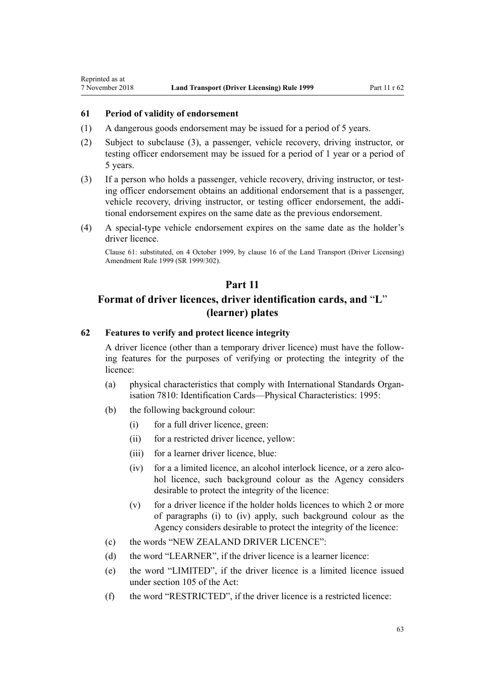<span id="page-62-0"></span>Reprinted as at

## **61 Period of validity of endorsement**

- (1) A dangerous goods endorsement may be issued for a period of 5 years.
- (2) Subject to subclause (3), a passenger, vehicle recovery, driving instructor, or testing officer endorsement may be issued for a period of 1 year or a period of 5 years.
- (3) If a person who holds a passenger, vehicle recovery, driving instructor, or testing officer endorsement obtains an additional endorsement that is a passenger, vehicle recovery, driving instructor, or testing officer endorsement, the additional endorsement expires on the same date as the previous endorsement.
- (4) A special-type vehicle endorsement expires on the same date as the holder's driver licence.

Clause 61: substituted, on 4 October 1999, by [clause 16](http://legislation.govt.nz/pdflink.aspx?id=DLM293684) of the Land Transport (Driver Licensing) Amendment Rule 1999 (SR 1999/302).

# **Part 11**

# **Format of driver licences, driver identification cards, and** "**L**" **(learner) plates**

# **62 Features to verify and protect licence integrity**

A driver licence (other than a temporary driver licence) must have the following features for the purposes of verifying or protecting the integrity of the licence:

- (a) physical characteristics that comply with International Standards Organisation 7810: Identification Cards—Physical Characteristics: 1995:
- (b) the following background colour:
	- (i) for a full driver licence, green:
	- (ii) for a restricted driver licence, yellow:
	- (iii) for a learner driver licence, blue:
	- (iv) for a a limited licence, an alcohol interlock licence, or a zero alcohol licence, such background colour as the Agency considers desirable to protect the integrity of the licence:
	- (v) for a driver licence if the holder holds licences to which 2 or more of paragraphs (i) to (iv) apply, such background colour as the Agency considers desirable to protect the integrity of the licence:
- (c) the words "NEW ZEALAND DRIVER LICENCE":
- (d) the word "LEARNER", if the driver licence is a learner licence:
- (e) the word "LIMITED", if the driver licence is a limited licence issued under [section 105](http://legislation.govt.nz/pdflink.aspx?id=DLM435080) of the Act:
- (f) the word "RESTRICTED", if the driver licence is a restricted licence: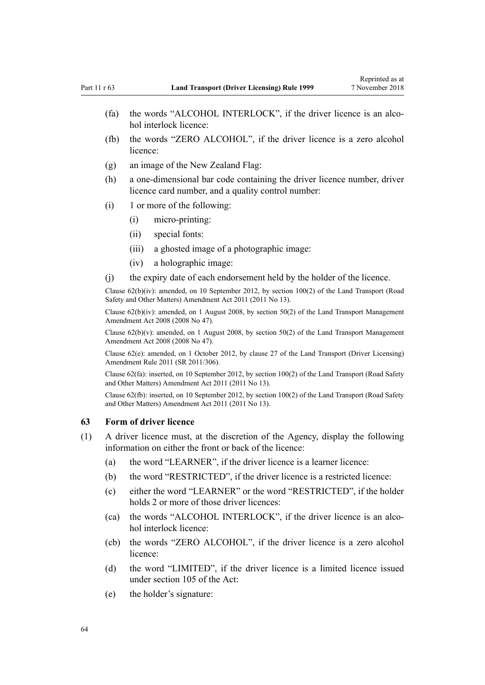- (fa) the words "ALCOHOL INTERLOCK", if the driver licence is an alcohol interlock licence:
- (fb) the words "ZERO ALCOHOL", if the driver licence is a zero alcohol licence:
- (g) an image of the New Zealand Flag:
- (h) a one-dimensional bar code containing the driver licence number, driver licence card number, and a quality control number:
- (i) 1 or more of the following:
	- (i) micro-printing:
	- (ii) special fonts:
	- (iii) a ghosted image of a photographic image:
	- (iv) a holographic image:
- (j) the expiry date of each endorsement held by the holder of the licence.

Clause 62(b)(iv): amended, on 10 September 2012, by [section 100\(2\)](http://legislation.govt.nz/pdflink.aspx?id=DLM3231293) of the Land Transport (Road Safety and Other Matters) Amendment Act 2011 (2011 No 13).

Clause  $62(b)(iv)$ : amended, on 1 August 2008, by [section 50\(2\)](http://legislation.govt.nz/pdflink.aspx?id=DLM1313622) of the Land Transport Management Amendment Act 2008 (2008 No 47).

Clause  $62(b)(v)$ : amended, on 1 August 2008, by [section 50\(2\)](http://legislation.govt.nz/pdflink.aspx?id=DLM1313622) of the Land Transport Management Amendment Act 2008 (2008 No 47).

Clause 62(e): amended, on 1 October 2012, by [clause 27](http://legislation.govt.nz/pdflink.aspx?id=DLM3956517) of the Land Transport (Driver Licensing) Amendment Rule 2011 (SR 2011/306).

Clause 62(fa): inserted, on 10 September 2012, by [section 100\(2\)](http://legislation.govt.nz/pdflink.aspx?id=DLM3231293) of the Land Transport (Road Safety and Other Matters) Amendment Act 2011 (2011 No 13).

Clause 62(fb): inserted, on 10 September 2012, by [section 100\(2\)](http://legislation.govt.nz/pdflink.aspx?id=DLM3231293) of the Land Transport (Road Safety and Other Matters) Amendment Act 2011 (2011 No 13).

#### **63 Form of driver licence**

- (1) A driver licence must, at the discretion of the Agency, display the following information on either the front or back of the licence:
	- (a) the word "LEARNER", if the driver licence is a learner licence:
	- (b) the word "RESTRICTED", if the driver licence is a restricted licence:
	- (c) either the word "LEARNER" or the word "RESTRICTED", if the holder holds 2 or more of those driver licences:
	- (ca) the words "ALCOHOL INTERLOCK", if the driver licence is an alcohol interlock licence:
	- (cb) the words "ZERO ALCOHOL", if the driver licence is a zero alcohol licence:
	- (d) the word "LIMITED", if the driver licence is a limited licence issued under [section 105](http://legislation.govt.nz/pdflink.aspx?id=DLM435080) of the Act:
	- (e) the holder's signature: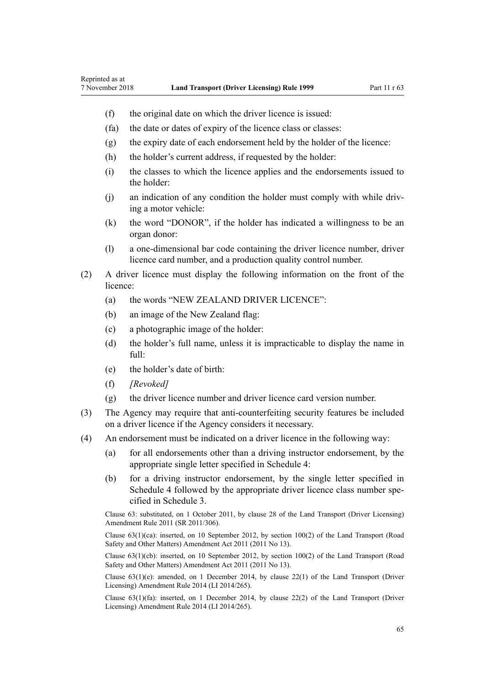- (f) the original date on which the driver licence is issued:
- (fa) the date or dates of expiry of the licence class or classes:
- (g) the expiry date of each endorsement held by the holder of the licence:
- (h) the holder's current address, if requested by the holder:
- (i) the classes to which the licence applies and the endorsements issued to the holder:
- (j) an indication of any condition the holder must comply with while driving a motor vehicle:
- (k) the word "DONOR", if the holder has indicated a willingness to be an organ donor:
- (l) a one-dimensional bar code containing the driver licence number, driver licence card number, and a production quality control number.
- (2) A driver licence must display the following information on the front of the licence:
	- (a) the words "NEW ZEALAND DRIVER LICENCE":
	- (b) an image of the New Zealand flag:
	- (c) a photographic image of the holder:
	- (d) the holder's full name, unless it is impracticable to display the name in full:
	- (e) the holder's date of birth:
	- (f) *[Revoked]*
	- (g) the driver licence number and driver licence card version number.
- (3) The Agency may require that anti-counterfeiting security features be included on a driver licence if the Agency considers it necessary.
- (4) An endorsement must be indicated on a driver licence in the following way:
	- (a) for all endorsements other than a driving instructor endorsement, by the appropriate single letter specified in [Schedule 4](#page-113-0):
	- (b) for a driving instructor endorsement, by the single letter specified in [Schedule 4](#page-113-0) followed by the appropriate driver licence class number specified in [Schedule 3.](#page-110-0)

Clause 63: substituted, on 1 October 2011, by [clause 28](http://legislation.govt.nz/pdflink.aspx?id=DLM3956732) of the Land Transport (Driver Licensing) Amendment Rule 2011 (SR 2011/306).

Clause 63(1)(ca): inserted, on 10 September 2012, by [section 100\(2\)](http://legislation.govt.nz/pdflink.aspx?id=DLM3231293) of the Land Transport (Road Safety and Other Matters) Amendment Act 2011 (2011 No 13).

Clause 63(1)(cb): inserted, on 10 September 2012, by [section 100\(2\)](http://legislation.govt.nz/pdflink.aspx?id=DLM3231293) of the Land Transport (Road Safety and Other Matters) Amendment Act 2011 (2011 No 13).

Clause  $63(1)(e)$ : amended, on 1 December 2014, by [clause 22\(1\)](http://legislation.govt.nz/pdflink.aspx?id=DLM6216936) of the Land Transport (Driver Licensing) Amendment Rule 2014 (LI 2014/265).

Clause  $63(1)(fa)$ : inserted, on 1 December 2014, by [clause 22\(2\)](http://legislation.govt.nz/pdflink.aspx?id=DLM6216936) of the Land Transport (Driver Licensing) Amendment Rule 2014 (LI 2014/265).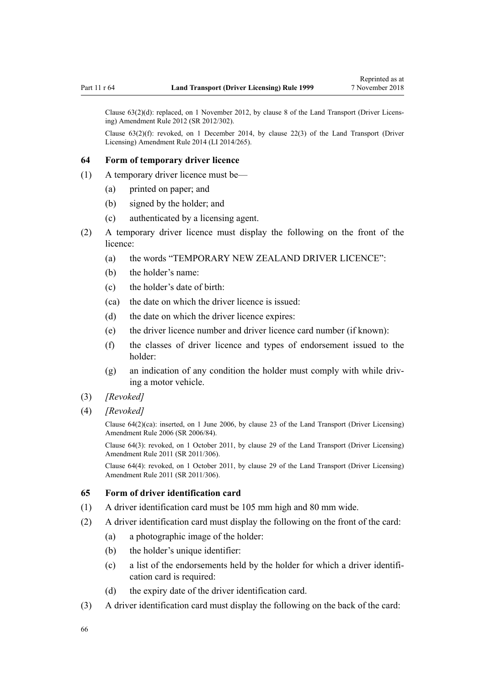Clause 63(2)(d): replaced, on 1 November 2012, by [clause 8](http://legislation.govt.nz/pdflink.aspx?id=DLM4773440) of the Land Transport (Driver Licensing) Amendment Rule 2012 (SR 2012/302).

Clause  $63(2)(f)$ : revoked, on 1 December 2014, by [clause 22\(3\)](http://legislation.govt.nz/pdflink.aspx?id=DLM6216936) of the Land Transport (Driver Licensing) Amendment Rule 2014 (LI 2014/265).

#### **64 Form of temporary driver licence**

- (1) A temporary driver licence must be—
	- (a) printed on paper; and
	- (b) signed by the holder; and
	- (c) authenticated by a licensing agent.
- (2) A temporary driver licence must display the following on the front of the licence:
	- (a) the words "TEMPORARY NEW ZEALAND DRIVER LICENCE":
	- (b) the holder's name:
	- (c) the holder's date of birth:
	- (ca) the date on which the driver licence is issued:
	- (d) the date on which the driver licence expires:
	- (e) the driver licence number and driver licence card number (if known):
	- (f) the classes of driver licence and types of endorsement issued to the holder:
	- (g) an indication of any condition the holder must comply with while driving a motor vehicle.
- (3) *[Revoked]*
- (4) *[Revoked]*

Clause 64(2)(ca): inserted, on 1 June 2006, by [clause 23](http://legislation.govt.nz/pdflink.aspx?id=DLM376116) of the Land Transport (Driver Licensing) Amendment Rule 2006 (SR 2006/84).

Clause 64(3): revoked, on 1 October 2011, by [clause 29](http://legislation.govt.nz/pdflink.aspx?id=DLM3956734) of the Land Transport (Driver Licensing) Amendment Rule 2011 (SR 2011/306).

Clause 64(4): revoked, on 1 October 2011, by [clause 29](http://legislation.govt.nz/pdflink.aspx?id=DLM3956734) of the Land Transport (Driver Licensing) Amendment Rule 2011 (SR 2011/306).

#### **65 Form of driver identification card**

- (1) A driver identification card must be 105 mm high and 80 mm wide.
- (2) A driver identification card must display the following on the front of the card:
	- (a) a photographic image of the holder:
	- (b) the holder's unique identifier:
	- (c) a list of the endorsements held by the holder for which a driver identification card is required:
	- (d) the expiry date of the driver identification card.
- (3) A driver identification card must display the following on the back of the card: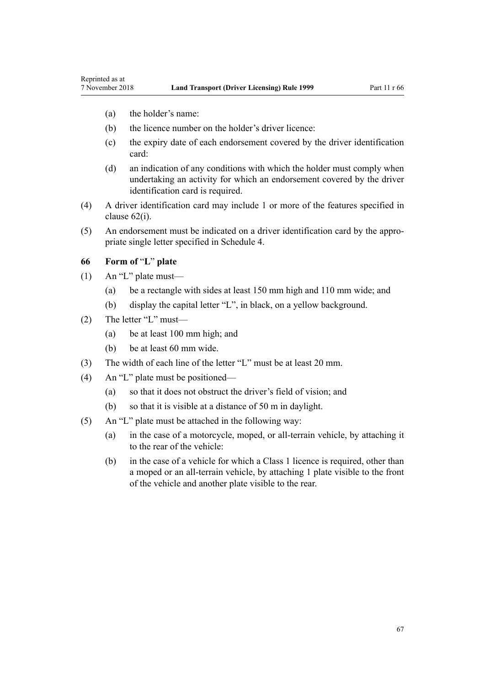(a) the holder's name:

Reprinted as at

- (b) the licence number on the holder's driver licence:
- (c) the expiry date of each endorsement covered by the driver identification card:
- (d) an indication of any conditions with which the holder must comply when undertaking an activity for which an endorsement covered by the driver identification card is required.
- (4) A driver identification card may include 1 or more of the features specified in [clause 62\(i\)](#page-62-0).
- (5) An endorsement must be indicated on a driver identification card by the appropriate single letter specified in [Schedule 4](#page-113-0).

## **66 Form of** "**L**" **plate**

- (1) An "L" plate must—
	- (a) be a rectangle with sides at least 150 mm high and 110 mm wide; and
	- (b) display the capital letter "L", in black, on a yellow background.
- (2) The letter "L" must—
	- (a) be at least 100 mm high; and
	- (b) be at least 60 mm wide.
- (3) The width of each line of the letter "L" must be at least 20 mm.
- (4) An "L" plate must be positioned—
	- (a) so that it does not obstruct the driver's field of vision; and
	- (b) so that it is visible at a distance of 50 m in daylight.
- (5) An "L" plate must be attached in the following way:
	- (a) in the case of a motorcycle, moped, or all-terrain vehicle, by attaching it to the rear of the vehicle:
	- (b) in the case of a vehicle for which a Class 1 licence is required, other than a moped or an all-terrain vehicle, by attaching 1 plate visible to the front of the vehicle and another plate visible to the rear.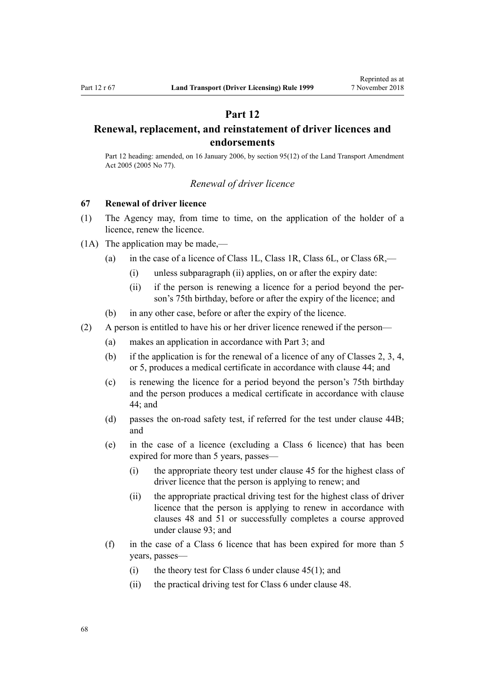# **Part 12**

# <span id="page-67-0"></span>**Renewal, replacement, and reinstatement of driver licences and endorsements**

Part 12 heading: amended, on 16 January 2006, by [section 95\(12\)](http://legislation.govt.nz/pdflink.aspx?id=DLM353501) of the Land Transport Amendment Act 2005 (2005 No 77).

## *Renewal of driver licence*

## **67 Renewal of driver licence**

- (1) The Agency may, from time to time, on the application of the holder of a licence, renew the licence.
- (1A) The application may be made,—
	- (a) in the case of a licence of Class 1L, Class 1R, Class 6L, or Class 6R,—
		- (i) unless subparagraph (ii) applies, on or after the expiry date:
		- (ii) if the person is renewing a licence for a period beyond the person's 75th birthday, before or after the expiry of the licence; and
	- (b) in any other case, before or after the expiry of the licence.
- (2) A person is entitled to have his or her driver licence renewed if the person—
	- (a) makes an application in accordance with [Part 3](#page-21-0); and
	- (b) if the application is for the renewal of a licence of any of Classes 2, 3, 4, or 5, produces a medical certificate in accordance with [clause 44](#page-52-0); and
	- (c) is renewing the licence for a period beyond the person's 75th birthday and the person produces a medical certificate in accordance with [clause](#page-52-0) [44;](#page-52-0) and
	- (d) passes the on-road safety test, if referred for the test under [clause 44B;](#page-53-0) and
	- (e) in the case of a licence (excluding a Class 6 licence) that has been expired for more than 5 years, passes—
		- (i) the appropriate theory test under [clause 45](#page-54-0) for the highest class of driver licence that the person is applying to renew; and
		- (ii) the appropriate practical driving test for the highest class of driver licence that the person is applying to renew in accordance with [clauses 48](#page-55-0) and [51](#page-56-0) or successfully completes a course approved under [clause 93](#page-91-0); and
	- (f) in the case of a Class 6 licence that has been expired for more than 5 years, passes—
		- (i) the theory test for Class 6 under clause  $45(1)$ ; and
		- (ii) the practical driving test for Class 6 under [clause 48](#page-55-0).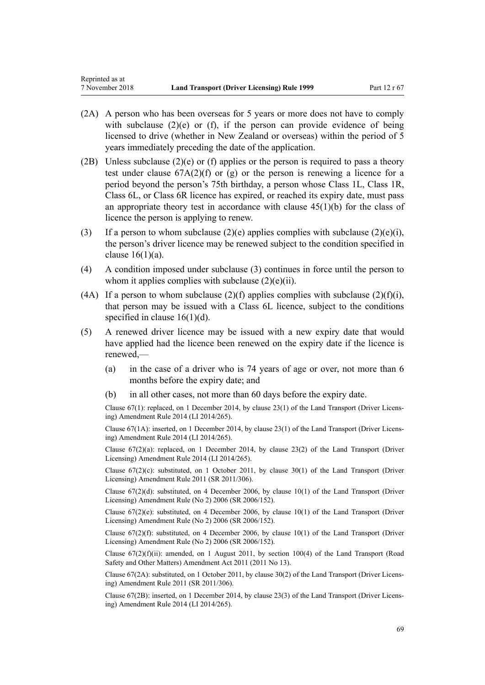- (2A) A person who has been overseas for 5 years or more does not have to comply with subclause  $(2)(e)$  or  $(f)$ , if the person can provide evidence of being licensed to drive (whether in New Zealand or overseas) within the period of 5 years immediately preceding the date of the application.
- (2B) Unless subclause (2)(e) or (f) applies or the person is required to pass a theory test under clause  $67A(2)(f)$  or (g) or the person is renewing a licence for a period beyond the person's 75th birthday, a person whose Class 1L, Class 1R, Class 6L, or Class 6R licence has expired, or reached its expiry date, must pass an appropriate theory test in accordance with clause  $45(1)(b)$  for the class of licence the person is applying to renew.
- (3) If a person to whom subclause  $(2)(e)$  applies complies with subclause  $(2)(e)(i)$ , the person's driver licence may be renewed subject to the condition specified in clause  $16(1)(a)$ .
- (4) A condition imposed under subclause (3) continues in force until the person to whom it applies complies with subclause  $(2)(e)(ii)$ .
- (4A) If a person to whom subclause (2)(f) applies complies with subclause (2)(f)(i), that person may be issued with a Class 6L licence, subject to the conditions specified in clause  $16(1)(d)$ .
- (5) A renewed driver licence may be issued with a new expiry date that would have applied had the licence been renewed on the expiry date if the licence is renewed,—
	- (a) in the case of a driver who is 74 years of age or over, not more than 6 months before the expiry date; and
	- (b) in all other cases, not more than 60 days before the expiry date.

Clause 67(1): replaced, on 1 December 2014, by [clause 23\(1\)](http://legislation.govt.nz/pdflink.aspx?id=DLM6216937) of the Land Transport (Driver Licensing) Amendment Rule 2014 (LI 2014/265).

Clause 67(1A): inserted, on 1 December 2014, by [clause 23\(1\)](http://legislation.govt.nz/pdflink.aspx?id=DLM6216937) of the Land Transport (Driver Licensing) Amendment Rule 2014 (LI 2014/265).

Clause  $67(2)(a)$ : replaced, on 1 December 2014, by clause  $23(2)$  of the Land Transport (Driver Licensing) Amendment Rule 2014 (LI 2014/265).

Clause  $67(2)(c)$ : substituted, on 1 October 2011, by [clause 30\(1\)](http://legislation.govt.nz/pdflink.aspx?id=DLM3956735) of the Land Transport (Driver Licensing) Amendment Rule 2011 (SR 2011/306).

Clause 67(2)(d): substituted, on 4 December 2006, by [clause 10\(1\)](http://legislation.govt.nz/pdflink.aspx?id=DLM386151) of the Land Transport (Driver Licensing) Amendment Rule (No 2) 2006 (SR 2006/152).

Clause  $67(2)(e)$ : substituted, on 4 December 2006, by [clause 10\(1\)](http://legislation.govt.nz/pdflink.aspx?id=DLM386151) of the Land Transport (Driver Licensing) Amendment Rule (No 2) 2006 (SR 2006/152).

Clause  $67(2)(f)$ : substituted, on 4 December 2006, by clause  $10(1)$  of the Land Transport (Driver Licensing) Amendment Rule (No 2) 2006 (SR 2006/152).

Clause  $67(2)(f)(ii)$ : amended, on 1 August 2011, by [section 100\(4\)](http://legislation.govt.nz/pdflink.aspx?id=DLM3231293) of the Land Transport (Road Safety and Other Matters) Amendment Act 2011 (2011 No 13).

Clause 67(2A): substituted, on 1 October 2011, by [clause 30\(2\)](http://legislation.govt.nz/pdflink.aspx?id=DLM3956735) of the Land Transport (Driver Licensing) Amendment Rule 2011 (SR 2011/306).

Clause 67(2B): inserted, on 1 December 2014, by [clause 23\(3\)](http://legislation.govt.nz/pdflink.aspx?id=DLM6216937) of the Land Transport (Driver Licensing) Amendment Rule 2014 (LI 2014/265).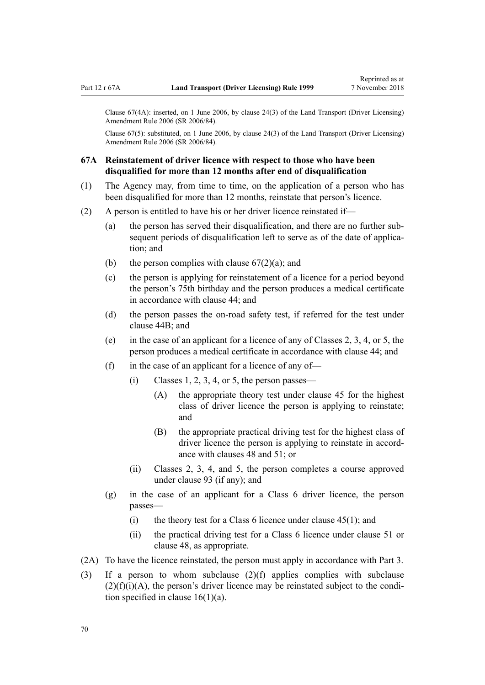<span id="page-69-0"></span>Clause 67(4A): inserted, on 1 June 2006, by [clause 24\(3\)](http://legislation.govt.nz/pdflink.aspx?id=DLM376117) of the Land Transport (Driver Licensing) Amendment Rule 2006 (SR 2006/84).

Clause 67(5): substituted, on 1 June 2006, by [clause 24\(3\)](http://legislation.govt.nz/pdflink.aspx?id=DLM376117) of the Land Transport (Driver Licensing) Amendment Rule 2006 (SR 2006/84).

## **67A Reinstatement of driver licence with respect to those who have been disqualified for more than 12 months after end of disqualification**

- (1) The Agency may, from time to time, on the application of a person who has been disqualified for more than 12 months, reinstate that person's licence.
- (2) A person is entitled to have his or her driver licence reinstated if—
	- (a) the person has served their disqualification, and there are no further subsequent periods of disqualification left to serve as of the date of application; and
	- (b) the person complies with clause  $67(2)(a)$ ; and
	- (c) the person is applying for reinstatement of a licence for a period beyond the person's 75th birthday and the person produces a medical certificate in accordance with [clause 44](#page-52-0); and
	- (d) the person passes the on-road safety test, if referred for the test under [clause 44B;](#page-53-0) and
	- (e) in the case of an applicant for a licence of any of Classes 2, 3, 4, or 5, the person produces a medical certificate in accordance with [clause 44](#page-52-0); and
	- (f) in the case of an applicant for a licence of any of—
		- $(i)$  Classes 1, 2, 3, 4, or 5, the person passes—
			- (A) the appropriate theory test under [clause 45](#page-54-0) for the highest class of driver licence the person is applying to reinstate; and
			- (B) the appropriate practical driving test for the highest class of driver licence the person is applying to reinstate in accordance with [clauses 48](#page-55-0) and [51;](#page-56-0) or
		- (ii) Classes 2, 3, 4, and 5, the person completes a course approved under [clause 93](#page-91-0) (if any); and
	- (g) in the case of an applicant for a Class 6 driver licence, the person passes—
		- (i) the theory test for a Class 6 licence under clause  $45(1)$ ; and
		- (ii) the practical driving test for a Class 6 licence under [clause 51](#page-56-0) or [clause 48](#page-55-0), as appropriate.
- (2A) To have the licence reinstated, the person must apply in accordance with [Part 3](#page-21-0).
- (3) If a person to whom subclause (2)(f) applies complies with subclause  $(2)(f)(i)(A)$ , the person's driver licence may be reinstated subject to the condition specified in clause  $16(1)(a)$ .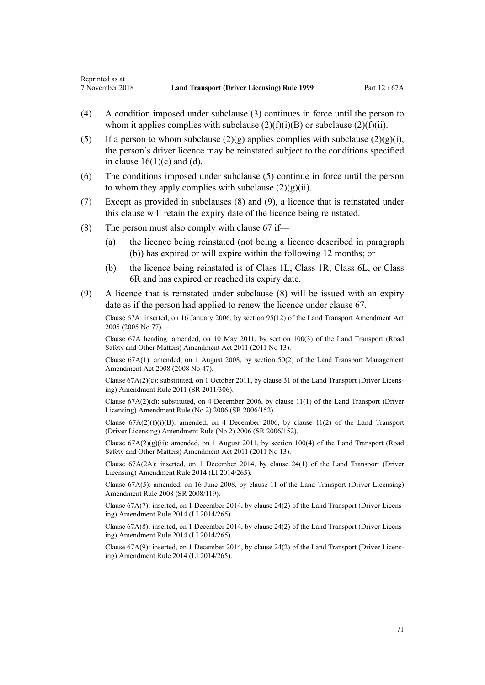- (4) A condition imposed under subclause (3) continues in force until the person to whom it applies complies with subclause  $(2)(f)(i)(B)$  or subclause  $(2)(f)(ii)$ .
- (5) If a person to whom subclause  $(2)(g)$  applies complies with subclause  $(2)(g)(i)$ . the person's driver licence may be reinstated subject to the conditions specified in clause  $16(1)(c)$  and (d).
- (6) The conditions imposed under subclause (5) continue in force until the person to whom they apply complies with subclause  $(2)(g)(ii)$ .
- (7) Except as provided in subclauses (8) and (9), a licence that is reinstated under this clause will retain the expiry date of the licence being reinstated.
- (8) The person must also comply with clause  $67$  if—
	- (a) the licence being reinstated (not being a licence described in paragraph (b)) has expired or will expire within the following 12 months; or
	- (b) the licence being reinstated is of Class 1L, Class 1R, Class 6L, or Class 6R and has expired or reached its expiry date.
- (9) A licence that is reinstated under subclause (8) will be issued with an expiry date as if the person had applied to renew the licence under [clause 67.](#page-67-0)

Clause 67A: inserted, on 16 January 2006, by [section 95\(12\)](http://legislation.govt.nz/pdflink.aspx?id=DLM353501) of the Land Transport Amendment Act 2005 (2005 No 77).

Clause 67A heading: amended, on 10 May 2011, by [section 100\(3\)](http://legislation.govt.nz/pdflink.aspx?id=DLM3231293) of the Land Transport (Road Safety and Other Matters) Amendment Act 2011 (2011 No 13).

Clause 67A(1): amended, on 1 August 2008, by [section 50\(2\)](http://legislation.govt.nz/pdflink.aspx?id=DLM1313622) of the Land Transport Management Amendment Act 2008 (2008 No 47).

Clause 67A(2)(c): substituted, on 1 October 2011, by [clause 31](http://legislation.govt.nz/pdflink.aspx?id=DLM3956736) of the Land Transport (Driver Licensing) Amendment Rule 2011 (SR 2011/306).

Clause 67A(2)(d): substituted, on 4 December 2006, by [clause 11\(1\)](http://legislation.govt.nz/pdflink.aspx?id=DLM386152) of the Land Transport (Driver Licensing) Amendment Rule (No 2) 2006 (SR 2006/152).

Clause  $67A(2)(f)(i)(B)$ : amended, on 4 December 2006, by [clause 11\(2\)](http://legislation.govt.nz/pdflink.aspx?id=DLM386152) of the Land Transport (Driver Licensing) Amendment Rule (No 2) 2006 (SR 2006/152).

Clause  $67A(2)(g)(ii)$ : amended, on 1 August 2011, by [section 100\(4\)](http://legislation.govt.nz/pdflink.aspx?id=DLM3231293) of the Land Transport (Road Safety and Other Matters) Amendment Act 2011 (2011 No 13).

Clause 67A(2A): inserted, on 1 December 2014, by [clause 24\(1\)](http://legislation.govt.nz/pdflink.aspx?id=DLM6216938) of the Land Transport (Driver Licensing) Amendment Rule 2014 (LI 2014/265).

Clause 67A(5): amended, on 16 June 2008, by [clause 11](http://legislation.govt.nz/pdflink.aspx?id=DLM1317917) of the Land Transport (Driver Licensing) Amendment Rule 2008 (SR 2008/119).

Clause 67A(7): inserted, on 1 December 2014, by [clause 24\(2\)](http://legislation.govt.nz/pdflink.aspx?id=DLM6216938) of the Land Transport (Driver Licensing) Amendment Rule 2014 (LI 2014/265).

Clause 67A(8): inserted, on 1 December 2014, by [clause 24\(2\)](http://legislation.govt.nz/pdflink.aspx?id=DLM6216938) of the Land Transport (Driver Licensing) Amendment Rule 2014 (LI 2014/265).

Clause 67A(9): inserted, on 1 December 2014, by [clause 24\(2\)](http://legislation.govt.nz/pdflink.aspx?id=DLM6216938) of the Land Transport (Driver Licensing) Amendment Rule 2014 (LI 2014/265).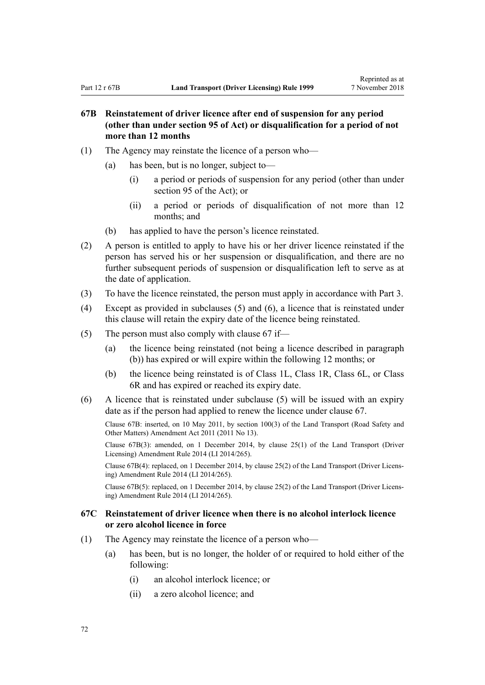# **67B Reinstatement of driver licence after end of suspension for any period (other than under section 95 of Act) or disqualification for a period of not more than 12 months**

- (1) The Agency may reinstate the licence of a person who—
	- (a) has been, but is no longer, subject to—
		- (i) a period or periods of suspension for any period (other than under [section 95](http://legislation.govt.nz/pdflink.aspx?id=DLM435024) of the Act); or
		- (ii) a period or periods of disqualification of not more than 12 months; and
	- (b) has applied to have the person's licence reinstated.
- (2) A person is entitled to apply to have his or her driver licence reinstated if the person has served his or her suspension or disqualification, and there are no further subsequent periods of suspension or disqualification left to serve as at the date of application.
- (3) To have the licence reinstated, the person must apply in accordance with [Part 3](#page-21-0).
- (4) Except as provided in subclauses (5) and (6), a licence that is reinstated under this clause will retain the expiry date of the licence being reinstated.
- (5) The person must also comply with [clause 67](#page-67-0) if—
	- (a) the licence being reinstated (not being a licence described in paragraph (b)) has expired or will expire within the following 12 months; or
	- (b) the licence being reinstated is of Class 1L, Class 1R, Class 6L, or Class 6R and has expired or reached its expiry date.
- (6) A licence that is reinstated under subclause (5) will be issued with an expiry date as if the person had applied to renew the licence under [clause 67.](#page-67-0)

Clause 67B: inserted, on 10 May 2011, by [section 100\(3\)](http://legislation.govt.nz/pdflink.aspx?id=DLM3231293) of the Land Transport (Road Safety and Other Matters) Amendment Act 2011 (2011 No 13).

Clause 67B(3): amended, on 1 December 2014, by [clause 25\(1\)](http://legislation.govt.nz/pdflink.aspx?id=DLM6216939) of the Land Transport (Driver Licensing) Amendment Rule 2014 (LI 2014/265).

Clause 67B(4): replaced, on 1 December 2014, by [clause 25\(2\)](http://legislation.govt.nz/pdflink.aspx?id=DLM6216939) of the Land Transport (Driver Licensing) Amendment Rule 2014 (LI 2014/265).

Clause 67B(5): replaced, on 1 December 2014, by [clause 25\(2\)](http://legislation.govt.nz/pdflink.aspx?id=DLM6216939) of the Land Transport (Driver Licensing) Amendment Rule 2014 (LI 2014/265).

## **67C Reinstatement of driver licence when there is no alcohol interlock licence or zero alcohol licence in force**

- (1) The Agency may reinstate the licence of a person who—
	- (a) has been, but is no longer, the holder of or required to hold either of the following:
		- (i) an alcohol interlock licence; or
		- (ii) a zero alcohol licence; and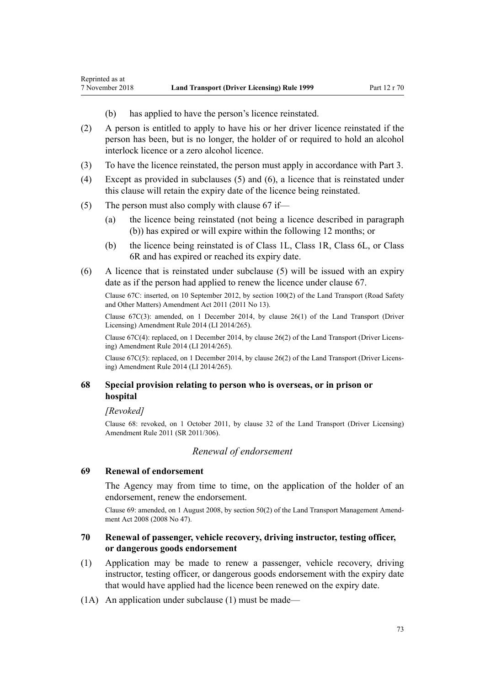- (b) has applied to have the person's licence reinstated.
- (2) A person is entitled to apply to have his or her driver licence reinstated if the person has been, but is no longer, the holder of or required to hold an alcohol interlock licence or a zero alcohol licence.
- (3) To have the licence reinstated, the person must apply in accordance with [Part 3](#page-21-0).
- (4) Except as provided in subclauses (5) and (6), a licence that is reinstated under this clause will retain the expiry date of the licence being reinstated.
- (5) The person must also comply with [clause 67](#page-67-0) if—
	- (a) the licence being reinstated (not being a licence described in paragraph (b)) has expired or will expire within the following 12 months; or
	- (b) the licence being reinstated is of Class 1L, Class 1R, Class 6L, or Class 6R and has expired or reached its expiry date.
- (6) A licence that is reinstated under subclause (5) will be issued with an expiry date as if the person had applied to renew the licence under [clause 67.](#page-67-0)

Clause 67C: inserted, on 10 September 2012, by [section 100\(2\)](http://legislation.govt.nz/pdflink.aspx?id=DLM3231293) of the Land Transport (Road Safety and Other Matters) Amendment Act 2011 (2011 No 13).

Clause 67C(3): amended, on 1 December 2014, by [clause 26\(1\)](http://legislation.govt.nz/pdflink.aspx?id=DLM6216940) of the Land Transport (Driver Licensing) Amendment Rule 2014 (LI 2014/265).

Clause 67C(4): replaced, on 1 December 2014, by [clause 26\(2\)](http://legislation.govt.nz/pdflink.aspx?id=DLM6216940) of the Land Transport (Driver Licensing) Amendment Rule 2014 (LI 2014/265).

Clause 67C(5): replaced, on 1 December 2014, by [clause 26\(2\)](http://legislation.govt.nz/pdflink.aspx?id=DLM6216940) of the Land Transport (Driver Licensing) Amendment Rule 2014 (LI 2014/265).

## **68 Special provision relating to person who is overseas, or in prison or hospital**

*[Revoked]*

<span id="page-72-0"></span>Reprinted as at

Clause 68: revoked, on 1 October 2011, by [clause 32](http://legislation.govt.nz/pdflink.aspx?id=DLM3956737) of the Land Transport (Driver Licensing) Amendment Rule 2011 (SR 2011/306).

#### *Renewal of endorsement*

#### **69 Renewal of endorsement**

The Agency may from time to time, on the application of the holder of an endorsement, renew the endorsement.

Clause 69: amended, on 1 August 2008, by [section 50\(2\)](http://legislation.govt.nz/pdflink.aspx?id=DLM1313622) of the Land Transport Management Amendment Act 2008 (2008 No 47).

## **70 Renewal of passenger, vehicle recovery, driving instructor, testing officer, or dangerous goods endorsement**

- (1) Application may be made to renew a passenger, vehicle recovery, driving instructor, testing officer, or dangerous goods endorsement with the expiry date that would have applied had the licence been renewed on the expiry date.
- (1A) An application under subclause (1) must be made—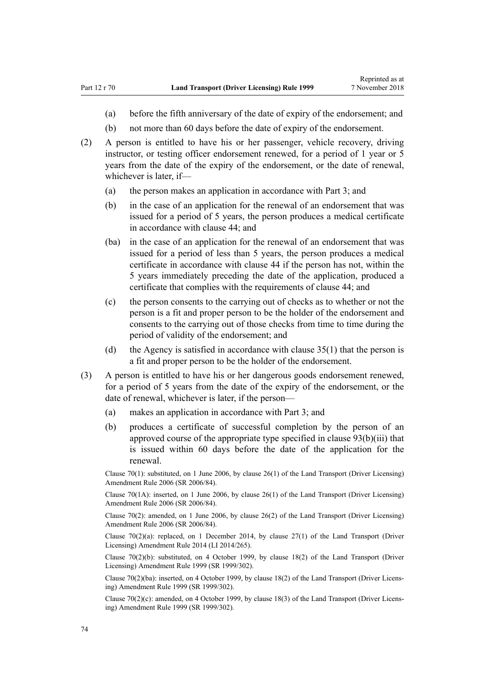- (a) before the fifth anniversary of the date of expiry of the endorsement; and
- (b) not more than 60 days before the date of expiry of the endorsement.
- (2) A person is entitled to have his or her passenger, vehicle recovery, driving instructor, or testing officer endorsement renewed, for a period of 1 year or 5 years from the date of the expiry of the endorsement, or the date of renewal, whichever is later, if—
	- (a) the person makes an application in accordance with [Part 3](#page-21-0); and
	- (b) in the case of an application for the renewal of an endorsement that was issued for a period of 5 years, the person produces a medical certificate in accordance with [clause 44](#page-52-0); and
	- (ba) in the case of an application for the renewal of an endorsement that was issued for a period of less than 5 years, the person produces a medical certificate in accordance with [clause 44](#page-52-0) if the person has not, within the 5 years immediately preceding the date of the application, produced a certificate that complies with the requirements of clause 44; and
	- (c) the person consents to the carrying out of checks as to whether or not the person is a fit and proper person to be the holder of the endorsement and consents to the carrying out of those checks from time to time during the period of validity of the endorsement; and
	- (d) the Agency is satisfied in accordance with [clause 35\(1\)](#page-46-0) that the person is a fit and proper person to be the holder of the endorsement.
- (3) A person is entitled to have his or her dangerous goods endorsement renewed, for a period of 5 years from the date of the expiry of the endorsement, or the date of renewal, whichever is later, if the person—
	- (a) makes an application in accordance with [Part 3](#page-21-0); and
	- (b) produces a certificate of successful completion by the person of an approved course of the appropriate type specified in [clause 93\(b\)\(iii\)](#page-91-0) that is issued within 60 days before the date of the application for the renewal.

Clause 70(1): substituted, on 1 June 2006, by [clause 26\(1\)](http://legislation.govt.nz/pdflink.aspx?id=DLM376119) of the Land Transport (Driver Licensing) Amendment Rule 2006 (SR 2006/84).

Clause 70(1A): inserted, on 1 June 2006, by [clause 26\(1\)](http://legislation.govt.nz/pdflink.aspx?id=DLM376119) of the Land Transport (Driver Licensing) Amendment Rule 2006 (SR 2006/84).

Clause 70(2): amended, on 1 June 2006, by [clause 26\(2\)](http://legislation.govt.nz/pdflink.aspx?id=DLM376119) of the Land Transport (Driver Licensing) Amendment Rule 2006 (SR 2006/84).

Clause  $70(2)(a)$ : replaced, on 1 December 2014, by clause  $27(1)$  of the Land Transport (Driver Licensing) Amendment Rule 2014 (LI 2014/265).

Clause 70(2)(b): substituted, on 4 October 1999, by [clause 18\(2\)](http://legislation.govt.nz/pdflink.aspx?id=DLM293687) of the Land Transport (Driver Licensing) Amendment Rule 1999 (SR 1999/302).

Clause 70(2)(ba): inserted, on 4 October 1999, by [clause 18\(2\)](http://legislation.govt.nz/pdflink.aspx?id=DLM293687) of the Land Transport (Driver Licensing) Amendment Rule 1999 (SR 1999/302).

Clause 70(2)(c): amended, on 4 October 1999, by [clause 18\(3\)](http://legislation.govt.nz/pdflink.aspx?id=DLM293687) of the Land Transport (Driver Licensing) Amendment Rule 1999 (SR 1999/302).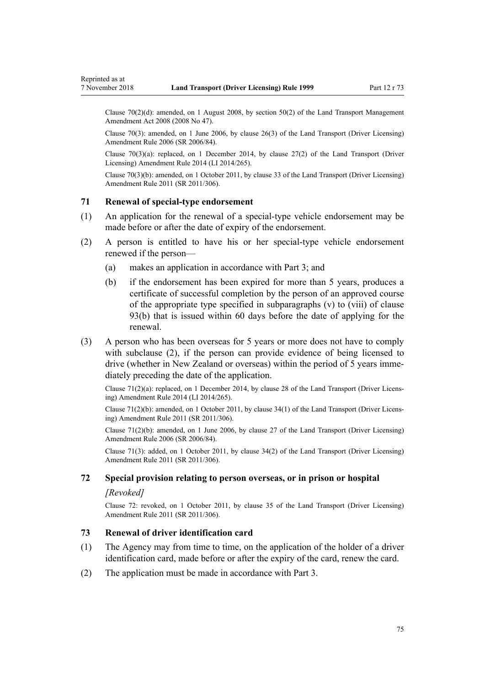Clause 70(2)(d): amended, on 1 August 2008, by [section 50\(2\)](http://legislation.govt.nz/pdflink.aspx?id=DLM1313622) of the Land Transport Management Amendment Act 2008 (2008 No 47).

Clause 70(3): amended, on 1 June 2006, by [clause 26\(3\)](http://legislation.govt.nz/pdflink.aspx?id=DLM376119) of the Land Transport (Driver Licensing) Amendment Rule 2006 (SR 2006/84).

Clause 70(3)(a): replaced, on 1 December 2014, by [clause 27\(2\)](http://legislation.govt.nz/pdflink.aspx?id=DLM6216941) of the Land Transport (Driver Licensing) Amendment Rule 2014 (LI 2014/265).

Clause 70(3)(b): amended, on 1 October 2011, by [clause 33](http://legislation.govt.nz/pdflink.aspx?id=DLM3956738) of the Land Transport (Driver Licensing) Amendment Rule 2011 (SR 2011/306).

#### **71 Renewal of special-type endorsement**

<span id="page-74-0"></span>Reprinted as at

- (1) An application for the renewal of a special-type vehicle endorsement may be made before or after the date of expiry of the endorsement.
- (2) A person is entitled to have his or her special-type vehicle endorsement renewed if the person—
	- (a) makes an application in accordance with [Part 3](#page-21-0); and
	- (b) if the endorsement has been expired for more than 5 years, produces a certificate of successful completion by the person of an approved course of the appropriate type specified in subparagraphs (v) to (viii) of [clause](#page-91-0) [93\(b\)](#page-91-0) that is issued within 60 days before the date of applying for the renewal.
- (3) A person who has been overseas for 5 years or more does not have to comply with subclause (2), if the person can provide evidence of being licensed to drive (whether in New Zealand or overseas) within the period of 5 years immediately preceding the date of the application.

Clause 71(2)(a): replaced, on 1 December 2014, by [clause 28](http://legislation.govt.nz/pdflink.aspx?id=DLM6216942) of the Land Transport (Driver Licensing) Amendment Rule 2014 (LI 2014/265).

Clause 71(2)(b): amended, on 1 October 2011, by [clause 34\(1\)](http://legislation.govt.nz/pdflink.aspx?id=DLM3956739) of the Land Transport (Driver Licensing) Amendment Rule 2011 (SR 2011/306).

Clause  $71(2)(b)$ : amended, on 1 June 2006, by [clause 27](http://legislation.govt.nz/pdflink.aspx?id=DLM376120) of the Land Transport (Driver Licensing) Amendment Rule 2006 (SR 2006/84).

Clause 71(3): added, on 1 October 2011, by [clause 34\(2\)](http://legislation.govt.nz/pdflink.aspx?id=DLM3956739) of the Land Transport (Driver Licensing) Amendment Rule 2011 (SR 2011/306).

## **72 Special provision relating to person overseas, or in prison or hospital**

#### *[Revoked]*

Clause 72: revoked, on 1 October 2011, by [clause 35](http://legislation.govt.nz/pdflink.aspx?id=DLM3956740) of the Land Transport (Driver Licensing) Amendment Rule 2011 (SR 2011/306).

### **73 Renewal of driver identification card**

- (1) The Agency may from time to time, on the application of the holder of a driver identification card, made before or after the expiry of the card, renew the card.
- (2) The application must be made in accordance with [Part 3.](#page-21-0)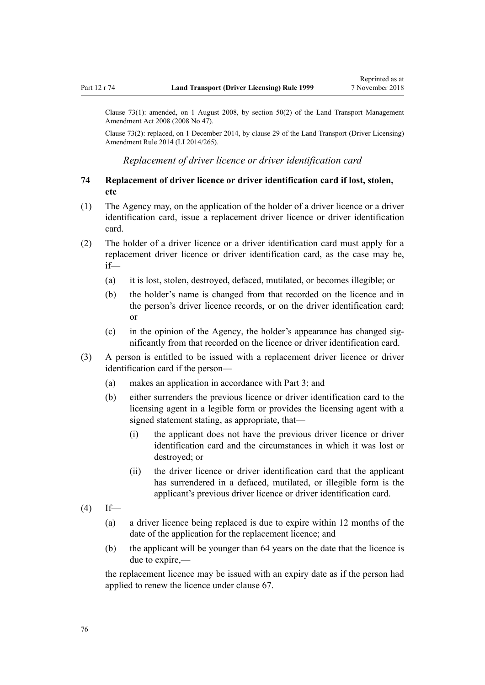<span id="page-75-0"></span>Clause 73(1): amended, on 1 August 2008, by [section 50\(2\)](http://legislation.govt.nz/pdflink.aspx?id=DLM1313622) of the Land Transport Management Amendment Act 2008 (2008 No 47).

Clause 73(2): replaced, on 1 December 2014, by [clause 29](http://legislation.govt.nz/pdflink.aspx?id=DLM6216943) of the Land Transport (Driver Licensing) Amendment Rule 2014 (LI 2014/265).

*Replacement of driver licence or driver identification card*

## **74 Replacement of driver licence or driver identification card if lost, stolen, etc**

- (1) The Agency may, on the application of the holder of a driver licence or a driver identification card, issue a replacement driver licence or driver identification card.
- (2) The holder of a driver licence or a driver identification card must apply for a replacement driver licence or driver identification card, as the case may be, if—
	- (a) it is lost, stolen, destroyed, defaced, mutilated, or becomes illegible; or
	- (b) the holder's name is changed from that recorded on the licence and in the person's driver licence records, or on the driver identification card; or
	- (c) in the opinion of the Agency, the holder's appearance has changed significantly from that recorded on the licence or driver identification card.
- (3) A person is entitled to be issued with a replacement driver licence or driver identification card if the person—
	- (a) makes an application in accordance with [Part 3](#page-21-0); and
	- (b) either surrenders the previous licence or driver identification card to the licensing agent in a legible form or provides the licensing agent with a signed statement stating, as appropriate, that—
		- (i) the applicant does not have the previous driver licence or driver identification card and the circumstances in which it was lost or destroyed; or
		- (ii) the driver licence or driver identification card that the applicant has surrendered in a defaced, mutilated, or illegible form is the applicant's previous driver licence or driver identification card.
- $(4)$  If—
	- (a) a driver licence being replaced is due to expire within 12 months of the date of the application for the replacement licence; and
	- (b) the applicant will be younger than 64 years on the date that the licence is due to expire,—

the replacement licence may be issued with an expiry date as if the person had applied to renew the licence under [clause 67](#page-67-0).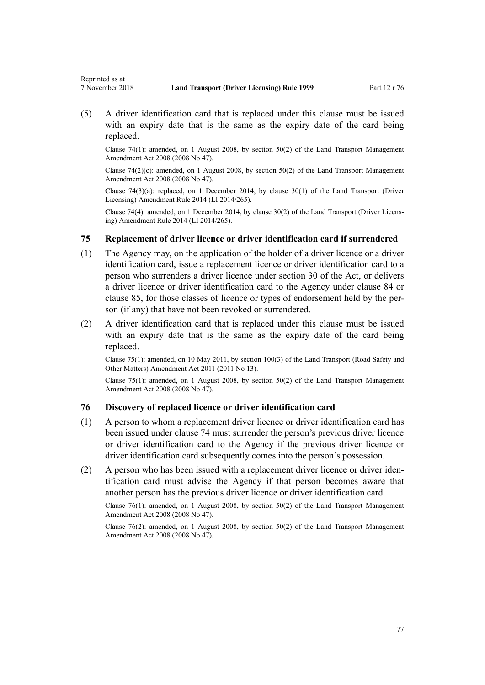Reprinted as at

(5) A driver identification card that is replaced under this clause must be issued with an expiry date that is the same as the expiry date of the card being replaced.

Clause 74(1): amended, on 1 August 2008, by [section 50\(2\)](http://legislation.govt.nz/pdflink.aspx?id=DLM1313622) of the Land Transport Management Amendment Act 2008 (2008 No 47).

Clause  $74(2)(c)$ : amended, on 1 August 2008, by [section 50\(2\)](http://legislation.govt.nz/pdflink.aspx?id=DLM1313622) of the Land Transport Management Amendment Act 2008 (2008 No 47).

Clause  $74(3)(a)$ : replaced, on 1 December 2014, by clause  $30(1)$  of the Land Transport (Driver Licensing) Amendment Rule 2014 (LI 2014/265).

Clause 74(4): amended, on 1 December 2014, by [clause 30\(2\)](http://legislation.govt.nz/pdflink.aspx?id=DLM6216944) of the Land Transport (Driver Licensing) Amendment Rule 2014 (LI 2014/265).

## **75 Replacement of driver licence or driver identification card if surrendered**

- (1) The Agency may, on the application of the holder of a driver licence or a driver identification card, issue a replacement licence or driver identification card to a person who surrenders a driver licence under [section 30](http://legislation.govt.nz/pdflink.aspx?id=DLM434583) of the Act, or delivers a driver licence or driver identification card to the Agency under [clause 84](#page-82-0) or [clause 85,](#page-83-0) for those classes of licence or types of endorsement held by the person (if any) that have not been revoked or surrendered.
- (2) A driver identification card that is replaced under this clause must be issued with an expiry date that is the same as the expiry date of the card being replaced.

Clause 75(1): amended, on 10 May 2011, by [section 100\(3\)](http://legislation.govt.nz/pdflink.aspx?id=DLM3231293) of the Land Transport (Road Safety and Other Matters) Amendment Act 2011 (2011 No 13).

Clause 75(1): amended, on 1 August 2008, by [section 50\(2\)](http://legislation.govt.nz/pdflink.aspx?id=DLM1313622) of the Land Transport Management Amendment Act 2008 (2008 No 47).

#### **76 Discovery of replaced licence or driver identification card**

- (1) A person to whom a replacement driver licence or driver identification card has been issued under [clause 74](#page-75-0) must surrender the person's previous driver licence or driver identification card to the Agency if the previous driver licence or driver identification card subsequently comes into the person's possession.
- (2) A person who has been issued with a replacement driver licence or driver identification card must advise the Agency if that person becomes aware that another person has the previous driver licence or driver identification card.

Clause 76(1): amended, on 1 August 2008, by [section 50\(2\)](http://legislation.govt.nz/pdflink.aspx?id=DLM1313622) of the Land Transport Management Amendment Act 2008 (2008 No 47).

Clause 76(2): amended, on 1 August 2008, by [section 50\(2\)](http://legislation.govt.nz/pdflink.aspx?id=DLM1313622) of the Land Transport Management Amendment Act 2008 (2008 No 47).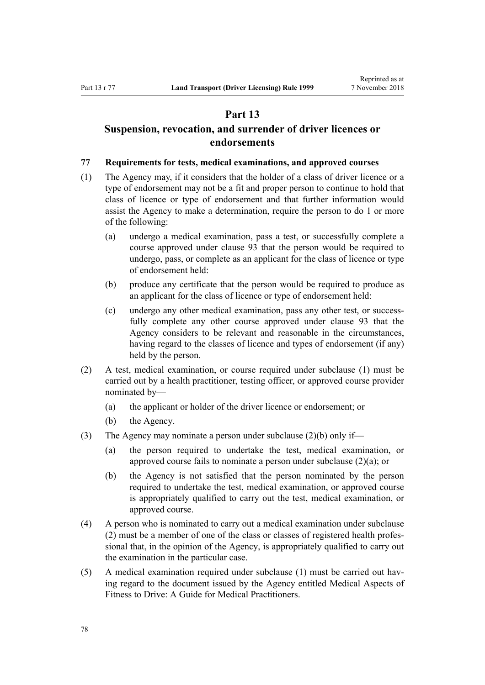## **Part 13**

## <span id="page-77-0"></span>**Suspension, revocation, and surrender of driver licences or endorsements**

#### **77 Requirements for tests, medical examinations, and approved courses**

- (1) The Agency may, if it considers that the holder of a class of driver licence or a type of endorsement may not be a fit and proper person to continue to hold that class of licence or type of endorsement and that further information would assist the Agency to make a determination, require the person to do 1 or more of the following:
	- (a) undergo a medical examination, pass a test, or successfully complete a course approved under [clause 93](#page-91-0) that the person would be required to undergo, pass, or complete as an applicant for the class of licence or type of endorsement held:
	- (b) produce any certificate that the person would be required to produce as an applicant for the class of licence or type of endorsement held:
	- (c) undergo any other medical examination, pass any other test, or successfully complete any other course approved under [clause 93](#page-91-0) that the Agency considers to be relevant and reasonable in the circumstances, having regard to the classes of licence and types of endorsement (if any) held by the person.
- (2) A test, medical examination, or course required under subclause (1) must be carried out by a health practitioner, testing officer, or approved course provider nominated by—
	- (a) the applicant or holder of the driver licence or endorsement; or
	- (b) the Agency.
- (3) The Agency may nominate a person under subclause (2)(b) only if—
	- (a) the person required to undertake the test, medical examination, or approved course fails to nominate a person under subclause (2)(a); or
	- (b) the Agency is not satisfied that the person nominated by the person required to undertake the test, medical examination, or approved course is appropriately qualified to carry out the test, medical examination, or approved course.
- (4) A person who is nominated to carry out a medical examination under subclause (2) must be a member of one of the class or classes of registered health professional that, in the opinion of the Agency, is appropriately qualified to carry out the examination in the particular case.
- (5) A medical examination required under subclause (1) must be carried out having regard to the document issued by the Agency entitled Medical Aspects of Fitness to Drive: A Guide for Medical Practitioners.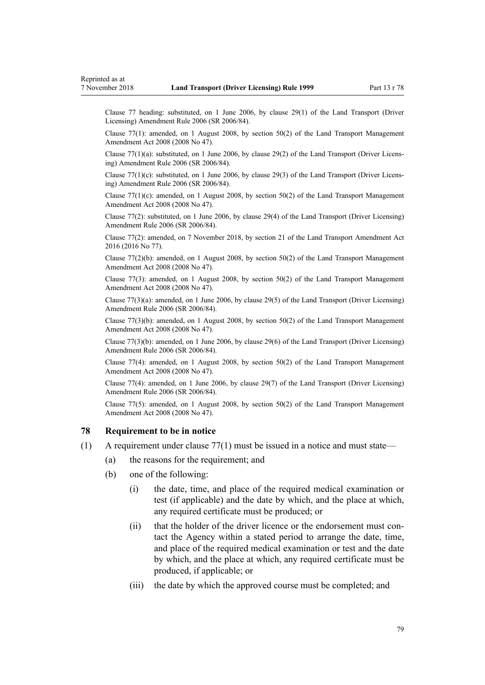<span id="page-78-0"></span>Clause 77 heading: substituted, on 1 June 2006, by [clause 29\(1\)](http://legislation.govt.nz/pdflink.aspx?id=DLM376122) of the Land Transport (Driver Licensing) Amendment Rule 2006 (SR 2006/84).

Clause 77(1): amended, on 1 August 2008, by [section 50\(2\)](http://legislation.govt.nz/pdflink.aspx?id=DLM1313622) of the Land Transport Management Amendment Act 2008 (2008 No 47).

Clause 77(1)(a): substituted, on 1 June 2006, by [clause 29\(2\)](http://legislation.govt.nz/pdflink.aspx?id=DLM376122) of the Land Transport (Driver Licensing) Amendment Rule 2006 (SR 2006/84).

Clause  $77(1)(c)$ : substituted, on 1 June 2006, by [clause 29\(3\)](http://legislation.govt.nz/pdflink.aspx?id=DLM376122) of the Land Transport (Driver Licensing) Amendment Rule 2006 (SR 2006/84).

Clause  $77(1)(c)$ : amended, on 1 August 2008, by section  $50(2)$  of the Land Transport Management Amendment Act 2008 (2008 No 47).

Clause 77(2): substituted, on 1 June 2006, by [clause 29\(4\)](http://legislation.govt.nz/pdflink.aspx?id=DLM376122) of the Land Transport (Driver Licensing) Amendment Rule 2006 (SR 2006/84).

Clause 77(2): amended, on 7 November 2018, by [section 21](http://legislation.govt.nz/pdflink.aspx?id=DLM6984133) of the Land Transport Amendment Act 2016 (2016 No 77).

Clause  $77(2)(b)$ : amended, on 1 August 2008, by [section 50\(2\)](http://legislation.govt.nz/pdflink.aspx?id=DLM1313622) of the Land Transport Management Amendment Act 2008 (2008 No 47).

Clause 77(3): amended, on 1 August 2008, by [section 50\(2\)](http://legislation.govt.nz/pdflink.aspx?id=DLM1313622) of the Land Transport Management Amendment Act 2008 (2008 No 47).

Clause 77(3)(a): amended, on 1 June 2006, by [clause 29\(5\)](http://legislation.govt.nz/pdflink.aspx?id=DLM376122) of the Land Transport (Driver Licensing) Amendment Rule 2006 (SR 2006/84).

Clause 77(3)(b): amended, on 1 August 2008, by [section 50\(2\)](http://legislation.govt.nz/pdflink.aspx?id=DLM1313622) of the Land Transport Management Amendment Act 2008 (2008 No 47).

Clause 77(3)(b): amended, on 1 June 2006, by [clause 29\(6\)](http://legislation.govt.nz/pdflink.aspx?id=DLM376122) of the Land Transport (Driver Licensing) Amendment Rule 2006 (SR 2006/84).

Clause 77(4): amended, on 1 August 2008, by [section 50\(2\)](http://legislation.govt.nz/pdflink.aspx?id=DLM1313622) of the Land Transport Management Amendment Act 2008 (2008 No 47).

Clause 77(4): amended, on 1 June 2006, by [clause 29\(7\)](http://legislation.govt.nz/pdflink.aspx?id=DLM376122) of the Land Transport (Driver Licensing) Amendment Rule 2006 (SR 2006/84).

Clause  $77(5)$ : amended, on 1 August 2008, by section  $50(2)$  of the Land Transport Management Amendment Act 2008 (2008 No 47).

#### **78 Requirement to be in notice**

- (1) A requirement under [clause 77\(1\)](#page-77-0) must be issued in a notice and must state—
	- (a) the reasons for the requirement; and
	- (b) one of the following:
		- (i) the date, time, and place of the required medical examination or test (if applicable) and the date by which, and the place at which, any required certificate must be produced; or
		- (ii) that the holder of the driver licence or the endorsement must contact the Agency within a stated period to arrange the date, time, and place of the required medical examination or test and the date by which, and the place at which, any required certificate must be produced, if applicable; or
		- (iii) the date by which the approved course must be completed; and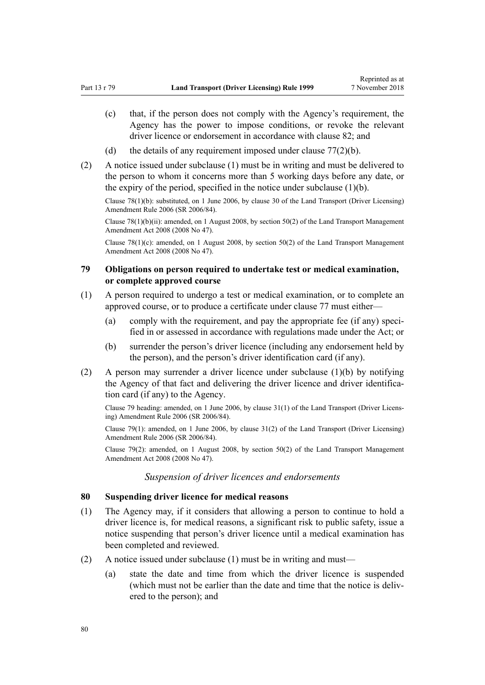- (c) that, if the person does not comply with the Agency's requirement, the Agency has the power to impose conditions, or revoke the relevant driver licence or endorsement in accordance with [clause 82;](#page-80-0) and
- (d) the details of any requirement imposed under clause  $77(2)(b)$ .
- (2) A notice issued under subclause (1) must be in writing and must be delivered to the person to whom it concerns more than 5 working days before any date, or the expiry of the period, specified in the notice under subclause  $(1)(b)$ .

Clause 78(1)(b): substituted, on 1 June 2006, by [clause 30](http://legislation.govt.nz/pdflink.aspx?id=DLM376123) of the Land Transport (Driver Licensing) Amendment Rule 2006 (SR 2006/84).

Clause 78(1)(b)(ii): amended, on 1 August 2008, by [section 50\(2\)](http://legislation.govt.nz/pdflink.aspx?id=DLM1313622) of the Land Transport Management Amendment Act 2008 (2008 No 47).

Clause  $78(1)(c)$ : amended, on 1 August 2008, by [section 50\(2\)](http://legislation.govt.nz/pdflink.aspx?id=DLM1313622) of the Land Transport Management Amendment Act 2008 (2008 No 47).

## **79 Obligations on person required to undertake test or medical examination, or complete approved course**

- (1) A person required to undergo a test or medical examination, or to complete an approved course, or to produce a certificate under [clause 77](#page-77-0) must either—
	- (a) comply with the requirement, and pay the appropriate fee (if any) specified in or assessed in accordance with regulations made under the Act; or
	- (b) surrender the person's driver licence (including any endorsement held by the person), and the person's driver identification card (if any).
- (2) A person may surrender a driver licence under subclause (1)(b) by notifying the Agency of that fact and delivering the driver licence and driver identification card (if any) to the Agency.

Clause 79 heading: amended, on 1 June 2006, by [clause 31\(1\)](http://legislation.govt.nz/pdflink.aspx?id=DLM376124) of the Land Transport (Driver Licensing) Amendment Rule 2006 (SR 2006/84).

Clause 79(1): amended, on 1 June 2006, by [clause 31\(2\)](http://legislation.govt.nz/pdflink.aspx?id=DLM376124) of the Land Transport (Driver Licensing) Amendment Rule 2006 (SR 2006/84).

Clause 79(2): amended, on 1 August 2008, by [section 50\(2\)](http://legislation.govt.nz/pdflink.aspx?id=DLM1313622) of the Land Transport Management Amendment Act 2008 (2008 No 47).

### *Suspension of driver licences and endorsements*

## **80 Suspending driver licence for medical reasons**

- (1) The Agency may, if it considers that allowing a person to continue to hold a driver licence is, for medical reasons, a significant risk to public safety, issue a notice suspending that person's driver licence until a medical examination has been completed and reviewed.
- (2) A notice issued under subclause (1) must be in writing and must—
	- (a) state the date and time from which the driver licence is suspended (which must not be earlier than the date and time that the notice is delivered to the person); and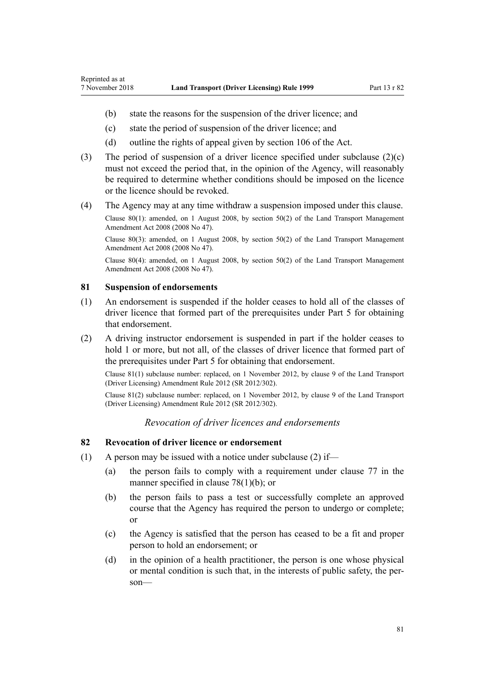- <span id="page-80-0"></span>(b) state the reasons for the suspension of the driver licence; and
- (c) state the period of suspension of the driver licence; and
- (d) outline the rights of appeal given by [section 106](http://legislation.govt.nz/pdflink.aspx?id=DLM435083) of the Act.
- (3) The period of suspension of a driver licence specified under subclause (2)(c) must not exceed the period that, in the opinion of the Agency, will reasonably be required to determine whether conditions should be imposed on the licence or the licence should be revoked.
- (4) The Agency may at any time withdraw a suspension imposed under this clause.

Clause 80(1): amended, on 1 August 2008, by [section 50\(2\)](http://legislation.govt.nz/pdflink.aspx?id=DLM1313622) of the Land Transport Management Amendment Act 2008 (2008 No 47).

Clause 80(3): amended, on 1 August 2008, by [section 50\(2\)](http://legislation.govt.nz/pdflink.aspx?id=DLM1313622) of the Land Transport Management Amendment Act 2008 (2008 No 47).

Clause 80(4): amended, on 1 August 2008, by [section 50\(2\)](http://legislation.govt.nz/pdflink.aspx?id=DLM1313622) of the Land Transport Management Amendment Act 2008 (2008 No 47).

#### **81 Suspension of endorsements**

- (1) An endorsement is suspended if the holder ceases to hold all of the classes of driver licence that formed part of the prerequisites under [Part 5](#page-39-0) for obtaining that endorsement.
- (2) A driving instructor endorsement is suspended in part if the holder ceases to hold 1 or more, but not all, of the classes of driver licence that formed part of the prerequisites under [Part 5](#page-39-0) for obtaining that endorsement.

Clause 81(1) subclause number: replaced, on 1 November 2012, by [clause 9](http://legislation.govt.nz/pdflink.aspx?id=DLM4773441) of the Land Transport (Driver Licensing) Amendment Rule 2012 (SR 2012/302).

Clause 81(2) subclause number: replaced, on 1 November 2012, by [clause 9](http://legislation.govt.nz/pdflink.aspx?id=DLM4773441) of the Land Transport (Driver Licensing) Amendment Rule 2012 (SR 2012/302).

## *Revocation of driver licences and endorsements*

## **82 Revocation of driver licence or endorsement**

- (1) A person may be issued with a notice under subclause (2) if—
	- (a) the person fails to comply with a requirement under [clause 77](#page-77-0) in the manner specified in [clause 78\(1\)\(b\);](#page-78-0) or
	- (b) the person fails to pass a test or successfully complete an approved course that the Agency has required the person to undergo or complete; or
	- (c) the Agency is satisfied that the person has ceased to be a fit and proper person to hold an endorsement; or
	- (d) in the opinion of a health practitioner, the person is one whose physical or mental condition is such that, in the interests of public safety, the person—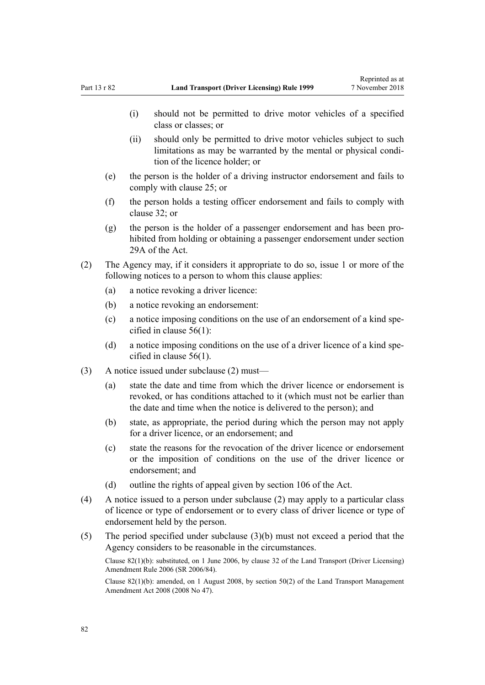- (i) should not be permitted to drive motor vehicles of a specified class or classes; or
- (ii) should only be permitted to drive motor vehicles subject to such limitations as may be warranted by the mental or physical condition of the licence holder; or
- (e) the person is the holder of a driving instructor endorsement and fails to comply with [clause 25](#page-41-0); or
- (f) the person holds a testing officer endorsement and fails to comply with [clause 32](#page-45-0); or
- (g) the person is the holder of a passenger endorsement and has been prohibited from holding or obtaining a passenger endorsement under [section](http://legislation.govt.nz/pdflink.aspx?id=DLM434566) [29A](http://legislation.govt.nz/pdflink.aspx?id=DLM434566) of the Act.
- (2) The Agency may, if it considers it appropriate to do so, issue 1 or more of the following notices to a person to whom this clause applies:
	- (a) a notice revoking a driver licence:
	- (b) a notice revoking an endorsement:
	- (c) a notice imposing conditions on the use of an endorsement of a kind specified in [clause 56\(1\):](#page-58-0)
	- (d) a notice imposing conditions on the use of a driver licence of a kind specified in [clause 56\(1\).](#page-58-0)
- (3) A notice issued under subclause (2) must—
	- (a) state the date and time from which the driver licence or endorsement is revoked, or has conditions attached to it (which must not be earlier than the date and time when the notice is delivered to the person); and
	- (b) state, as appropriate, the period during which the person may not apply for a driver licence, or an endorsement; and
	- (c) state the reasons for the revocation of the driver licence or endorsement or the imposition of conditions on the use of the driver licence or endorsement; and
	- (d) outline the rights of appeal given by [section 106](http://legislation.govt.nz/pdflink.aspx?id=DLM435083) of the Act.
- (4) A notice issued to a person under subclause (2) may apply to a particular class of licence or type of endorsement or to every class of driver licence or type of endorsement held by the person.
- (5) The period specified under subclause (3)(b) must not exceed a period that the Agency considers to be reasonable in the circumstances.

Clause 82(1)(b): substituted, on 1 June 2006, by [clause 32](http://legislation.govt.nz/pdflink.aspx?id=DLM376125) of the Land Transport (Driver Licensing) Amendment Rule 2006 (SR 2006/84).

Clause 82(1)(b): amended, on 1 August 2008, by [section 50\(2\)](http://legislation.govt.nz/pdflink.aspx?id=DLM1313622) of the Land Transport Management Amendment Act 2008 (2008 No 47).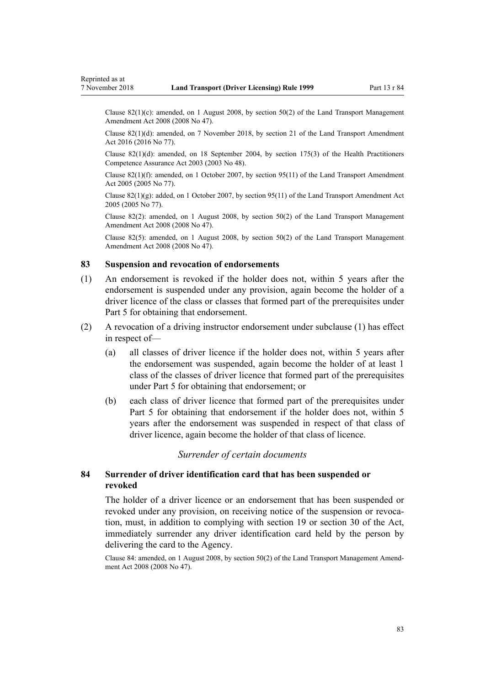<span id="page-82-0"></span>Clause 82(1)(c): amended, on 1 August 2008, by [section 50\(2\)](http://legislation.govt.nz/pdflink.aspx?id=DLM1313622) of the Land Transport Management Amendment Act 2008 (2008 No 47).

Clause 82(1)(d): amended, on 7 November 2018, by [section 21](http://legislation.govt.nz/pdflink.aspx?id=DLM6984133) of the Land Transport Amendment Act 2016 (2016 No 77).

Clause 82(1)(d): amended, on 18 September 2004, by [section 175\(3\)](http://legislation.govt.nz/pdflink.aspx?id=DLM205009) of the Health Practitioners Competence Assurance Act 2003 (2003 No 48).

Clause 82(1)(f): amended, on 1 October 2007, by [section 95\(11\)](http://legislation.govt.nz/pdflink.aspx?id=DLM353501) of the Land Transport Amendment Act 2005 (2005 No 77).

Clause  $82(1)(g)$ : added, on 1 October 2007, by [section 95\(11\)](http://legislation.govt.nz/pdflink.aspx?id=DLM353501) of the Land Transport Amendment Act 2005 (2005 No 77).

Clause 82(2): amended, on 1 August 2008, by [section 50\(2\)](http://legislation.govt.nz/pdflink.aspx?id=DLM1313622) of the Land Transport Management Amendment Act 2008 (2008 No 47).

Clause 82(5): amended, on 1 August 2008, by [section 50\(2\)](http://legislation.govt.nz/pdflink.aspx?id=DLM1313622) of the Land Transport Management Amendment Act 2008 (2008 No 47).

## **83 Suspension and revocation of endorsements**

- (1) An endorsement is revoked if the holder does not, within 5 years after the endorsement is suspended under any provision, again become the holder of a driver licence of the class or classes that formed part of the prerequisites under [Part 5](#page-39-0) for obtaining that endorsement.
- (2) A revocation of a driving instructor endorsement under subclause (1) has effect in respect of—
	- (a) all classes of driver licence if the holder does not, within 5 years after the endorsement was suspended, again become the holder of at least 1 class of the classes of driver licence that formed part of the prerequisites under [Part 5](#page-39-0) for obtaining that endorsement; or
	- (b) each class of driver licence that formed part of the prerequisites under [Part 5](#page-39-0) for obtaining that endorsement if the holder does not, within 5 years after the endorsement was suspended in respect of that class of driver licence, again become the holder of that class of licence.

## *Surrender of certain documents*

## **84 Surrender of driver identification card that has been suspended or revoked**

The holder of a driver licence or an endorsement that has been suspended or revoked under any provision, on receiving notice of the suspension or revocation, must, in addition to complying with [section 19](http://legislation.govt.nz/pdflink.aspx?id=DLM434536) or [section 30](http://legislation.govt.nz/pdflink.aspx?id=DLM434583) of the Act, immediately surrender any driver identification card held by the person by delivering the card to the Agency.

Clause 84: amended, on 1 August 2008, by [section 50\(2\)](http://legislation.govt.nz/pdflink.aspx?id=DLM1313622) of the Land Transport Management Amendment Act 2008 (2008 No 47).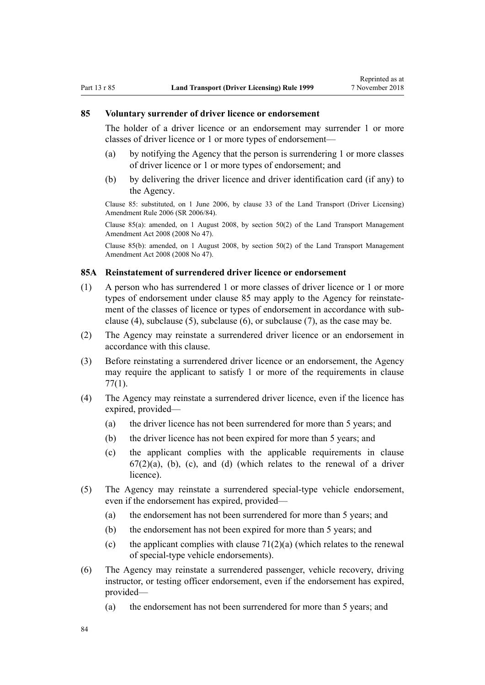#### <span id="page-83-0"></span>**85 Voluntary surrender of driver licence or endorsement**

The holder of a driver licence or an endorsement may surrender 1 or more classes of driver licence or 1 or more types of endorsement—

- (a) by notifying the Agency that the person is surrendering 1 or more classes of driver licence or 1 or more types of endorsement; and
- (b) by delivering the driver licence and driver identification card (if any) to the Agency.

Clause 85: substituted, on 1 June 2006, by [clause 33](http://legislation.govt.nz/pdflink.aspx?id=DLM376126) of the Land Transport (Driver Licensing) Amendment Rule 2006 (SR 2006/84).

Clause 85(a): amended, on 1 August 2008, by [section 50\(2\)](http://legislation.govt.nz/pdflink.aspx?id=DLM1313622) of the Land Transport Management Amendment Act 2008 (2008 No 47).

Clause 85(b): amended, on 1 August 2008, by [section 50\(2\)](http://legislation.govt.nz/pdflink.aspx?id=DLM1313622) of the Land Transport Management Amendment Act 2008 (2008 No 47).

### **85A Reinstatement of surrendered driver licence or endorsement**

- (1) A person who has surrendered 1 or more classes of driver licence or 1 or more types of endorsement under clause 85 may apply to the Agency for reinstatement of the classes of licence or types of endorsement in accordance with subclause (4), subclause (5), subclause (6), or subclause (7), as the case may be.
- (2) The Agency may reinstate a surrendered driver licence or an endorsement in accordance with this clause.
- (3) Before reinstating a surrendered driver licence or an endorsement, the Agency may require the applicant to satisfy 1 or more of the requirements in [clause](#page-77-0) [77\(1\)](#page-77-0).
- (4) The Agency may reinstate a surrendered driver licence, even if the licence has expired, provided—
	- (a) the driver licence has not been surrendered for more than 5 years; and
	- (b) the driver licence has not been expired for more than 5 years; and
	- (c) the applicant complies with the applicable requirements in [clause](#page-67-0)  $67(2)(a)$ , (b), (c), and (d) (which relates to the renewal of a driver licence).
- (5) The Agency may reinstate a surrendered special-type vehicle endorsement, even if the endorsement has expired, provided—
	- (a) the endorsement has not been surrendered for more than 5 years; and
	- (b) the endorsement has not been expired for more than 5 years; and
	- (c) the applicant complies with clause  $71(2)(a)$  (which relates to the renewal of special-type vehicle endorsements).
- (6) The Agency may reinstate a surrendered passenger, vehicle recovery, driving instructor, or testing officer endorsement, even if the endorsement has expired, provided—
	- (a) the endorsement has not been surrendered for more than 5 years; and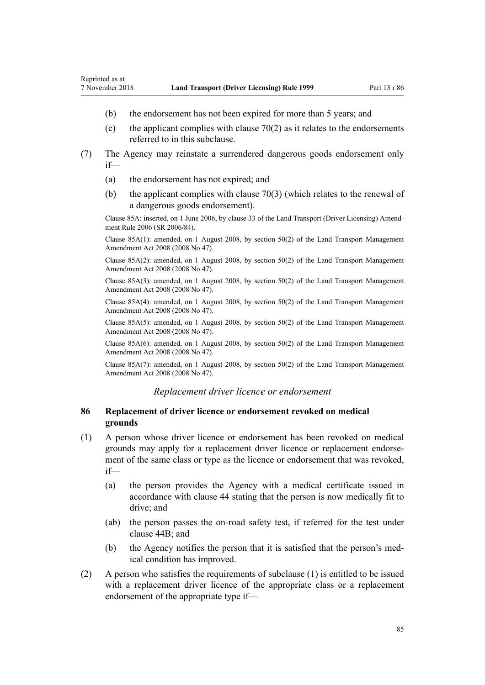- (b) the endorsement has not been expired for more than 5 years; and
- (c) the applicant complies with clause  $70(2)$  as it relates to the endorsements referred to in this subclause.
- (7) The Agency may reinstate a surrendered dangerous goods endorsement only if—
	- (a) the endorsement has not expired; and
	- (b) the applicant complies with [clause 70\(3\)](#page-72-0) (which relates to the renewal of a dangerous goods endorsement).

Clause 85A: inserted, on 1 June 2006, by [clause 33](http://legislation.govt.nz/pdflink.aspx?id=DLM376126) of the Land Transport (Driver Licensing) Amendment Rule 2006 (SR 2006/84).

Clause 85A(1): amended, on 1 August 2008, by [section 50\(2\)](http://legislation.govt.nz/pdflink.aspx?id=DLM1313622) of the Land Transport Management Amendment Act 2008 (2008 No 47).

Clause 85A(2): amended, on 1 August 2008, by [section 50\(2\)](http://legislation.govt.nz/pdflink.aspx?id=DLM1313622) of the Land Transport Management Amendment Act 2008 (2008 No 47).

Clause 85A(3): amended, on 1 August 2008, by [section 50\(2\)](http://legislation.govt.nz/pdflink.aspx?id=DLM1313622) of the Land Transport Management Amendment Act 2008 (2008 No 47).

Clause 85A(4): amended, on 1 August 2008, by [section 50\(2\)](http://legislation.govt.nz/pdflink.aspx?id=DLM1313622) of the Land Transport Management Amendment Act 2008 (2008 No 47).

Clause 85A(5): amended, on 1 August 2008, by [section 50\(2\)](http://legislation.govt.nz/pdflink.aspx?id=DLM1313622) of the Land Transport Management Amendment Act 2008 (2008 No 47).

Clause 85A(6): amended, on 1 August 2008, by [section 50\(2\)](http://legislation.govt.nz/pdflink.aspx?id=DLM1313622) of the Land Transport Management Amendment Act 2008 (2008 No 47).

Clause 85A(7): amended, on 1 August 2008, by [section 50\(2\)](http://legislation.govt.nz/pdflink.aspx?id=DLM1313622) of the Land Transport Management Amendment Act 2008 (2008 No 47).

#### *Replacement driver licence or endorsement*

## **86 Replacement of driver licence or endorsement revoked on medical grounds**

- (1) A person whose driver licence or endorsement has been revoked on medical grounds may apply for a replacement driver licence or replacement endorsement of the same class or type as the licence or endorsement that was revoked, if—
	- (a) the person provides the Agency with a medical certificate issued in accordance with [clause 44](#page-52-0) stating that the person is now medically fit to drive; and
	- (ab) the person passes the on-road safety test, if referred for the test under [clause 44B;](#page-53-0) and
	- (b) the Agency notifies the person that it is satisfied that the person's medical condition has improved.
- (2) A person who satisfies the requirements of subclause (1) is entitled to be issued with a replacement driver licence of the appropriate class or a replacement endorsement of the appropriate type if—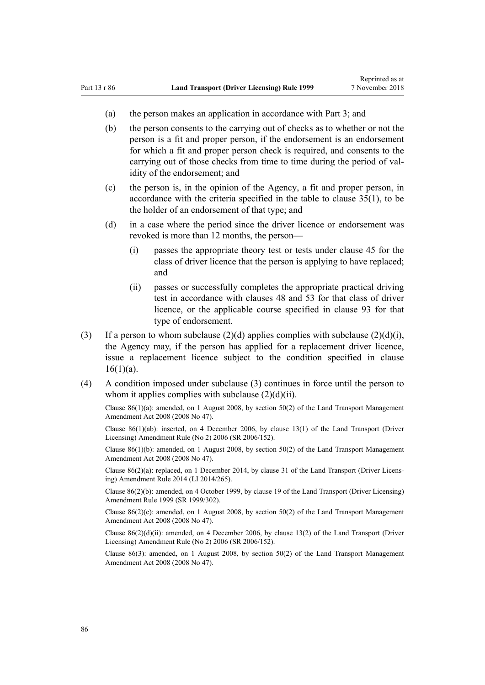- (a) the person makes an application in accordance with [Part 3](#page-21-0); and
- (b) the person consents to the carrying out of checks as to whether or not the person is a fit and proper person, if the endorsement is an endorsement for which a fit and proper person check is required, and consents to the carrying out of those checks from time to time during the period of validity of the endorsement; and
- (c) the person is, in the opinion of the Agency, a fit and proper person, in accordance with the criteria specified in the table to [clause 35\(1\),](#page-46-0) to be the holder of an endorsement of that type; and
- (d) in a case where the period since the driver licence or endorsement was revoked is more than 12 months, the person—
	- (i) passes the appropriate theory test or tests under [clause 45](#page-54-0) for the class of driver licence that the person is applying to have replaced; and
	- (ii) passes or successfully completes the appropriate practical driving test in accordance with [clauses 48](#page-55-0) and [53](#page-57-0) for that class of driver licence, or the applicable course specified in [clause 93](#page-91-0) for that type of endorsement.
- (3) If a person to whom subclause  $(2)(d)$  applies complies with subclause  $(2)(d)(i)$ , the Agency may, if the person has applied for a replacement driver licence, issue a replacement licence subject to the condition specified in [clause](#page-26-0)  $16(1)(a)$ .
- (4) A condition imposed under subclause (3) continues in force until the person to whom it applies complies with subclause  $(2)(d)(ii)$ .

Clause 86(1)(a): amended, on 1 August 2008, by [section 50\(2\)](http://legislation.govt.nz/pdflink.aspx?id=DLM1313622) of the Land Transport Management Amendment Act 2008 (2008 No 47).

Clause 86(1)(ab): inserted, on 4 December 2006, by [clause 13\(1\)](http://legislation.govt.nz/pdflink.aspx?id=DLM386154) of the Land Transport (Driver Licensing) Amendment Rule (No 2) 2006 (SR 2006/152).

Clause 86(1)(b): amended, on 1 August 2008, by [section 50\(2\)](http://legislation.govt.nz/pdflink.aspx?id=DLM1313622) of the Land Transport Management Amendment Act 2008 (2008 No 47).

Clause 86(2)(a): replaced, on 1 December 2014, by [clause 31](http://legislation.govt.nz/pdflink.aspx?id=DLM6216945) of the Land Transport (Driver Licensing) Amendment Rule 2014 (LI 2014/265).

Clause 86(2)(b): amended, on 4 October 1999, by [clause 19](http://legislation.govt.nz/pdflink.aspx?id=DLM293688) of the Land Transport (Driver Licensing) Amendment Rule 1999 (SR 1999/302).

Clause 86(2)(c): amended, on 1 August 2008, by [section 50\(2\)](http://legislation.govt.nz/pdflink.aspx?id=DLM1313622) of the Land Transport Management Amendment Act 2008 (2008 No 47).

Clause 86(2)(d)(ii): amended, on 4 December 2006, by [clause 13\(2\)](http://legislation.govt.nz/pdflink.aspx?id=DLM386154) of the Land Transport (Driver Licensing) Amendment Rule (No 2) 2006 (SR 2006/152).

Clause 86(3): amended, on 1 August 2008, by [section 50\(2\)](http://legislation.govt.nz/pdflink.aspx?id=DLM1313622) of the Land Transport Management Amendment Act 2008 (2008 No 47).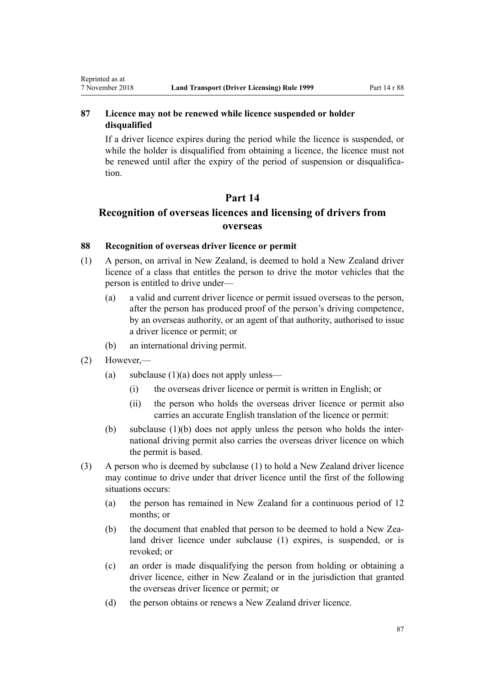## **87 Licence may not be renewed while licence suspended or holder disqualified**

If a driver licence expires during the period while the licence is suspended, or while the holder is disqualified from obtaining a licence, the licence must not be renewed until after the expiry of the period of suspension or disqualification.

## **Part 14**

## **Recognition of overseas licences and licensing of drivers from overseas**

## **88 Recognition of overseas driver licence or permit**

- (1) A person, on arrival in New Zealand, is deemed to hold a New Zealand driver licence of a class that entitles the person to drive the motor vehicles that the person is entitled to drive under—
	- (a) a valid and current driver licence or permit issued overseas to the person, after the person has produced proof of the person's driving competence, by an overseas authority, or an agent of that authority, authorised to issue a driver licence or permit; or
	- (b) an international driving permit.
- (2) However,—

<span id="page-86-0"></span>Reprinted as at

- (a) subclause  $(1)(a)$  does not apply unless—
	- (i) the overseas driver licence or permit is written in English; or
	- (ii) the person who holds the overseas driver licence or permit also carries an accurate English translation of the licence or permit:
- (b) subclause (1)(b) does not apply unless the person who holds the international driving permit also carries the overseas driver licence on which the permit is based.
- (3) A person who is deemed by subclause (1) to hold a New Zealand driver licence may continue to drive under that driver licence until the first of the following situations occurs:
	- (a) the person has remained in New Zealand for a continuous period of 12 months; or
	- (b) the document that enabled that person to be deemed to hold a New Zealand driver licence under subclause (1) expires, is suspended, or is revoked; or
	- (c) an order is made disqualifying the person from holding or obtaining a driver licence, either in New Zealand or in the jurisdiction that granted the overseas driver licence or permit; or
	- (d) the person obtains or renews a New Zealand driver licence.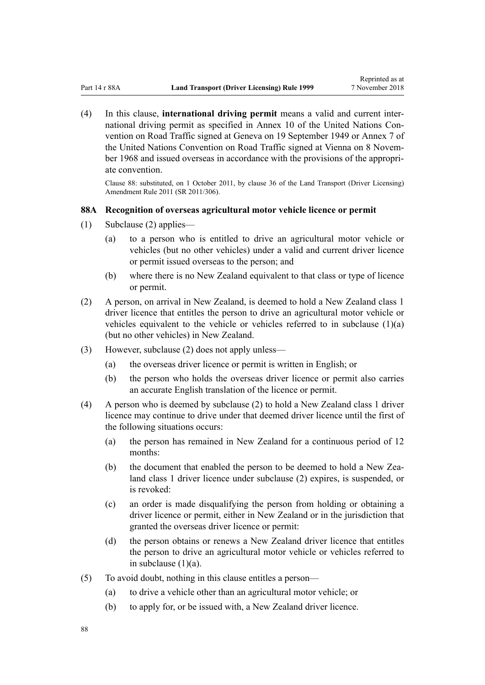(4) In this clause, **international driving permit** means a valid and current international driving permit as specified in Annex 10 of the United Nations Convention on Road Traffic signed at Geneva on 19 September 1949 or Annex 7 of the United Nations Convention on Road Traffic signed at Vienna on 8 November 1968 and issued overseas in accordance with the provisions of the appropriate convention.

Clause 88: substituted, on 1 October 2011, by [clause 36](http://legislation.govt.nz/pdflink.aspx?id=DLM3956741) of the Land Transport (Driver Licensing) Amendment Rule 2011 (SR 2011/306).

## **88A Recognition of overseas agricultural motor vehicle licence or permit**

- (1) Subclause (2) applies—
	- (a) to a person who is entitled to drive an agricultural motor vehicle or vehicles (but no other vehicles) under a valid and current driver licence or permit issued overseas to the person; and
	- (b) where there is no New Zealand equivalent to that class or type of licence or permit.
- (2) A person, on arrival in New Zealand, is deemed to hold a New Zealand class 1 driver licence that entitles the person to drive an agricultural motor vehicle or vehicles equivalent to the vehicle or vehicles referred to in subclause  $(1)(a)$ (but no other vehicles) in New Zealand.
- (3) However, subclause (2) does not apply unless—
	- (a) the overseas driver licence or permit is written in English; or
	- (b) the person who holds the overseas driver licence or permit also carries an accurate English translation of the licence or permit.
- (4) A person who is deemed by subclause (2) to hold a New Zealand class 1 driver licence may continue to drive under that deemed driver licence until the first of the following situations occurs:
	- (a) the person has remained in New Zealand for a continuous period of 12 months:
	- (b) the document that enabled the person to be deemed to hold a New Zealand class 1 driver licence under subclause (2) expires, is suspended, or is revoked:
	- (c) an order is made disqualifying the person from holding or obtaining a driver licence or permit, either in New Zealand or in the jurisdiction that granted the overseas driver licence or permit:
	- (d) the person obtains or renews a New Zealand driver licence that entitles the person to drive an agricultural motor vehicle or vehicles referred to in subclause  $(1)(a)$ .
- (5) To avoid doubt, nothing in this clause entitles a person—
	- (a) to drive a vehicle other than an agricultural motor vehicle; or
	- (b) to apply for, or be issued with, a New Zealand driver licence.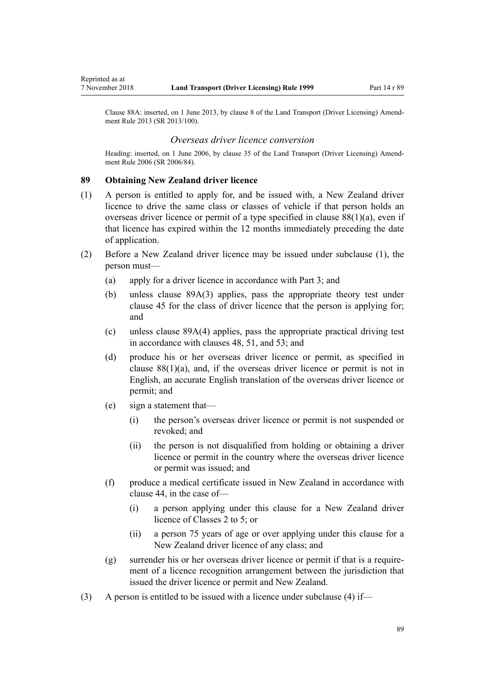<span id="page-88-0"></span>Clause 88A: inserted, on 1 June 2013, by [clause 8](http://legislation.govt.nz/pdflink.aspx?id=DLM5102244) of the Land Transport (Driver Licensing) Amendment Rule 2013 (SR 2013/100).

#### *Overseas driver licence conversion*

Heading: inserted, on 1 June 2006, by [clause 35](http://legislation.govt.nz/pdflink.aspx?id=DLM376131) of the Land Transport (Driver Licensing) Amendment Rule 2006 (SR 2006/84).

#### **89 Obtaining New Zealand driver licence**

- (1) A person is entitled to apply for, and be issued with, a New Zealand driver licence to drive the same class or classes of vehicle if that person holds an overseas driver licence or permit of a type specified in clause  $88(1)(a)$ , even if that licence has expired within the 12 months immediately preceding the date of application.
- (2) Before a New Zealand driver licence may be issued under subclause (1), the person must—
	- (a) apply for a driver licence in accordance with [Part 3;](#page-21-0) and
	- (b) unless [clause 89A\(3\)](#page-89-0) applies, pass the appropriate theory test under [clause 45](#page-54-0) for the class of driver licence that the person is applying for; and
	- (c) unless [clause 89A\(4\)](#page-89-0) applies, pass the appropriate practical driving test in accordance with [clauses 48,](#page-55-0) [51,](#page-56-0) and [53](#page-57-0); and
	- (d) produce his or her overseas driver licence or permit, as specified in clause  $88(1)(a)$ , and, if the overseas driver licence or permit is not in English, an accurate English translation of the overseas driver licence or permit; and
	- (e) sign a statement that—
		- (i) the person's overseas driver licence or permit is not suspended or revoked; and
		- (ii) the person is not disqualified from holding or obtaining a driver licence or permit in the country where the overseas driver licence or permit was issued; and
	- (f) produce a medical certificate issued in New Zealand in accordance with [clause 44](#page-52-0), in the case of—
		- (i) a person applying under this clause for a New Zealand driver licence of Classes 2 to 5; or
		- (ii) a person 75 years of age or over applying under this clause for a New Zealand driver licence of any class; and
	- (g) surrender his or her overseas driver licence or permit if that is a requirement of a licence recognition arrangement between the jurisdiction that issued the driver licence or permit and New Zealand.
- (3) A person is entitled to be issued with a licence under subclause (4) if—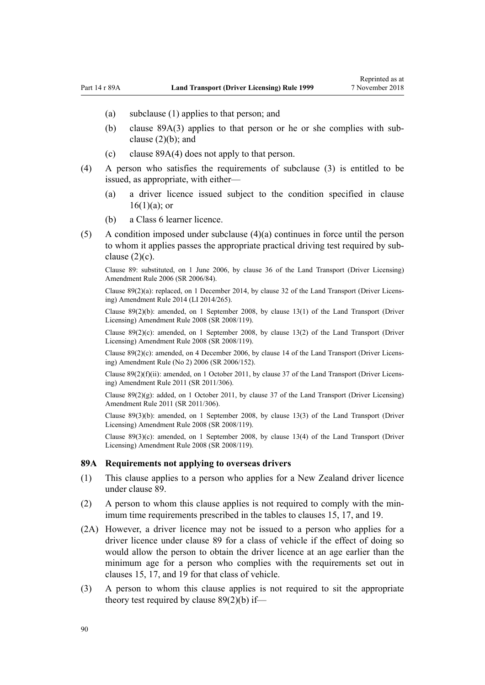- <span id="page-89-0"></span>(a) subclause (1) applies to that person; and
- (b) clause 89A(3) applies to that person or he or she complies with subclause (2)(b); and
- (c) clause 89A(4) does not apply to that person.
- (4) A person who satisfies the requirements of subclause (3) is entitled to be issued, as appropriate, with either—
	- (a) a driver licence issued subject to the condition specified in [clause](#page-26-0)  $16(1)(a)$ ; or
	- (b) a Class 6 learner licence.
- (5) A condition imposed under subclause (4)(a) continues in force until the person to whom it applies passes the appropriate practical driving test required by subclause  $(2)(c)$ .

Clause 89: substituted, on 1 June 2006, by [clause 36](http://legislation.govt.nz/pdflink.aspx?id=DLM376133) of the Land Transport (Driver Licensing) Amendment Rule 2006 (SR 2006/84).

Clause 89(2)(a): replaced, on 1 December 2014, by [clause 32](http://legislation.govt.nz/pdflink.aspx?id=DLM6216946) of the Land Transport (Driver Licensing) Amendment Rule 2014 (LI 2014/265).

Clause 89(2)(b): amended, on 1 September 2008, by [clause 13\(1\)](http://legislation.govt.nz/pdflink.aspx?id=DLM1317919) of the Land Transport (Driver Licensing) Amendment Rule 2008 (SR 2008/119).

Clause  $89(2)(c)$ : amended, on 1 September 2008, by [clause 13\(2\)](http://legislation.govt.nz/pdflink.aspx?id=DLM1317919) of the Land Transport (Driver Licensing) Amendment Rule 2008 (SR 2008/119).

Clause 89(2)(c): amended, on 4 December 2006, by [clause 14](http://legislation.govt.nz/pdflink.aspx?id=DLM386155) of the Land Transport (Driver Licensing) Amendment Rule (No 2) 2006 (SR 2006/152).

Clause  $89(2)(f)(ii)$ : amended, on 1 October 2011, by [clause 37](http://legislation.govt.nz/pdflink.aspx?id=DLM3956744) of the Land Transport (Driver Licensing) Amendment Rule 2011 (SR 2011/306).

Clause  $89(2)(g)$ : added, on 1 October 2011, by [clause 37](http://legislation.govt.nz/pdflink.aspx?id=DLM3956744) of the Land Transport (Driver Licensing) Amendment Rule 2011 (SR 2011/306).

Clause 89(3)(b): amended, on 1 September 2008, by [clause 13\(3\)](http://legislation.govt.nz/pdflink.aspx?id=DLM1317919) of the Land Transport (Driver Licensing) Amendment Rule 2008 (SR 2008/119).

Clause 89(3)(c): amended, on 1 September 2008, by [clause 13\(4\)](http://legislation.govt.nz/pdflink.aspx?id=DLM1317919) of the Land Transport (Driver Licensing) Amendment Rule 2008 (SR 2008/119).

#### **89A Requirements not applying to overseas drivers**

- (1) This clause applies to a person who applies for a New Zealand driver licence under [clause 89](#page-88-0).
- (2) A person to whom this clause applies is not required to comply with the minimum time requirements prescribed in the tables to [clauses 15,](#page-25-0) [17](#page-28-0), and [19.](#page-30-0)
- (2A) However, a driver licence may not be issued to a person who applies for a driver licence under [clause 89](#page-88-0) for a class of vehicle if the effect of doing so would allow the person to obtain the driver licence at an age earlier than the minimum age for a person who complies with the requirements set out in [clauses 15,](#page-25-0) [17](#page-28-0), and [19](#page-30-0) for that class of vehicle.
- (3) A person to whom this clause applies is not required to sit the appropriate theory test required by [clause 89\(2\)\(b\)](#page-88-0) if—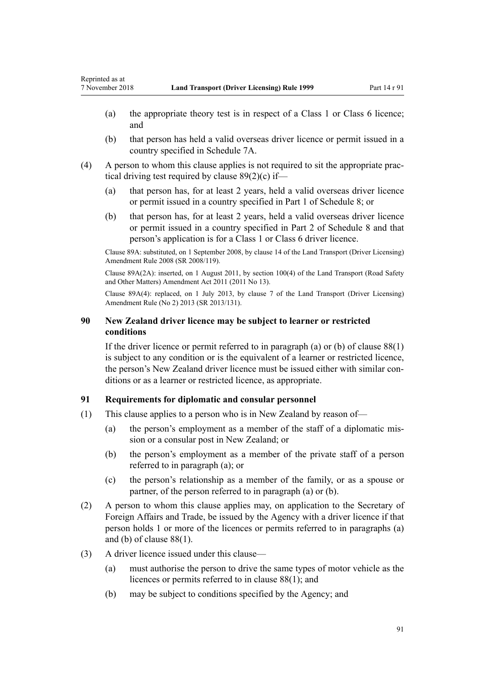- (a) the appropriate theory test is in respect of a Class 1 or Class 6 licence; and
- (b) that person has held a valid overseas driver licence or permit issued in a country specified in [Schedule 7A.](#page-114-0)
- (4) A person to whom this clause applies is not required to sit the appropriate practical driving test required by [clause 89\(2\)\(c\)](#page-88-0) if—
	- (a) that person has, for at least 2 years, held a valid overseas driver licence or permit issued in a country specified in [Part 1](#page-115-0) of Schedule 8; or
	- (b) that person has, for at least 2 years, held a valid overseas driver licence or permit issued in a country specified in [Part 2](#page-116-0) of Schedule 8 and that person's application is for a Class 1 or Class 6 driver licence.

Clause 89A: substituted, on 1 September 2008, by [clause 14](http://legislation.govt.nz/pdflink.aspx?id=DLM1317920) of the Land Transport (Driver Licensing) Amendment Rule 2008 (SR 2008/119).

Clause 89A(2A): inserted, on 1 August 2011, by [section 100\(4\)](http://legislation.govt.nz/pdflink.aspx?id=DLM3231293) of the Land Transport (Road Safety and Other Matters) Amendment Act 2011 (2011 No 13).

Clause 89A(4): replaced, on 1 July 2013, by [clause 7](http://legislation.govt.nz/pdflink.aspx?id=DLM5159812) of the Land Transport (Driver Licensing) Amendment Rule (No 2) 2013 (SR 2013/131).

## **90 New Zealand driver licence may be subject to learner or restricted conditions**

If the driver licence or permit referred to in paragraph (a) or (b) of clause  $88(1)$ is subject to any condition or is the equivalent of a learner or restricted licence, the person's New Zealand driver licence must be issued either with similar conditions or as a learner or restricted licence, as appropriate.

## **91 Requirements for diplomatic and consular personnel**

- (1) This clause applies to a person who is in New Zealand by reason of—
	- (a) the person's employment as a member of the staff of a diplomatic mission or a consular post in New Zealand; or
	- (b) the person's employment as a member of the private staff of a person referred to in paragraph (a); or
	- (c) the person's relationship as a member of the family, or as a spouse or partner, of the person referred to in paragraph (a) or (b).
- (2) A person to whom this clause applies may, on application to the Secretary of Foreign Affairs and Trade, be issued by the Agency with a driver licence if that person holds 1 or more of the licences or permits referred to in paragraphs (a) and (b) of [clause 88\(1\).](#page-86-0)
- (3) A driver licence issued under this clause—
	- (a) must authorise the person to drive the same types of motor vehicle as the licences or permits referred to in [clause 88\(1\)](#page-86-0); and
	- (b) may be subject to conditions specified by the Agency; and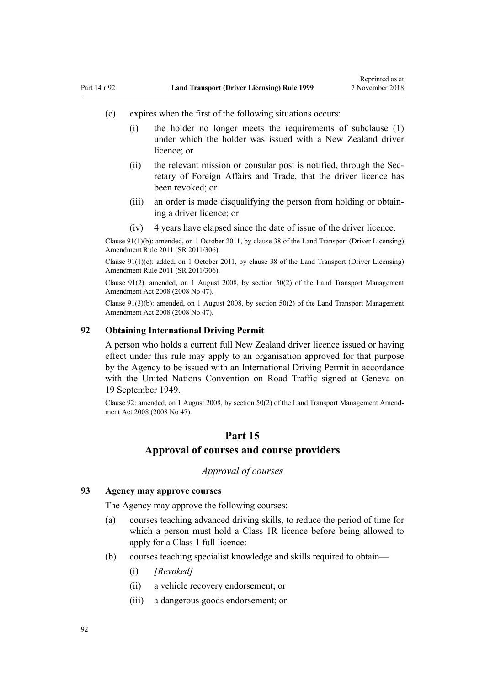- <span id="page-91-0"></span>(c) expires when the first of the following situations occurs:
	- (i) the holder no longer meets the requirements of subclause (1) under which the holder was issued with a New Zealand driver licence; or
	- (ii) the relevant mission or consular post is notified, through the Secretary of Foreign Affairs and Trade, that the driver licence has been revoked; or
	- (iii) an order is made disqualifying the person from holding or obtaining a driver licence; or
	- (iv) 4 years have elapsed since the date of issue of the driver licence.

Clause 91(1)(b): amended, on 1 October 2011, by [clause 38](http://legislation.govt.nz/pdflink.aspx?id=DLM3956745) of the Land Transport (Driver Licensing) Amendment Rule 2011 (SR 2011/306).

Clause 91(1)(c): added, on 1 October 2011, by [clause 38](http://legislation.govt.nz/pdflink.aspx?id=DLM3956745) of the Land Transport (Driver Licensing) Amendment Rule 2011 (SR 2011/306).

Clause 91(2): amended, on 1 August 2008, by [section 50\(2\)](http://legislation.govt.nz/pdflink.aspx?id=DLM1313622) of the Land Transport Management Amendment Act 2008 (2008 No 47).

Clause 91(3)(b): amended, on 1 August 2008, by [section 50\(2\)](http://legislation.govt.nz/pdflink.aspx?id=DLM1313622) of the Land Transport Management Amendment Act 2008 (2008 No 47).

## **92 Obtaining International Driving Permit**

A person who holds a current full New Zealand driver licence issued or having effect under this rule may apply to an organisation approved for that purpose by the Agency to be issued with an International Driving Permit in accordance with the United Nations Convention on Road Traffic signed at Geneva on 19 September 1949.

Clause 92: amended, on 1 August 2008, by [section 50\(2\)](http://legislation.govt.nz/pdflink.aspx?id=DLM1313622) of the Land Transport Management Amendment Act 2008 (2008 No 47).

## **Part 15**

## **Approval of courses and course providers**

## *Approval of courses*

#### **93 Agency may approve courses**

The Agency may approve the following courses:

- (a) courses teaching advanced driving skills, to reduce the period of time for which a person must hold a Class 1R licence before being allowed to apply for a Class 1 full licence:
- (b) courses teaching specialist knowledge and skills required to obtain—
	- (i) *[Revoked]*
	- (ii) a vehicle recovery endorsement; or
	- (iii) a dangerous goods endorsement; or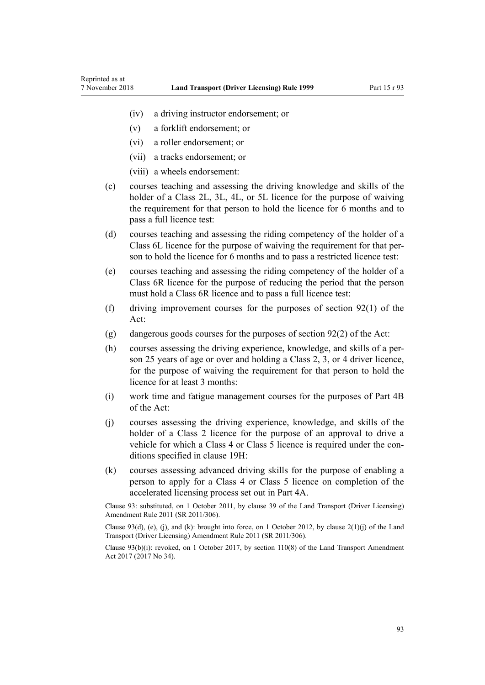- (iv) a driving instructor endorsement; or
- (v) a forklift endorsement; or
- (vi) a roller endorsement; or

Reprinted as at

- (vii) a tracks endorsement; or
- (viii) a wheels endorsement:
- (c) courses teaching and assessing the driving knowledge and skills of the holder of a Class 2L, 3L, 4L, or 5L licence for the purpose of waiving the requirement for that person to hold the licence for 6 months and to pass a full licence test:
- (d) courses teaching and assessing the riding competency of the holder of a Class 6L licence for the purpose of waiving the requirement for that person to hold the licence for 6 months and to pass a restricted licence test:
- (e) courses teaching and assessing the riding competency of the holder of a Class 6R licence for the purpose of reducing the period that the person must hold a Class 6R licence and to pass a full licence test:
- (f) driving improvement courses for the purposes of [section 92\(1\)](http://legislation.govt.nz/pdflink.aspx?id=DLM435016) of the Act:
- (g) dangerous goods courses for the purposes of [section 92\(2\)](http://legislation.govt.nz/pdflink.aspx?id=DLM435016) of the Act:
- (h) courses assessing the driving experience, knowledge, and skills of a person 25 years of age or over and holding a Class 2, 3, or 4 driver licence, for the purpose of waiving the requirement for that person to hold the licence for at least 3 months:
- (i) work time and fatigue management courses for the purposes of [Part 4B](http://legislation.govt.nz/pdflink.aspx?id=DLM434620) of the Act:
- (j) courses assessing the driving experience, knowledge, and skills of the holder of a Class 2 licence for the purpose of an approval to drive a vehicle for which a Class 4 or Class 5 licence is required under the conditions specified in [clause 19H](#page-35-0):
- (k) courses assessing advanced driving skills for the purpose of enabling a person to apply for a Class 4 or Class 5 licence on completion of the accelerated licensing process set out in [Part 4A](#page-33-0).

Clause 93: substituted, on 1 October 2011, by [clause 39](http://legislation.govt.nz/pdflink.aspx?id=DLM3956519) of the Land Transport (Driver Licensing) Amendment Rule 2011 (SR 2011/306).

Clause 93(d), (e), (j), and (k): brought into force, on 1 October 2012, by clause  $2(1)(i)$  of the Land Transport (Driver Licensing) Amendment Rule 2011 (SR 2011/306).

Clause 93(b)(i): revoked, on 1 October 2017, by [section 110\(8\)](http://legislation.govt.nz/pdflink.aspx?id=DLM6960929) of the Land Transport Amendment Act 2017 (2017 No 34).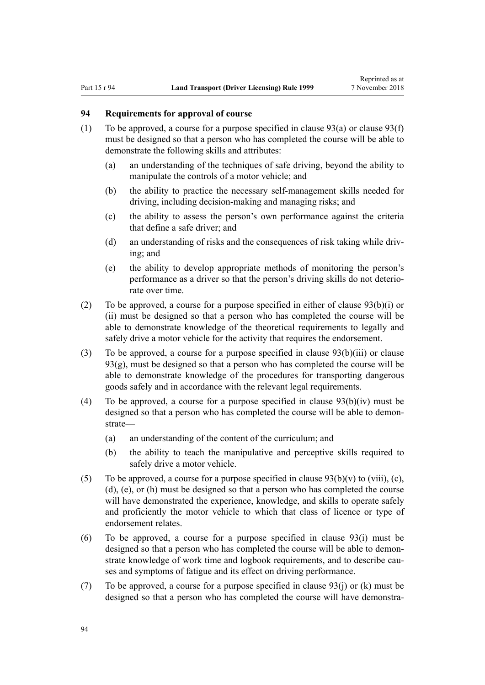## <span id="page-93-0"></span>**94 Requirements for approval of course**

- (1) To be approved, a course for a purpose specified in clause  $93(a)$  or clause  $93(f)$ must be designed so that a person who has completed the course will be able to demonstrate the following skills and attributes:
	- (a) an understanding of the techniques of safe driving, beyond the ability to manipulate the controls of a motor vehicle; and
	- (b) the ability to practice the necessary self-management skills needed for driving, including decision-making and managing risks; and
	- (c) the ability to assess the person's own performance against the criteria that define a safe driver; and
	- (d) an understanding of risks and the consequences of risk taking while driving; and
	- (e) the ability to develop appropriate methods of monitoring the person's performance as a driver so that the person's driving skills do not deteriorate over time.
- (2) To be approved, a course for a purpose specified in either of [clause 93\(b\)\(i\) or](#page-91-0) [\(ii\)](#page-91-0) must be designed so that a person who has completed the course will be able to demonstrate knowledge of the theoretical requirements to legally and safely drive a motor vehicle for the activity that requires the endorsement.
- (3) To be approved, a course for a purpose specified in [clause 93\(b\)\(iii\)](#page-91-0) or clause 93(g), must be designed so that a person who has completed the course will be able to demonstrate knowledge of the procedures for transporting dangerous goods safely and in accordance with the relevant legal requirements.
- (4) To be approved, a course for a purpose specified in clause  $93(b)(iv)$  must be designed so that a person who has completed the course will be able to demonstrate—
	- (a) an understanding of the content of the curriculum; and
	- (b) the ability to teach the manipulative and perceptive skills required to safely drive a motor vehicle.
- (5) To be approved, a course for a purpose specified in clause  $93(b)(v)$  to (viii), (c), [\(d\), \(e\), or \(h\)](#page-91-0) must be designed so that a person who has completed the course will have demonstrated the experience, knowledge, and skills to operate safely and proficiently the motor vehicle to which that class of licence or type of endorsement relates.
- (6) To be approved, a course for a purpose specified in [clause 93\(i\)](#page-91-0) must be designed so that a person who has completed the course will be able to demonstrate knowledge of work time and logbook requirements, and to describe causes and symptoms of fatigue and its effect on driving performance.
- (7) To be approved, a course for a purpose specified in [clause 93\(j\) or \(k\)](#page-91-0) must be designed so that a person who has completed the course will have demonstra-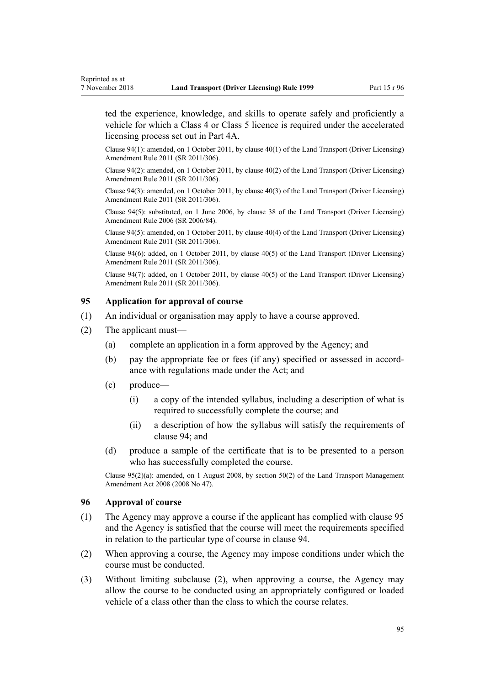<span id="page-94-0"></span>ted the experience, knowledge, and skills to operate safely and proficiently a vehicle for which a Class 4 or Class 5 licence is required under the accelerated licensing process set out in [Part 4A](#page-33-0).

Clause 94(1): amended, on 1 October 2011, by [clause 40\(1\)](http://legislation.govt.nz/pdflink.aspx?id=DLM3956521) of the Land Transport (Driver Licensing) Amendment Rule 2011 (SR 2011/306).

Clause 94(2): amended, on 1 October 2011, by [clause 40\(2\)](http://legislation.govt.nz/pdflink.aspx?id=DLM3956521) of the Land Transport (Driver Licensing) Amendment Rule 2011 (SR 2011/306).

Clause 94(3): amended, on 1 October 2011, by [clause 40\(3\)](http://legislation.govt.nz/pdflink.aspx?id=DLM3956521) of the Land Transport (Driver Licensing) Amendment Rule 2011 (SR 2011/306).

Clause 94(5): substituted, on 1 June 2006, by [clause 38](http://legislation.govt.nz/pdflink.aspx?id=DLM376137) of the Land Transport (Driver Licensing) Amendment Rule 2006 (SR 2006/84).

Clause 94(5): amended, on 1 October 2011, by [clause 40\(4\)](http://legislation.govt.nz/pdflink.aspx?id=DLM3956521) of the Land Transport (Driver Licensing) Amendment Rule 2011 (SR 2011/306).

Clause 94(6): added, on 1 October 2011, by [clause 40\(5\)](http://legislation.govt.nz/pdflink.aspx?id=DLM3956521) of the Land Transport (Driver Licensing) Amendment Rule 2011 (SR 2011/306).

Clause 94(7): added, on 1 October 2011, by [clause 40\(5\)](http://legislation.govt.nz/pdflink.aspx?id=DLM3956521) of the Land Transport (Driver Licensing) Amendment Rule 2011 (SR 2011/306).

## **95 Application for approval of course**

- (1) An individual or organisation may apply to have a course approved.
- (2) The applicant must—
	- (a) complete an application in a form approved by the Agency; and
	- (b) pay the appropriate fee or fees (if any) specified or assessed in accordance with regulations made under the Act; and
	- (c) produce—
		- (i) a copy of the intended syllabus, including a description of what is required to successfully complete the course; and
		- (ii) a description of how the syllabus will satisfy the requirements of [clause 94](#page-93-0); and
	- (d) produce a sample of the certificate that is to be presented to a person who has successfully completed the course.

Clause 95(2)(a): amended, on 1 August 2008, by [section 50\(2\)](http://legislation.govt.nz/pdflink.aspx?id=DLM1313622) of the Land Transport Management Amendment Act 2008 (2008 No 47).

#### **96 Approval of course**

- (1) The Agency may approve a course if the applicant has complied with clause 95 and the Agency is satisfied that the course will meet the requirements specified in relation to the particular type of course in [clause 94.](#page-93-0)
- (2) When approving a course, the Agency may impose conditions under which the course must be conducted.
- (3) Without limiting subclause (2), when approving a course, the Agency may allow the course to be conducted using an appropriately configured or loaded vehicle of a class other than the class to which the course relates.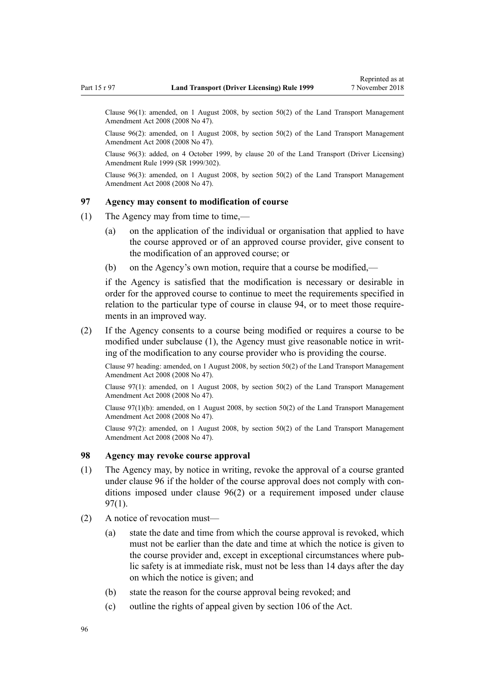Clause 96(1): amended, on 1 August 2008, by [section 50\(2\)](http://legislation.govt.nz/pdflink.aspx?id=DLM1313622) of the Land Transport Management Amendment Act 2008 (2008 No 47).

Clause 96(2): amended, on 1 August 2008, by [section 50\(2\)](http://legislation.govt.nz/pdflink.aspx?id=DLM1313622) of the Land Transport Management Amendment Act 2008 (2008 No 47).

Clause 96(3): added, on 4 October 1999, by [clause 20](http://legislation.govt.nz/pdflink.aspx?id=DLM293689) of the Land Transport (Driver Licensing) Amendment Rule 1999 (SR 1999/302).

Clause  $96(3)$ : amended, on 1 August 2008, by [section 50\(2\)](http://legislation.govt.nz/pdflink.aspx?id=DLM1313622) of the Land Transport Management Amendment Act 2008 (2008 No 47).

## **97 Agency may consent to modification of course**

- (1) The Agency may from time to time,—
	- (a) on the application of the individual or organisation that applied to have the course approved or of an approved course provider, give consent to the modification of an approved course; or
	- (b) on the Agency's own motion, require that a course be modified,—

if the Agency is satisfied that the modification is necessary or desirable in order for the approved course to continue to meet the requirements specified in relation to the particular type of course in [clause 94](#page-93-0), or to meet those requirements in an improved way.

(2) If the Agency consents to a course being modified or requires a course to be modified under subclause (1), the Agency must give reasonable notice in writing of the modification to any course provider who is providing the course.

Clause 97 heading: amended, on 1 August 2008, by [section 50\(2\)](http://legislation.govt.nz/pdflink.aspx?id=DLM1313622) of the Land Transport Management Amendment Act 2008 (2008 No 47).

Clause 97(1): amended, on 1 August 2008, by [section 50\(2\)](http://legislation.govt.nz/pdflink.aspx?id=DLM1313622) of the Land Transport Management Amendment Act 2008 (2008 No 47).

Clause 97(1)(b): amended, on 1 August 2008, by [section 50\(2\)](http://legislation.govt.nz/pdflink.aspx?id=DLM1313622) of the Land Transport Management Amendment Act 2008 (2008 No 47).

Clause 97(2): amended, on 1 August 2008, by [section 50\(2\)](http://legislation.govt.nz/pdflink.aspx?id=DLM1313622) of the Land Transport Management Amendment Act 2008 (2008 No 47).

#### **98 Agency may revoke course approval**

- (1) The Agency may, by notice in writing, revoke the approval of a course granted under [clause 96](#page-94-0) if the holder of the course approval does not comply with conditions imposed under [clause 96\(2\)](#page-94-0) or a requirement imposed under clause 97(1).
- (2) A notice of revocation must—
	- (a) state the date and time from which the course approval is revoked, which must not be earlier than the date and time at which the notice is given to the course provider and, except in exceptional circumstances where public safety is at immediate risk, must not be less than 14 days after the day on which the notice is given; and
	- (b) state the reason for the course approval being revoked; and
	- (c) outline the rights of appeal given by [section 106](http://legislation.govt.nz/pdflink.aspx?id=DLM435083) of the Act.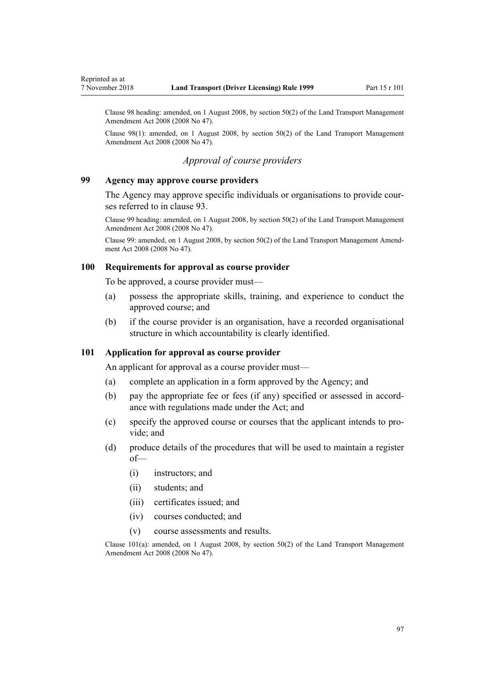<span id="page-96-0"></span>Clause 98 heading: amended, on 1 August 2008, by [section 50\(2\)](http://legislation.govt.nz/pdflink.aspx?id=DLM1313622) of the Land Transport Management Amendment Act 2008 (2008 No 47).

Clause 98(1): amended, on 1 August 2008, by [section 50\(2\)](http://legislation.govt.nz/pdflink.aspx?id=DLM1313622) of the Land Transport Management Amendment Act 2008 (2008 No 47).

## *Approval of course providers*

#### **99 Agency may approve course providers**

The Agency may approve specific individuals or organisations to provide courses referred to in [clause 93](#page-91-0).

Clause 99 heading: amended, on 1 August 2008, by [section 50\(2\)](http://legislation.govt.nz/pdflink.aspx?id=DLM1313622) of the Land Transport Management Amendment Act 2008 (2008 No 47).

Clause 99: amended, on 1 August 2008, by [section 50\(2\)](http://legislation.govt.nz/pdflink.aspx?id=DLM1313622) of the Land Transport Management Amendment Act 2008 (2008 No 47).

#### **100 Requirements for approval as course provider**

To be approved, a course provider must—

- (a) possess the appropriate skills, training, and experience to conduct the approved course; and
- (b) if the course provider is an organisation, have a recorded organisational structure in which accountability is clearly identified.

## **101 Application for approval as course provider**

An applicant for approval as a course provider must—

- (a) complete an application in a form approved by the Agency; and
- (b) pay the appropriate fee or fees (if any) specified or assessed in accordance with regulations made under the Act; and
- (c) specify the approved course or courses that the applicant intends to provide; and
- (d) produce details of the procedures that will be used to maintain a register of—
	- (i) instructors; and
	- (ii) students; and
	- (iii) certificates issued; and
	- (iv) courses conducted; and
	- (v) course assessments and results.

Clause  $101(a)$ : amended, on 1 August 2008, by [section 50\(2\)](http://legislation.govt.nz/pdflink.aspx?id=DLM1313622) of the Land Transport Management Amendment Act 2008 (2008 No 47).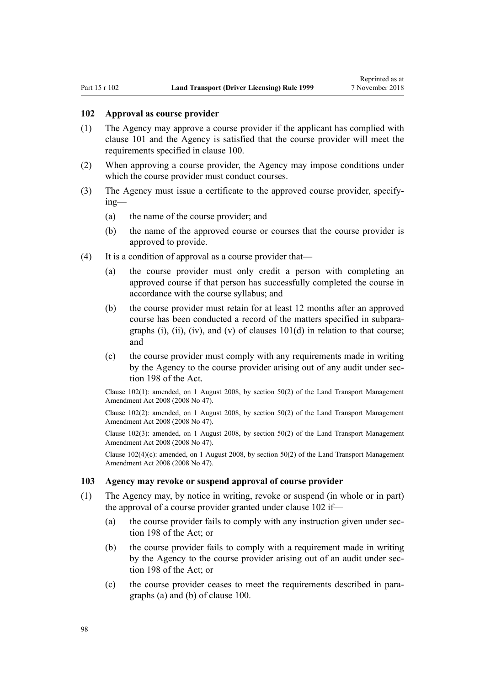#### **102 Approval as course provider**

- (1) The Agency may approve a course provider if the applicant has complied with [clause 101](#page-96-0) and the Agency is satisfied that the course provider will meet the requirements specified in [clause 100](#page-96-0).
- (2) When approving a course provider, the Agency may impose conditions under which the course provider must conduct courses.
- (3) The Agency must issue a certificate to the approved course provider, specifying—
	- (a) the name of the course provider; and
	- (b) the name of the approved course or courses that the course provider is approved to provide.
- (4) It is a condition of approval as a course provider that—
	- (a) the course provider must only credit a person with completing an approved course if that person has successfully completed the course in accordance with the course syllabus; and
	- (b) the course provider must retain for at least 12 months after an approved course has been conducted a record of the matters specified in subparagraphs (i), (ii), (iv), and (v) of clauses  $101(d)$  in relation to that course; and
	- (c) the course provider must comply with any requirements made in writing by the Agency to the course provider arising out of any audit under [sec](http://legislation.govt.nz/pdflink.aspx?id=DLM435602)[tion 198](http://legislation.govt.nz/pdflink.aspx?id=DLM435602) of the Act.

Clause 102(1): amended, on 1 August 2008, by [section 50\(2\)](http://legislation.govt.nz/pdflink.aspx?id=DLM1313622) of the Land Transport Management Amendment Act 2008 (2008 No 47).

Clause 102(2): amended, on 1 August 2008, by [section 50\(2\)](http://legislation.govt.nz/pdflink.aspx?id=DLM1313622) of the Land Transport Management Amendment Act 2008 (2008 No 47).

Clause 102(3): amended, on 1 August 2008, by [section 50\(2\)](http://legislation.govt.nz/pdflink.aspx?id=DLM1313622) of the Land Transport Management Amendment Act 2008 (2008 No 47).

Clause  $102(4)(c)$ : amended, on 1 August 2008, by [section 50\(2\)](http://legislation.govt.nz/pdflink.aspx?id=DLM1313622) of the Land Transport Management Amendment Act 2008 (2008 No 47).

#### **103 Agency may revoke or suspend approval of course provider**

- (1) The Agency may, by notice in writing, revoke or suspend (in whole or in part) the approval of a course provider granted under clause 102 if—
	- (a) the course provider fails to comply with any instruction given under [sec](http://legislation.govt.nz/pdflink.aspx?id=DLM435602)[tion 198](http://legislation.govt.nz/pdflink.aspx?id=DLM435602) of the Act: or
	- (b) the course provider fails to comply with a requirement made in writing by the Agency to the course provider arising out of an audit under [sec](http://legislation.govt.nz/pdflink.aspx?id=DLM435602)[tion 198](http://legislation.govt.nz/pdflink.aspx?id=DLM435602) of the Act; or
	- (c) the course provider ceases to meet the requirements described in paragraphs (a) and (b) of [clause 100](#page-96-0).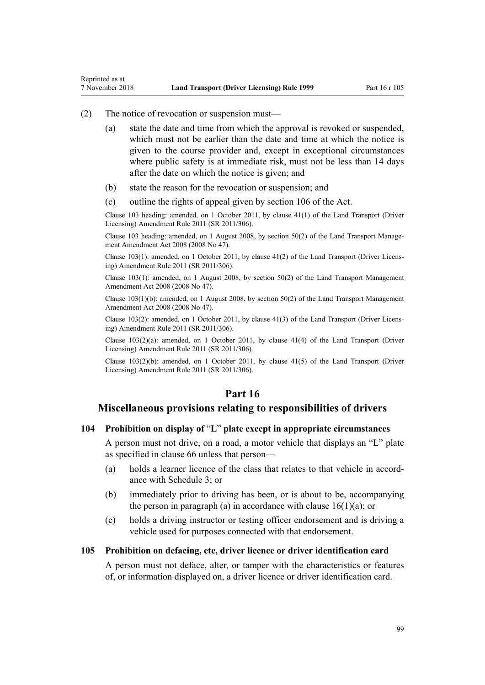#### (2) The notice of revocation or suspension must—

Reprinted as at

- (a) state the date and time from which the approval is revoked or suspended, which must not be earlier than the date and time at which the notice is given to the course provider and, except in exceptional circumstances where public safety is at immediate risk, must not be less than 14 days after the date on which the notice is given; and
- (b) state the reason for the revocation or suspension; and
- (c) outline the rights of appeal given by [section 106](http://legislation.govt.nz/pdflink.aspx?id=DLM435083) of the Act.

Clause 103 heading: amended, on 1 October 2011, by [clause 41\(1\)](http://legislation.govt.nz/pdflink.aspx?id=DLM3956747) of the Land Transport (Driver Licensing) Amendment Rule 2011 (SR 2011/306).

Clause 103 heading: amended, on 1 August 2008, by [section 50\(2\)](http://legislation.govt.nz/pdflink.aspx?id=DLM1313622) of the Land Transport Management Amendment Act 2008 (2008 No 47).

Clause 103(1): amended, on 1 October 2011, by [clause 41\(2\)](http://legislation.govt.nz/pdflink.aspx?id=DLM3956747) of the Land Transport (Driver Licensing) Amendment Rule 2011 (SR 2011/306).

Clause 103(1): amended, on 1 August 2008, by [section 50\(2\)](http://legislation.govt.nz/pdflink.aspx?id=DLM1313622) of the Land Transport Management Amendment Act 2008 (2008 No 47).

Clause 103(1)(b): amended, on 1 August 2008, by [section 50\(2\)](http://legislation.govt.nz/pdflink.aspx?id=DLM1313622) of the Land Transport Management Amendment Act 2008 (2008 No 47).

Clause 103(2): amended, on 1 October 2011, by [clause 41\(3\)](http://legislation.govt.nz/pdflink.aspx?id=DLM3956747) of the Land Transport (Driver Licensing) Amendment Rule 2011 (SR 2011/306).

Clause 103(2)(a): amended, on 1 October 2011, by [clause 41\(4\)](http://legislation.govt.nz/pdflink.aspx?id=DLM3956747) of the Land Transport (Driver Licensing) Amendment Rule 2011 (SR 2011/306).

Clause  $103(2)(b)$ : amended, on 1 October 2011, by clause  $41(5)$  of the Land Transport (Driver Licensing) Amendment Rule 2011 (SR 2011/306).

## **Part 16**

## **Miscellaneous provisions relating to responsibilities of drivers**

#### **104 Prohibition on display of** "**L**" **plate except in appropriate circumstances**

A person must not drive, on a road, a motor vehicle that displays an "L" plate as specified in [clause 66](#page-66-0) unless that person—

- (a) holds a learner licence of the class that relates to that vehicle in accordance with [Schedule 3](#page-110-0); or
- (b) immediately prior to driving has been, or is about to be, accompanying the person in paragraph (a) in accordance with clause  $16(1)(a)$ ; or
- (c) holds a driving instructor or testing officer endorsement and is driving a vehicle used for purposes connected with that endorsement.

#### **105 Prohibition on defacing, etc, driver licence or driver identification card**

A person must not deface, alter, or tamper with the characteristics or features of, or information displayed on, a driver licence or driver identification card.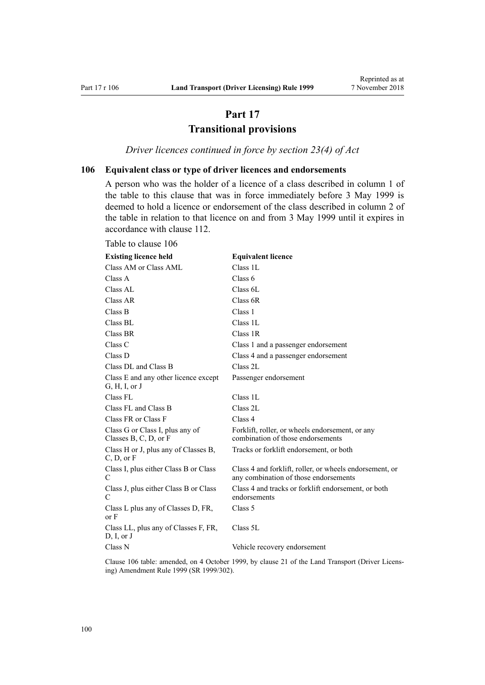## **Part 17 Transitional provisions**

*Driver licences continued in force by section 23(4) of Act*

## <span id="page-99-0"></span>**106 Equivalent class or type of driver licences and endorsements**

A person who was the holder of a licence of a class described in column 1 of the table to this clause that was in force immediately before 3 May 1999 is deemed to hold a licence or endorsement of the class described in column 2 of the table in relation to that licence on and from 3 May 1999 until it expires in accordance with [clause 112.](#page-101-0)

| <b>Existing licence held</b>                               | <b>Equivalent licence</b>                                                                        |
|------------------------------------------------------------|--------------------------------------------------------------------------------------------------|
| Class AM or Class AML                                      | Class 1L                                                                                         |
| Class A                                                    | Class 6                                                                                          |
| Class AL                                                   | Class 6L                                                                                         |
| Class AR                                                   | Class 6R                                                                                         |
| Class B                                                    | Class 1                                                                                          |
| Class BL                                                   | Class 1L                                                                                         |
| Class BR                                                   | Class 1R                                                                                         |
| Class C                                                    | Class 1 and a passenger endorsement                                                              |
| Class D                                                    | Class 4 and a passenger endorsement                                                              |
| Class DL and Class B                                       | Class 2L                                                                                         |
| Class E and any other licence except<br>G, H, I, or J      | Passenger endorsement                                                                            |
| Class FL                                                   | Class 1L                                                                                         |
| Class FL and Class B                                       | Class 2L                                                                                         |
| Class FR or Class F                                        | Class 4                                                                                          |
| Class G or Class I, plus any of<br>Classes B, C, D, or $F$ | Forklift, roller, or wheels endorsement, or any<br>combination of those endorsements             |
| Class H or J, plus any of Classes B,<br>C, D, or F         | Tracks or forklift endorsement, or both                                                          |
| Class I, plus either Class B or Class<br>C                 | Class 4 and forklift, roller, or wheels endorsement, or<br>any combination of those endorsements |
| Class J, plus either Class B or Class<br>C                 | Class 4 and tracks or forklift endorsement, or both<br>endorsements                              |
| Class L plus any of Classes D, FR,<br>or <b>F</b>          | Class 5                                                                                          |
| Class LL, plus any of Classes F, FR,<br>D, I, or J         | Class 5L                                                                                         |
| Class N                                                    | Vehicle recovery endorsement                                                                     |

Clause 106 table: amended, on 4 October 1999, by [clause 21](http://legislation.govt.nz/pdflink.aspx?id=DLM293690) of the Land Transport (Driver Licensing) Amendment Rule 1999 (SR 1999/302).

#### Table to clause 106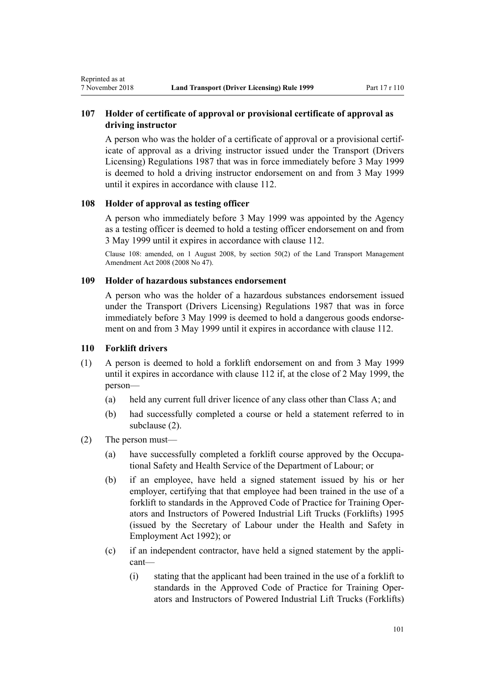## <span id="page-100-0"></span>**107 Holder of certificate of approval or provisional certificate of approval as driving instructor**

A person who was the holder of a certificate of approval or a provisional certificate of approval as a driving instructor issued under the Transport (Drivers Licensing) Regulations 1987 that was in force immediately before 3 May 1999 is deemed to hold a driving instructor endorsement on and from 3 May 1999 until it expires in accordance with [clause 112.](#page-101-0)

## **108 Holder of approval as testing officer**

A person who immediately before 3 May 1999 was appointed by the Agency as a testing officer is deemed to hold a testing officer endorsement on and from 3 May 1999 until it expires in accordance with [clause 112](#page-101-0).

Clause 108: amended, on 1 August 2008, by [section 50\(2\)](http://legislation.govt.nz/pdflink.aspx?id=DLM1313622) of the Land Transport Management Amendment Act 2008 (2008 No 47).

## **109 Holder of hazardous substances endorsement**

A person who was the holder of a hazardous substances endorsement issued under the Transport (Drivers Licensing) Regulations 1987 that was in force immediately before 3 May 1999 is deemed to hold a dangerous goods endorsement on and from 3 May 1999 until it expires in accordance with [clause 112](#page-101-0).

#### **110 Forklift drivers**

- (1) A person is deemed to hold a forklift endorsement on and from 3 May 1999 until it expires in accordance with [clause 112](#page-101-0) if, at the close of 2 May 1999, the person—
	- (a) held any current full driver licence of any class other than Class A; and
	- (b) had successfully completed a course or held a statement referred to in subclause (2).
- (2) The person must—
	- (a) have successfully completed a forklift course approved by the Occupational Safety and Health Service of the Department of Labour; or
	- (b) if an employee, have held a signed statement issued by his or her employer, certifying that that employee had been trained in the use of a forklift to standards in the Approved Code of Practice for Training Operators and Instructors of Powered Industrial Lift Trucks (Forklifts) 1995 (issued by the Secretary of Labour under the [Health and Safety in](http://legislation.govt.nz/pdflink.aspx?id=DLM278828) [Employment Act 1992\)](http://legislation.govt.nz/pdflink.aspx?id=DLM278828); or
	- (c) if an independent contractor, have held a signed statement by the applicant—
		- (i) stating that the applicant had been trained in the use of a forklift to standards in the Approved Code of Practice for Training Operators and Instructors of Powered Industrial Lift Trucks (Forklifts)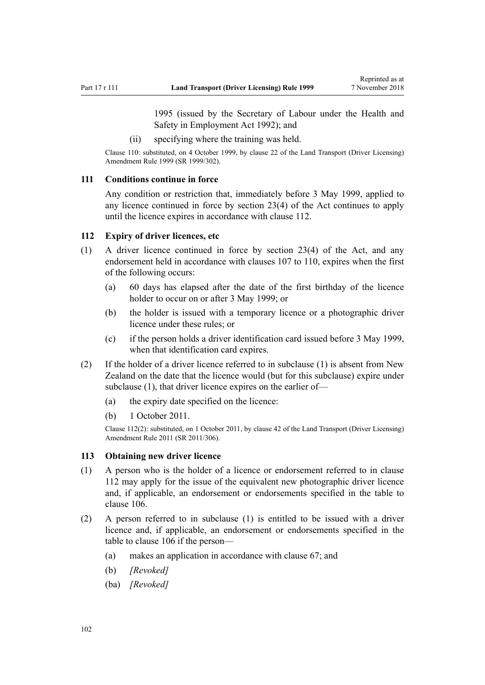1995 (issued by the Secretary of Labour under the [Health and](http://legislation.govt.nz/pdflink.aspx?id=DLM278828) [Safety in Employment Act 1992](http://legislation.govt.nz/pdflink.aspx?id=DLM278828)); and

(ii) specifying where the training was held.

<span id="page-101-0"></span>Clause 110: substituted, on 4 October 1999, by [clause 22](http://legislation.govt.nz/pdflink.aspx?id=DLM293692) of the Land Transport (Driver Licensing) Amendment Rule 1999 (SR 1999/302).

#### **111 Conditions continue in force**

Any condition or restriction that, immediately before 3 May 1999, applied to any licence continued in force by [section 23\(4\)](http://legislation.govt.nz/pdflink.aspx?id=DLM434552) of the Act continues to apply until the licence expires in accordance with clause 112.

#### **112 Expiry of driver licences, etc**

- (1) A driver licence continued in force by [section 23\(4\)](http://legislation.govt.nz/pdflink.aspx?id=DLM434552) of the Act, and any endorsement held in accordance with [clauses 107 to 110](#page-100-0), expires when the first of the following occurs:
	- (a) 60 days has elapsed after the date of the first birthday of the licence holder to occur on or after 3 May 1999; or
	- (b) the holder is issued with a temporary licence or a photographic driver licence under these rules; or
	- (c) if the person holds a driver identification card issued before 3 May 1999, when that identification card expires.
- (2) If the holder of a driver licence referred to in subclause (1) is absent from New Zealand on the date that the licence would (but for this subclause) expire under subclause (1), that driver licence expires on the earlier of—
	- (a) the expiry date specified on the licence:
	- (b) 1 October 2011.

Clause 112(2): substituted, on 1 October 2011, by [clause 42](http://legislation.govt.nz/pdflink.aspx?id=DLM3956748) of the Land Transport (Driver Licensing) Amendment Rule 2011 (SR 2011/306).

#### **113 Obtaining new driver licence**

- (1) A person who is the holder of a licence or endorsement referred to in clause 112 may apply for the issue of the equivalent new photographic driver licence and, if applicable, an endorsement or endorsements specified in the table to [clause 106](#page-99-0).
- (2) A person referred to in subclause (1) is entitled to be issued with a driver licence and, if applicable, an endorsement or endorsements specified in the table to [clause 106](#page-99-0) if the person—
	- (a) makes an application in accordance with [clause 67;](#page-67-0) and
	- (b) *[Revoked]*
	- (ba) *[Revoked]*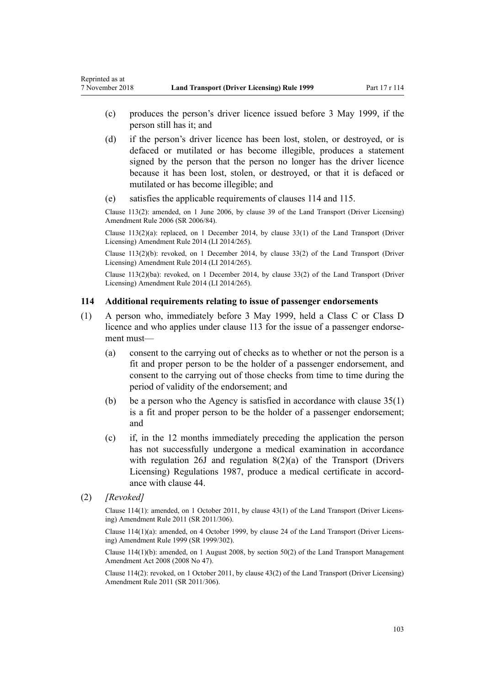- (c) produces the person's driver licence issued before 3 May 1999, if the person still has it; and
- (d) if the person's driver licence has been lost, stolen, or destroyed, or is defaced or mutilated or has become illegible, produces a statement signed by the person that the person no longer has the driver licence because it has been lost, stolen, or destroyed, or that it is defaced or mutilated or has become illegible; and
- (e) satisfies the applicable requirements of clauses 114 and [115.](#page-103-0)

Clause 113(2): amended, on 1 June 2006, by [clause 39](http://legislation.govt.nz/pdflink.aspx?id=DLM376138) of the Land Transport (Driver Licensing) Amendment Rule 2006 (SR 2006/84).

Clause  $113(2)(a)$ : replaced, on 1 December 2014, by [clause 33\(1\)](http://legislation.govt.nz/pdflink.aspx?id=DLM6216947) of the Land Transport (Driver Licensing) Amendment Rule 2014 (LI 2014/265).

Clause 113(2)(b): revoked, on 1 December 2014, by [clause 33\(2\)](http://legislation.govt.nz/pdflink.aspx?id=DLM6216947) of the Land Transport (Driver Licensing) Amendment Rule 2014 (LI 2014/265).

Clause 113(2)(ba): revoked, on 1 December 2014, by [clause 33\(2\)](http://legislation.govt.nz/pdflink.aspx?id=DLM6216947) of the Land Transport (Driver Licensing) Amendment Rule 2014 (LI 2014/265).

#### **114 Additional requirements relating to issue of passenger endorsements**

- (1) A person who, immediately before 3 May 1999, held a Class C or Class D licence and who applies under [clause 113](#page-101-0) for the issue of a passenger endorsement must—
	- (a) consent to the carrying out of checks as to whether or not the person is a fit and proper person to be the holder of a passenger endorsement, and consent to the carrying out of those checks from time to time during the period of validity of the endorsement; and
	- (b) be a person who the Agency is satisfied in accordance with [clause 35\(1\)](#page-46-0) is a fit and proper person to be the holder of a passenger endorsement; and
	- (c) if, in the 12 months immediately preceding the application the person has not successfully undergone a medical examination in accordance with regulation 26J and regulation 8(2)(a) of the Transport (Drivers Licensing) Regulations 1987, produce a medical certificate in accordance with [clause 44.](#page-52-0)
- (2) *[Revoked]*

Clause 114(1): amended, on 1 October 2011, by [clause 43\(1\)](http://legislation.govt.nz/pdflink.aspx?id=DLM3956749) of the Land Transport (Driver Licensing) Amendment Rule 2011 (SR 2011/306).

Clause 114(1)(a): amended, on 4 October 1999, by [clause 24](http://legislation.govt.nz/pdflink.aspx?id=DLM293695) of the Land Transport (Driver Licensing) Amendment Rule 1999 (SR 1999/302).

Clause 114(1)(b): amended, on 1 August 2008, by [section 50\(2\)](http://legislation.govt.nz/pdflink.aspx?id=DLM1313622) of the Land Transport Management Amendment Act 2008 (2008 No 47).

Clause 114(2): revoked, on 1 October 2011, by [clause 43\(2\)](http://legislation.govt.nz/pdflink.aspx?id=DLM3956749) of the Land Transport (Driver Licensing) Amendment Rule 2011 (SR 2011/306).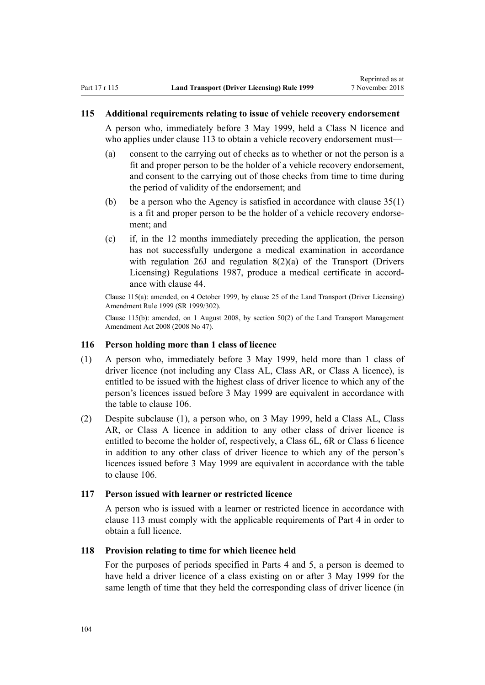#### <span id="page-103-0"></span>**115 Additional requirements relating to issue of vehicle recovery endorsement**

A person who, immediately before 3 May 1999, held a Class N licence and who applies under [clause 113](#page-101-0) to obtain a vehicle recovery endorsement must—

- (a) consent to the carrying out of checks as to whether or not the person is a fit and proper person to be the holder of a vehicle recovery endorsement, and consent to the carrying out of those checks from time to time during the period of validity of the endorsement; and
- (b) be a person who the Agency is satisfied in accordance with [clause 35\(1\)](#page-46-0) is a fit and proper person to be the holder of a vehicle recovery endorsement; and
- (c) if, in the 12 months immediately preceding the application, the person has not successfully undergone a medical examination in accordance with regulation 26J and regulation 8(2)(a) of the Transport (Drivers Licensing) Regulations 1987, produce a medical certificate in accordance with [clause 44.](#page-52-0)

Clause 115(a): amended, on 4 October 1999, by [clause 25](http://legislation.govt.nz/pdflink.aspx?id=DLM293696) of the Land Transport (Driver Licensing) Amendment Rule 1999 (SR 1999/302).

Clause 115(b): amended, on 1 August 2008, by [section 50\(2\)](http://legislation.govt.nz/pdflink.aspx?id=DLM1313622) of the Land Transport Management Amendment Act 2008 (2008 No 47).

#### **116 Person holding more than 1 class of licence**

- (1) A person who, immediately before 3 May 1999, held more than 1 class of driver licence (not including any Class AL, Class AR, or Class A licence), is entitled to be issued with the highest class of driver licence to which any of the person's licences issued before 3 May 1999 are equivalent in accordance with the table to [clause 106](#page-99-0).
- (2) Despite subclause (1), a person who, on 3 May 1999, held a Class AL, Class AR, or Class A licence in addition to any other class of driver licence is entitled to become the holder of, respectively, a Class 6L, 6R or Class 6 licence in addition to any other class of driver licence to which any of the person's licences issued before 3 May 1999 are equivalent in accordance with the table to [clause 106.](#page-99-0)

### **117 Person issued with learner or restricted licence**

A person who is issued with a learner or restricted licence in accordance with [clause 113](#page-101-0) must comply with the applicable requirements of [Part 4](#page-25-0) in order to obtain a full licence.

## **118 Provision relating to time for which licence held**

For the purposes of periods specified in [Parts 4](#page-25-0) and [5](#page-39-0), a person is deemed to have held a driver licence of a class existing on or after 3 May 1999 for the same length of time that they held the corresponding class of driver licence (in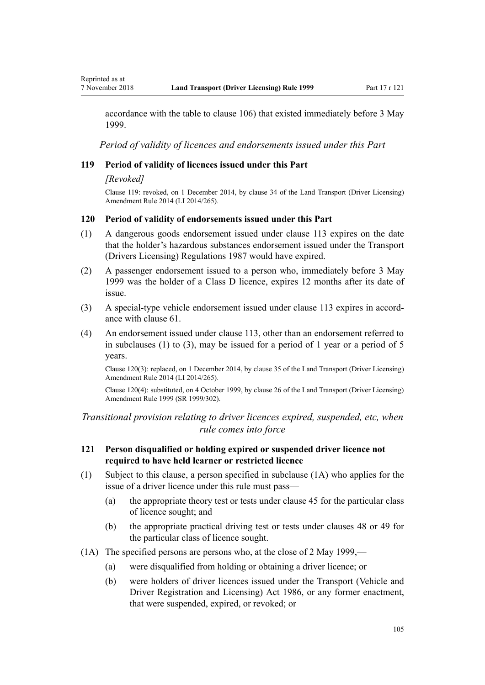accordance with the table to [clause 106\)](#page-99-0) that existed immediately before 3 May 1999.

*Period of validity of licences and endorsements issued under this Part*

## **119 Period of validity of licences issued under this Part**

#### *[Revoked]*

Clause 119: revoked, on 1 December 2014, by [clause 34](http://legislation.govt.nz/pdflink.aspx?id=DLM6216948) of the Land Transport (Driver Licensing) Amendment Rule 2014 (LI 2014/265).

#### **120 Period of validity of endorsements issued under this Part**

- (1) A dangerous goods endorsement issued under [clause 113](#page-101-0) expires on the date that the holder's hazardous substances endorsement issued under the Transport (Drivers Licensing) Regulations 1987 would have expired.
- (2) A passenger endorsement issued to a person who, immediately before 3 May 1999 was the holder of a Class D licence, expires 12 months after its date of issue.
- (3) A special-type vehicle endorsement issued under [clause 113](#page-101-0) expires in accordance with [clause 61.](#page-62-0)
- (4) An endorsement issued under [clause 113](#page-101-0), other than an endorsement referred to in subclauses (1) to (3), may be issued for a period of 1 year or a period of 5 years.

Clause 120(3): replaced, on 1 December 2014, by [clause 35](http://legislation.govt.nz/pdflink.aspx?id=DLM6216949) of the Land Transport (Driver Licensing) Amendment Rule 2014 (LI 2014/265).

Clause 120(4): substituted, on 4 October 1999, by [clause 26](http://legislation.govt.nz/pdflink.aspx?id=DLM293697) of the Land Transport (Driver Licensing) Amendment Rule 1999 (SR 1999/302).

*Transitional provision relating to driver licences expired, suspended, etc, when rule comes into force*

## **121 Person disqualified or holding expired or suspended driver licence not required to have held learner or restricted licence**

- (1) Subject to this clause, a person specified in subclause (1A) who applies for the issue of a driver licence under this rule must pass—
	- (a) the appropriate theory test or tests under [clause 45](#page-54-0) for the particular class of licence sought; and
	- (b) the appropriate practical driving test or tests under [clauses 48](#page-55-0) or [49](#page-55-0) for the particular class of licence sought.
- (1A) The specified persons are persons who, at the close of 2 May 1999,—
	- (a) were disqualified from holding or obtaining a driver licence; or
	- (b) were holders of driver licences issued under the [Transport \(Vehicle and](http://legislation.govt.nz/pdflink.aspx?id=DLM90414) [Driver Registration and Licensing\) Act 1986](http://legislation.govt.nz/pdflink.aspx?id=DLM90414), or any former enactment, that were suspended, expired, or revoked; or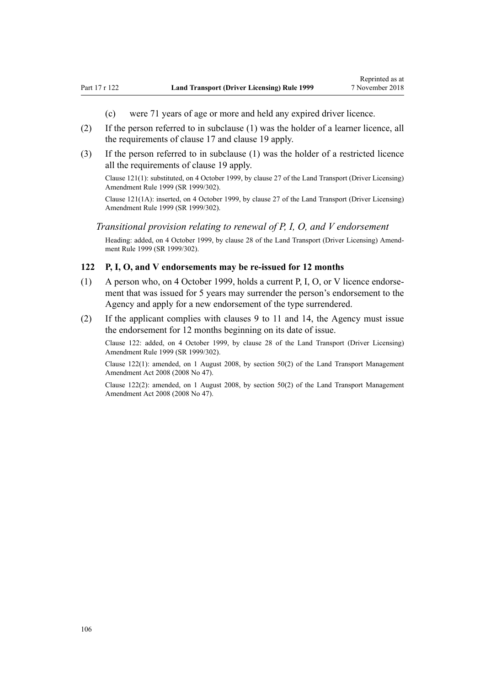- (c) were 71 years of age or more and held any expired driver licence.
- (2) If the person referred to in subclause (1) was the holder of a learner licence, all the requirements of [clause 17](#page-28-0) and [clause 19](#page-30-0) apply.
- (3) If the person referred to in subclause (1) was the holder of a restricted licence all the requirements of [clause 19](#page-30-0) apply.

Clause 121(1): substituted, on 4 October 1999, by [clause 27](http://legislation.govt.nz/pdflink.aspx?id=DLM293698) of the Land Transport (Driver Licensing) Amendment Rule 1999 (SR 1999/302).

Clause 121(1A): inserted, on 4 October 1999, by [clause 27](http://legislation.govt.nz/pdflink.aspx?id=DLM293698) of the Land Transport (Driver Licensing) Amendment Rule 1999 (SR 1999/302).

## *Transitional provision relating to renewal of P, I, O, and V endorsement*

Heading: added, on 4 October 1999, by [clause 28](http://legislation.govt.nz/pdflink.aspx?id=DLM293699) of the Land Transport (Driver Licensing) Amendment Rule 1999 (SR 1999/302).

#### **122 P, I, O, and V endorsements may be re-issued for 12 months**

- (1) A person who, on 4 October 1999, holds a current P, I, O, or V licence endorsement that was issued for 5 years may surrender the person's endorsement to the Agency and apply for a new endorsement of the type surrendered.
- (2) If the applicant complies with [clauses 9 to 11](#page-21-0) and [14](#page-25-0), the Agency must issue the endorsement for 12 months beginning on its date of issue.

Clause 122: added, on 4 October 1999, by [clause 28](http://legislation.govt.nz/pdflink.aspx?id=DLM293699) of the Land Transport (Driver Licensing) Amendment Rule 1999 (SR 1999/302).

Clause 122(1): amended, on 1 August 2008, by [section 50\(2\)](http://legislation.govt.nz/pdflink.aspx?id=DLM1313622) of the Land Transport Management Amendment Act 2008 (2008 No 47).

Clause 122(2): amended, on 1 August 2008, by [section 50\(2\)](http://legislation.govt.nz/pdflink.aspx?id=DLM1313622) of the Land Transport Management Amendment Act 2008 (2008 No 47).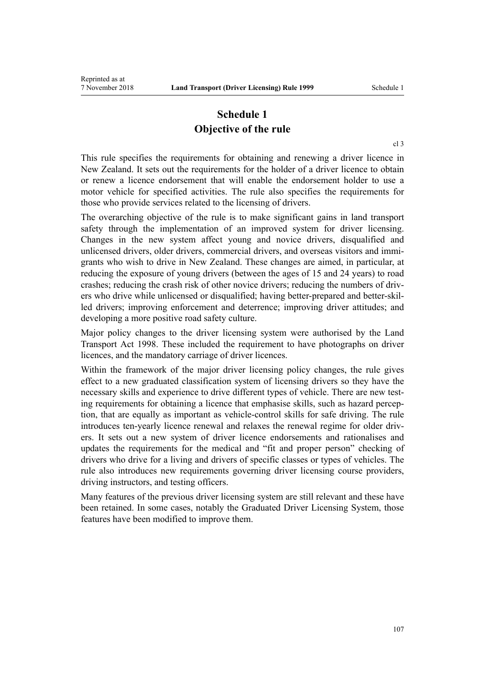## **Schedule 1 Objective of the rule**

[cl 3](#page-18-0)

This rule specifies the requirements for obtaining and renewing a driver licence in New Zealand. It sets out the requirements for the holder of a driver licence to obtain or renew a licence endorsement that will enable the endorsement holder to use a motor vehicle for specified activities. The rule also specifies the requirements for those who provide services related to the licensing of drivers.

The overarching objective of the rule is to make significant gains in land transport safety through the implementation of an improved system for driver licensing. Changes in the new system affect young and novice drivers, disqualified and unlicensed drivers, older drivers, commercial drivers, and overseas visitors and immigrants who wish to drive in New Zealand. These changes are aimed, in particular, at reducing the exposure of young drivers (between the ages of 15 and 24 years) to road crashes; reducing the crash risk of other novice drivers; reducing the numbers of drivers who drive while unlicensed or disqualified; having better-prepared and better-skilled drivers; improving enforcement and deterrence; improving driver attitudes; and developing a more positive road safety culture.

Major policy changes to the driver licensing system were authorised by the [Land](http://legislation.govt.nz/pdflink.aspx?id=DLM433612) [Transport Act 1998.](http://legislation.govt.nz/pdflink.aspx?id=DLM433612) These included the requirement to have photographs on driver licences, and the mandatory carriage of driver licences.

Within the framework of the major driver licensing policy changes, the rule gives effect to a new graduated classification system of licensing drivers so they have the necessary skills and experience to drive different types of vehicle. There are new testing requirements for obtaining a licence that emphasise skills, such as hazard perception, that are equally as important as vehicle-control skills for safe driving. The rule introduces ten-yearly licence renewal and relaxes the renewal regime for older drivers. It sets out a new system of driver licence endorsements and rationalises and updates the requirements for the medical and "fit and proper person" checking of drivers who drive for a living and drivers of specific classes or types of vehicles. The rule also introduces new requirements governing driver licensing course providers, driving instructors, and testing officers.

Many features of the previous driver licensing system are still relevant and these have been retained. In some cases, notably the Graduated Driver Licensing System, those features have been modified to improve them.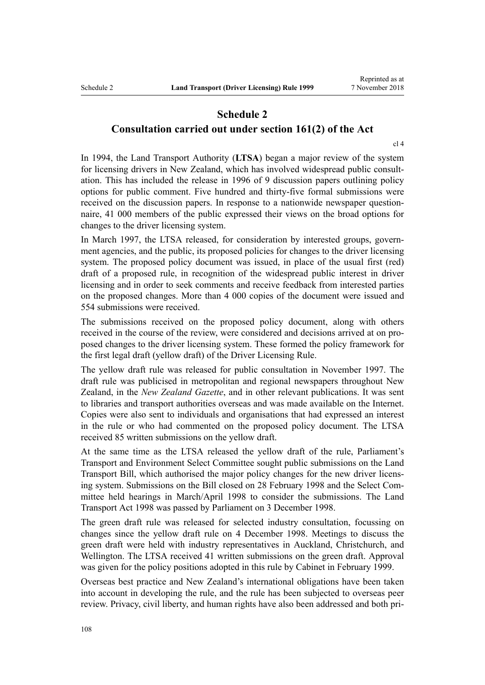# **Schedule 2**

**Consultation carried out under section 161(2) of the Act**

[cl 4](#page-19-0)

In 1994, the Land Transport Authority (**LTSA**) began a major review of the system for licensing drivers in New Zealand, which has involved widespread public consultation. This has included the release in 1996 of 9 discussion papers outlining policy options for public comment. Five hundred and thirty-five formal submissions were received on the discussion papers. In response to a nationwide newspaper questionnaire, 41 000 members of the public expressed their views on the broad options for changes to the driver licensing system.

In March 1997, the LTSA released, for consideration by interested groups, government agencies, and the public, its proposed policies for changes to the driver licensing system. The proposed policy document was issued, in place of the usual first (red) draft of a proposed rule, in recognition of the widespread public interest in driver licensing and in order to seek comments and receive feedback from interested parties on the proposed changes. More than 4 000 copies of the document were issued and 554 submissions were received.

The submissions received on the proposed policy document, along with others received in the course of the review, were considered and decisions arrived at on proposed changes to the driver licensing system. These formed the policy framework for the first legal draft (yellow draft) of the Driver Licensing Rule.

The yellow draft rule was released for public consultation in November 1997. The draft rule was publicised in metropolitan and regional newspapers throughout New Zealand, in the *New Zealand Gazette*, and in other relevant publications. It was sent to libraries and transport authorities overseas and was made available on the Internet. Copies were also sent to individuals and organisations that had expressed an interest in the rule or who had commented on the proposed policy document. The LTSA received 85 written submissions on the yellow draft.

At the same time as the LTSA released the yellow draft of the rule, Parliament's Transport and Environment Select Committee sought public submissions on the Land Transport Bill, which authorised the major policy changes for the new driver licensing system. Submissions on the Bill closed on 28 February 1998 and the Select Committee held hearings in March/April 1998 to consider the submissions. The [Land](http://legislation.govt.nz/pdflink.aspx?id=DLM433612) [Transport Act 1998](http://legislation.govt.nz/pdflink.aspx?id=DLM433612) was passed by Parliament on 3 December 1998.

The green draft rule was released for selected industry consultation, focussing on changes since the yellow draft rule on 4 December 1998. Meetings to discuss the green draft were held with industry representatives in Auckland, Christchurch, and Wellington. The LTSA received 41 written submissions on the green draft. Approval was given for the policy positions adopted in this rule by Cabinet in February 1999.

Overseas best practice and New Zealand's international obligations have been taken into account in developing the rule, and the rule has been subjected to overseas peer review. Privacy, civil liberty, and human rights have also been addressed and both pri-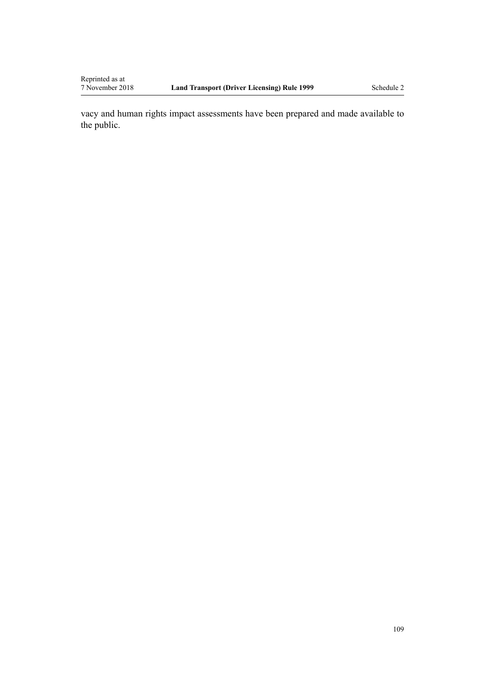vacy and human rights impact assessments have been prepared and made available to the public.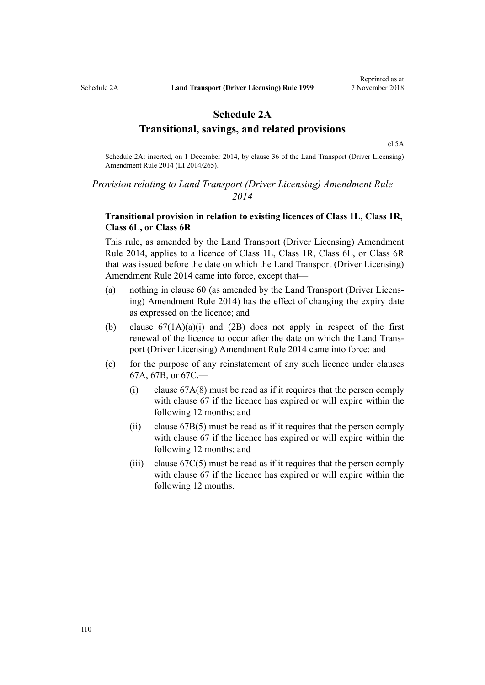## **Schedule 2A Transitional, savings, and related provisions**

[cl 5A](#page-20-0)

Schedule 2A: inserted, on 1 December 2014, by [clause 36](http://legislation.govt.nz/pdflink.aspx?id=DLM6216950) of the Land Transport (Driver Licensing) Amendment Rule 2014 (LI 2014/265).

### *Provision relating to Land Transport (Driver Licensing) Amendment Rule 2014*

### **Transitional provision in relation to existing licences of Class 1L, Class 1R, Class 6L, or Class 6R**

This rule, as amended by the [Land Transport \(Driver Licensing\) Amendment](http://legislation.govt.nz/pdflink.aspx?id=DLM6216900) [Rule 2014,](http://legislation.govt.nz/pdflink.aspx?id=DLM6216900) applies to a licence of Class 1L, Class 1R, Class 6L, or Class 6R that was issued before the date on which the Land Transport (Driver Licensing) Amendment Rule 2014 came into force, except that—

- (a) nothing in [clause 60](#page-60-0) (as amended by the [Land Transport \(Driver Licens](http://legislation.govt.nz/pdflink.aspx?id=DLM6216900)[ing\) Amendment Rule 2014](http://legislation.govt.nz/pdflink.aspx?id=DLM6216900)) has the effect of changing the expiry date as expressed on the licence; and
- (b) clause  $67(1A)(a)(i)$  and  $(2B)$  does not apply in respect of the first renewal of the licence to occur after the date on which the [Land Trans](http://legislation.govt.nz/pdflink.aspx?id=DLM6216900)[port \(Driver Licensing\) Amendment Rule 2014](http://legislation.govt.nz/pdflink.aspx?id=DLM6216900) came into force; and
- (c) for the purpose of any reinstatement of any such licence under [clauses](#page-69-0) [67A](#page-69-0), [67B,](#page-71-0) or [67C](#page-71-0),—
	- (i) [clause 67A\(8\)](#page-69-0) must be read as if it requires that the person comply with [clause 67](#page-67-0) if the licence has expired or will expire within the following 12 months; and
	- (ii) [clause 67B\(5\)](#page-71-0) must be read as if it requires that the person comply with [clause 67](#page-67-0) if the licence has expired or will expire within the following 12 months; and
	- (iii) clause  $67C(5)$  must be read as if it requires that the person comply with [clause 67](#page-67-0) if the licence has expired or will expire within the following 12 months.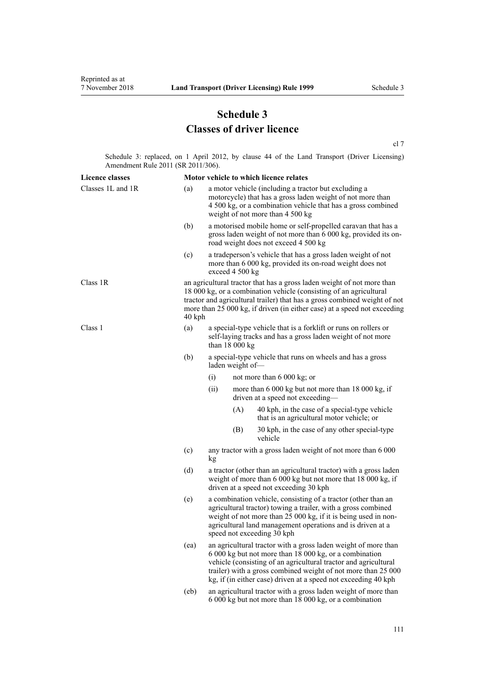# **Schedule 3 Classes of driver licence**

[cl 7](#page-20-0)

Schedule 3: replaced, on 1 April 2012, by [clause 44](http://legislation.govt.nz/pdflink.aspx?id=DLM3956523) of the Land Transport (Driver Licensing) Amendment Rule 2011 (SR 2011/306).

| <b>Licence classes</b> |      |                                                                                                                                                                                                                                                                                                                                |     | Motor vehicle to which licence relates                                                                                                                                 |  |
|------------------------|------|--------------------------------------------------------------------------------------------------------------------------------------------------------------------------------------------------------------------------------------------------------------------------------------------------------------------------------|-----|------------------------------------------------------------------------------------------------------------------------------------------------------------------------|--|
| Classes 1L and 1R      | (a)  | a motor vehicle (including a tractor but excluding a<br>motorcycle) that has a gross laden weight of not more than<br>4 500 kg, or a combination vehicle that has a gross combined<br>weight of not more than 4 500 kg                                                                                                         |     |                                                                                                                                                                        |  |
|                        | (b)  |                                                                                                                                                                                                                                                                                                                                |     | a motorised mobile home or self-propelled caravan that has a<br>gross laden weight of not more than 6 000 kg, provided its on-<br>road weight does not exceed 4 500 kg |  |
|                        | (c)  | a tradeperson's vehicle that has a gross laden weight of not<br>more than 6 000 kg, provided its on-road weight does not<br>exceed 4 500 kg                                                                                                                                                                                    |     |                                                                                                                                                                        |  |
| Class 1R               |      | an agricultural tractor that has a gross laden weight of not more than<br>18 000 kg, or a combination vehicle (consisting of an agricultural<br>tractor and agricultural trailer) that has a gross combined weight of not<br>more than 25 000 kg, if driven (in either case) at a speed not exceeding<br>40 kph                |     |                                                                                                                                                                        |  |
| Class 1                | (a)  | a special-type vehicle that is a forklift or runs on rollers or<br>self-laying tracks and has a gross laden weight of not more<br>than $18000 kg$                                                                                                                                                                              |     |                                                                                                                                                                        |  |
|                        | (b)  | a special-type vehicle that runs on wheels and has a gross<br>laden weight of-                                                                                                                                                                                                                                                 |     |                                                                                                                                                                        |  |
|                        |      | (i)                                                                                                                                                                                                                                                                                                                            |     | not more than $6000 \text{ kg}$ ; or                                                                                                                                   |  |
|                        |      | (ii)                                                                                                                                                                                                                                                                                                                           |     | more than 6 000 kg but not more than 18 000 kg, if<br>driven at a speed not exceeding-                                                                                 |  |
|                        |      |                                                                                                                                                                                                                                                                                                                                | (A) | 40 kph, in the case of a special-type vehicle<br>that is an agricultural motor vehicle; or                                                                             |  |
|                        |      |                                                                                                                                                                                                                                                                                                                                | (B) | 30 kph, in the case of any other special-type<br>vehicle                                                                                                               |  |
|                        | (c)  | any tractor with a gross laden weight of not more than 6 000<br>kg                                                                                                                                                                                                                                                             |     |                                                                                                                                                                        |  |
|                        | (d)  | a tractor (other than an agricultural tractor) with a gross laden<br>weight of more than 6 000 kg but not more that 18 000 kg, if<br>driven at a speed not exceeding 30 kph                                                                                                                                                    |     |                                                                                                                                                                        |  |
|                        | (e)  | a combination vehicle, consisting of a tractor (other than an<br>agricultural tractor) towing a trailer, with a gross combined<br>weight of not more than 25 000 kg, if it is being used in non-<br>agricultural land management operations and is driven at a<br>speed not exceeding 30 kph                                   |     |                                                                                                                                                                        |  |
|                        | (ea) | an agricultural tractor with a gross laden weight of more than<br>6 000 kg but not more than 18 000 kg, or a combination<br>vehicle (consisting of an agricultural tractor and agricultural<br>trailer) with a gross combined weight of not more than 25 000<br>kg, if (in either case) driven at a speed not exceeding 40 kph |     |                                                                                                                                                                        |  |
|                        | (eb) | an agricultural tractor with a gross laden weight of more than<br>6 000 kg but not more than 18 000 kg, or a combination                                                                                                                                                                                                       |     |                                                                                                                                                                        |  |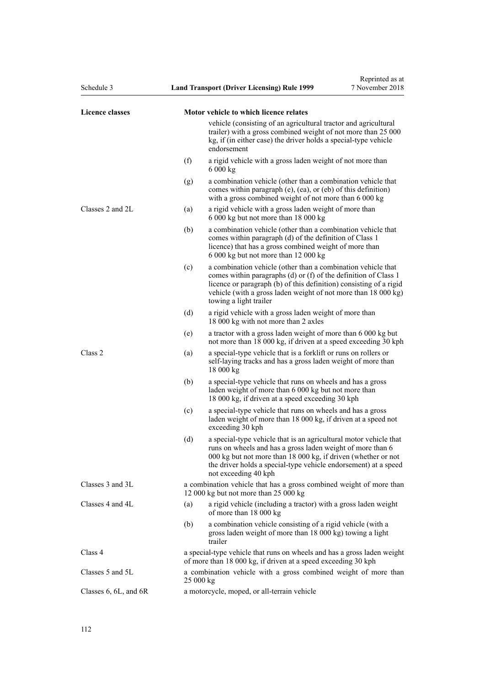| Schedule 3                |     | <b>Land Transport (Driver Licensing) Rule 1999</b>                                                                                                                                                                                                                                                | Reprinted as at<br>7 November 2018 |  |
|---------------------------|-----|---------------------------------------------------------------------------------------------------------------------------------------------------------------------------------------------------------------------------------------------------------------------------------------------------|------------------------------------|--|
| <b>Licence classes</b>    |     | Motor vehicle to which licence relates                                                                                                                                                                                                                                                            |                                    |  |
|                           |     | vehicle (consisting of an agricultural tractor and agricultural<br>trailer) with a gross combined weight of not more than 25 000<br>kg, if (in either case) the driver holds a special-type vehicle<br>endorsement                                                                                |                                    |  |
|                           | (f) | a rigid vehicle with a gross laden weight of not more than<br>6000 kg                                                                                                                                                                                                                             |                                    |  |
|                           | (g) | a combination vehicle (other than a combination vehicle that<br>comes within paragraph (e), (ea), or (eb) of this definition)<br>with a gross combined weight of not more than 6 000 kg                                                                                                           |                                    |  |
| Classes 2 and 2L          | (a) | a rigid vehicle with a gross laden weight of more than<br>6 000 kg but not more than 18 000 kg                                                                                                                                                                                                    |                                    |  |
|                           | (b) | a combination vehicle (other than a combination vehicle that<br>comes within paragraph (d) of the definition of Class 1<br>licence) that has a gross combined weight of more than<br>6 000 kg but not more than 12 000 kg                                                                         |                                    |  |
|                           | (c) | a combination vehicle (other than a combination vehicle that<br>comes within paragraphs (d) or (f) of the definition of Class 1<br>licence or paragraph (b) of this definition) consisting of a rigid<br>vehicle (with a gross laden weight of not more than 18 000 kg)<br>towing a light trailer |                                    |  |
|                           | (d) | a rigid vehicle with a gross laden weight of more than<br>18 000 kg with not more than 2 axles                                                                                                                                                                                                    |                                    |  |
|                           | (e) | a tractor with a gross laden weight of more than 6 000 kg but<br>not more than 18 000 kg, if driven at a speed exceeding 30 kph                                                                                                                                                                   |                                    |  |
| Class 2                   | (a) | a special-type vehicle that is a forklift or runs on rollers or<br>self-laying tracks and has a gross laden weight of more than<br>18000 kg                                                                                                                                                       |                                    |  |
|                           | (b) | a special-type vehicle that runs on wheels and has a gross<br>laden weight of more than 6 000 kg but not more than<br>18 000 kg, if driven at a speed exceeding 30 kph                                                                                                                            |                                    |  |
|                           | (c) | a special-type vehicle that runs on wheels and has a gross<br>laden weight of more than 18 000 kg, if driven at a speed not<br>exceeding 30 kph                                                                                                                                                   |                                    |  |
|                           | (d) | a special-type vehicle that is an agricultural motor vehicle that<br>runs on wheels and has a gross laden weight of more than 6<br>000 kg but not more than 18 000 kg, if driven (whether or not<br>the driver holds a special-type vehicle endorsement) at a speed<br>not exceeding 40 kph       |                                    |  |
| Classes 3 and 3L          |     | a combination vehicle that has a gross combined weight of more than<br>12 000 kg but not more than 25 000 kg                                                                                                                                                                                      |                                    |  |
| Classes 4 and 4L          | (a) | a rigid vehicle (including a tractor) with a gross laden weight<br>of more than 18 000 kg                                                                                                                                                                                                         |                                    |  |
|                           | (b) | a combination vehicle consisting of a rigid vehicle (with a<br>gross laden weight of more than 18 000 kg) towing a light<br>trailer                                                                                                                                                               |                                    |  |
| Class 4                   |     | a special-type vehicle that runs on wheels and has a gross laden weight<br>of more than 18 000 kg, if driven at a speed exceeding 30 kph                                                                                                                                                          |                                    |  |
| Classes 5 and 5L          |     | a combination vehicle with a gross combined weight of more than<br>25000 kg                                                                                                                                                                                                                       |                                    |  |
| Classes $6, 6L,$ and $6R$ |     | a motorcycle, moped, or all-terrain vehicle                                                                                                                                                                                                                                                       |                                    |  |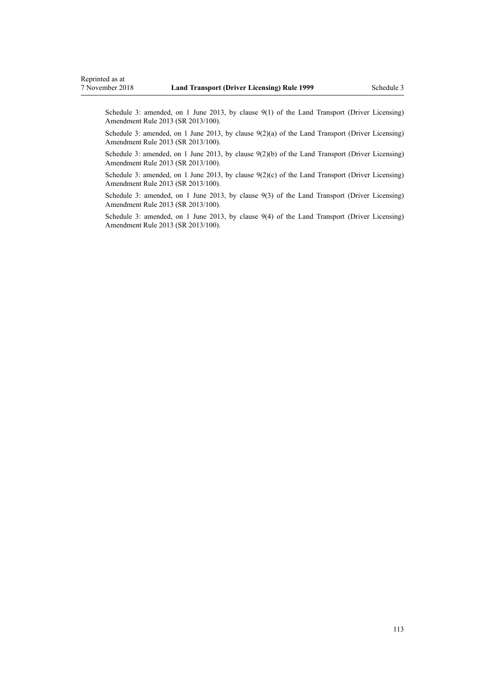Schedule 3: amended, on 1 June 2013, by [clause 9\(1\)](http://legislation.govt.nz/pdflink.aspx?id=DLM5102246) of the Land Transport (Driver Licensing) Amendment Rule 2013 (SR 2013/100).

Schedule 3: amended, on 1 June 2013, by [clause 9\(2\)\(a\)](http://legislation.govt.nz/pdflink.aspx?id=DLM5102246) of the Land Transport (Driver Licensing) Amendment Rule 2013 (SR 2013/100).

Schedule 3: amended, on 1 June 2013, by [clause 9\(2\)\(b\)](http://legislation.govt.nz/pdflink.aspx?id=DLM5102246) of the Land Transport (Driver Licensing) Amendment Rule 2013 (SR 2013/100).

Schedule 3: amended, on 1 June 2013, by clause  $9(2)(c)$  of the Land Transport (Driver Licensing) Amendment Rule 2013 (SR 2013/100).

Schedule 3: amended, on 1 June 2013, by [clause 9\(3\)](http://legislation.govt.nz/pdflink.aspx?id=DLM5102246) of the Land Transport (Driver Licensing) Amendment Rule 2013 (SR 2013/100).

Schedule 3: amended, on 1 June 2013, by [clause 9\(4\)](http://legislation.govt.nz/pdflink.aspx?id=DLM5102246) of the Land Transport (Driver Licensing) Amendment Rule 2013 (SR 2013/100).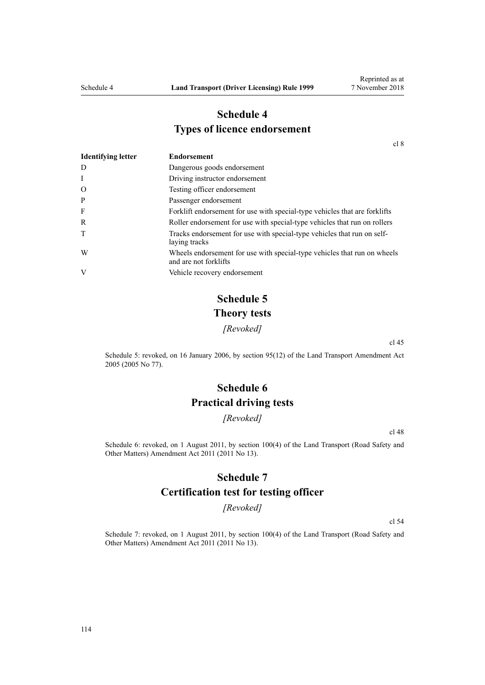## **Schedule 4 Types of licence endorsement**

[cl 8](#page-20-0)

| <b>Identifying letter</b> | <b>Endorsement</b>                                                                                |
|---------------------------|---------------------------------------------------------------------------------------------------|
| D                         | Dangerous goods endorsement                                                                       |
| I                         | Driving instructor endorsement                                                                    |
| $\Omega$                  | Testing officer endorsement                                                                       |
| P                         | Passenger endorsement                                                                             |
| F                         | Forklift endorsement for use with special-type vehicles that are forklifts                        |
| R                         | Roller endorsement for use with special-type vehicles that run on rollers                         |
| T                         | Tracks endorsement for use with special-type vehicles that run on self-<br>laying tracks          |
| W                         | Wheels endorsement for use with special-type vehicles that run on wheels<br>and are not forklifts |
| V                         | Vehicle recovery endorsement                                                                      |

# **Schedule 5 Theory tests**

*[Revoked]*

[cl 45](#page-54-0)

Schedule 5: revoked, on 16 January 2006, by [section 95\(12\)](http://legislation.govt.nz/pdflink.aspx?id=DLM353501) of the Land Transport Amendment Act 2005 (2005 No 77).

# **Schedule 6 Practical driving tests**

*[Revoked]*

[cl 48](#page-55-0)

Schedule 6: revoked, on 1 August 2011, by [section 100\(4\)](http://legislation.govt.nz/pdflink.aspx?id=DLM3231293) of the Land Transport (Road Safety and Other Matters) Amendment Act 2011 (2011 No 13).

### **Schedule 7**

### **Certification test for testing officer**

*[Revoked]*

[cl 54](#page-57-0)

Schedule 7: revoked, on 1 August 2011, by [section 100\(4\)](http://legislation.govt.nz/pdflink.aspx?id=DLM3231293) of the Land Transport (Road Safety and Other Matters) Amendment Act 2011 (2011 No 13).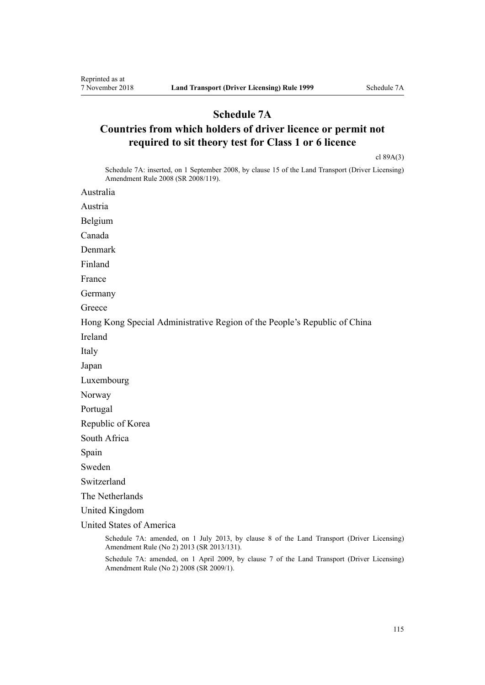### **Schedule 7A**

# **Countries from which holders of driver licence or permit not required to sit theory test for Class 1 or 6 licence**

[cl 89A\(3\)](#page-89-0)

Schedule 7A: inserted, on 1 September 2008, by [clause 15](http://legislation.govt.nz/pdflink.aspx?id=DLM1317922) of the Land Transport (Driver Licensing) Amendment Rule 2008 (SR 2008/119).

Australia

Austria

Belgium

Canada

Denmark

Finland

France

Germany

**Greece** 

Hong Kong Special Administrative Region of the People's Republic of China

Ireland

Italy

Japan

Luxembourg

Norway

Portugal

Republic of Korea

South Africa

Spain

Sweden

Switzerland

The Netherlands

United Kingdom

United States of America

Schedule 7A: amended, on 1 July 2013, by [clause 8](http://legislation.govt.nz/pdflink.aspx?id=DLM5159813) of the Land Transport (Driver Licensing) Amendment Rule (No 2) 2013 (SR 2013/131).

Schedule 7A: amended, on 1 April 2009, by [clause 7](http://legislation.govt.nz/pdflink.aspx?id=DLM1783613) of the Land Transport (Driver Licensing) Amendment Rule (No 2) 2008 (SR 2009/1).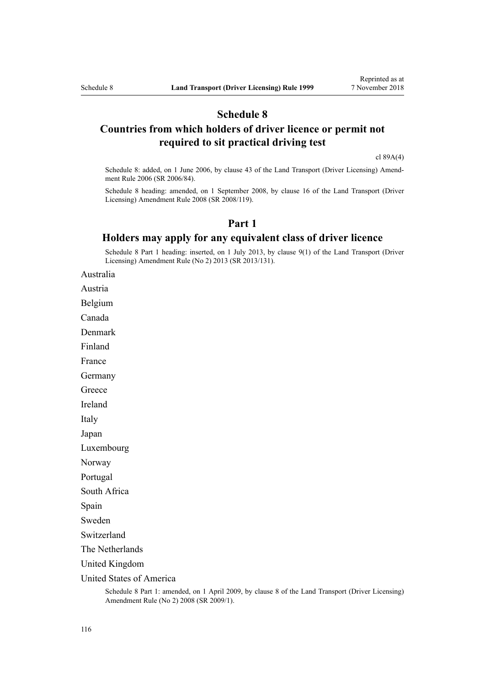### **Schedule 8**

## **Countries from which holders of driver licence or permit not required to sit practical driving test**

[cl 89A\(4\)](#page-89-0)

Schedule 8: added, on 1 June 2006, by [clause 43](http://legislation.govt.nz/pdflink.aspx?id=DLM376146) of the Land Transport (Driver Licensing) Amendment Rule 2006 (SR 2006/84).

Schedule 8 heading: amended, on 1 September 2008, by [clause 16](http://legislation.govt.nz/pdflink.aspx?id=DLM1317923) of the Land Transport (Driver Licensing) Amendment Rule 2008 (SR 2008/119).

### **Part 1**

### **Holders may apply for any equivalent class of driver licence**

Schedule 8 Part 1 heading: inserted, on 1 July 2013, by [clause 9\(1\)](http://legislation.govt.nz/pdflink.aspx?id=DLM5159814) of the Land Transport (Driver Licensing) Amendment Rule (No 2) 2013 (SR 2013/131).

Australia

Austria

Belgium

Canada

Denmark

Finland

France

Germany

**Greece** 

Ireland

Italy

Japan

Luxembourg

Norway

Portugal

South Africa

Spain

Sweden

Switzerland

The Netherlands

United Kingdom

United States of America

Schedule 8 Part 1: amended, on 1 April 2009, by [clause 8](http://legislation.govt.nz/pdflink.aspx?id=DLM1783614) of the Land Transport (Driver Licensing) Amendment Rule (No 2) 2008 (SR 2009/1).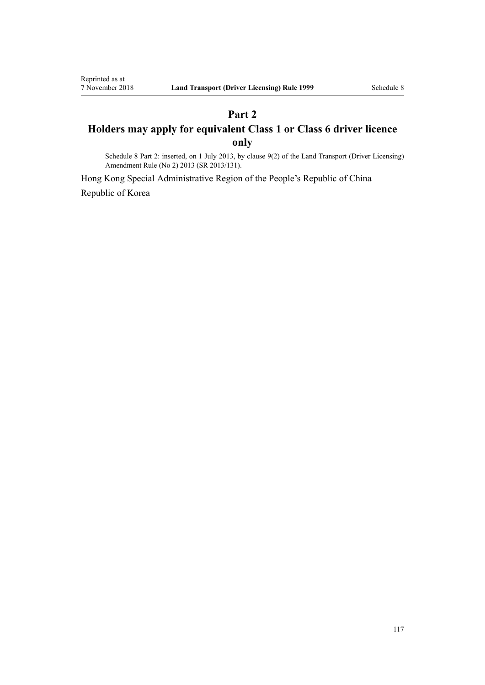# **Part 2 Holders may apply for equivalent Class 1 or Class 6 driver licence only**

Schedule 8 Part 2: inserted, on 1 July 2013, by [clause 9\(2\)](http://legislation.govt.nz/pdflink.aspx?id=DLM5159814) of the Land Transport (Driver Licensing) Amendment Rule (No 2) 2013 (SR 2013/131).

Hong Kong Special Administrative Region of the People's Republic of China Republic of Korea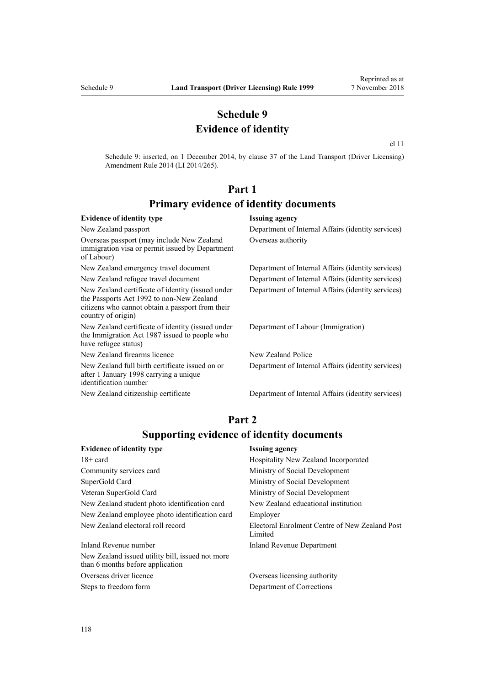## **Schedule 9 Evidence of identity**

[cl 11](http://legislation.govt.nz/pdflink.aspx?id=DLM6216924)

Schedule 9: inserted, on 1 December 2014, by [clause 37](http://legislation.govt.nz/pdflink.aspx?id=DLM6216951) of the Land Transport (Driver Licensing) Amendment Rule 2014 (LI 2014/265).

# **Part 1 Primary evidence of identity documents**

#### **Evidence of identity type Issuing agency** New Zealand passport Department of Internal Affairs (identity services) Overseas passport (may include New Zealand immigration visa or permit issued by Department of Labour) Overseas authority New Zealand emergency travel document Department of Internal Affairs (identity services) New Zealand refugee travel document Department of Internal Affairs (identity services) New Zealand certificate of identity (issued under the [Passports Act 1992](http://legislation.govt.nz/pdflink.aspx?id=DLM277432) to non-New Zealand citizens who cannot obtain a passport from their country of origin) Department of Internal Affairs (identity services) New Zealand certificate of identity (issued under the [Immigration Act 1987](http://legislation.govt.nz/pdflink.aspx?id=DLM108017) issued to people who have refugee status) Department of Labour (Immigration) New Zealand firearms licence New Zealand Police New Zealand full birth certificate issued on or after 1 January 1998 carrying a unique identification number Department of Internal Affairs (identity services) New Zealand citizenship certificate Department of Internal Affairs (identity services)

## **Part 2 Supporting evidence of identity documents**

| <b>Evidence of identity type</b>                                                     | <b>Issuing agency</b>                                     |
|--------------------------------------------------------------------------------------|-----------------------------------------------------------|
| $18 + \text{card}$                                                                   | Hospitality New Zealand Incorporated                      |
| Community services card                                                              | Ministry of Social Development                            |
| SuperGold Card                                                                       | Ministry of Social Development                            |
| Veteran SuperGold Card                                                               | Ministry of Social Development                            |
| New Zealand student photo identification card                                        | New Zealand educational institution                       |
| New Zealand employee photo identification card                                       | Employer                                                  |
| New Zealand electoral roll record                                                    | Electoral Enrolment Centre of New Zealand Post<br>Limited |
| Inland Revenue number                                                                | Inland Revenue Department                                 |
| New Zealand issued utility bill, issued not more<br>than 6 months before application |                                                           |

Overseas driver licence Overseas licensing authority Steps to freedom form Department of Corrections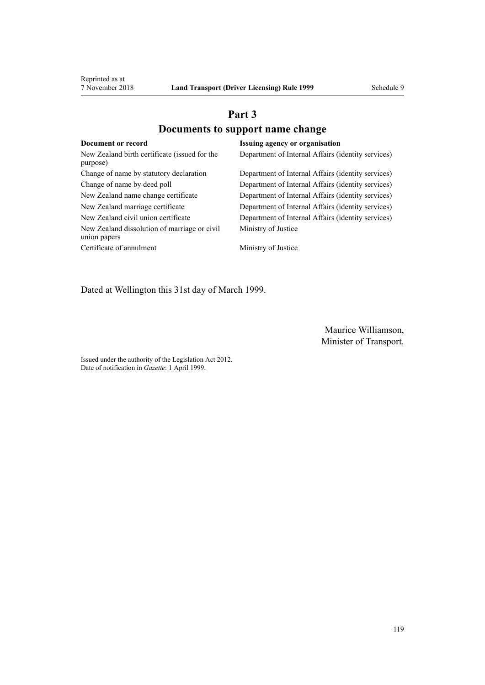# **Part 3 Documents to support name change**

| Document or record                                           | <b>Issuing agency or organisation</b>              |
|--------------------------------------------------------------|----------------------------------------------------|
| New Zealand birth certificate (issued for the<br>purpose)    | Department of Internal Affairs (identity services) |
| Change of name by statutory declaration                      | Department of Internal Affairs (identity services) |
| Change of name by deed poll                                  | Department of Internal Affairs (identity services) |
| New Zealand name change certificate                          | Department of Internal Affairs (identity services) |
| New Zealand marriage certificate                             | Department of Internal Affairs (identity services) |
| New Zealand civil union certificate                          | Department of Internal Affairs (identity services) |
| New Zealand dissolution of marriage or civil<br>union papers | Ministry of Justice                                |
| Certificate of annulment                                     | Ministry of Justice                                |

Dated at Wellington this 31st day of March 1999.

Maurice Williamson, Minister of Transport.

Issued under the authority of the [Legislation Act 2012](http://legislation.govt.nz/pdflink.aspx?id=DLM2997643). Date of notification in *Gazette*: 1 April 1999.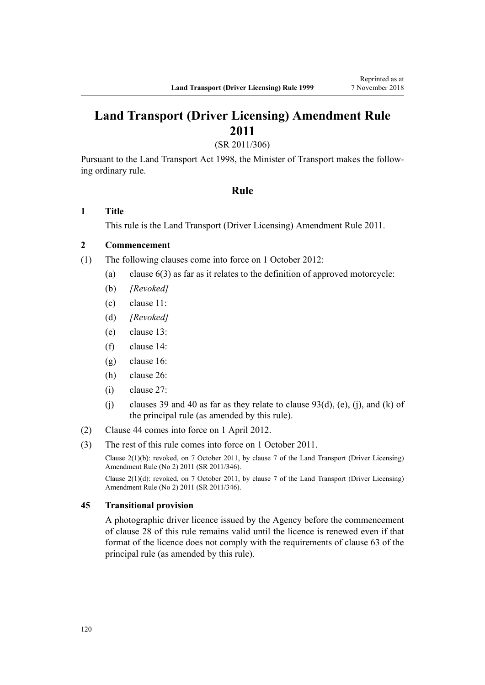# **Land Transport (Driver Licensing) Amendment Rule 2011**

(SR 2011/306)

Pursuant to the Land Transport Act 1998, the Minister of Transport makes the following ordinary rule.

### **Rule**

### **1 Title**

This rule is the [Land Transport \(Driver Licensing\) Amendment Rule 2011](http://legislation.govt.nz/pdflink.aspx?id=DLM3956573).

### **2 Commencement**

- (1) The following clauses come into force on 1 October 2012:
	- (a) clause 6(3) as far as it relates to the definition of approved motorcycle:
	- (b) *[Revoked]*
	- (c) clause 11:
	- (d) *[Revoked]*
	- (e) clause 13:
	- (f) clause 14:
	- (g) clause 16:
	- (h) clause 26:
	- (i) clause 27:
	- (j) clauses 39 and 40 as far as they relate to clause  $93(d)$ , (e), (j), and (k) of the principal rule (as amended by this rule).
- (2) Clause 44 comes into force on 1 April 2012.
- (3) The rest of this rule comes into force on 1 October 2011.

Clause 2(1)(b): revoked, on 7 October 2011, by [clause 7](http://legislation.govt.nz/pdflink.aspx?id=DLM4067013) of the Land Transport (Driver Licensing) Amendment Rule (No 2) 2011 (SR 2011/346).

Clause 2(1)(d): revoked, on 7 October 2011, by [clause 7](http://legislation.govt.nz/pdflink.aspx?id=DLM4067013) of the Land Transport (Driver Licensing) Amendment Rule (No 2) 2011 (SR 2011/346).

### **45 Transitional provision**

A photographic driver licence issued by the Agency before the commencement of clause 28 of this rule remains valid until the licence is renewed even if that format of the licence does not comply with the requirements of clause 63 of the principal rule (as amended by this rule).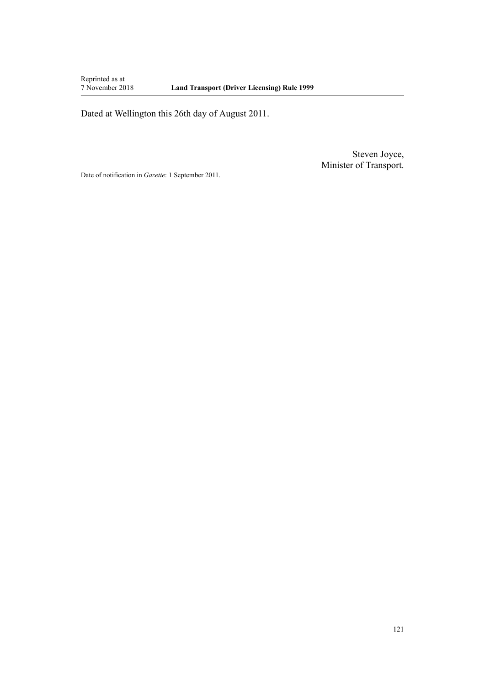Reprinted as at<br>7 November 2018

Dated at Wellington this 26th day of August 2011.

Steven Joyce, Minister of Transport.

Date of notification in *Gazette*: 1 September 2011.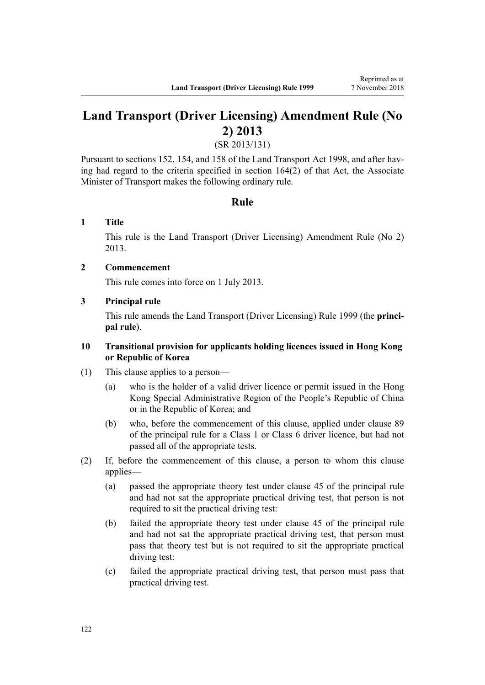# **Land Transport (Driver Licensing) Amendment Rule (No 2) 2013**

(SR 2013/131)

Pursuant to sections 152, 154, and 158 of the Land Transport Act 1998, and after having had regard to the criteria specified in section 164(2) of that Act, the Associate Minister of Transport makes the following ordinary rule.

### **Rule**

### **1 Title**

This rule is the [Land Transport \(Driver Licensing\) Amendment Rule \(No 2\)](http://legislation.govt.nz/pdflink.aspx?id=DLM5159800) [2013](http://legislation.govt.nz/pdflink.aspx?id=DLM5159800).

### **2 Commencement**

This rule comes into force on 1 July 2013.

### **3 Principal rule**

This rule amends the Land Transport (Driver Licensing) Rule 1999 (the **principal rule**).

### **10 Transitional provision for applicants holding licences issued in Hong Kong or Republic of Korea**

- (1) This clause applies to a person—
	- (a) who is the holder of a valid driver licence or permit issued in the Hong Kong Special Administrative Region of the People's Republic of China or in the Republic of Korea; and
	- (b) who, before the commencement of this clause, applied under clause 89 of the principal rule for a Class 1 or Class 6 driver licence, but had not passed all of the appropriate tests.
- (2) If, before the commencement of this clause, a person to whom this clause applies—
	- (a) passed the appropriate theory test under clause 45 of the principal rule and had not sat the appropriate practical driving test, that person is not required to sit the practical driving test:
	- (b) failed the appropriate theory test under clause 45 of the principal rule and had not sat the appropriate practical driving test, that person must pass that theory test but is not required to sit the appropriate practical driving test:
	- (c) failed the appropriate practical driving test, that person must pass that practical driving test.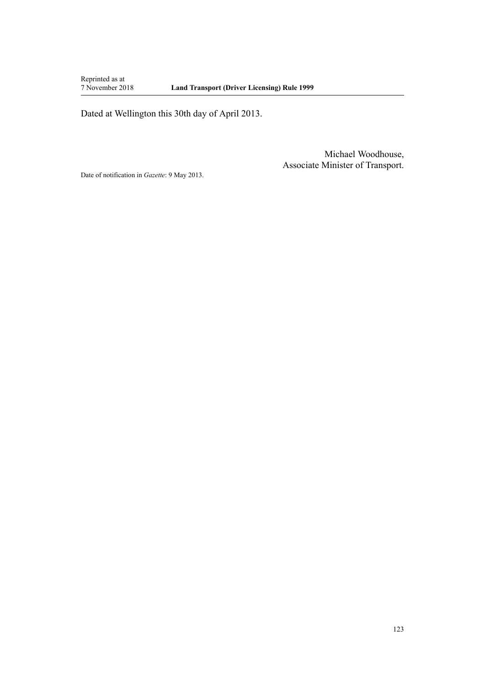Reprinted as at<br>7 November 2018

Dated at Wellington this 30th day of April 2013.

Michael Woodhouse, Associate Minister of Transport.

Date of notification in *Gazette*: 9 May 2013.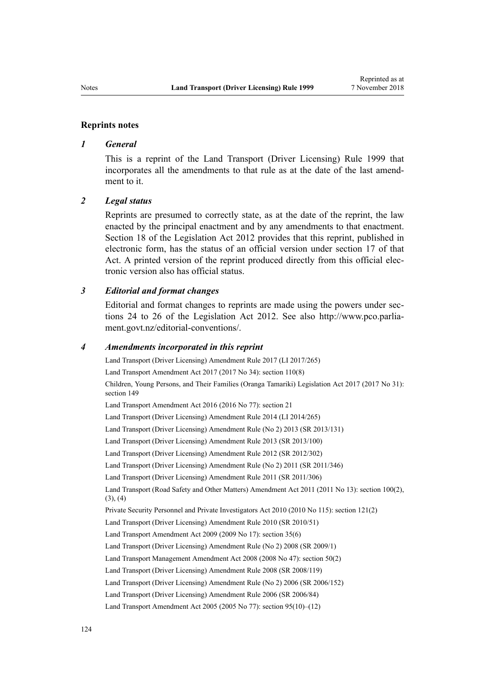#### **Reprints notes**

#### *1 General*

This is a reprint of the Land Transport (Driver Licensing) Rule 1999 that incorporates all the amendments to that rule as at the date of the last amendment to it.

#### *2 Legal status*

Reprints are presumed to correctly state, as at the date of the reprint, the law enacted by the principal enactment and by any amendments to that enactment. [Section 18](http://legislation.govt.nz/pdflink.aspx?id=DLM2998516) of the Legislation Act 2012 provides that this reprint, published in electronic form, has the status of an official version under [section 17](http://legislation.govt.nz/pdflink.aspx?id=DLM2998515) of that Act. A printed version of the reprint produced directly from this official electronic version also has official status.

#### *3 Editorial and format changes*

Editorial and format changes to reprints are made using the powers under [sec](http://legislation.govt.nz/pdflink.aspx?id=DLM2998532)[tions 24 to 26](http://legislation.govt.nz/pdflink.aspx?id=DLM2998532) of the Legislation Act 2012. See also [http://www.pco.parlia](http://www.pco.parliament.govt.nz/editorial-conventions/)[ment.govt.nz/editorial-conventions/](http://www.pco.parliament.govt.nz/editorial-conventions/).

#### *4 Amendments incorporated in this reprint*

[Land Transport \(Driver Licensing\) Amendment Rule 2017](http://legislation.govt.nz/pdflink.aspx?id=DLM7420922) (LI 2017/265) Land Transport Amendment Act 2017 (2017 No 34): [section 110\(8\)](http://legislation.govt.nz/pdflink.aspx?id=DLM6960929) Children, Young Persons, and Their Families (Oranga Tamariki) Legislation Act 2017 (2017 No 31): [section 149](http://legislation.govt.nz/pdflink.aspx?id=DLM7287401) Land Transport Amendment Act 2016 (2016 No 77): [section 21](http://legislation.govt.nz/pdflink.aspx?id=DLM6984133) [Land Transport \(Driver Licensing\) Amendment Rule 2014](http://legislation.govt.nz/pdflink.aspx?id=DLM6216900) (LI 2014/265) [Land Transport \(Driver Licensing\) Amendment Rule \(No 2\) 2013](http://legislation.govt.nz/pdflink.aspx?id=DLM5159800) (SR 2013/131) [Land Transport \(Driver Licensing\) Amendment Rule 2013](http://legislation.govt.nz/pdflink.aspx?id=DLM5102226) (SR 2013/100) [Land Transport \(Driver Licensing\) Amendment Rule 2012](http://legislation.govt.nz/pdflink.aspx?id=DLM4773428) (SR 2012/302) [Land Transport \(Driver Licensing\) Amendment Rule \(No 2\) 2011](http://legislation.govt.nz/pdflink.aspx?id=DLM4067006) (SR 2011/346) [Land Transport \(Driver Licensing\) Amendment Rule 2011](http://legislation.govt.nz/pdflink.aspx?id=DLM3956573) (SR 2011/306) Land Transport (Road Safety and Other Matters) Amendment Act 2011 (2011 No 13): [section 100\(2\),](http://legislation.govt.nz/pdflink.aspx?id=DLM3231293)  $(3), (4)$ Private Security Personnel and Private Investigators Act 2010 (2010 No 115): [section 121\(2\)](http://legislation.govt.nz/pdflink.aspx?id=DLM1594656) [Land Transport \(Driver Licensing\) Amendment Rule 2010](http://legislation.govt.nz/pdflink.aspx?id=DLM2740170) (SR 2010/51) Land Transport Amendment Act 2009 (2009 No 17): [section 35\(6\)](http://legislation.govt.nz/pdflink.aspx?id=DLM2015063) [Land Transport \(Driver Licensing\) Amendment Rule \(No 2\) 2008](http://legislation.govt.nz/pdflink.aspx?id=DLM1783600) (SR 2009/1) Land Transport Management Amendment Act 2008 (2008 No 47): [section 50\(2\)](http://legislation.govt.nz/pdflink.aspx?id=DLM1313622) [Land Transport \(Driver Licensing\) Amendment Rule 2008](http://legislation.govt.nz/pdflink.aspx?id=DLM1317900) (SR 2008/119) [Land Transport \(Driver Licensing\) Amendment Rule \(No 2\) 2006](http://legislation.govt.nz/pdflink.aspx?id=DLM386132) (SR 2006/152) [Land Transport \(Driver Licensing\) Amendment Rule 2006](http://legislation.govt.nz/pdflink.aspx?id=DLM375672) (SR 2006/84) Land Transport Amendment Act 2005 (2005 No 77): [section 95\(10\)–\(12\)](http://legislation.govt.nz/pdflink.aspx?id=DLM353501)